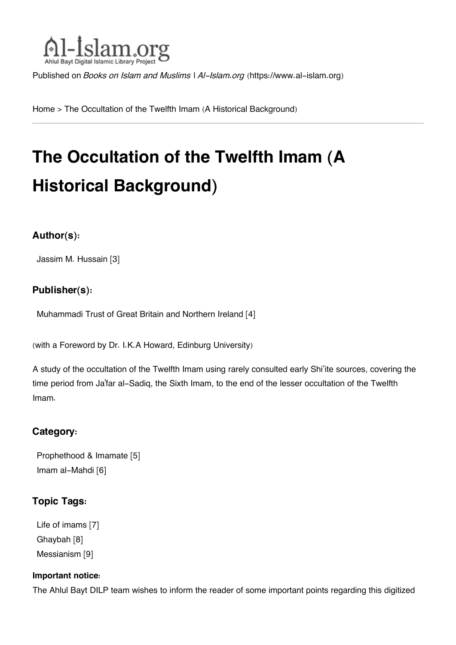

Published on *Books on Islam and Muslims | Al-Islam.org* [\(https://www.al-islam.org](https://www.al-islam.org))

[Home](https://www.al-islam.org/) > The Occultation of the Twelfth Imam (A Historical Background)

# **The Occultation of the Twelfth Imam (A Historical Background)**

### **Author(s):**

[Jassim M. Hussain](https://www.al-islam.org/person/jassim-m-hussain) [3]

### **Publisher(s):**

[Muhammadi Trust of Great Britain and Northern Ireland](https://www.al-islam.org/organization/muhammadi-trust-great-britain-and-northern-ireland) [4]

(with a Foreword by Dr. I.K.A Howard, Edinburg University)

A study of the occultation of the Twelfth Imam using rarely consulted early Shi'ite sources, covering the time period from Ja'far al-Sadiq, the Sixth Imam, to the end of the lesser occultation of the Twelfth Imam.

### **Category:**

[Prophethood & Imamate](https://www.al-islam.org/library/prophethood-imamate) [5] [Imam al-Mahdi](https://www.al-islam.org/library/imam-al-mahdi) [6]

### **Topic Tags:**

[Life of imams](https://www.al-islam.org/tags/life-imams) [7] [Ghaybah](https://www.al-islam.org/tags/ghaybah) [8] [Messianism](https://www.al-islam.org/tags/messianism) [9]

### **Important notice:**

The Ahlul Bayt DILP team wishes to inform the reader of some important points regarding this digitized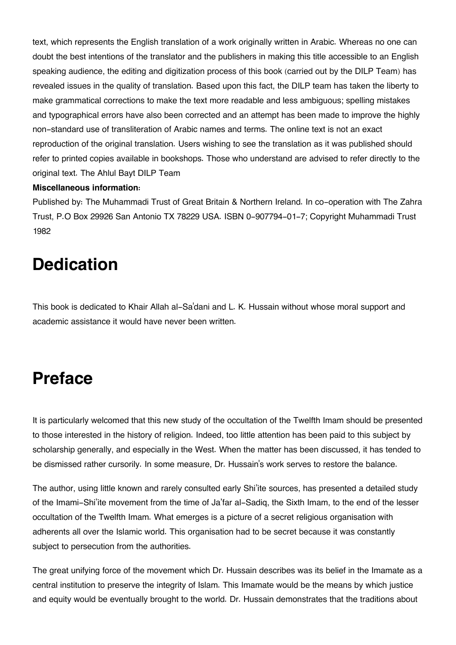text, which represents the English translation of a work originally written in Arabic. Whereas no one can doubt the best intentions of the translator and the publishers in making this title accessible to an English speaking audience, the editing and digitization process of this book (carried out by the DILP Team) has revealed issues in the quality of translation. Based upon this fact, the DILP team has taken the liberty to make grammatical corrections to make the text more readable and less ambiguous; spelling mistakes and typographical errors have also been corrected and an attempt has been made to improve the highly non-standard use of transliteration of Arabic names and terms. The online text is not an exact reproduction of the original translation. Users wishing to see the translation as it was published should refer to printed copies available in bookshops. Those who understand are advised to refer directly to the original text. The Ahlul Bayt DILP Team

#### **Miscellaneous information:**

Published by: The Muhammadi Trust of Great Britain & Northern Ireland. In co-operation with The Zahra Trust, P.O Box 29926 San Antonio TX 78229 USA. ISBN 0-907794-01-7; Copyright Muhammadi Trust 1982

## **Dedication**

This book is dedicated to Khair Allah al-Sa'dani and L. K. Hussain without whose moral support and academic assistance it would have never been written.

## **Preface**

It is particularly welcomed that this new study of the occultation of the Twelfth Imam should be presented to those interested in the history of religion. Indeed, too little attention has been paid to this subject by scholarship generally, and especially in the West. When the matter has been discussed, it has tended to be dismissed rather cursorily. In some measure, Dr. Hussain's work serves to restore the balance.

The author, using little known and rarely consulted early Shi'ite sources, has presented a detailed study of the Imami-Shi'ite movement from the time of Ja'far al-Sadiq, the Sixth Imam, to the end of the lesser occultation of the Twelfth Imam. What emerges is a picture of a secret religious organisation with adherents all over the Islamic world. This organisation had to be secret because it was constantly subject to persecution from the authorities.

The great unifying force of the movement which Dr. Hussain describes was its belief in the Imamate as a central institution to preserve the integrity of Islam. This Imamate would be the means by which justice and equity would be eventually brought to the world. Dr. Hussain demonstrates that the traditions about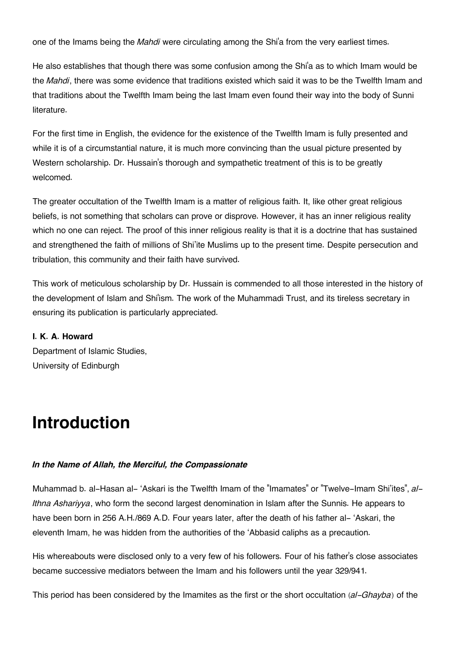one of the Imams being the *Mahdi* were circulating among the Shi'a from the very earliest times.

He also establishes that though there was some confusion among the Shi'a as to which Imam would be the *Mahdi*, there was some evidence that traditions existed which said it was to be the Twelfth Imam and that traditions about the Twelfth Imam being the last Imam even found their way into the body of Sunni literature.

For the first time in English, the evidence for the existence of the Twelfth Imam is fully presented and while it is of a circumstantial nature, it is much more convincing than the usual picture presented by Western scholarship. Dr. Hussain's thorough and sympathetic treatment of this is to be greatly welcomed.

The greater occultation of the Twelfth Imam is a matter of religious faith. It, like other great religious beliefs, is not something that scholars can prove or disprove. However, it has an inner religious reality which no one can reject. The proof of this inner religious reality is that it is a doctrine that has sustained and strengthened the faith of millions of Shi'ite Muslims up to the present time. Despite persecution and tribulation, this community and their faith have survived.

This work of meticulous scholarship by Dr. Hussain is commended to all those interested in the history of the development of Islam and Shi'ism. The work of the Muhammadi Trust, and its tireless secretary in ensuring its publication is particularly appreciated.

#### **I. K. A. Howard**

Department of Islamic Studies, University of Edinburgh

## **Introduction**

#### *In the Name of Allah, the Merciful, the Compassionate*

Muhammad b. al-Hasan al- 'Askari is the Twelfth Imam of the "Imamates" or "Twelve-Imam Shi'ites", *al*-*Ithna Ashariyya*, who form the second largest denomination in Islam after the Sunnis. He appears to have been born in 256 A.H./869 A.D. Four years later, after the death of his father al- 'Askari, the eleventh Imam, he was hidden from the authorities of the 'Abbasid caliphs as a precaution.

His whereabouts were disclosed only to a very few of his followers. Four of his father's close associates became successive mediators between the Imam and his followers until the year 329/941.

This period has been considered by the Imamites as the first or the short occultation *(al*-*Ghayba)* of the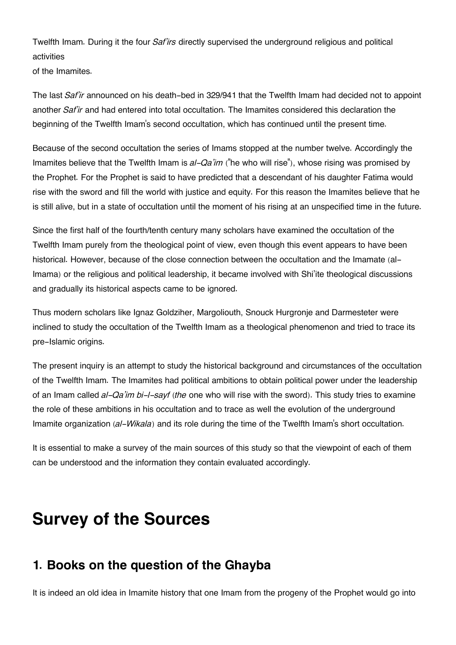Twelfth Imam. During it the four *Saf'irs* directly supervised the underground religious and political activities

of the Imamites.

The last *Saf'ir* announced on his death-bed in 329/941 that the Twelfth Imam had decided not to appoint another *Saf'ir* and had entered into total occultation. The Imamites considered this declaration the beginning of the Twelfth Imam's second occultation, which has continued until the present time.

Because of the second occultation the series of Imams stopped at the number twelve. Accordingly the Imamites believe that the Twelfth Imam is *al-Qa'im* ("he who will rise"), whose rising was promised by the Prophet. For the Prophet is said to have predicted that a descendant of his daughter Fatima would rise with the sword and fill the world with justice and equity. For this reason the Imamites believe that he is still alive, but in a state of occultation until the moment of his rising at an unspecified time in the future.

Since the first half of the fourth/tenth century many scholars have examined the occultation of the Twelfth Imam purely from the theological point of view, even though this event appears to have been historical. However, because of the close connection between the occultation and the Imamate (al-Imama) or the religious and political leadership, it became involved with Shi'ite theological discussions and gradually its historical aspects came to be ignored.

Thus modern scholars like Ignaz Goldziher, Margoliouth, Snouck Hurgronje and Darmesteter were inclined to study the occultation of the Twelfth Imam as a theological phenomenon and tried to trace its pre-Islamic origins.

The present inquiry is an attempt to study the historical background and circumstances of the occultation of the Twelfth Imam. The Imamites had political ambitions to obtain political power under the leadership of an Imam called *al-Qa'im bi*-*l*-*sayf (the* one who will rise with the sword). This study tries to examine the role of these ambitions in his occultation and to trace as well the evolution of the underground Imamite organization (*al*-*Wikala*) and its role during the time of the Twelfth Imam's short occultation.

It is essential to make a survey of the main sources of this study so that the viewpoint of each of them can be understood and the information they contain evaluated accordingly.

## **Survey of the Sources**

### **[1. Books on the question of the Ghayba](#page--1-0)**

It is indeed an old idea in Imamite history that one Imam from the progeny of the Prophet would go into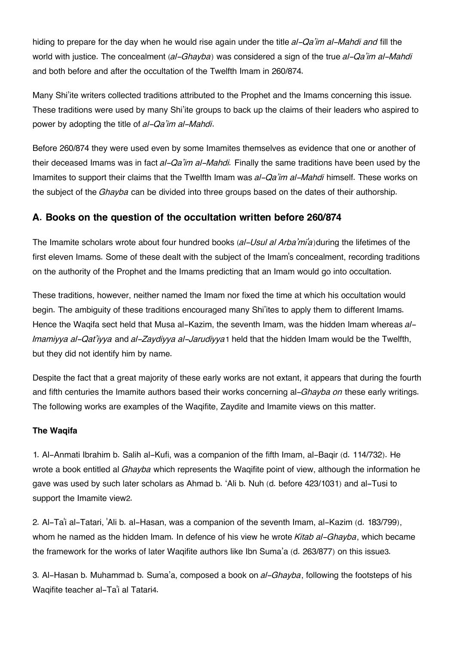hiding to prepare for the day when he would rise again under the title *al-Qa'im al*-*Mahdi and* fill the world with justice. The concealment *(al*-*Ghayba)* was considered a sign of the true *al-Qa'im al*-*Mahdi* and both before and after the occultation of the Twelfth Imam in 260/874.

Many Shi'ite writers collected traditions attributed to the Prophet and the Imams concerning this issue. These traditions were used by many Shi'ite groups to back up the claims of their leaders who aspired to power by adopting the title of *al-Qa'im al*-*Mahdi*.

Before 260/874 they were used even by some Imamites themselves as evidence that one or another of their deceased Imams was in fact *al-Qa'im al*-*Mahdi.* Finally the same traditions have been used by the Imamites to support their claims that the Twelfth Imam was *al-Qa'im al*-*Mahdi* himself. These works on the subject of the *Ghayba* can be divided into three groups based on the dates of their authorship.

### **[A. Books on the question of the occultation written before 260/874](#page--1-0)**

The Imamite scholars wrote about four hundred books *(al*-*Usul al Arba'mi'a*)during the lifetimes of the first eleven Imams. Some of these dealt with the subject of the Imam's concealment, recording traditions on the authority of the Prophet and the Imams predicting that an Imam would go into occultation.

These traditions, however, neither named the Imam nor fixed the time at which his occultation would begin. The ambiguity of these traditions encouraged many Shi'ites to apply them to different Imams. Hence the Waqifa sect held that Musa al-Kazim, the seventh Imam, was the hidden Imam whereas *al*-*Imamiyya al*-*Qat'iyya* and *al*-*Zaydiyya al*-*Jarudiyya*[1](#page--1-0) held that the hidden Imam would be the Twelfth, but they did not identify him by name.

Despite the fact that a great majority of these early works are not extant, it appears that during the fourth and fifth centuries the Imamite authors based their works concerning al-*Ghayba on* these early writings. The following works are examples of the Waqifite, Zaydite and Imamite views on this matter.

### **[The Waqifa](#page--1-0)**

1. Al-Anmati Ibrahim b. Salih al-Kufi, was a companion of the fifth Imam, al-Baqir (d. 114/732). He wrote a book entitled al *Ghayba* which represents the Waqifite point of view, although the information he gave was used by such later scholars as Ahmad b. 'Ali b. Nuh (d. before 423/1031) and al-Tusi to support the Imamite view[2](#page--1-0).

2. Al-Ta'i al-Tatari, 'Ali b. al-Hasan, was a companion of the seventh Imam, al-Kazim (d. 183/799), whom he named as the hidden Imam. In defence of his view he wrote *Kitab al*-*Ghayba*, which became the framework for the works of later Waqifite authors like Ibn Suma'a (d. 263/877) on this issue[3](#page--1-0).

3. Al-Hasan b. Muhammad b. Suma'a, composed a book on *al*-*Ghayba*, following the footsteps of his Waqifite teacher al-Ta'i al Tatari[4](#page--1-0).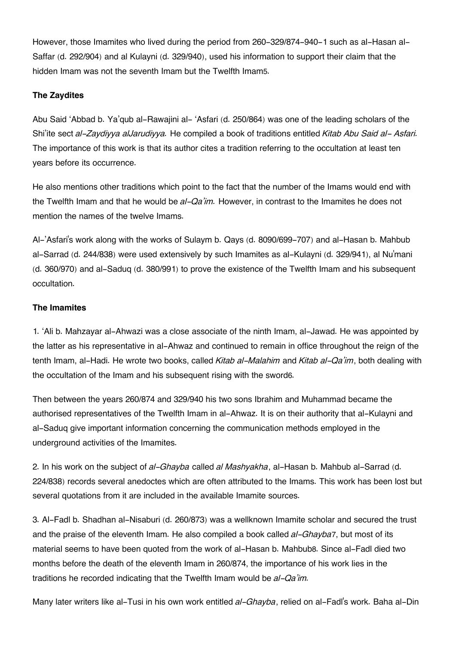However, those Imamites who lived during the period from 260-329/874-940-1 such as al-Hasan al-Saffar (d. 292/904) and al Kulayni (d. 329/940), used his information to support their claim that the hidden Imam was not the seventh Imam but the Twelfth Imam[5](#page--1-0).

### **[The Zaydites](#page--1-0)**

Abu Said 'Abbad b. Ya'qub al-Rawajini al- 'Asfari (d. 250/864) was one of the leading scholars of the Shi'ite sect *al*-*Zaydiyya alJarudiyya.* He compiled a book of traditions entitled *Kitab Abu Said al*- *Asfari.* The importance of this work is that its author cites a tradition referring to the occultation at least ten years before its occurrence.

He also mentions other traditions which point to the fact that the number of the Imams would end with the Twelfth Imam and that he would be *al-Qa'im.* However, in contrast to the Imamites he does not mention the names of the twelve Imams.

Al-'Asfari's work along with the works of Sulaym b. Qays (d. 8090/699-707) and al-Hasan b. Mahbub al-Sarrad (d. 244/838) were used extensively by such Imamites as al-Kulayni (d. 329/941), al Nu'mani (d. 360/970) and al-Saduq (d. 380/991) to prove the existence of the Twelfth Imam and his subsequent occultation.

#### **[The Imamites](#page--1-0)**

1. 'Ali b. Mahzayar al-Ahwazi was a close associate of the ninth Imam, al-Jawad. He was appointed by the latter as his representative in al-Ahwaz and continued to remain in office throughout the reign of the tenth Imam, al-Hadi. He wrote two books, called *Kitab al*-*Malahim* and *Kitab al-Qa'im*, both dealing with the occultation of the Imam and his subsequent rising with the sword[6](#page--1-0).

Then between the years 260/874 and 329/940 his two sons Ibrahim and Muhammad became the authorised representatives of the Twelfth Imam in al-Ahwaz. It is on their authority that al-Kulayni and al-Saduq give important information concerning the communication methods employed in the underground activities of the Imamites.

2. In his work on the subject of *al*-*Ghayba* called *al Mashyakha*, al-Hasan b. Mahbub al-Sarrad (d. 224/838) records several anedoctes which are often attributed to the Imams. This work has been lost but several quotations from it are included in the available Imamite sources.

3. Al-Fadl b. Shadhan al-Nisaburi (d. 260/873) was a wellknown Imamite scholar and secured the trust and the praise of the eleventh Imam. He also compiled a book called *al*-*Ghayba*[7](#page--1-0), but most of its material seems to have been quoted from the work of al-Hasan b. Mahbub[8](#page--1-0). Since al-Fadl died two months before the death of the eleventh Imam in 260/874, the importance of his work lies in the traditions he recorded indicating that the Twelfth Imam would be *al-Qa'im.*

Many later writers like al-Tusi in his own work entitled *al*-*Ghayba*, relied on al-Fadl's work. Baha al-Din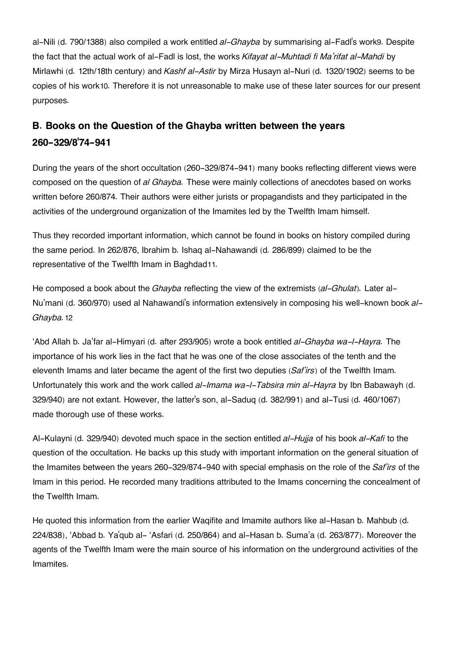al-Nili (d. 790/1388) also compiled a work entitled *al*-*Ghayba* by summarising al-Fadl's work[9](#page--1-0). Despite the fact that the actual work of al-Fadl is lost, the works *Kifayat al*-*Muhtadi fi Ma'rifat al*-*Mahdi* by Mirlawhi (d. 12th/18th century) and *Kashf al*-*Astir* by Mirza Husayn al-Nuri (d. 1320/1902) seems to be copies of his work[10](#page--1-0). Therefore it is not unreasonable to make use of these later sources for our present purposes.

### **[B. Books on the Question of the Ghayba written between the years](#page--1-0) [260-329/8](#page--1-0)'74-941**

During the years of the short occultation (260-329/874-941) many books reflecting different views were composed on the question of *al Ghayba.* These were mainly collections of anecdotes based on works written before 260/874. Their authors were either jurists or propagandists and they participated in the activities of the underground organization of the Imamites led by the Twelfth Imam himself.

Thus they recorded important information, which cannot be found in books on history compiled during the same period. In 262/876, Ibrahim b. Ishaq al-Nahawandi (d. 286/899) claimed to be the representative of the Twelfth Imam in Baghdad[11](#page--1-0).

He composed a book about the *Ghayba* reflecting the view of the extremists *(al*-*Ghulat).* Later al-Nu'mani (d. 360/970) used al Nahawandi's information extensively in composing his well-known book *al*-*Ghayba.*[12](#page--1-0)

'Abd Allah b. Ja'far al-Himyari (d. after 293/905) wrote a book entitled *al*-*Ghayba wa*-*l*-*Hayra.* The importance of his work lies in the fact that he was one of the close associates of the tenth and the eleventh Imams and later became the agent of the first two deputies *(Saf'irs)* of the Twelfth Imam. Unfortunately this work and the work called *al*-*Imama wa*-*l*-*Tabsira min al*-*Hayra* by Ibn Babawayh (d. 329/940) are not extant. However, the latter's son, al-Saduq (d. 382/991) and al-Tusi (d. 460/1067) made thorough use of these works.

Al-Kulayni (d. 329/940) devoted much space in the section entitled *al*-*Hujja* of his book *al*-*Kafi* to the question of the occultation. He backs up this study with important information on the general situation of the Imamites between the years 260-329/874-940 with special emphasis on the role of the *Saf'irs* of the Imam in this period. He recorded many traditions attributed to the Imams concerning the concealment of the Twelfth Imam.

He quoted this information from the earlier Waqifite and Imamite authors like al-Hasan b. Mahbub (d. 224/838), 'Abbad b. Ya'qub al- 'Asfari (d. 250/864) and al-Hasan b. Suma'a (d. 263/877). Moreover the agents of the Twelfth Imam were the main source of his information on the underground activities of the Imamites.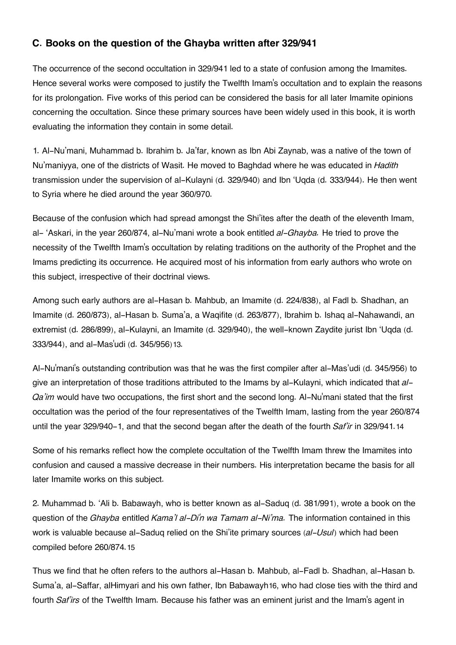### **[C. Books on the question of the Ghayba written after 329/941](#page--1-0)**

The occurrence of the second occultation in 329/941 led to a state of confusion among the Imamites. Hence several works were composed to justify the Twelfth Imam's occultation and to explain the reasons for its prolongation. Five works of this period can be considered the basis for all later Imamite opinions concerning the occultation. Since these primary sources have been widely used in this book, it is worth evaluating the information they contain in some detail.

1. Al-Nu'mani, Muhammad b. Ibrahim b. Ja'far, known as Ibn Abi Zaynab, was a native of the town of Nu'maniyya, one of the districts of Wasit. He moved to Baghdad where he was educated in *Hadith* transmission under the supervision of al-Kulayni (d. 329/940) and Ibn 'Uqda (d. 333/944). He then went to Syria where he died around the year 360/970.

Because of the confusion which had spread amongst the Shi'ites after the death of the eleventh Imam, al- 'Askari, in the year 260/874, al-Nu'mani wrote a book entitled *al*-*Ghayba.* He tried to prove the necessity of the Twelfth Imam's occultation by relating traditions on the authority of the Prophet and the Imams predicting its occurrence. He acquired most of his information from early authors who wrote on this subject, irrespective of their doctrinal views.

Among such early authors are al-Hasan b. Mahbub, an Imamite (d. 224/838), al Fadl b. Shadhan, an Imamite (d. 260/873), al-Hasan b. Suma'a, a Waqifite (d. 263/877), Ibrahim b. Ishaq al-Nahawandi, an extremist (d. 286/899), al-Kulayni, an Imamite (d. 329/940), the well-known Zaydite jurist Ibn 'Uqda (d. 333/944), and al-Mas'udi (d. 345/956)[13](#page--1-0).

Al-Nu'mani's outstanding contribution was that he was the first compiler after al-Mas'udi (d. 345/956) to give an interpretation of those traditions attributed to the Imams by al-Kulayni, which indicated that *al-Qa'im* would have two occupations, the first short and the second long. Al-Nu'mani stated that the first occultation was the period of the four representatives of the Twelfth Imam, lasting from the year 260/874 until the year 329/940-1, and that the second began after the death of the fourth *Saf'ir* in 329/941.[14](#page--1-0)

Some of his remarks reflect how the complete occultation of the Twelfth Imam threw the Imamites into confusion and caused a massive decrease in their numbers. His interpretation became the basis for all later Imamite works on this subject.

2. Muhammad b. 'Ali b. Babawayh, who is better known as al-Saduq (d. 381/991), wrote a book on the question of the *Ghayba* entitled *Kama'l al*-*Di'n wa Tamam al*-*Ni'ma.* The information contained in this work is valuable because al-Saduq relied on the Shi'ite primary sources *(al*-*Usul)* which had been compiled before 260/874.[15](#page--1-0)

Thus we find that he often refers to the authors al-Hasan b. Mahbub, al-Fadl b. Shadhan, al-Hasan b. Suma'a, al-Saffar, alHimyari and his own father, Ibn Babawayh[16](#page--1-0), who had close ties with the third and fourth *Saf'irs* of the Twelfth Imam. Because his father was an eminent jurist and the Imam's agent in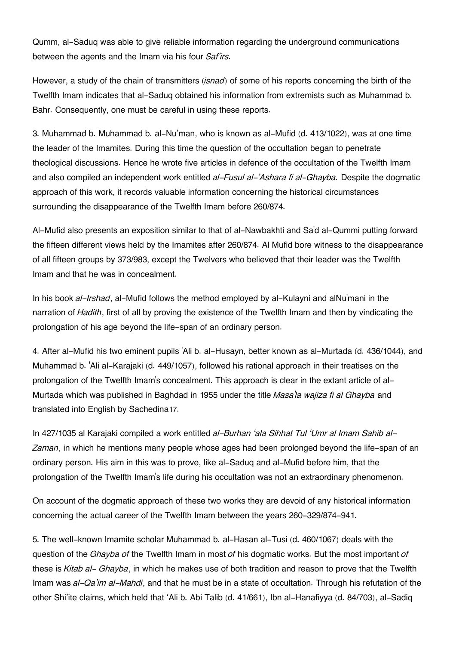Qumm, al-Saduq was able to give reliable information regarding the underground communications between the agents and the Imam via his four *Saf'irs.*

However, a study of the chain of transmitters *(isnad)* of some of his reports concerning the birth of the Twelfth Imam indicates that al-Saduq obtained his information from extremists such as Muhammad b. Bahr. Consequently, one must be careful in using these reports.

3. Muhammad b. Muhammad b. al-Nu'man, who is known as al-Mufid (d. 413/1022), was at one time the leader of the Imamites. During this time the question of the occultation began to penetrate theological discussions. Hence he wrote five articles in defence of the occultation of the Twelfth Imam and also compiled an independent work entitled *al*-*Fusul al*-*'Ashara fi al*-*Ghayba.* Despite the dogmatic approach of this work, it records valuable information concerning the historical circumstances surrounding the disappearance of the Twelfth Imam before 260/874.

Al-Mufid also presents an exposition similar to that of al-Nawbakhti and Sa'd al-Qummi putting forward the fifteen different views held by the Imamites after 260/874. Al Mufid bore witness to the disappearance of all fifteen groups by 373/983, except the Twelvers who believed that their leader was the Twelfth Imam and that he was in concealment.

In his book *al*-*Irshad*, al-Mufid follows the method employed by al-Kulayni and alNu'mani in the narration of *Hadith*, first of all by proving the existence of the Twelfth Imam and then by vindicating the prolongation of his age beyond the life-span of an ordinary person.

4. After al-Mufid his two eminent pupils 'Ali b. al-Husayn, better known as al-Murtada (d. 436/1044), and Muhammad b. 'Ali al-Karajaki (d. 449/1057), followed his rational approach in their treatises on the prolongation of the Twelfth Imam's concealment. This approach is clear in the extant article of al-Murtada which was published in Baghdad in 1955 under the title *Masa'la wajiza fi al Ghayba* and translated into English by Sachedina[17](#page--1-0).

In 427/1035 al Karajaki compiled a work entitled *al*-*Burhan 'ala Sihhat Tul 'Umr al Imam Sahib al*-*Zaman*, in which he mentions many people whose ages had been prolonged beyond the life-span of an ordinary person. His aim in this was to prove, like al-Saduq and al-Mufid before him, that the prolongation of the Twelfth Imam's life during his occultation was not an extraordinary phenomenon.

On account of the dogmatic approach of these two works they are devoid of any historical information concerning the actual career of the Twelfth Imam between the years 260-329/874-941.

5. The well-known Imamite scholar Muhammad b. al-Hasan al-Tusi (d. 460/1067) deals with the question of the *Ghayba of* the Twelfth Imam in most *of* his dogmatic works. But the most important *of* these is *Kitab al*- *Ghayba*, in which he makes use of both tradition and reason to prove that the Twelfth Imam was *al-Qa'im al*-*Mahdi*, and that he must be in a state of occultation. Through his refutation of the other Shi'ite claims, which held that 'Ali b. Abi Talib (d. 41/661), Ibn al-Hanafiyya (d. 84/703), al-Sadiq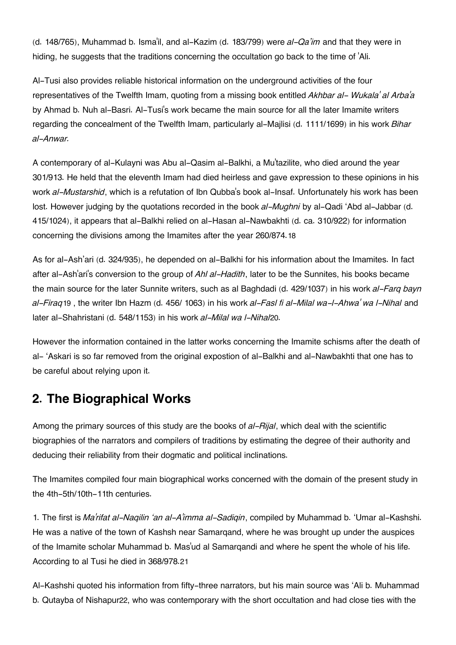(d. 148/765), Muhammad b. Isma'il, and al-Kazim (d. 183/799) were *al-Qa'im* and that they were in hiding, he suggests that the traditions concerning the occultation go back to the time of 'Ali.

Al-Tusi also provides reliable historical information on the underground activities of the four representatives of the Twelfth Imam, quoting from a missing book entitled *Akhbar al*- *Wukala' al Arba'a* by Ahmad b. Nuh al-Basri. Al-Tusi's work became the main source for all the later Imamite writers regarding the concealment of the Twelfth Imam, particularly al-Majlisi (d. 1111/1699) in his work *Bihar al*-*Anwar.*

A contemporary of al-Kulayni was Abu al-Qasim al-Balkhi, a Mu'tazilite, who died around the year 301/913. He held that the eleventh Imam had died heirless and gave expression to these opinions in his work *al*-*Mustarshid*, which is a refutation of Ibn Qubba's book al-Insaf. Unfortunately his work has been lost. However judging by the quotations recorded in the book *al*-*Mughni* by al-Qadi 'Abd al-Jabbar (d. 415/1024), it appears that al-Balkhi relied on al-Hasan al-Nawbakhti (d. ca. 310/922) for information concerning the divisions among the Imamites after the year 260/874.[18](#page--1-0)

As for al-Ash'ari (d. 324/935), he depended on al-Balkhi for his information about the Imamites. In fact after al-Ash'ari's conversion to the group of *Ahl al*-*Hadith*, later to be the Sunnites, his books became the main source for the later Sunnite writers, such as al Baghdadi (d. 429/1037) in his work *al*-*Farq bayn al*-*Firaq*[19](#page--1-0) , the writer Ibn Hazm (d. 456/ 1063) in his work *al*-*Fasl fi al*-*Milal wa*-*l*-*Ahwa' wa l*-*Nihal* and later al-Shahristani (d. 548/1153) in his work *al*-*Milal wa l*-*Nihal*[20](#page--1-0).

However the information contained in the latter works concerning the Imamite schisms after the death of al- 'Askari is so far removed from the original expostion of al-Balkhi and al-Nawbakhti that one has to be careful about relying upon it.

### **[2. The Biographical Works](#page--1-0)**

Among the primary sources of this study are the books of *al*-*Rijal*, which deal with the scientific biographies of the narrators and compilers of traditions by estimating the degree of their authority and deducing their reliability from their dogmatic and political inclinations.

The Imamites compiled four main biographical works concerned with the domain of the present study in the 4th-5th/10th-11th centuries.

1. The first is *Ma'rifat al*-*Naqilin 'an al*-*A'imma al*-*Sadiqin*, compiled by Muhammad b. 'Umar al-Kashshi. He was a native of the town of Kashsh near Samarqand, where he was brought up under the auspices of the Imamite scholar Muhammad b. Mas'ud al Samarqandi and where he spent the whole of his life. According to al Tusi he died in 368/978.[21](#page--1-0)

Al-Kashshi quoted his information from fifty-three narrators, but his main source was 'Ali b. Muhammad b. Qutayba of Nishapur[22](#page--1-0), who was contemporary with the short occultation and had close ties with the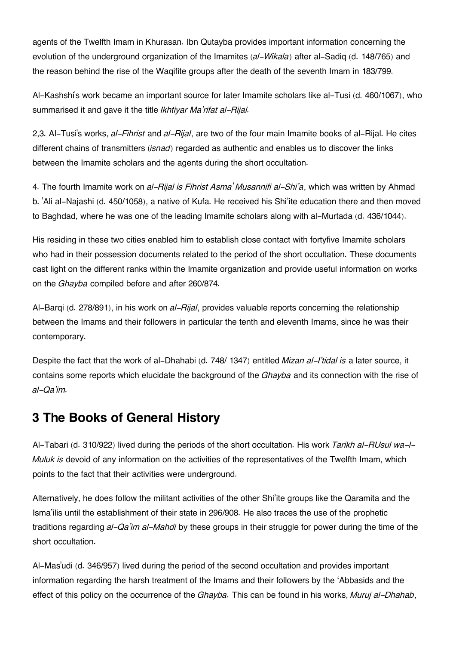agents of the Twelfth Imam in Khurasan. Ibn Qutayba provides important information concerning the evolution of the underground organization of the Imamites *(al*-*Wikala)* after al-Sadiq (d. 148/765) and the reason behind the rise of the Waqifite groups after the death of the seventh Imam in 183/799.

Al-Kashshi's work became an important source for later Imamite scholars like al-Tusi (d. 460/1067), who summarised it and gave it the title *Ikhtiyar Ma'rifat al*-*Rijal.*

2,3. Al-Tusi's works, *al*-*Fihrist* and *al*-*Rijal*, are two of the four main Imamite books of al-Rijal. He cites different chains of transmitters *(isnad)* regarded as authentic and enables us to discover the links between the Imamite scholars and the agents during the short occultation.

4. The fourth Imamite work on *al*-*Rijal is Fihrist Asma' Musannifi al*-*Shi'a*, which was written by Ahmad b. 'Ali al-Najashi (d. 450/1058), a native of Kufa. He received his Shi'ite education there and then moved to Baghdad, where he was one of the leading Imamite scholars along with al-Murtada (d. 436/1044).

His residing in these two cities enabled him to establish close contact with fortyfive Imamite scholars who had in their possession documents related to the period of the short occultation. These documents cast light on the different ranks within the Imamite organization and provide useful information on works on the *Ghayba* compiled before and after 260/874.

Al-Barqi (d. 278/891), in his work on *al*-*Rijal*, provides valuable reports concerning the relationship between the Imams and their followers in particular the tenth and eleventh Imams, since he was their contemporary.

Despite the fact that the work of al-Dhahabi (d. 748/ 1347) entitled *Mizan al*-*I'tidal is* a later source, it contains some reports which elucidate the background of the *Ghayba* and its connection with the rise of *al-Qa'im.*

### **[3 The Books of General History](#page--1-0)**

Al-Tabari (d. 310/922) lived during the periods of the short occultation. His work *Tarikh al*-*RUsul wa*-*l*-*Muluk is* devoid of any information on the activities of the representatives of the Twelfth Imam, which points to the fact that their activities were underground.

Alternatively, he does follow the militant activities of the other Shi'ite groups like the Qaramita and the Isma'ilis until the establishment of their state in 296/908. He also traces the use of the prophetic traditions regarding *al-Qa'im al*-*Mahdi* by these groups in their struggle for power during the time of the short occultation.

Al-Mas'udi (d. 346/957) lived during the period of the second occultation and provides important information regarding the harsh treatment of the Imams and their followers by the 'Abbasids and the effect of this policy on the occurrence of the *Ghayba.* This can be found in his works, *Muruj al*-*Dhahab*,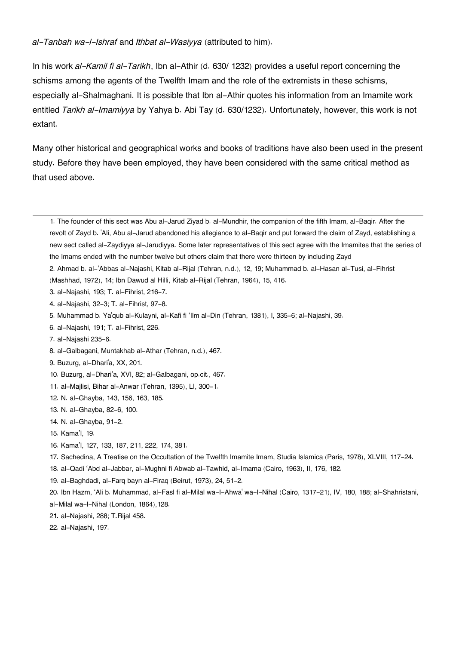#### *al*-*Tanbah wa*-*l*-*Ishraf* and *Ithbat al*-*Wasiyya* (attributed to him).

In his work *al*-*Kamil fi al*-*Tarikh*, Ibn al-Athir (d. 630/ 1232) provides a useful report concerning the schisms among the agents of the Twelfth Imam and the role of the extremists in these schisms, especially al-Shalmaghani. It is possible that Ibn al-Athir quotes his information from an Imamite work entitled *Tarikh al*-*Imamiyya* by Yahya b. Abi Tay (d. 630/1232). Unfortunately, however, this work is not extant.

Many other historical and geographical works and books of traditions have also been used in the present study. Before they have been employed, they have been considered with the same critical method as that used above.

[9.](#page--1-0) Buzurg, al-Dhari'a, XX, 201.

- [12.](#page--1-0) N. al-Ghayba, 143, 156, 163, 185.
- [13.](#page--1-0) N. al-Ghayba, 82-6, 100.
- [14.](#page--1-0) N. al-Ghayba, 91-2.

- [16.](#page--1-0) Kama'l, 127, 133, 187, 211, 222, 174, 381.
- [17.](#page--1-0) Sachedina, A Treatise on the Occultation of the Twelfth Imamite Imam, Studia Islamica (Paris, 1978), XLVIII, 117-24.
- [18.](#page--1-0) al-Qadi 'Abd al-Jabbar, al-Mughni fi Abwab al-Tawhid, al-Imama (Cairo, 1963), II, 176, 182.
- [19.](#page--1-0) al-Baghdadi, al-Farq bayn al-Firaq (Beirut, 1973), 24, 51-2.
- [20.](#page--1-0) Ibn Hazm, 'Ali b. Muhammad, al-Fasl fi al-Milal wa-I-Ahwa' wa-l-Nihal (Cairo, 1317-21), IV, 180, 188; al-Shahristani, al-Milal wa-l-Nihal (London, 1864),128.
- [21.](#page--1-0) al-Najashi, 288; T.Rijal 458.
- [22.](#page--1-0) al-Najashi, 197.

[<sup>1.</sup>](#page--1-0) The founder of this sect was Abu al-Jarud Ziyad b. al-Mundhir, the companion of the fifth Imam, al-Baqir. After the revolt of Zayd b. 'Ali, Abu al-Jarud abandoned his allegiance to al-Baqir and put forward the claim of Zayd, establishing a new sect called al-Zaydiyya al-Jarudiyya. Some later representatives of this sect agree with the Imamites that the series of the Imams ended with the number twelve but others claim that there were thirteen by including Zayd

[<sup>2.</sup>](#page--1-0) Ahmad b. al-'Abbas al-Najashi, Kitab al-Rijal (Tehran, n.d.), 12, 19; Muhammad b. al-Hasan al-Tusi, al-Fihrist

<sup>(</sup>Mashhad, 1972), 14; Ibn Dawud al Hilli, Kitab al-Rijal (Tehran, 1964), 15, 416.

[<sup>3.</sup>](#page--1-0) al-Najashi, 193; T. al-Fihrist, 216-7.

[<sup>4.</sup>](#page--1-0) al-Najashi, 32-3; T. al-Fihrist, 97-8.

[<sup>5.</sup>](#page--1-0) Muhammad b. Ya'qub al-Kulayni, al-Kafi fi 'Ilm al-Din (Tehran, 1381), I, 335-6; al-Najashi, 39.

[<sup>6.</sup>](#page--1-0) al-Najashi, 191; T. al-Fihrist, 226.

[<sup>7.</sup>](#page--1-0) al-Najashi 235-6.

[<sup>8.</sup>](#page--1-0) al-Galbagani, Muntakhab al-Athar (Tehran, n.d.), 467.

[<sup>10.</sup>](#page--1-0) Buzurg, al-Dhari'a, XVI, 82; al-Galbagani, op.cit., 467.

[<sup>11.</sup>](#page--1-0) al-Majlisi, Bihar al-Anwar (Tehran, 1395), LI, 300-1.

[<sup>15.</sup>](#page--1-0) Kama'l, 19.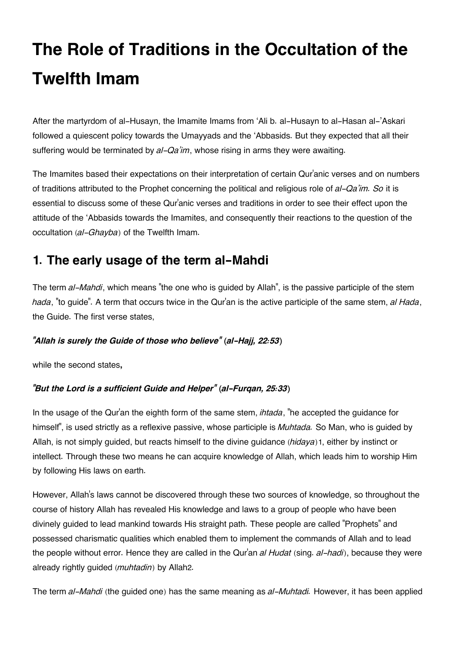# **The Role of Traditions in the Occultation of the Twelfth Imam**

After the martyrdom of al-Husayn, the Imamite Imams from 'Ali b. al-Husayn to al-Hasan al-'Askari followed a quiescent policy towards the Umayyads and the 'Abbasids. But they expected that all their suffering would be terminated by *al-Qa'im*, whose rising in arms they were awaiting.

The Imamites based their expectations on their interpretation of certain Qur'anic verses and on numbers of traditions attributed to the Prophet concerning the political and religious role of *al-Qa'im. So* it is essential to discuss some of these Qur'anic verses and traditions in order to see their effect upon the attitude of the 'Abbasids towards the Imamites, and consequently their reactions to the question of the occultation *(al*-*Ghayba)* of the Twelfth Imam.

### **[1. The early usage of the term al-Mahdi](#page--1-0)**

The term *al*-*Mahdi*, which means "the one who is guided by Allah", is the passive participle of the stem *hada*, "to guide". A term that occurs twice in the Qur'an is the active participle of the same stem, *al Hada*, the Guide. The first verse states,

### *"Allah is surely the Guide of those who believe"* **(***al-Hajj, 22:53***)**

while the second states**,**

### *"But the Lord is a sufficient Guide and Helper" (al-Furqan, 25:33)*

In the usage of the Qur'an the eighth form of the same stem, *ihtada*, "he accepted the guidance for himself", is used strictly as a reflexive passive, whose participle is *Muhtada.* So Man, who is guided by Allah, is not simply guided, but reacts himself to the divine guidance *(hidaya)*[1](#page--1-0), either by instinct or intellect. Through these two means he can acquire knowledge of Allah, which leads him to worship Him by following His laws on earth.

However, Allah's laws cannot be discovered through these two sources of knowledge, so throughout the course of history Allah has revealed His knowledge and laws to a group of people who have been divinely guided to lead mankind towards His straight path. These people are called "Prophets" and possessed charismatic qualities which enabled them to implement the commands of Allah and to lead the people without error. Hence they are called in the Qur'an *al Hudat* (sing. *al*-*hadi)*, because they were already rightly guided *(muhtadin)* by Allah[2](#page--1-0).

The term *al*-*Mahdi* (the guided one) has the same meaning as *al*-*Muhtadi.* However, it has been applied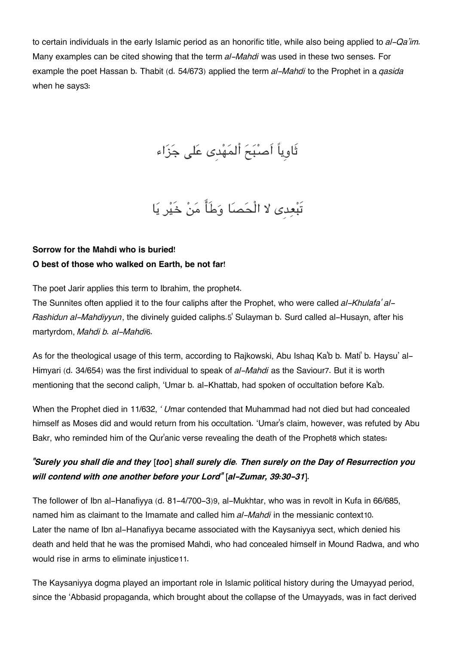to certain individuals in the early Islamic period as an honorific title, while also being applied to *al-Qa'im.* Many examples can be cited showing that the term *al*-*Mahdi* was used in these two senses. For example the poet Hassan b. Thabit (d. 54*/*673*)* applied the term *al*-*Mahdi* to the Prophet in a *qasida* when he says[3](#page--1-0):

## ثَاوِياً اَصبح اْلمهدِى عل جزاء

## تَبعدِى لا الْحصا وطَا من خَير يا

### **Sorrow for the Mahdi who is buried! O best of those who walked on Earth, be not far!**

The poet Jarir applies this term to Ibrahim, the prophet[4](#page--1-0).

The Sunnites often applied it to the four caliphs after the Prophet, who were called *al*-*Khulafa' al*-*Rashidun al*-*Mahdiyyun*, the divinely guided caliphs.[5](#page--1-0)' Sulayman b. Surd called al-Husayn, after his martyrdom, *Mahdi b. al*-*Mahdi*[6](#page--1-0).

As for the theological usage of this term, according to Rajkowski, Abu Ishaq Ka'b b. Mati' b. Haysu' al-Himyari (d. 34*/*654*)* was the first individual to speak of *al*-*Mahdi* as the Saviour[7](#page--1-0). But it is worth mentioning that the second caliph, 'Umar b. al-Khattab, had spoken of occultation before Ka'b.

When the Prophet died in 11*/*632, *' U*mar contended that Muhammad had not died but had concealed himself as Moses did and would return from his occultation. 'Umar's claim, however, was refuted by Abu Bakr, who reminded him of the Qur'anic verse revealing the death of the Prophet[8](#page--1-0) which states**:**

### *"Surely you shall die and they [too] shall surely die. Then surely on the Day of Resurrection you will contend with one another before your Lord" [al-Zumar, 39:30-31].*

The follower of Ibn al-Hanafiyya (d. 81-4/700-3)[9](#page--1-0), al-Mukhtar, who was in revolt in Kufa in 66/685, named him as claimant to the Imamate and called him *al*-*Mahdi* in the messianic context[10](#page--1-0). Later the name of Ibn al-Hanafiyya became associated with the Kaysaniyya sect, which denied his death and held that he was the promised Mahdi, who had concealed himself in Mound Radwa, and who would rise in arms to eliminate injustice[11](#page--1-0).

The Kaysaniyya dogma played an important role in Islamic political history during the Umayyad period, since the 'Abbasid propaganda, which brought about the collapse of the Umayyads, was in fact derived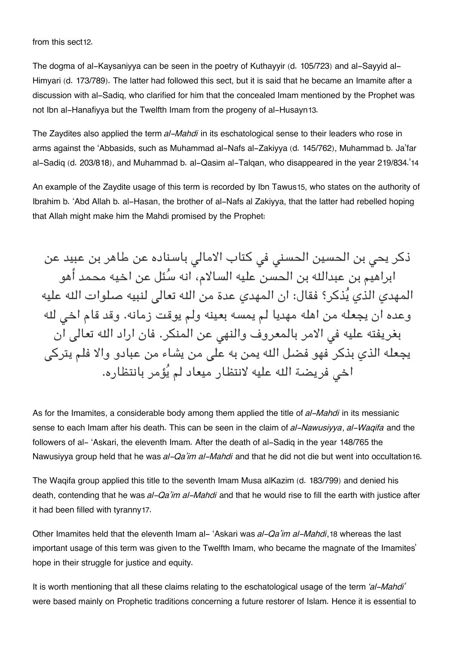from this sect[12](#page--1-0).

The dogma of al-Kaysaniyya can be seen in the poetry of Kuthayyir (d. 105/723) and al-Sayyid al-Himyari (d. 173/789). The latter had followed this sect, but it is said that he became an Imamite after a discussion with al-Sadiq, who clarified for him that the concealed Imam mentioned by the Prophet was not Ibn al-Hanafiyya but the Twelfth Imam from the progeny of al-Husayn[13](#page--1-0).

The Zaydites also applied the term *al*-*Mahdi* in its eschatological sense to their leaders who rose in arms against the 'Abbasids, such as Muhammad al-Nafs al-Zakiyya (d. 145/762), Muhammad b. Ja'far al-Sadiq (d. 203/818), and Muhammad b. al-Qasim al-Talqan, who disappeared in the year 219/834.'[14](#page--1-0)

An example of the Zaydite usage of this term is recorded by Ibn Tawus[15](#page--1-0), who states on the authority of Ibrahim b. 'Abd Allah b. al-Hasan, the brother of al-Nafs al Zakiyya, that the latter had rebelled hoping that Allah might make him the Mahdi promised by the Prophet:

ذكر يحى بن الحسين الحسنى فى كتاب الامالى باسناده عن طاهر بن عبيد عن ابراهيم بن عبداله بن الحسن عليه السالام، انه سئل عن اخيه محمد أهو المهدي الذي يذكر؟ فقال: ان المهدي عدة من اله تعال لنبيه صلوات اله عليه وعده ان يجعله من اهله مهديا لم يمسه بعينه ولم يوقت زمانه. وقد قام اخى لله بغريفته عليه في الامر بالمعروف والنهي عن المنكر. فان اراد الله تعالى ان يجعله الذي بذكر فهو فضل اله يمن به عل من يشاء من عبادو والا فلم يترك اخی فریضة الله علیه لانتظار میعاد لم یُؤمر بانتظاره.

As for the Imamites, a considerable body among them applied the title of *al*-*Mahdi* in its messianic sense to each Imam after his death. This can be seen in the claim of *al*-*Nawusiyya*, *al*-*Waqifa* and the followers of al- 'Askari, the eleventh Imam. After the death of al-Sadiq in the year 148/765 the Nawusiyya group held that he was *al-Qa'im al*-*Mahdi* and that he did not die but went into occultation[16](#page--1-0).

The Waqifa group applied this title to the seventh Imam Musa alKazim (d. 183/799) and denied his death, contending that he was *al-Qa'im al*-*Mahdi* and that he would rise to fill the earth with justice after it had been filled with tyranny[17](#page--1-0).

Other Imamites held that the eleventh Imam al- 'Askari was *al-Qa'im al*-*Mahdi*,[18](#page--1-0) whereas the last important usage of this term was given to the Twelfth Imam, who became the magnate of the Imamites' hope in their struggle for justice and equity.

It is worth mentioning that all these claims relating to the eschatological usage of the term *'al*-*Mahdi'* were based mainly on Prophetic traditions concerning a future restorer of Islam. Hence it is essential to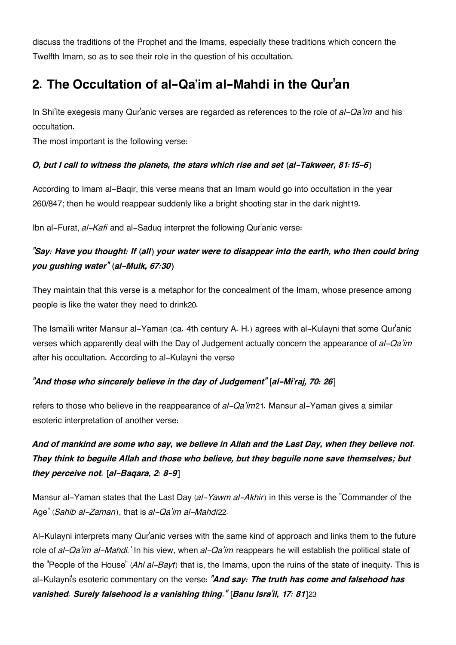discuss the traditions of the Prophet and the Imams, especially these traditions which concern the Twelfth Imam, so as to see their role in the question of his occultation.

### **[2. The Occultation of al-Qa'im al-Mahdi in the Qur](#page--1-0)'an**

In Shi'ite exegesis many Qur'anic verses are regarded as references to the role of *al-Qa'im* and his occultation.

The most important is the following verse:

### *O, but I call to witness the planets, the stars which rise and set (al-Takweer, 81:15-6)*

According to Imam al-Baqir, this verse means that an Imam would go into occultation in the year 260/847; then he would reappear suddenly like a bright shooting star in the dark night[19](#page--1-0).

Ibn al-Furat, *al*-*Kafi* and al-Saduq interpret the following Qur'anic verse:

### *"Say: Have you thought: If (all) your water were to disappear into the earth, who then could bring you gushing water" (al-Mulk, 67:30)*

They maintain that this verse is a metaphor for the concealment of the Imam, whose presence among people is like the water they need to drink[20](#page--1-0).

The Isma'ili writer Mansur al-Yaman (ca. 4th century A. H.) agrees with al-Kulayni that some Qur'anic verses which apparently deal with the Day of Judgement actually concern the appearance of *al-Qa'im* after his occultation. According to al-Kulayni the verse

### *"And those who sincerely believe in the day of Judgement" [al-Mi'raj, 70: 26]*

refers to those who believe in the reappearance of *al-Qa'im*[21](#page--1-0). Mansur al-Yaman gives a similar esoteric interpretation of another verse:

### *And of mankind are some who say, we believe in Allah and the Last Day, when they believe not. They think to beguile Allah and those who believe, but they beguile none save themselves; but they perceive not. [al-Baqara, 2: 8-9]*

Mansur al-Yaman states that the Last Day *(al*-*Yawm al*-*Akhir)* in this verse is the "Commander of the Age" *(Sahib al*-*Zaman)*, that is *al-Qa'im al*-*Mahdi*[22](#page--1-0).

Al-Kulayni interprets many Qur'anic verses with the same kind of approach and links them to the future role of *al-Qa'im al*-*Mahdi.'* In his view, when *al-Qa'im* reappears he will establish the political state of the "People of the House" *(Ahl al*-*Bayt)* that is, the Imams, upon the ruins of the state of inequity. This is al-Kulayni's esoteric commentary on the verse: *"And say: The truth has come and falsehood has vanished. Surely falsehood is a vanishing thing." [Banu Isra'il, 17: 81]*[23](#page--1-0)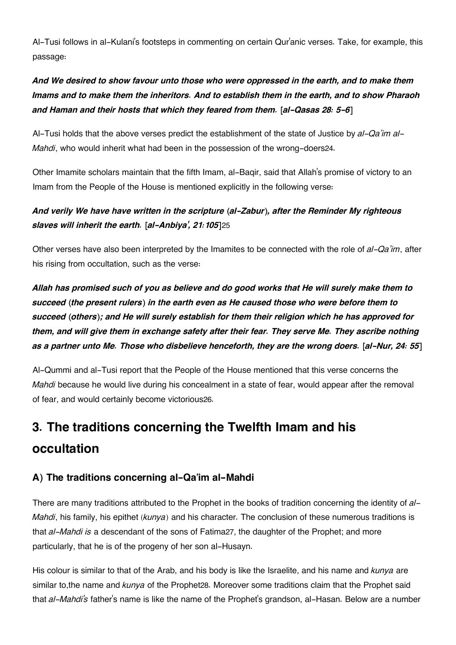Al-Tusi follows in al-Kulani's footsteps in commenting on certain Qur'anic verses. Take, for example, this passage:

### *And We desired to show favour unto those who were oppressed in the earth, and to make them Imams and to make them the inheritors. And to establish them in the earth, and to show Pharaoh and Haman and their hosts that which they feared from them. [al-Qasas 28: 5-6]*

Al-Tusi holds that the above verses predict the establishment of the state of Justice by *al-Qa'im al*-*Mahdi*, who would inherit what had been in the possession of the wrong-doers[24](#page--1-0).

Other Imamite scholars maintain that the fifth Imam, al-Baqir, said that Allah's promise of victory to an Imam from the People of the House is mentioned explicitly in the following verse:

### *And verily We have have written in the scripture (al-Zabur), after the Reminder My righteous slaves will inherit the earth. [al-Anbiya', 21:105]*[25](#page--1-0)

Other verses have also been interpreted by the Imamites to be connected with the role of *al-Qa'im*, after his rising from occultation, such as the verse:

*Allah has promised such of you as believe and do good works that He will surely make them to succeed (the present rulers) in the earth even as He caused those who were before them to succeed (others); and He will surely establish for them their religion which he has approved for them, and will give them in exchange safety after their fear. They serve Me. They ascribe nothing as a partner unto Me. Those who disbelieve henceforth, they are the wrong doers. [al-Nur, 24: 55]*

Al-Qummi and al-Tusi report that the People of the House mentioned that this verse concerns the *Mahdi* because he would live during his concealment in a state of fear, would appear after the removal of fear, and would certainly become victorious[26](#page--1-0).

## **[3. The traditions concerning the Twelfth Imam and his](#page--1-0) [occultation](#page--1-0)**

### **[A\) The traditions concerning al-Qa'im al-Mahdi](#page--1-0)**

There are many traditions attributed to the Prophet in the books of tradition concerning the identity of *al*-*Mahdi*, his family, his epithet *(kunya)* and his character. The conclusion of these numerous traditions is that *al*-*Mahdi is* a descendant of the sons of Fatima[27](#page--1-0), the daughter of the Prophet; and more particularly, that he is of the progeny of her son al-Husayn.

His colour is similar to that of the Arab, and his body is like the Israelite, and his name and *kunya* are similar to,the name and *kunya* of the Prophet[28](#page--1-0). Moreover some traditions claim that the Prophet said that *al*-*Mahdi's* father's name is like the name of the Prophet's grandson, al-Hasan. Below are a number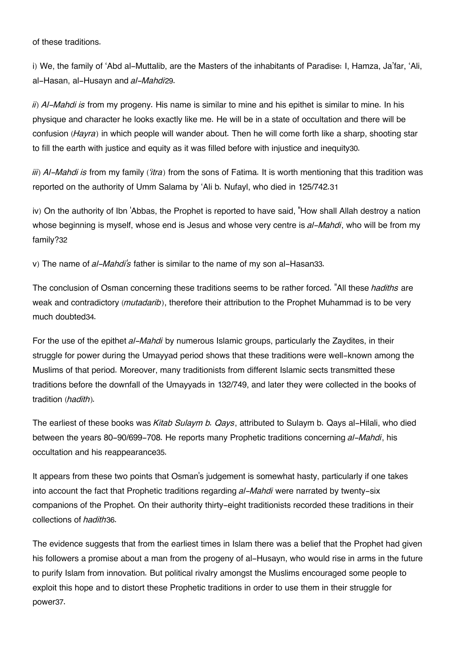of these traditions.

i) We, the family of 'Abd al-Muttalib, are the Masters of the inhabitants of Paradise: I, Hamza, Ja'far, 'Ali, al-Hasan, al-Husayn and *al*-*Mahdi*[29](#page--1-0).

*ii) Al*-*Mahdi is* from my progeny. His name is similar to mine and his epithet is similar to mine. In his physique and character he looks exactly like me. He will be in a state of occultation and there will be confusion *(Hayra)* in which people will wander about. Then he will come forth like a sharp, shooting star to fill the earth with justice and equity as it was filled before with injustice and inequity[30](#page--1-0).

*iii) Al*-*Mahdi is* from my family *('itra)* from the sons of Fatima. It is worth mentioning that this tradition was reported on the authority of Umm Salama by 'Ali b. Nufayl, who died in 125/742.[31](#page--1-0)

iv) On the authority of Ibn 'Abbas, the Prophet is reported to have said, "How shall Allah destroy a nation whose beginning is myself, whose end is Jesus and whose very centre is *al*-*Mahdi*, who will be from my family?[32](#page--1-0)

v) The name of *al*-*Mahdi's* father is similar to the name of my son al-Hasan[33](#page--1-0).

The conclusion of Osman concerning these traditions seems to be rather forced. "All these *hadiths* are weak and contradictory *(mutadarib)*, therefore their attribution to the Prophet Muhammad is to be very much doubted[34](#page--1-0).

For the use of the epithet *al*-*Mahdi* by numerous Islamic groups, particularly the Zaydites, in their struggle for power during the Umayyad period shows that these traditions were well-known among the Muslims of that period. Moreover, many traditionists from different Islamic sects transmitted these traditions before the downfall of the Umayyads in 132/749, and later they were collected in the books of tradition *(hadith).*

The earliest of these books was *Kitab Sulaym b. Qays*, attributed to Sulaym b. Qays al-Hilali, who died between the years 80-90/699-708. He reports many Prophetic traditions concerning *al*-*Mahdi*, his occultation and his reappearance[35](#page--1-0).

It appears from these two points that Osman's judgement is somewhat hasty, particularly if one takes into account the fact that Prophetic traditions regarding *al*-*Mahdi* were narrated by twenty-six companions of the Prophet. On their authority thirty-eight traditionists recorded these traditions in their collections of *hadith*[36](#page--1-0).

The evidence suggests that from the earliest times in Islam there was a belief that the Prophet had given his followers a promise about a man from the progeny of al-Husayn, who would rise in arms in the future to purify Islam from innovation. But political rivalry amongst the Muslims encouraged some people to exploit this hope and to distort these Prophetic traditions in order to use them in their struggle for power[37](#page--1-0).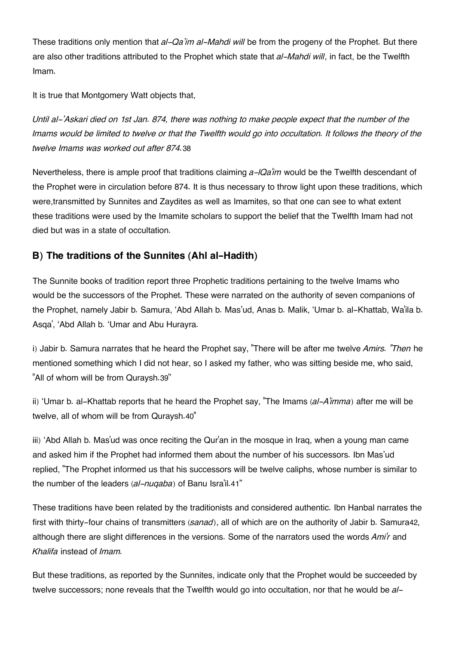These traditions only mention that *al-Qa'im al*-*Mahdi will* be from the progeny of the Prophet. But there are also other traditions attributed to the Prophet which state that *al*-*Mahdi will*, in fact, be the Twelfth Imam.

It is true that Montgomery Watt objects that,

*Until al-'Askari died on 1st Jan. 874, there was nothing to make people expect that the number of the Imams would be limited to twelve or that the Twelfth would go into occultation. It follows the theory of the twelve Imams was worked out after 874.*[38](#page--1-0)

Nevertheless, there is ample proof that traditions claiming *a*-*lQa'im* would be the Twelfth descendant of the Prophet were in circulation before 874. It is thus necessary to throw light upon these traditions, which were,transmitted by Sunnites and Zaydites as well as Imamites, so that one can see to what extent these traditions were used by the Imamite scholars to support the belief that the Twelfth Imam had not died but was in a state of occultation.

### **[B\) The traditions of the Sunnites \(Ahl al-Hadith\)](#page--1-0)**

The Sunnite books of tradition report three Prophetic traditions pertaining to the twelve Imams who would be the successors of the Prophet. These were narrated on the authority of seven companions of the Prophet, namely Jabir b. Samura, 'Abd Allah b. Mas'ud, Anas b. Malik, 'Umar b. al-Khattab, Wa'ila b. Asqa', 'Abd Allah b. 'Umar and Abu Hurayra.

i) Jabir b. Samura narrates that he heard the Prophet say, "There will be after me twelve *Amirs. "Then* he mentioned something which I did not hear, so I asked my father, who was sitting beside me, who said, "All of whom will be from Quraysh.[39](#page--1-0)''

ii) 'Umar b. al-Khattab reports that he heard the Prophet say, "The Imams *(al*-*A'imma)* after me will be twelve, all of whom will be from Quraysh.[40](#page--1-0)"

iii) 'Abd Allah b. Mas'ud was once reciting the Qur'an in the mosque in Iraq, when a young man came and asked him if the Prophet had informed them about the number of his successors. Ibn Mas'ud replied, "The Prophet informed us that his successors will be twelve caliphs, whose number is similar to the number of the leaders *(al*-*nuqaba)* of Banu Isra'il.[41](#page--1-0)"

These traditions have been related by the traditionists and considered authentic. Ibn Hanbal narrates the first with thirty-four chains of transmitters *(sanad)*, all of which are on the authority of Jabir b. Samura[42](#page--1-0), although there are slight differences in the versions. Some of the narrators used the words *Ami'r* and *Khalifa* instead of *Imam.*

But these traditions, as reported by the Sunnites, indicate only that the Prophet would be succeeded by twelve successors; none reveals that the Twelfth would go into occultation, nor that he would be *al-*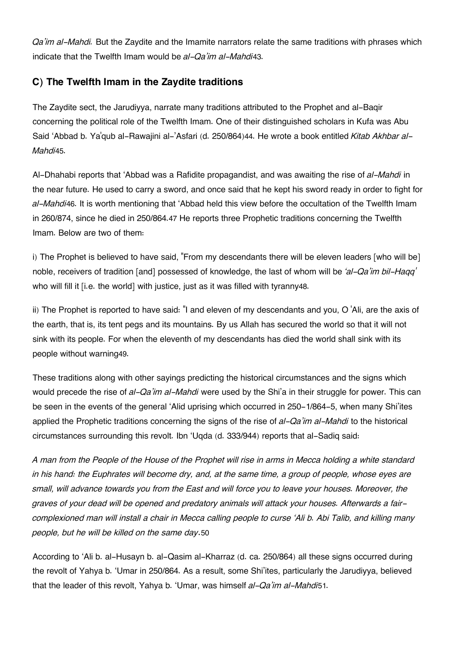*Qa'im al*-*Mahdi.* But the Zaydite and the Imamite narrators relate the same traditions with phrases which indicate that the Twelfth Imam would be *al-Qa'im al*-*Mahdi*[43](#page--1-0).

### **[C\) The Twelfth Imam in the Zaydite traditions](#page--1-0)**

The Zaydite sect, the Jarudiyya, narrate many traditions attributed to the Prophet and al-Baqir concerning the political role of the Twelfth Imam. One of their distinguished scholars in Kufa was Abu Said 'Abbad b. Ya'qub al-Rawajini al-'Asfari (d. 250/864)[44](#page--1-0). He wrote a book entitled *Kitab Akhbar al*-*Mahdi*[45](#page--1-0).

Al-Dhahabi reports that 'Abbad was a Rafidite propagandist, and was awaiting the rise of *al*-*Mahdi* in the near future. He used to carry a sword, and once said that he kept his sword ready in order to fight for *al*-*Mahdi*[46](#page--1-0). It is worth mentioning that 'Abbad held this view before the occultation of the Twelfth Imam in 260/874, since he died in 250/864.[47](#page--1-0) He reports three Prophetic traditions concerning the Twelfth Imam. Below are two of them:

i) The Prophet is believed to have said, "From my descendants there will be eleven leaders [who will be] noble, receivers of tradition [and] possessed of knowledge, the last of whom will be *'al-Qa'im bil-Haqq'* who will fill it [i.e. the world] with justice, just as it was filled with tyranny[48](#page--1-0).

ii) The Prophet is reported to have said: "I and eleven of my descendants and you, O 'Ali, are the axis of the earth, that is, its tent pegs and its mountains. By us Allah has secured the world so that it will not sink with its people. For when the eleventh of my descendants has died the world shall sink with its people without warning[49](#page--1-0).

These traditions along with other sayings predicting the historical circumstances and the signs which would precede the rise of *al-Qa'im al*-*Mahdi* were used by the Shi'a in their struggle for power. This can be seen in the events of the general 'Alid uprising which occurred in 250-1/864-5, when many Shi'ites applied the Prophetic traditions concerning the signs of the rise of *al-Qa'im al*-*Mahdi* to the historical circumstances surrounding this revolt. Ibn 'Uqda (d. 333/944) reports that al-Sadiq said:

*A man from the People of the House of the Prophet will rise in arms in Mecca holding a white standard in his hand: the Euphrates will become dry, and, at the same time, a group of people, whose eyes are small, will advance towards you from the East and will force you to leave your houses. Moreover, the graves of your dead will be opened and predatory animals will attack your houses. Afterwards a faircomplexioned man will install a chair in Mecca calling people to curse 'Ali b. Abi Talib, and killing many people, but he will be killed on the same day***.**[50](#page--1-0)

According to 'Ali b. al-Husayn b. al-Qasim al-Kharraz (d. ca. 250/864) all these signs occurred during the revolt of Yahya b. 'Umar in 250/864. As a result, some Shi'ites, particularly the Jarudiyya, believed that the leader of this revolt, Yahya b. 'Umar, was himself *al-Qa'im al*-*Mahdi*[51](#page--1-0).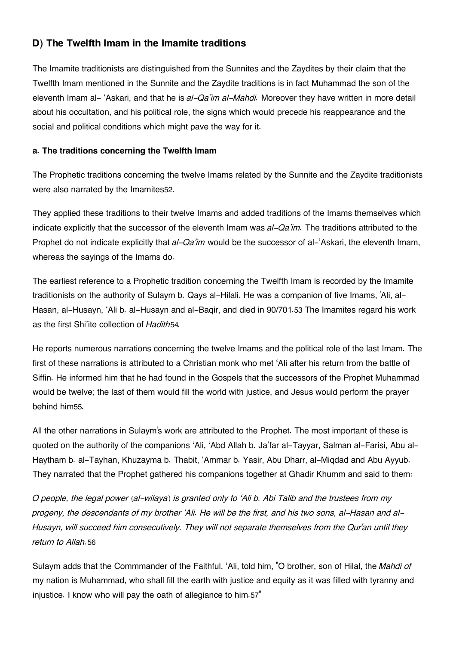### **[D\) The Twelfth Imam in the Imamite traditions](#page--1-0)**

The Imamite traditionists are distinguished from the Sunnites and the Zaydites by their claim that the Twelfth Imam mentioned in the Sunnite and the Zaydite traditions is in fact Muhammad the son of the eleventh Imam al- 'Askari, and that he is *al-Qa'im al*-*Mahdi.* Moreover they have written in more detail about his occultation, and his political role, the signs which would precede his reappearance and the social and political conditions which might pave the way for it.

### **[a. The traditions concerning the Twelfth Imam](#page--1-0)**

The Prophetic traditions concerning the twelve Imams related by the Sunnite and the Zaydite traditionists were also narrated by the Imamites[52](#page--1-0).

They applied these traditions to their twelve Imams and added traditions of the Imams themselves which indicate explicitly that the successor of the eleventh Imam was *al-Qa'im.* The traditions attributed to the Prophet do not indicate explicitly that *al-Qa'im* would be the successor of al-'Askari, the eleventh Imam, whereas the sayings of the Imams do.

The earliest reference to a Prophetic tradition concerning the Twelfth Imam is recorded by the Imamite traditionists on the authority of Sulaym b. Qays al-Hilali. He was a companion of five Imams, 'Ali, al-Hasan, al-Husayn, 'Ali b. al-Husayn and al-Baqir, and died in 90/701.[53](#page--1-0) The Imamites regard his work as the first Shi'ite collection of *Hadith*[54](#page--1-0)*.*

He reports numerous narrations concerning the twelve Imams and the political role of the last Imam. The first of these narrations is attributed to a Christian monk who met 'Ali after his return from the battle of Siffin. He informed him that he had found in the Gospels that the successors of the Prophet Muhammad would be twelve; the last of them would fill the world with justice, and Jesus would perform the prayer behind him[55](#page--1-0).

All the other narrations in Sulaym's work are attributed to the Prophet. The most important of these is quoted on the authority of the companions 'Ali, 'Abd Allah b. Ja'far al-Tayyar, Salman al-Farisi, Abu al-Haytham b. al-Tayhan, Khuzayma b. Thabit, 'Ammar b. Yasir, Abu Dharr, al-Miqdad and Abu Ayyub. They narrated that the Prophet gathered his companions together at Ghadir Khumm and said to them:

*O people, the legal power (al-wilaya) is granted only to 'Ali b. Abi Talib and the trustees from my progeny, the descendants of my brother 'Ali. He will be the first, and his two sons, al-Hasan and al-Husayn, will succeed him consecutively. They will not separate themselves from the Qur'an until they return to Allah.*[56](#page--1-0)

Sulaym adds that the Commmander of the Faithful, 'Ali, told him, "O brother, son of Hilal, the *Mahdi of* my nation is Muhammad, who shall fill the earth with justice and equity as it was filled with tyranny and injustice. I know who will pay the oath of allegiance to him.[57](#page--1-0)"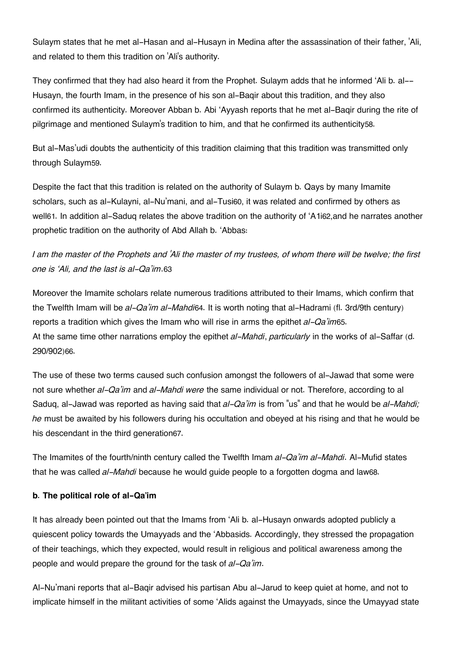Sulaym states that he met al-Hasan and al-Husayn in Medina after the assassination of their father, 'Ali, and related to them this tradition on 'Ali's authority.

They confirmed that they had also heard it from the Prophet. Sulaym adds that he informed 'Ali b. al-- Husayn, the fourth Imam, in the presence of his son al-Baqir about this tradition, and they also confirmed its authenticity. Moreover Abban b. Abi 'Ayyash reports that he met al-Baqir during the rite of pilgrimage and mentioned Sulaym's tradition to him, and that he confirmed its authenticity[58](#page--1-0).

But al-Mas'udi doubts the authenticity of this tradition claiming that this tradition was transmitted only through Sulaym[59](#page--1-0).

Despite the fact that this tradition is related on the authority of Sulaym b. Qays by many Imamite scholars, such as al-Kulayni, al-Nu'mani, and al-Tusi[60](#page--1-0), it was related and confirmed by others as well[61](#page--1-0). In addition al-Saduq relates the above tradition on the authority of 'A1i[62](#page--1-0),and he narrates another prophetic tradition on the authority of Abd Allah b. 'Abbas:

*I am the master of the Prophets and 'Ali the master of my trustees, of whom there will be twelve; the first one is 'Ali, and the last is al-Qa'im*.[63](#page--1-0)

Moreover the Imamite scholars relate numerous traditions attributed to their Imams, which confirm that the Twelfth Imam will be *al-Qa'im al*-*Mahdi*[64](#page--1-0). It is worth noting that al-Hadrami (fl. 3rd/9th century) reports a tradition which gives the Imam who will rise in arms the epithet *al-Qa'im*[65](#page--1-0). At the same time other narrations employ the epithet *al*-*Mahdi*, *particularly* in the works of al-Saffar (d. 290/902)[66](#page--1-0).

The use of these two terms caused such confusion amongst the followers of al-Jawad that some were not sure whether *al-Qa'im* and *al*-*Mahdi were* the same individual or not. Therefore, according to al Saduq, al-Jawad was reported as having said that *al-Qa'im* is from "us" and that he would be *al*-*Mahdi; he* must be awaited by his followers during his occultation and obeyed at his rising and that he would be his descendant in the third generation[67](#page--1-0).

The Imamites of the fourth/ninth century called the Twelfth Imam *al-Qa'im al*-*Mahdi*. Al-Mufid states that he was called *al*-*Mahdi* because he would guide people to a forgotten dogma and law[68](#page--1-0).

### **[b. The political role of al-Qa'im](#page--1-0)**

It has already been pointed out that the Imams from 'Ali b. al-Husayn onwards adopted publicly a quiescent policy towards the Umayyads and the 'Abbasids. Accordingly, they stressed the propagation of their teachings, which they expected, would result in religious and political awareness among the people and would prepare the ground for the task of *al-Qa'im*.

Al-Nu'mani reports that al-Baqir advised his partisan Abu al-Jarud to keep quiet at home, and not to implicate himself in the militant activities of some 'Alids against the Umayyads, since the Umayyad state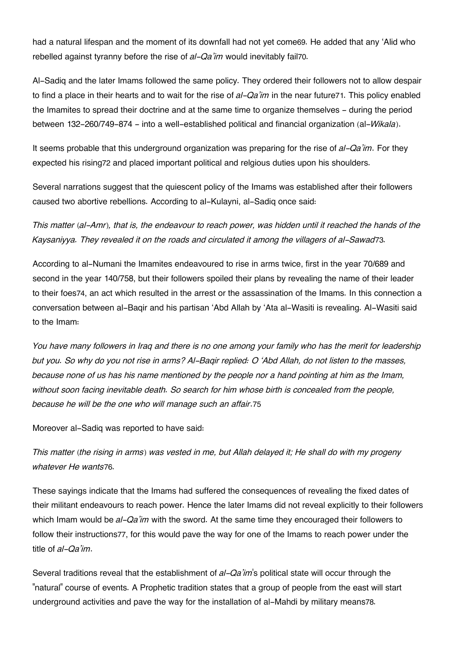had a natural lifespan and the moment of its downfall had not yet come[69](#page--1-0). He added that any 'Alid who rebelled against tyranny before the rise of *al-Qa'im* would inevitably fail[70](#page--1-0).

Al-Sadiq and the later Imams followed the same policy. They ordered their followers not to allow despair to find a place in their hearts and to wait for the rise of *al-Qa'im* in the near future[71](#page--1-0). This policy enabled the Imamites to spread their doctrine and at the same time to organize themselves - during the period between 132-260/749-874 - into a well-established political and financial organization (al-*Wikala*).

It seems probable that this underground organization was preparing for the rise of *al-Qa'im*. For they expected his rising[72](#page--1-0) and placed important political and relgious duties upon his shoulders.

Several narrations suggest that the quiescent policy of the Imams was established after their followers caused two abortive rebellions. According to al-Kulayni, al-Sadiq once said:

*This matter (al-Amr), that is, the endeavour to reach power, was hidden until it reached the hands of the Kaysaniyya. They revealed it on the roads and circulated it among the villagers of al-Sawad*[73](#page--1-0).

According to al-Numani the Imamites endeavoured to rise in arms twice, first in the year 70/689 and second in the year 140/758, but their followers spoiled their plans by revealing the name of their leader to their foes[74](#page--1-0), an act which resulted in the arrest or the assassination of the Imams. In this connection a conversation between al-Baqir and his partisan 'Abd Allah by 'Ata al-Wasiti is revealing. Al-Wasiti said to the Imam:

*You have many followers in Iraq and there is no one among your family who has the merit for leadership but you. So why do you not rise in arms? Al-Baqir replied: O 'Abd Allah, do not listen to the masses, because none of us has his name mentioned by the people nor a hand pointing at him as the Imam, without soon facing inevitable death. So search for him whose birth is concealed from the people, because he will be the one who will manage such an affair*.[75](#page--1-0)

Moreover al-Sadiq was reported to have said:

*This matter (the rising in arms) was vested in me, but Allah delayed it; He shall do with my progeny whatever He wants*[76](#page--1-0).

These sayings indicate that the Imams had suffered the consequences of revealing the fixed dates of their militant endeavours to reach power. Hence the later Imams did not reveal explicitly to their followers which Imam would be *al-Qa'im* with the sword. At the same time they encouraged their followers to follow their instructions[77](#page--1-0), for this would pave the way for one of the Imams to reach power under the title of *al-Qa'im*.

Several traditions reveal that the establishment of *al-Qa'im*'s political state will occur through the "natural" course of events. A Prophetic tradition states that a group of people from the east will start underground activities and pave the way for the installation of al-Mahdi by military means[78](#page--1-0).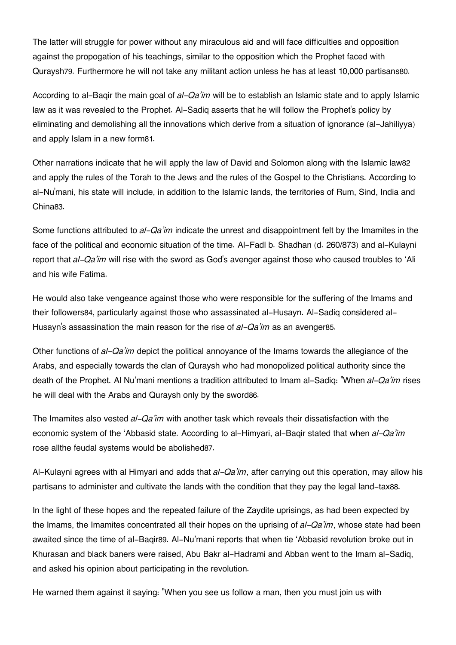The latter will struggle for power without any miraculous aid and will face difficulties and opposition against the propogation of his teachings, similar to the opposition which the Prophet faced with Quraysh[79](#page--1-0). Furthermore he will not take any militant action unless he has at least 10,000 partisans[80](#page--1-0).

According to al-Baqir the main goal of *al-Qa'im* will be to establish an Islamic state and to apply Islamic law as it was revealed to the Prophet. Al-Sadiq asserts that he will follow the Prophet's policy by eliminating and demolishing all the innovations which derive from a situation of ignorance (al-Jahiliyya) and apply Islam in a new form[81](#page--1-0).

Other narrations indicate that he will apply the law of David and Solomon along with the Islamic law[82](#page--1-0) and apply the rules of the Torah to the Jews and the rules of the Gospel to the Christians. According to al-Nu'mani, his state will include, in addition to the Islamic lands, the territories of Rum, Sind, India and China[83](#page--1-0).

Some functions attributed to *al-Qa'im* indicate the unrest and disappointment felt by the Imamites in the face of the political and economic situation of the time. Al-Fadl b. Shadhan (d. 260/873) and al-Kulayni report that *al-Qa'im* will rise with the sword as God's avenger against those who caused troubles to 'Ali and his wife Fatima.

He would also take vengeance against those who were responsible for the suffering of the Imams and their followers[84](#page--1-0), particularly against those who assassinated al-Husayn. Al-Sadiq considered al-Husayn's assassination the main reason for the rise of *al-Qa'im* as an avenger[85](#page--1-0).

Other functions of *al-Qa'im* depict the political annoyance of the Imams towards the allegiance of the Arabs, and especially towards the clan of Quraysh who had monopolized political authority since the death of the Prophet. Al Nu'mani mentions a tradition attributed to Imam al-Sadiq: "When *al-Qa'im* rises he will deal with the Arabs and Quraysh only by the sword[86](#page--1-0).

The Imamites also vested *al-Qa'im* with another task which reveals their dissatisfaction with the economic system of the 'Abbasid state. According to al-Himyari, al-Baqir stated that when *al-Qa'im* rose allthe feudal systems would be abolished[87](#page--1-0).

Al-Kulayni agrees with al Himyari and adds that *al-Qa'im*, after carrying out this operation, may allow his partisans to administer and cultivate the lands with the condition that they pay the legal land-tax[88](#page--1-0).

In the light of these hopes and the repeated failure of the Zaydite uprisings, as had been expected by the Imams, the Imamites concentrated all their hopes on the uprising of *al-Qa'im*, whose state had been awaited since the time of al-Baqir[89](#page--1-0). Al-Nu'mani reports that when tie 'Abbasid revolution broke out in Khurasan and black baners were raised, Abu Bakr al-Hadrami and Abban went to the Imam al-Sadiq, and asked his opinion about participating in the revolution.

He warned them against it saying: "When you see us follow a man, then you must join us with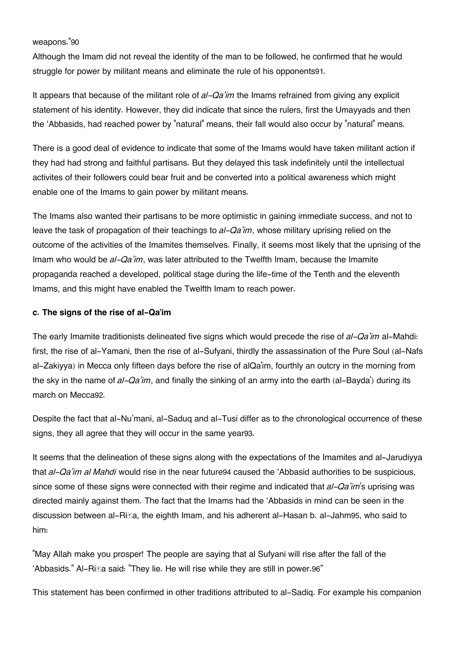#### weapons."[90](#page--1-0)

Although the Imam did not reveal the identity of the man to be followed, he confirmed that he would struggle for power by militant means and eliminate the rule of his opponents[91](#page--1-0).

It appears that because of the militant role of *al-Qa'im* the Imams refrained from giving any explicit statement of his identity. However, they did indicate that since the rulers, first the Umayyads and then the 'Abbasids, had reached power by "natural" means, their fall would also occur by "natural" means.

There is a good deal of evidence to indicate that some of the Imams would have taken militant action if they had had strong and faithful partisans. But they delayed this task indefinitely until the intellectual activites of their followers could bear fruit and be converted into a political awareness which might enable one of the Imams to gain power by militant means.

The Imams also wanted their partisans to be more optimistic in gaining immediate success, and not to leave the task of propagation of their teachings to *al-Qa'im*, whose military uprising relied on the outcome of the activities of the Imamites themselves. Finally, it seems most likely that the uprising of the Imam who would be *al-Qa'im*, was later attributed to the Twelfth Imam, because the Imamite propaganda reached a developed, political stage during the life-time of the Tenth and the eleventh Imams, and this might have enabled the Twelfth Imam to reach power.

#### **[c. The signs of the rise of al-Qa'im](#page--1-0)**

The early Imamite traditionists delineated five signs which would precede the rise of *al-Qa'im* al-Mahdi: first, the rise of al-Yamani, then the rise of al-Sufyani, thirdly the assassination of the Pure Soul (al-Nafs al-Zakiyya) in Mecca only fifteen days before the rise of alQa'im, fourthly an outcry in the morning from the sky in the name of *al-Qa'im*, and finally the sinking of an army into the earth (al-Bayda') during its march on Mecca[92](#page--1-0).

Despite the fact that al-Nu'mani, al-Saduq and al-Tusi differ as to the chronological occurrence of these signs, they all agree that they will occur in the same year[93](#page--1-0).

It seems that the delineation of these signs along with the expectations of the Imamites and al-Jarudiyya that *al-Qa'im al Mahdi* would rise in the near future[94](#page--1-0) caused the 'Abbasid authorities to be suspicious, since some of these signs were connected with their regime and indicated that *al-Qa'im*'s uprising was directed mainly against them. The fact that the Imams had the 'Abbasids in mind can be seen in the discussion between al-Riďa, the eighth Imam, and his adherent al-Hasan b. al-Jahm[95](#page--1-0), who said to him:

"May Allah make you prosper! The people are saying that al Sufyani will rise after the fall of the 'Abbasids." Al-Rilla said: "They lie. He will rise while they are still in power.[96](#page--1-0)"

This statement has been confirmed in other traditions attributed to al-Sadiq. For example his companion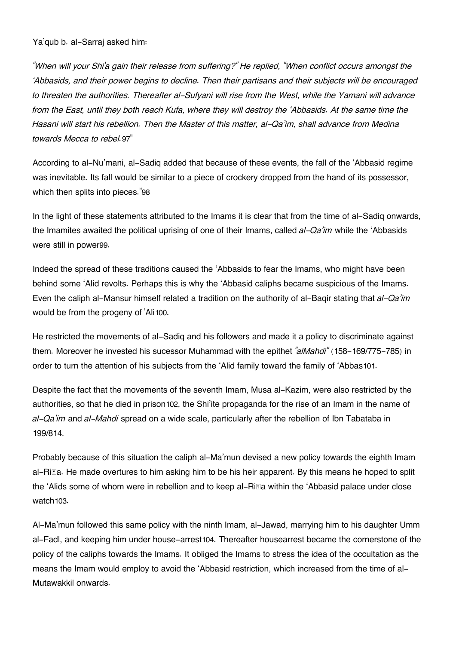Ya'qub b. al-Sarraj asked him:

*"When will your Shi'a gain their release from suffering?" He replied, "When conflict occurs amongst the 'Abbasids, and their power begins to decline. Then their partisans and their subjects will be encouraged to threaten the authorities. Thereafter al-Sufyani will rise from the West, while the Yamani will advance from the East, until they both reach Kufa, where they will destroy the 'Abbasids. At the same time the Hasani will start his rebellion. Then the Master of this matter, al-Qa'im, shall advance from Medina towards Mecca to rebel.*[97](#page--1-0)"

According to al-Nu'mani, al-Sadiq added that because of these events, the fall of the 'Abbasid regime was inevitable. Its fall would be similar to a piece of crockery dropped from the hand of its possessor, which then splits into pieces."[98](#page--1-0)

In the light of these statements attributed to the Imams it is clear that from the time of al-Sadiq onwards, the Imamites awaited the political uprising of one of their Imams, called *al-Qa'im* while the 'Abbasids were still in power[99](#page--1-0).

Indeed the spread of these traditions caused the 'Abbasids to fear the Imams, who might have been behind some 'Alid revolts. Perhaps this is why the 'Abbasid caliphs became suspicious of the Imams. Even the caliph al-Mansur himself related a tradition on the authority of al-Baqir stating that *al-Qa'im* would be from the progeny of 'Ali[100](#page--1-0).

He restricted the movements of al-Sadiq and his followers and made it a policy to discriminate against them. Moreover he invested his sucessor Muhammad with the epithet *"alMahdi"* (158-169/775-785) in order to turn the attention of his subjects from the 'Alid family toward the family of 'Abbas[101](#page--1-0).

Despite the fact that the movements of the seventh Imam, Musa al-Kazim, were also restricted by the authorities, so that he died in prison[102](#page--1-0), the Shi'ite propaganda for the rise of an Imam in the name of *al-Qa'im* and *al*-*Mahdi* spread on a wide scale, particularly after the rebellion of Ibn Tabataba in 199/814.

Probably because of this situation the caliph al-Ma'mun devised a new policy towards the eighth Imam al-Ri $\mathbb{R}$ a. He made overtures to him asking him to be his heir apparent. By this means he hoped to split the 'Alids some of whom were in rebellion and to keep al-Ri $\mathbb E$ a within the 'Abbasid palace under close watch<sub>[103](#page--1-0)</sub>.

Al-Ma'mun followed this same policy with the ninth Imam, al-Jawad, marrying him to his daughter Umm al-Fadl, and keeping him under house-arrest[104](#page--1-0). Thereafter housearrest became the cornerstone of the policy of the caliphs towards the Imams. It obliged the Imams to stress the idea of the occultation as the means the Imam would employ to avoid the 'Abbasid restriction, which increased from the time of al-Mutawakkil onwards.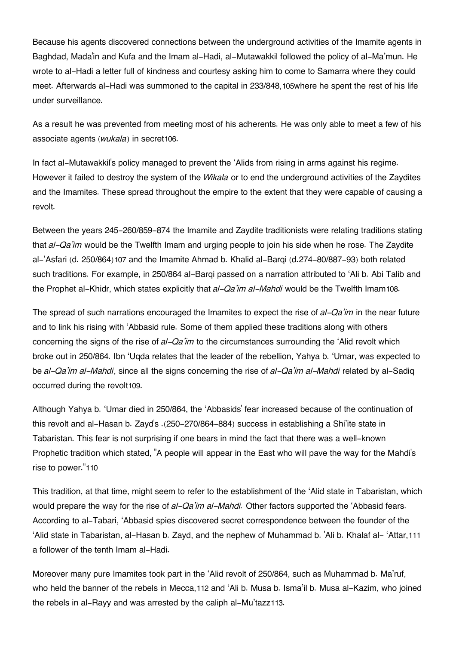Because his agents discovered connections between the underground activities of the Imamite agents in Baghdad, Mada'in and Kufa and the Imam al-Hadi, al-Mutawakkil followed the policy of al-Ma'mun. He wrote to al-Hadi a letter full of kindness and courtesy asking him to come to Samarra where they could meet. Afterwards al-Hadi was summoned to the capital in 233/848,[105](#page--1-0)where he spent the rest of his life under surveillance.

As a result he was prevented from meeting most of his adherents. He was only able to meet a few of his associate agents *(wukala)* in secret[106](#page--1-0).

In fact al-Mutawakkil's policy managed to prevent the 'Alids from rising in arms against his regime. However it failed to destroy the system of the *Wikala* or to end the underground activities of the Zaydites and the Imamites. These spread throughout the empire to the extent that they were capable of causing a revolt.

Between the years 245-260/859-874 the Imamite and Zaydite traditionists were relating traditions stating that *al-Qa'im* would be the Twelfth Imam and urging people to join his side when he rose. The Zaydite al-'Asfari (d. 250/864)[107](#page--1-0) and the Imamite Ahmad b. Khalid al-Barqi (d.274-80/887-93) both related such traditions. For example, in 250/864 al-Barqi passed on a narration attributed to 'Ali b. Abi Talib and the Prophet al-Khidr, which states explicitly that *al-Qa'im al*-*Mahdi* would be the Twelfth Imam[108](#page--1-0).

The spread of such narrations encouraged the Imamites to expect the rise of *al-Qa'im* in the near future and to link his rising with 'Abbasid rule. Some of them applied these traditions along with others concerning the signs of the rise of *al-Qa'im* to the circumstances surrounding the 'Alid revolt which broke out in 250/864. Ibn 'Uqda relates that the leader of the rebellion, Yahya b. 'Umar, was expected to be *al-Qa'im al*-*Mahdi*, since all the signs concerning the rise of *al-Qa'im al*-*Mahdi* related by al-Sadiq occurred during the revolt [109](#page--1-0).

Although Yahya b. 'Umar died in 250/864, the 'Abbasids' fear increased because of the continuation of this revolt and al-Hasan b. Zayd's .(250-270/864-884) success in establishing a Shi'ite state in Tabaristan. This fear is not surprising if one bears in mind the fact that there was a well-known Prophetic tradition which stated, "A people will appear in the East who will pave the way for the Mahdi's rise to power."[110](#page--1-0)

This tradition, at that time, might seem to refer to the establishment of the 'Alid state in Tabaristan, which would prepare the way for the rise of *al-Qa'im al*-*Mahdi.* Other factors supported the 'Abbasid fears. According to al-Tabari, 'Abbasid spies discovered secret correspondence between the founder of the 'Alid state in Tabaristan, al-Hasan b. Zayd, and the nephew of Muhammad b. 'Ali b. Khalaf al- 'Attar,[111](#page--1-0) a follower of the tenth Imam al-Hadi.

Moreover many pure Imamites took part in the 'Alid revolt of 250/864, such as Muhammad b. Ma'ruf, who held the banner of the rebels in Mecca,[112](#page--1-0) and 'Ali b. Musa b. Isma'il b. Musa al-Kazim, who joined the rebels in al-Rayy and was arrested by the caliph al-Mu'tazz[113](#page--1-0).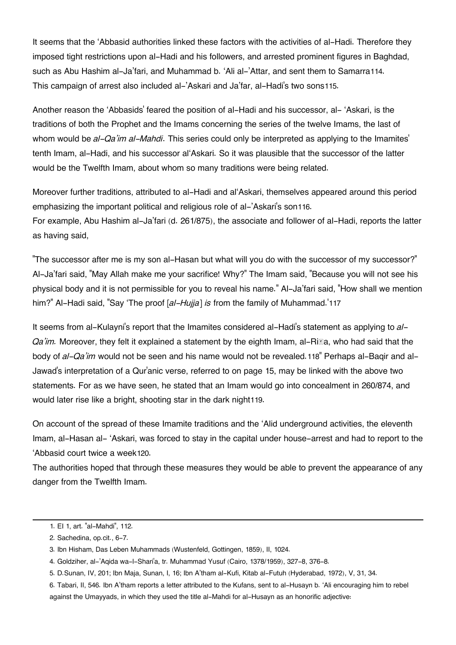It seems that the 'Abbasid authorities linked these factors with the activities of al-Hadi. Therefore they imposed tight restrictions upon al-Hadi and his followers, and arrested prominent figures in Baghdad, such as Abu Hashim al-Ja'fari, and Muhammad b. 'Ali al-'Attar, and sent them to Samarra[114](#page--1-0). This campaign of arrest also included al-'Askari and Ja'far, al-Hadi's two sons[115](#page--1-0).

Another reason the 'Abbasids' feared the position of al-Hadi and his successor, al- 'Askari, is the traditions of both the Prophet and the Imams concerning the series of the twelve Imams, the last of whom would be *al-Qa'im al*-*Mahdi*. This series could only be interpreted as applying to the Imamites' tenth Imam, al-Hadi, and his successor al'Askari. So it was plausible that the successor of the latter would be the Twelfth Imam, about whom so many traditions were being related.

Moreover further traditions, attributed to al-Hadi and al'Askari, themselves appeared around this period emphasizing the important political and religious role of al-'Askari's son[116](#page--1-0). For example, Abu Hashim al-Ja'fari (d. 261/875), the associate and follower of al-Hadi, reports the latter as having said,

"The successor after me is my son al-Hasan but what will you do with the successor of my successor?" Al-Ja'fari said, "May Allah make me your sacrifice! Why?" The Imam said, "Because you will not see his physical body and it is not permissible for you to reveal his name." Al-Ja'fari said, "How shall we mention him?" Al-Hadi said, "Say 'The proof *[al*-*Hujja] is* from the family of Muhammad.'[117](#page--1-0)

It seems from al-Kulayni's report that the Imamites considered al-Hadi's statement as applying to *al-Qa'im.* Moreover, they felt it explained a statement by the eighth Imam, al-Ri**Ta, who had said that the** body of *al-Qa'im* would not be seen and his name would not be revealed.[118](#page--1-0)" Perhaps al-Baqir and al-Jawad's interpretation of a Qur'anic verse, referred to on page 15, may be linked with the above two statements. For as we have seen, he stated that an Imam would go into concealment in 260/874, and would later rise like a bright, shooting star in the dark night [119](#page--1-0).

On account of the spread of these Imamite traditions and the 'Alid underground activities, the eleventh Imam, al-Hasan al- 'Askari, was forced to stay in the capital under house-arrest and had to report to the 'Abbasid court twice a week[120](#page--1-0).

The authorities hoped that through these measures they would be able to prevent the appearance of any danger from the Twelfth Imam.

[<sup>1.</sup>](#page--1-0) EI 1, art. "al-Mahdi", 112.

[<sup>2.</sup>](#page--1-0) Sachedina, op.cit., 6-7.

[<sup>3.</sup>](#page--1-0) Ibn Hisham, Das Leben Muhammads (Wustenfeld, Gottingen, 1859), II, 1024.

[<sup>4.</sup>](#page--1-0) Goldziher, al-'Aqida wa-l-Shari'a, tr. Muhammad Yusuf (Cairo, 1378/1959), 327-8, 376-8.

[<sup>5.</sup>](#page--1-0) D.Sunan, IV, 201; Ibn Maja, Sunan, I, 16; Ibn A'tham al-Kufi, Kitab al-Futuh (Hyderabad, 1972), V, 31, 34.

[<sup>6.</sup>](#page--1-0) Tabari, II, 546. Ibn A'tham reports a letter attributed to the Kufans, sent to al-Husayn b. 'Ali encouraging him to rebel against the Umayyads, in which they used the title al-Mahdi for al-Husayn as an honorific adjective: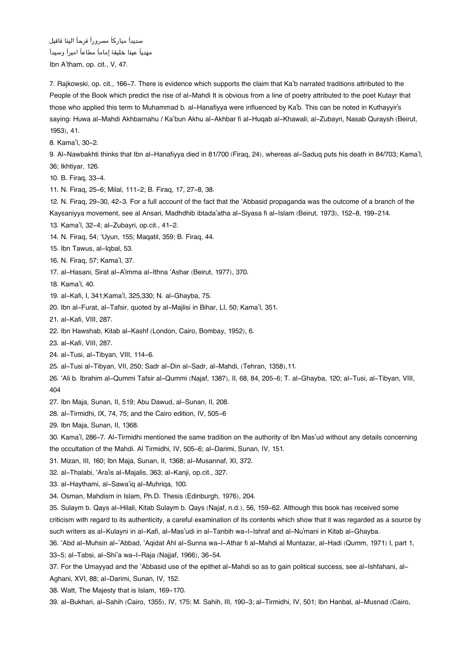سديداً مباركاً مسروراً فرحاً الينا فاقبل مهدياً عينا خليفة إماماً مطاعاً اميراً وسيداَ Ibn A'tham, op. cit., V, 47.

[7.](#page--1-0) Rajkowski, op. cit., 166-7. There is evidence which supports the claim that Ka'b narrated traditions attributed to the People of the Book which predict the rise of al-Mahdi It is obvious from a line of poetry attributed to the poet Kutayr that those who applied this term to Muhammad b. al-Hanafiyya were influenced by Ka'b. This can be noted in Kuthayyir's saying: Huwa al-Mahdi Akhbarnahu / Ka'bun Akhu al-Akhbar fi al-Huqab al-Khawali; al-Zubayri, Nasab Quraysh (Beirut, 1953), 41.

[8.](#page--1-0) Kama'l, 30-2.

[9.](#page--1-0) Al-Nawbakhti thinks that Ibn al-Hanafiyya died in 81/700 (Firaq, 24), whereas al-Saduq puts his death in 84/703; Kama'l, 36; Ikhtiyar, 126.

[10.](#page--1-0) B. Firaq, 33-4.

[11.](#page--1-0) N. Firaq, 25-6; Milal, 111-2; B. Firaq, 17, 27-8, 38.

[12.](#page--1-0) N. Firaq, 29-30, 42-3. For a full account of the fact that the 'Abbasid propaganda was the outcome of a branch of the Kaysaniyya movement, see al Ansari, Madhdhib ibtada'atha al-Siyasa fi al-Islam (Beirut, 1973), 152-8, 199-214.

[13.](#page--1-0) Kama'l, 32-4; al-Zubayri, op.cit., 41-2.

- [14.](#page--1-0) N. Firaq, 54; 'Uyun, 155; Maqatil, 359; B. Firaq, 44.
- [15.](#page--1-0) Ibn Tawus, al-Iqbal, 53.
- [16.](#page--1-0) N. Firaq, 57; Kama'l, 37.
- [17.](#page--1-0) al-Hasani, Sirat al-A'imma al-Ithna 'Ashar (Beirut, 1977), 370.
- [18.](#page--1-0) Kama'l, 40.
- [19.](#page--1-0) al-Kafi, I, 341;Kama'l, 325,330; N. al-Ghayba, 75.

[20.](#page--1-0) Ibn al-Furat, al-Tafsir, quoted by al-Majlisi in Bihar, LI, 50; Kama'l, 351.

- [21.](#page--1-0) al-Kafi, VIII, 287.
- [22.](#page--1-0) Ibn Hawshab, Kitab al-Kashf (London, Cairo, Bombay, 1952), 6.
- [23.](#page--1-0) al-Kafi, VIII, 287.
- [24.](#page--1-0) al-Tusi, al-Tibyan, VIII, 114-6.
- [25.](#page--1-0) al-Tusi al-Tibyan, VII, 250; Sadr al-Din al-Sadr, al-Mahdi, (Tehran, 1358),11.

[26.](#page--1-0) 'Ali b. Ibrahim al-Qummi Tafsir al-Qummi (Najaf, 1387), II, 68, 84, 205-6; T. al-Ghayba, 120; al-Tusi, al-Tibyan, VIII, 404

- [27.](#page--1-0) Ibn Maja, Sunan, II, 519; Abu Dawud, al-Sunan, II, 208.
- [28.](#page--1-0) al-Tirmidhi, IX, 74, 75; and the Cairo edition, IV, 505-6
- [29.](#page--1-0) Ibn Maja, Sunan, II, 1368.

[30.](#page--1-0) Kama'l, 286-7. Al-Tirmidhi mentioned the same tradition on the authority of Ibn Mas'ud without any details concerning

- the occultation of the Mahdi. Al Tirmidhi, IV, 505-6; al-Darimi, Sunan, IV, 151.
- [31.](#page--1-0) Mizan, III, 160; Ibn Maja, Sunan, II, 1368; al-Musannaf, XI, 372.
- [32.](#page--1-0) al-Thalabi, 'Ara'is al-Majalis, 363; al-Kanji, op.cit., 327.
- [33.](#page--1-0) al-Haythami, al-Sawa'ig al-Muhriga, 100.
- [34.](#page--1-0) Osman, Mahdism in Islam, Ph.D. Thesis (Edinburgh, 1976), 204.
- [35.](#page--1-0) Sulaym b. Qays al-Hilali, Kitab Sulaym b. Qays (Najaf, n.d.), 56, 159-62. Although this book has received some

criticism with regard to its authenticity, a careful examination of its contents which show that it was regarded as a source by such writers as al-Kulayni in al-Kafi, al-Mas'udi in al-Tanbih wa-l-Ishraf and al-Nu'mani in Kitab al-Ghayba.

- [36.](#page--1-0) 'Abd al-Muhsin al-'Abbad, 'Aqidat Ahl al-Sunna wa-l-Athar fi al-Mahdi al Muntazar, al-Hadi (Qumm, 1971) I, part 1, 33-5; al-Tabsi, al-Shi'a wa-l-Raja (Najjaf, 1966), 36-54.
- [37.](#page--1-0) For the Umayyad and the 'Abbasid use of the epithet al-Mahdi so as to gain political success, see al-Ishfahani, al-Aghani, XVI, 88; al-Darimi, Sunan, IV, 152.
- [38.](#page--1-0) Watt, The Majesty that is Islam, 169-170.

[39.](#page--1-0) al-Bukhari, al-Sahih (Cairo, 1355), IV, 175; M. Sahih, III, 190-3; al-Tirmidhi, IV, 501; Ibn Hanbal, al-Musnad (Cairo,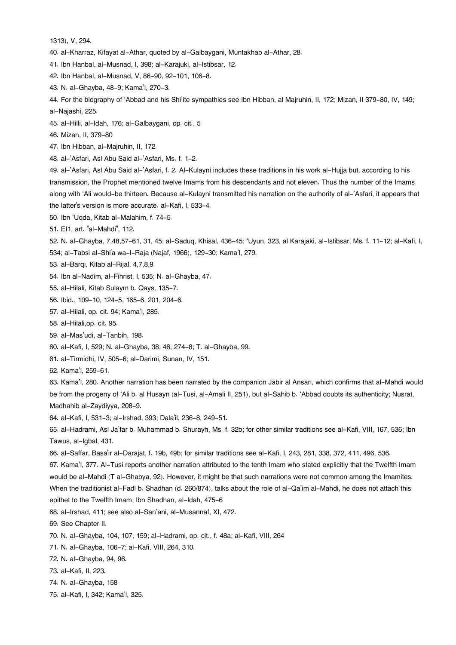1313), V, 294.

- [40.](#page--1-0) al-Kharraz, Kifayat al-Athar, quoted by al-Galbaygani, Muntakhab al-Athar, 28.
- [41.](#page--1-0) Ibn Hanbal, al-Musnad, I, 398; al-Karajuki, al-Istibsar, 12.
- [42.](#page--1-0) Ibn Hanbal, al-Musnad, V, 86-90, 92-101, 106-8.
- [43.](#page--1-0) N. al-Ghayba, 48-9; Kama'l, 270-3.

[44.](#page--1-0) For the biography of 'Abbad and his Shi'ite sympathies see Ibn Hibban, al Majruhin, II, 172; Mizan, II 379-80, IV, 149; al-Najashi, 225.

- [45.](#page--1-0) al-Hilli, al-Idah, 176; al-Galbaygani, op. cit., 5
- [46.](#page--1-0) Mizan, II, 379-80
- [47.](#page--1-0) Ibn Hibban, al-Majruhin, II, 172.
- [48.](#page--1-0) al-'Asfari, Asl Abu Said al-'Asfari, Ms. f. 1-2.

[49.](#page--1-0) al-'Asfari, Asl Abu Said al-'Asfari, f. 2. Al-Kulayni includes these traditions in his work al-Hujja but, according to his transmission, the Prophet mentioned twelve Imams from his descendants and not eleven. Thus the number of the Imams along with 'Ali would-be thirteen. Because al-Kulayni transmitted his narration on the authority of al-'Asfari, it appears that the latter's version is more accurate. al-Kafi, I, 533-4.

- [50.](#page--1-0) Ibn 'Uqda, Kitab al-Malahim, f. 74-5.
- [51.](#page--1-0) EI1, art. "al-Mahdi", 112.

[52.](#page--1-0) N. al-Ghayba, 7,48,57-61, 31, 45; al-Saduq, Khisal, 436-45; 'Uyun, 323, al Karajaki, al-Istibsar, Ms. f. 11-12; al-Kafi, I, 534; al-Tabsi al-Shi'a wa-l-Raja (Najaf, 1966), 129-30; Kama'l, 279.

- [53.](#page--1-0) al-Barqi, Kitab al-Rijal, 4,7,8,9.
- [54.](#page--1-0) Ibn al-Nadim, al-Fihrist, I, 535; N. al-Ghayba, 47.
- [55.](#page--1-0) al-Hilali, Kitab Sulaym b. Qays, 135-7.
- [56.](#page--1-0) Ibid., 109-10, 124-5, 165-6, 201, 204-6.
- [57.](#page--1-0) al-Hilali, op. cit. 94; Kama'l, 285.
- [58.](#page--1-0) al-Hilali,op. cit. 95.
- [59.](#page--1-0) al-Mas'udi, al-Tanbih, 198.
- [60.](#page--1-0) al-Kafi, I, 529; N. al-Ghayba, 38; 46, 274-8; T. al-Ghayba, 99.
- [61.](#page--1-0) al-Tirmidhi, IV, 505-6; al-Darimi, Sunan, IV, 151.
- [62.](#page--1-0) Kama'l, 259-61.

[63.](#page--1-0) Kama'l, 280. Another narration has been narrated by the companion Jabir al Ansari, which confirms that al-Mahdi would be from the progeny of 'Ali b. al Husayn (al-Tusi, al-Amali II, 251), but al-Sahib b. 'Abbad doubts its authenticity; Nusrat, Madhahib al-Zaydiyya, 208-9.

[64.](#page--1-0) al-Kafi, I, 531-3; al-Irshad, 393; Dala'il, 236-8, 249-51.

[65.](#page--1-0) al-Hadrami, Asl Ja'far b. Muhammad b. Shurayh, Ms. f. 32b; for other similar traditions see al-Kafi, VIII, 167, 536; Ibn Tawus, al-Igbal, 431.

[66.](#page--1-0) al-Saffar, Basa'ir al-Darajat, f. 19b, 49b; for similar traditions see al-Kafi, I, 243, 281, 338, 372, 411, 496, 536.

[67.](#page--1-0) Kama'l, 377. Al-Tusi reports another narration attributed to the tenth Imam who stated explicitly that the Twelfth Imam would be al-Mahdi (T al-Ghabya, 92). However, it might be that such narrations were not common among the Imamites. When the traditionist al-Fadl b. Shadhan (d. 260/874), talks about the role of al-Qa'im al-Mahdi, he does not attach this epithet to the Twelfth Imam; Ibn Shadhan, al-Idah, 475-6

[68.](#page--1-0) al-Irshad, 411; see also al-San'ani, al-Musannaf, XI, 472.

[69.](#page--1-0) See Chapter II.

[70.](#page--1-0) N. al-Ghayba, 104, 107, 159; al-Hadrami, op. cit., f. 48a; al-Kafi, VIII, 264

[71.](#page--1-0) N. al-Ghayba, 106-7; al-Kafi, VIII, 264, 310.

- [72.](#page--1-0) N. al-Ghayba, 94, 96.
- [73.](#page--1-0) al-Kafi, II, 223.
- [74.](#page--1-0) N. al-Ghayba, 158
- [75.](#page--1-0) al-Kafi, I, 342; Kama'l, 325.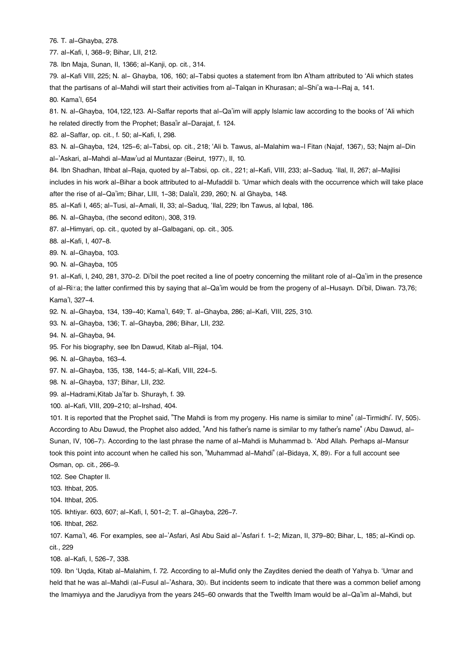[76.](#page--1-0) T. al-Ghayba, 278.

[77.](#page--1-0) al-Kafi, I, 368-9; Bihar, LII, 212.

[78.](#page--1-0) Ibn Maja, Sunan, II, 1366; al-Kanji, op. cit., 314.

[79.](#page--1-0) al-Kafi VIII, 225; N. al- Ghayba, 106, 160; al-Tabsi quotes a statement from Ibn A'tham attributed to 'Ali which states that the partisans of al-Mahdi will start their activities from al-Talqan in Khurasan; al-Shi'a wa-l-Raj a, 141.

[80.](#page--1-0) Kama'l, 654

[81.](#page--1-0) N. al-Ghayba, 104,122,123. Al-Saffar reports that al-Qa'im will apply Islamic law according to the books of 'Ali which he related directly from the Prophet; Basa'ir al-Darajat, f. 124.

[82.](#page--1-0) al-Saffar, op. cit., f. 50; al-Kafi, I, 298.

[83.](#page--1-0) N. al-Ghayba, 124, 125-6; al-Tabsi, op. cit., 218; 'Ali b. Tawus, al-Malahim wa-l Fitan (Najaf, 1367), 53; Najm al-Din al-'Askari, al-Mahdi al-Maw'ud al Muntazar (Beirut, 1977), II, 10.

[84.](#page--1-0) Ibn Shadhan, Ithbat al-Raja, quoted by al-Tabsi, op. cit., 221; al-Kafi, VIII, 233; al-Saduq. 'Ilal, II, 267; al-Majlisi includes in his work al-Bihar a book attributed to al-Mufaddil b. 'Umar which deals with the occurrence which will take place after the rise of al-Qa'im; Bihar, LIII, 1-38; Dala'il, 239, 260; N. al Ghayba, 148.

[85.](#page--1-0) al-Kafi I, 465; al-Tusi, al-Amali, II, 33; al-Saduq, 'Ilal, 229; Ibn Tawus, al Iqbal, 186.

[86.](#page--1-0) N. al-Ghayba, (the second editon), 308, 319.

[87.](#page--1-0) al-Himyari, op. cit., quoted by al-Galbagani, op. cit., 305.

[88.](#page--1-0) al-Kafi, I, 407-8.

[89.](#page--1-0) N. al-Ghayba, 103.

[90.](#page--1-0) N. al-Ghayba, 105

[91.](#page--1-0) al-Kafi, I, 240, 281, 370-2. Di'bil the poet recited a line of poetry concerning the militant role of al-Qa'im in the presence of al-Riďa; the latter confirmed this by saying that al-Qa'im would be from the progeny of al-Husayn. Di'bil, Diwan. 73,76; Kama'l, 327-4.

[92.](#page--1-0) N. al-Ghayba, 134, 139-40; Kama'l, 649; T. al-Ghayba, 286; al-Kafi, VIII, 225, 310.

[93.](#page--1-0) N. al-Ghayba, 136; T. al-Ghayba, 286; Bihar, LII, 232.

[94.](#page--1-0) N. al-Ghayba, 94.

[95.](#page--1-0) For his biography, see Ibn Dawud, Kitab al-Rijal, 104.

[96.](#page--1-0) N. al-Ghayba, 163-4.

[97.](#page--1-0) N. al-Ghayba, 135, 138, 144-5; al-Kafi, VIII, 224-5.

[98.](#page--1-0) N. al-Ghayba, 137; Bihar, LII, 232.

[99.](#page--1-0) al-Hadrami,Kitab Ja'far b. Shurayh, f. 39.

[100.](#page--1-0) al-Kafi, VIII, 209-210; al-Irshad, 404.

[101.](#page--1-0) It is reported that the Prophet said, "The Mahdi is from my progeny. His name is similar to mine" (al-Tirmidhi'. IV, 505). According to Abu Dawud, the Prophet also added, "And his father's name is similar to my father's name" (Abu Dawud, al-Sunan, IV, 106-7). According to the last phrase the name of al-Mahdi is Muhammad b. 'Abd Allah. Perhaps al-Mansur took this point into account when he called his son, "Muhammad al-Mahdi" (al-Bidaya, X, 89). For a full account see Osman, op. cit., 266-9.

[102.](#page--1-0) See Chapter II.

- [103.](#page--1-0) Ithbat, 205.
- [104.](#page--1-0) Ithbat, 205.

[105.](#page--1-0) Ikhtiyar. 603, 607; al-Kafi, I, 501-2; T. al-Ghayba, 226-7.

[106.](#page--1-0) Ithbat, 262.

[107.](#page--1-0) Kama'l, 46. For examples, see al-'Asfari, Asl Abu Said al-'Asfari f. 1-2; Mizan, II, 379-80; Bihar, L, 185; al-Kindi op. cit., 229

[108.](#page--1-0) al-Kafi, I, 526-7, 338.

[109.](#page--1-0) Ibn 'Uqda, Kitab al-Malahim, f. 72. According to al-Mufid only the Zaydites denied the death of Yahya b. 'Umar and held that he was al-Mahdi (al-Fusul al-'Ashara, 30). But incidents seem to indicate that there was a common belief among the Imamiyya and the Jarudiyya from the years 245-60 onwards that the Twelfth Imam would be al-Qa'im al-Mahdi, but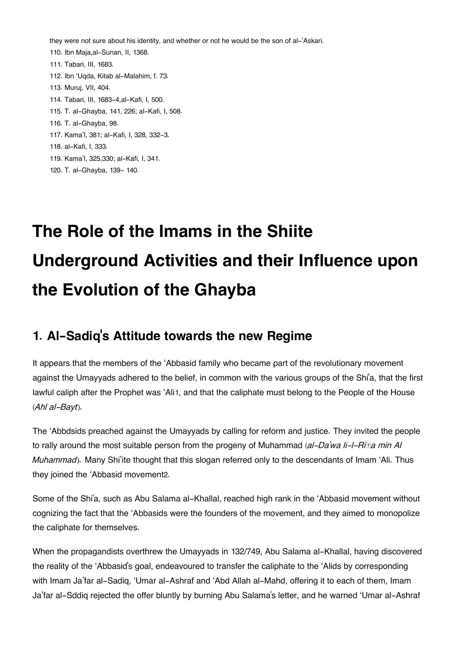they were not sure about his identity, and whether or not he would be the son of al-'Askari.

[110.](#page--1-0) Ibn Maja,al-Sunan, II, 1368. [111.](#page--1-0) Tabari, III, 1683. [112.](#page--1-0) Ibn 'Uqda, Kitab al-Malahim, f. 73. [113.](#page--1-0) Muruj, VII, 404. [114.](#page--1-0) Tabari, III, 1683-4,al-Kafi, I, 500. [115.](#page--1-0) T. al-Ghayba, 141, 226; al-Kafi, I, 508. [116.](#page--1-0) T. al-Ghayba, 98. [117.](#page--1-0) Kama'l, 381; al-Kafi, I, 328, 332-3. [118.](#page--1-0) al-Kafi, I, 333. [119.](#page--1-0) Kama'l, 325,330; al-Kafi, I, 341. [120.](#page--1-0) T. al-Ghayba, 139- 140.

# **The Role of the Imams in the Shiite Underground Activities and their Influence upon the Evolution of the Ghayba**

### **1. Al-Sadiq['s Attitude towards the new Regime](#page--1-0)**

It appears that the members of the 'Abbasid family who became part of the revolutionary movement against the Umayyads adhered to the belief, in common with the various groups of the Shi'a, that the first lawful caliph after the Prophet was 'Ali[1](#page--1-0), and that the caliphate must belong to the People of the House *(Ahl al*-*Bayt).*

The 'Abbdsids preached against the Umayyads by calling for reform and justice. They invited the people to rally around the most suitable person from the progeny of Muhammad *(al*-*Da'wa li*-*l*-*Riďa min Al Muhammad).* Many Shi'ite thought that this slogan referred only to the descendants of Imam 'Ali. Thus they joined the 'Abbasid movement[2](#page--1-0).

Some of the Shi'a, such as Abu Salama al-Khallal, reached high rank in the 'Abbasid movement without cognizing the fact that the 'Abbasids were the founders of the movement, and they aimed to monopolize the caliphate for themselves.

When the propagandists overthrew the Umayyads in 132/749, Abu Salama al-Khallal, having discovered the reality of the 'Abbasid's goal, endeavoured to transfer the caliphate to the 'Alids by corresponding with Imam Ja'far al-Sadiq, 'Umar al-Ashraf and 'Abd Allah al-Mahd, offering it to each of them, Imam Ja'far al-Sddiq rejected the offer bluntly by burning Abu Salama's letter, and he warned 'Umar al-Ashraf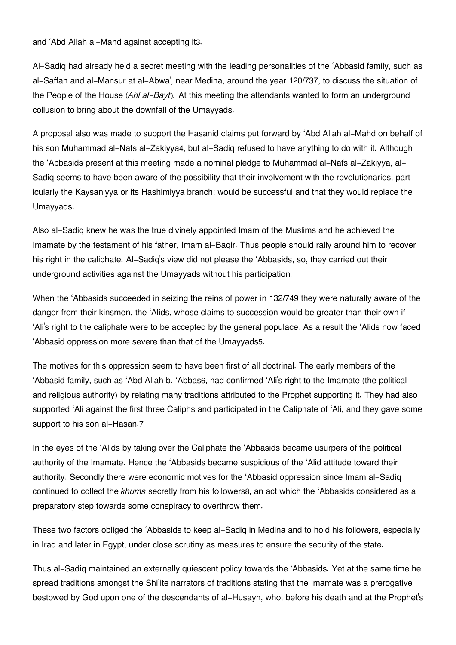and 'Abd Allah al-Mahd against accepting it[3](#page--1-0).

Al-Sadiq had already held a secret meeting with the leading personalities of the 'Abbasid family, such as al-Saffah and al-Mansur at al-Abwa', near Medina, around the year 120/737, to discuss the situation of the People of the House *(Ahl al*-*Bayt).* At this meeting the attendants wanted to form an underground collusion to bring about the downfall of the Umayyads.

A proposal also was made to support the Hasanid claims put forward by 'Abd Allah al-Mahd on behalf of his son Muhammad al-Nafs al-Zakiyya[4](#page--1-0), but al-Sadiq refused to have anything to do with it. Although the 'Abbasids present at this meeting made a nominal pledge to Muhammad al-Nafs al-Zakiyya, al-Sadiq seems to have been aware of the possibility that their involvement with the revolutionaries, particularly the Kaysaniyya or its Hashimiyya branch; would be successful and that they would replace the Umayyads.

Also al-Sadiq knew he was the true divinely appointed Imam of the Muslims and he achieved the Imamate by the testament of his father, Imam al-Baqir. Thus people should rally around him to recover his right in the caliphate. Al-Sadiq's view did not please the 'Abbasids, so, they carried out their underground activities against the Umayyads without his participation.

When the 'Abbasids succeeded in seizing the reins of power in 132/749 they were naturally aware of the danger from their kinsmen, the 'Alids, whose claims to succession would be greater than their own if 'Ali's right to the caliphate were to be accepted by the general populace. As a result the 'Alids now faced 'Abbasid oppression more severe than that of the Umayyads[5](#page--1-0).

The motives for this oppression seem to have been first of all doctrinal. The early members of the 'Abbasid family, such as 'Abd Allah b. 'Abbas[6](#page--1-0), had confirmed 'Ali's right to the Imamate (the political and religious authority) by relating many traditions attributed to the Prophet supporting it. They had also supported 'Ali against the first three Caliphs and participated in the Caliphate of 'Ali, and they gave some support to his son al-Hasan.[7](#page--1-0)

In the eyes of the 'Alids by taking over the Caliphate the 'Abbasids became usurpers of the political authority of the Imamate. Hence the 'Abbasids became suspicious of the 'Alid attitude toward their authority. Secondly there were economic motives for the 'Abbasid oppression since Imam al-Sadiq continued to collect the *khums* secretly from his followers[8](#page--1-0), an act which the 'Abbasids considered as a preparatory step towards some conspiracy to overthrow them.

These two factors obliged the 'Abbasids to keep al-Sadiq in Medina and to hold his followers, especially in Iraq and later in Egypt, under close scrutiny as measures to ensure the security of the state.

Thus al-Sadiq maintained an externally quiescent policy towards the 'Abbasids. Yet at the same time he spread traditions amongst the Shi'ite narrators of traditions stating that the Imamate was a prerogative bestowed by God upon one of the descendants of al-Husayn, who, before his death and at the Prophet's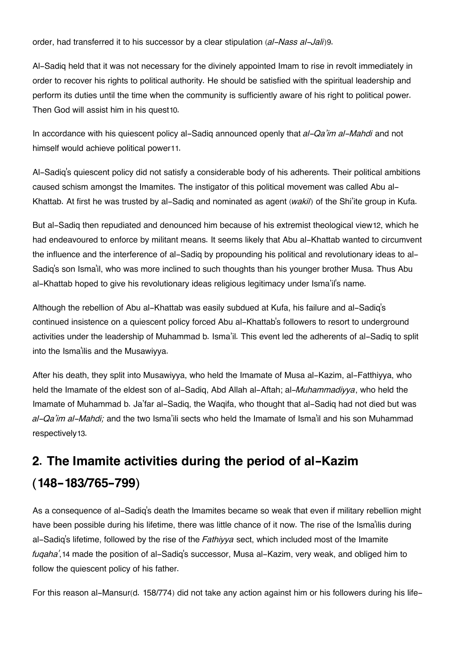order, had transferred it to his successor by a clear stipulation *(al*-*Nass al*-*Jali)*[9](#page--1-0).

Al-Sadiq held that it was not necessary for the divinely appointed Imam to rise in revolt immediately in order to recover his rights to political authority. He should be satisfied with the spiritual leadership and perform its duties until the time when the community is sufficiently aware of his right to political power. Then God will assist him in his quest[10](#page--1-0).

In accordance with his quiescent policy al-Sadiq announced openly that *al-Qa'im al*-*Mahdi* and not himself would achieve political power[11](#page--1-0).

Al-Sadiq's quiescent policy did not satisfy a considerable body of his adherents. Their political ambitions caused schism amongst the Imamites. The instigator of this political movement was called Abu al-Khattab. At first he was trusted by al-Sadiq and nominated as agent *(wakil)* of the Shi'ite group in Kufa.

But al-Sadiq then repudiated and denounced him because of his extremist theological view[12](#page--1-0), which he had endeavoured to enforce by militant means. It seems likely that Abu al-Khattab wanted to circumvent the influence and the interference of al-Sadiq by propounding his political and revolutionary ideas to al-Sadiq's son Isma'il, who was more inclined to such thoughts than his younger brother Musa. Thus Abu al-Khattab hoped to give his revolutionary ideas religious legitimacy under Isma'il's name.

Although the rebellion of Abu al-Khattab was easily subdued at Kufa, his failure and al-Sadiq's continued insistence on a quiescent policy forced Abu al-Khattab's followers to resort to underground activities under the leadership of Muhammad b. Isma'il. This event led the adherents of al-Sadiq to split into the Isma'ilis and the Musawiyya.

After his death, they split into Musawiyya, who held the Imamate of Musa al-Kazim, al-Fatthiyya, who held the Imamate of the eldest son of al-Sadiq, Abd Allah al-Aftah; al-*Muhammadiyya*, who held the Imamate of Muhammad b. Ja'far al-Sadiq, the Waqifa, who thought that al-Sadiq had not died but was *al-Qa'im al*-*Mahdi;* and the two Isma'ili sects who held the Imamate of Isma'il and his son Muhammad respectively[13](#page--1-0).

## **[2. The Imamite activities during the period of al-Kazim](#page--1-0) [\(148-183/765-799\)](#page--1-0)**

As a consequence of al-Sadiq's death the Imamites became so weak that even if military rebellion might have been possible during his lifetime, there was little chance of it now. The rise of the Isma'ilis during al-Sadiq's lifetime, followed by the rise of the *Fathiyya* sect, which included most of the Imamite *fuqaha'*,[14](#page--1-0) made the position of al-Sadiq's successor, Musa al-Kazim, very weak, and obliged him to follow the quiescent policy of his father.

For this reason al-Mansur(d. 158/774) did not take any action against him or his followers during his life-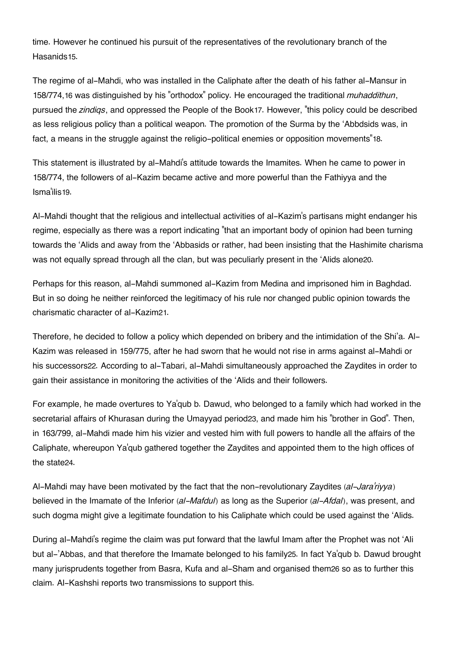time. However he continued his pursuit of the representatives of the revolutionary branch of the Hasanids[15](#page--1-0).

The regime of al-Mahdi, who was installed in the Caliphate after the death of his father al-Mansur in 158/774,[16](#page--1-0) was distinguished by his "orthodox" policy. He encouraged the traditional *muhaddithun*, pursued the *zindiqs*, and oppressed the People of the Book[17](#page--1-0). However, "this policy could be described as less religious policy than a political weapon. The promotion of the Surma by the 'Abbdsids was, in fact, a means in the struggle against the religio-political enemies or opposition movements"[18](#page--1-0).

This statement is illustrated by al-Mahdi's attitude towards the Imamites. When he came to power in 158/774, the followers of al-Kazim became active and more powerful than the Fathiyya and the Isma'ilis[19](#page--1-0).

Al-Mahdi thought that the religious and intellectual activities of al-Kazim's partisans might endanger his regime, especially as there was a report indicating "that an important body of opinion had been turning towards the 'Alids and away from the 'Abbasids or rather, had been insisting that the Hashimite charisma was not equally spread through all the clan, but was peculiarly present in the 'Alids alone[20](#page--1-0).

Perhaps for this reason, al-Mahdi summoned al-Kazim from Medina and imprisoned him in Baghdad. But in so doing he neither reinforced the legitimacy of his rule nor changed public opinion towards the charismatic character of al-Kazim[21](#page--1-0).

Therefore, he decided to follow a policy which depended on bribery and the intimidation of the Shi'a. Al-Kazim was released in 159/775, after he had sworn that he would not rise in arms against al-Mahdi or his successors[22](#page--1-0). According to al-Tabari, al-Mahdi simultaneously approached the Zaydites in order to gain their assistance in monitoring the activities of the 'Alids and their followers.

For example, he made overtures to Ya'qub b. Dawud, who belonged to a family which had worked in the secretarial affairs of Khurasan during the Umayyad period[23](#page--1-0), and made him his "brother in God". Then, in 163/799, al-Mahdi made him his vizier and vested him with full powers to handle all the affairs of the Caliphate, whereupon Ya'qub gathered together the Zaydites and appointed them to the high offices of the state[24](#page--1-0).

Al-Mahdi may have been motivated by the fact that the non-revolutionary Zaydites *(al*-*Jara'riyya)* believed in the Imamate of the Inferior *(al*-*Mafdul)* as long as the Superior *(al*-*Afdal)*, was present, and such dogma might give a legitimate foundation to his Caliphate which could be used against the 'Alids.

During al-Mahdi's regime the claim was put forward that the lawful Imam after the Prophet was not 'Ali but al-'Abbas, and that therefore the Imamate belonged to his family[25](#page--1-0). In fact Ya'qub b. Dawud brought many jurisprudents together from Basra, Kufa and al-Sham and organised them[26](#page--1-0) so as to further this claim. Al-Kashshi reports two transmissions to support this.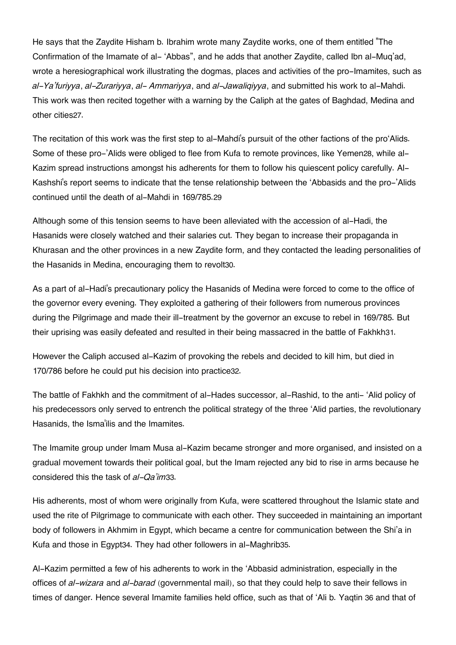He says that the Zaydite Hisham b. Ibrahim wrote many Zaydite works, one of them entitled "The Confirmation of the Imamate of al- 'Abbas", and he adds that another Zaydite, called Ibn al-Muq'ad, wrote a heresiographical work illustrating the dogmas, places and activities of the pro-Imamites, such as *al*-*Ya'furiyya*, *al*-*Zurariyya*, *al*- *Ammariyya*, and *al*-*Jawaliqiyya*, and submitted his work to al-Mahdi. This work was then recited together with a warning by the Caliph at the gates of Baghdad, Medina and other cities[27](#page--1-0).

The recitation of this work was the first step to al-Mahdi's pursuit of the other factions of the pro'Alids. Some of these pro-'Alids were obliged to flee from Kufa to remote provinces, like Yemen[28](#page--1-0), while al-Kazim spread instructions amongst his adherents for them to follow his quiescent policy carefully. Al-Kashshi's report seems to indicate that the tense relationship between the 'Abbasids and the pro-'Alids continued until the death of al-Mahdi in 169/785.[29](#page--1-0)

Although some of this tension seems to have been alleviated with the accession of al-Hadi, the Hasanids were closely watched and their salaries cut. They began to increase their propaganda in Khurasan and the other provinces in a new Zaydite form, and they contacted the leading personalities of the Hasanids in Medina, encouraging them to revolt[30](#page--1-0).

As a part of al-Hadi's precautionary policy the Hasanids of Medina were forced to come to the office of the governor every evening. They exploited a gathering of their followers from numerous provinces during the Pilgrimage and made their ill-treatment by the governor an excuse to rebel in 169/785. But their uprising was easily defeated and resulted in their being massacred in the battle of Fakhkh[31](#page--1-0).

However the Caliph accused al-Kazim of provoking the rebels and decided to kill him, but died in 170/786 before he could put his decision into practice[32](#page--1-0).

The battle of Fakhkh and the commitment of al-Hades successor, al-Rashid, to the anti- 'Alid policy of his predecessors only served to entrench the political strategy of the three 'Alid parties, the revolutionary Hasanids, the Isma'ilis and the Imamites.

The Imamite group under Imam Musa al-Kazim became stronger and more organised, and insisted on a gradual movement towards their political goal, but the Imam rejected any bid to rise in arms because he considered this the task of *al-Qa'im*[33](#page--1-0).

His adherents, most of whom were originally from Kufa, were scattered throughout the Islamic state and used the rite of Pilgrimage to communicate with each other. They succeeded in maintaining an important body of followers in Akhmim in Egypt, which became a centre for communication between the Shi'a in Kufa and those in Egypt[34](#page--1-0). They had other followers in al-Maghrib[35](#page--1-0).

Al-Kazim permitted a few of his adherents to work in the 'Abbasid administration, especially in the offices of *al*-*wizara* and *al*-*barad* (governmental mail), so that they could help to save their fellows in times of danger. Hence several Imamite families held office, such as that of 'Ali b. Yaqtin [36](#page--1-0) and that of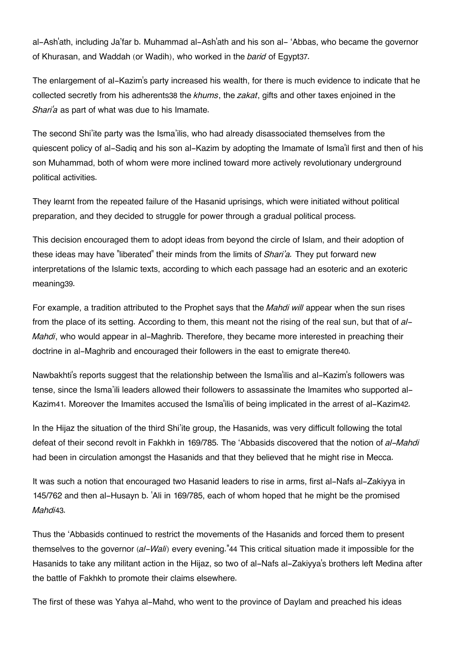al-Ash'ath, including Ja'far b. Muhammad al-Ash'ath and his son al- 'Abbas, who became the governor of Khurasan, and Waddah (or Wadih), who worked in the *barid* of Egypt[37](#page--1-0).

The enlargement of al-Kazim's party increased his wealth, for there is much evidence to indicate that he collected secretly from his adherents[38](#page--1-0) the *khums*, the *zakat*, gifts and other taxes enjoined in the *Shari'a* as part of what was due to his Imamate.

The second Shi'ite party was the Isma'ilis, who had already disassociated themselves from the quiescent policy of al-Sadiq and his son al-Kazim by adopting the Imamate of Isma'il first and then of his son Muhammad, both of whom were more inclined toward more actively revolutionary underground political activities.

They learnt from the repeated failure of the Hasanid uprisings, which were initiated without political preparation, and they decided to struggle for power through a gradual political process.

This decision encouraged them to adopt ideas from beyond the circle of Islam, and their adoption of these ideas may have "liberated" their minds from the limits of *Shari'a.* They put forward new interpretations of the Islamic texts, according to which each passage had an esoteric and an exoteric meaning[39](#page--1-0).

For example, a tradition attributed to the Prophet says that the *Mahdi will* appear when the sun rises from the place of its setting. According to them, this meant not the rising of the real sun, but that of *al*-*Mahdi*, who would appear in al-Maghrib. Therefore, they became more interested in preaching their doctrine in al-Maghrib and encouraged their followers in the east to emigrate there[40](#page--1-0).

Nawbakhti's reports suggest that the relationship between the Isma'ilis and al-Kazim's followers was tense, since the Isma'ili leaders allowed their followers to assassinate the Imamites who supported al-Kazim[41](#page--1-0). Moreover the Imamites accused the Isma'ilis of being implicated in the arrest of al-Kazim[42](#page--1-0).

In the Hijaz the situation of the third Shi'ite group, the Hasanids, was very difficult following the total defeat of their second revolt in Fakhkh in 169/785. The 'Abbasids discovered that the notion of *al*-*Mahdi* had been in circulation amongst the Hasanids and that they believed that he might rise in Mecca.

It was such a notion that encouraged two Hasanid leaders to rise in arms, first al-Nafs al-Zakiyya in 145/762 and then al-Husayn b. 'Ali in 169/785, each of whom hoped that he might be the promised *Mahdi*[43](#page--1-0).

Thus the 'Abbasids continued to restrict the movements of the Hasanids and forced them to present themselves to the governor *(al*-*Wali)* every evening."[44](#page--1-0) This critical situation made it impossible for the Hasanids to take any militant action in the Hijaz, so two of al-Nafs al-Zakiyya's brothers left Medina after the battle of Fakhkh to promote their claims elsewhere.

The first of these was Yahya al-Mahd, who went to the province of Daylam and preached his ideas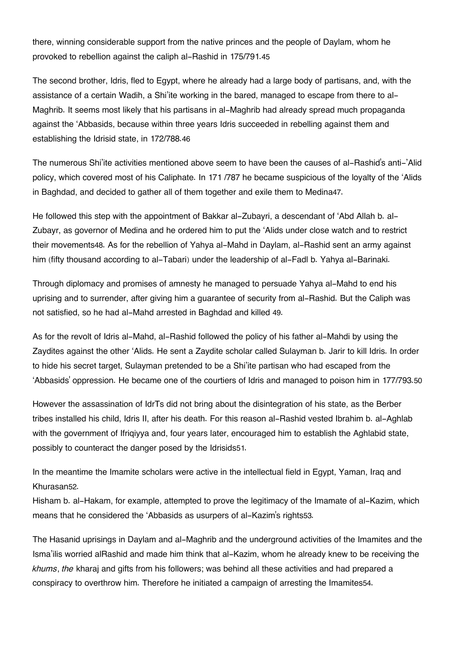there, winning considerable support from the native princes and the people of Daylam, whom he provoked to rebellion against the caliph al-Rashid in 175/791.[45](#page--1-0)

The second brother, Idris, fled to Egypt, where he already had a large body of partisans, and, with the assistance of a certain Wadih, a Shi'ite working in the bared, managed to escape from there to al-Maghrib. It seems most likely that his partisans in al-Maghrib had already spread much propaganda against the 'Abbasids, because within three years Idris succeeded in rebelling against them and establishing the Idrisid state, in 172/788.[46](#page--1-0)

The numerous Shi'ite activities mentioned above seem to have been the causes of al-Rashid's anti-'Alid policy, which covered most of his Caliphate. In 171 /787 he became suspicious of the loyalty of the 'Alids in Baghdad, and decided to gather all of them together and exile them to Medina[47](#page--1-0).

He followed this step with the appointment of Bakkar al-Zubayri, a descendant of 'Abd Allah b. al-Zubayr, as governor of Medina and he ordered him to put the 'Alids under close watch and to restrict their movements[48](#page--1-0). As for the rebellion of Yahya al-Mahd in Daylam, al-Rashid sent an army against him (fifty thousand according to al-Tabari) under the leadership of al-Fadl b. Yahya al-Barinaki.

Through diplomacy and promises of amnesty he managed to persuade Yahya al-Mahd to end his uprising and to surrender, after giving him a guarantee of security from al-Rashid. But the Caliph was not satisfied, so he had al-Mahd arrested in Baghdad and killed [49](#page--1-0).

As for the revolt of Idris al-Mahd, al-Rashid followed the policy of his father al-Mahdi by using the Zaydites against the other 'Alids. He sent a Zaydite scholar called Sulayman b. Jarir to kill Idris. In order to hide his secret target, Sulayman pretended to be a Shi'ite partisan who had escaped from the 'Abbasids' oppression. He became one of the courtiers of Idris and managed to poison him in 177/793.[50](#page--1-0)

However the assassination of IdrTs did not bring about the disintegration of his state, as the Berber tribes installed his child, Idris II, after his death. For this reason al-Rashid vested Ibrahim b. al-Aghlab with the government of Ifriqiyya and, four years later, encouraged him to establish the Aghlabid state, possibly to counteract the danger posed by the Idrisids[51](#page--1-0).

In the meantime the Imamite scholars were active in the intellectual field in Egypt, Yaman, Iraq and Khurasan[52](#page--1-0).

Hisham b. al-Hakam, for example, attempted to prove the legitimacy of the Imamate of al-Kazim, which means that he considered the 'Abbasids as usurpers of al-Kazim's rights[53](#page--1-0).

The Hasanid uprisings in Daylam and al-Maghrib and the underground activities of the Imamites and the Isma'ilis worried alRashid and made him think that al-Kazim, whom he already knew to be receiving the *khums*, *the* kharaj and gifts from his followers; was behind all these activities and had prepared a conspiracy to overthrow him. Therefore he initiated a campaign of arresting the Imamites[54](#page--1-0).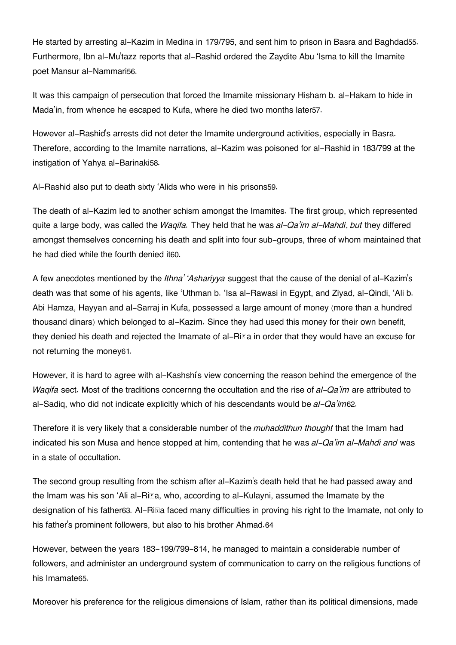He started by arresting al-Kazim in Medina in 179/795, and sent him to prison in Basra and Baghdad[55](#page--1-0). Furthermore, Ibn al-Mu'tazz reports that al-Rashid ordered the Zaydite Abu 'Isma to kill the Imamite poet Mansur al-Nammari[56](#page--1-0).

It was this campaign of persecution that forced the Imamite missionary Hisham b. al-Hakam to hide in Mada'in, from whence he escaped to Kufa, where he died two months later[57](#page--1-0).

However al-Rashid's arrests did not deter the Imamite underground activities, especially in Basra. Therefore, according to the Imamite narrations, al-Kazim was poisoned for al-Rashid in 183/799 at the instigation of Yahya al-Barinaki[58](#page--1-0).

Al-Rashid also put to death sixty 'Alids who were in his prisons[59](#page--1-0).

The death of al-Kazim led to another schism amongst the Imamites. The first group, which represented quite a large body, was called the *Waqifa.* They held that he was *al-Qa'im al*-*Mahdi*, *but* they differed amongst themselves concerning his death and split into four sub-groups, three of whom maintained that he had died while the fourth denied it[60](#page--1-0).

A few anecdotes mentioned by the *Ithna' 'Ashariyya* suggest that the cause of the denial of al-Kazim's death was that some of his agents, like 'Uthman b. 'Isa al-Rawasi in Egypt, and Ziyad, al-Qindi, 'Ali b. Abi Hamza, Hayyan and al-Sarraj in Kufa, possessed a large amount of money (more than a hundred thousand dinars) which belonged to al-Kazim. Since they had used this money for their own benefit, they denied his death and rejected the Imamate of al-Ri $\mathbb{E}$ a in order that they would have an excuse for not returning the money[61](#page--1-0).

However, it is hard to agree with al-Kashshi's view concerning the reason behind the emergence of the *Waqifa* sect. Most of the traditions concernng the occultation and the rise of *al-Qa'im* are attributed to al-Sadiq, who did not indicate explicitly which of his descendants would be *al-Qa'im*[62](#page--1-0).

Therefore it is very likely that a considerable number of the *muhaddithun thought* that the Imam had indicated his son Musa and hence stopped at him, contending that he was *al-Qa'im al*-*Mahdi and* was in a state of occultation.

The second group resulting from the schism after al-Kazim's death held that he had passed away and the Imam was his son 'Ali al-Riďa, who, according to al-Kulayni, assumed the Imamate by the designation of his father[63](#page--1-0). Al-Riďa faced many difficulties in proving his right to the Imamate, not only to his father's prominent followers, but also to his brother Ahmad.[64](#page--1-0)

However, between the years 183-199/799-814, he managed to maintain a considerable number of followers, and administer an underground system of communication to carry on the religious functions of his Imamate[65](#page--1-0).

Moreover his preference for the religious dimensions of Islam, rather than its political dimensions, made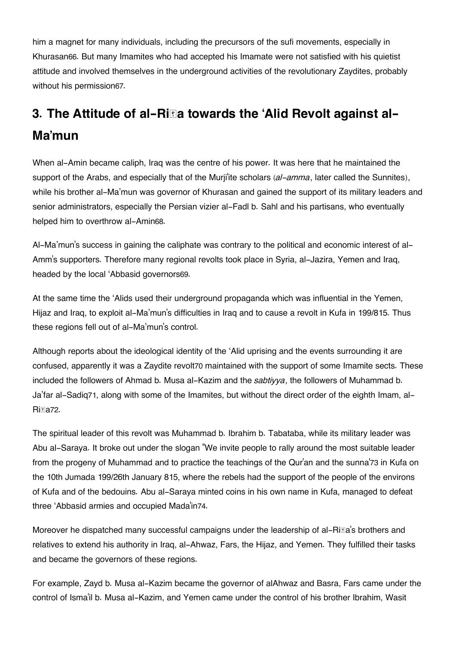him a magnet for many individuals, including the precursors of the sufi movements, especially in Khurasan[66](#page--1-0). But many Imamites who had accepted his Imamate were not satisfied with his quietist attitude and involved themselves in the underground activities of the revolutionary Zaydites, probably without his permission[67](#page--1-0).

# **[3. The Attitude of al-Riďa towards the 'Alid Revolt against al-](#page--1-0)[Ma'mun](#page--1-0)**

When al-Amin became caliph, Iraq was the centre of his power. It was here that he maintained the support of the Arabs, and especially that of the Murji<sup>t</sup>ite scholars (al-amma, later called the Sunnites), while his brother al-Ma'mun was governor of Khurasan and gained the support of its military leaders and senior administrators, especially the Persian vizier al-Fadl b. Sahl and his partisans, who eventually helped him to overthrow al-Amin[68](#page--1-0).

Al-Ma'mun's success in gaining the caliphate was contrary to the political and economic interest of al-Amm's supporters. Therefore many regional revolts took place in Syria, al-Jazira, Yemen and Iraq, headed by the local 'Abbasid governors[69](#page--1-0).

At the same time the 'Alids used their underground propaganda which was influential in the Yemen, Hijaz and Iraq, to exploit al-Ma'mun's difficulties in Iraq and to cause a revolt in Kufa in 199/815. Thus these regions fell out of al-Ma'mun's control.

Although reports about the ideological identity of the 'Alid uprising and the events surrounding it are confused, apparently it was a Zaydite revolt[70](#page--1-0) maintained with the support of some Imamite sects. These included the followers of Ahmad b. Musa al-Kazim and the *sabtiyya*, the followers of Muhammad b. Ja'far al-Sadiq[71](#page--1-0), along with some of the Imamites, but without the direct order of the eighth Imam, al-Rina[72](#page--1-0).

The spiritual leader of this revolt was Muhammad b. Ibrahim b. Tabataba, while its military leader was Abu al-Saraya. It broke out under the slogan "We invite people to rally around the most suitable leader from the progeny of Muhammad and to practice the teachings of the Qur'an and the sunna'[73](#page--1-0) in Kufa on the 10th Jumada 199/26th January 815, where the rebels had the support of the people of the environs of Kufa and of the bedouins. Abu al-Saraya minted coins in his own name in Kufa, managed to defeat three 'Abbasid armies and occupied Mada'in[74](#page--1-0).

Moreover he dispatched many successful campaigns under the leadership of al-Ri $\text{Ra}$ 's brothers and relatives to extend his authority in Iraq, al-Ahwaz, Fars, the Hijaz, and Yemen. They fulfilled their tasks and became the governors of these regions.

For example, Zayd b. Musa al-Kazim became the governor of alAhwaz and Basra, Fars came under the control of Isma'il b. Musa al-Kazim, and Yemen came under the control of his brother Ibrahim, Wasit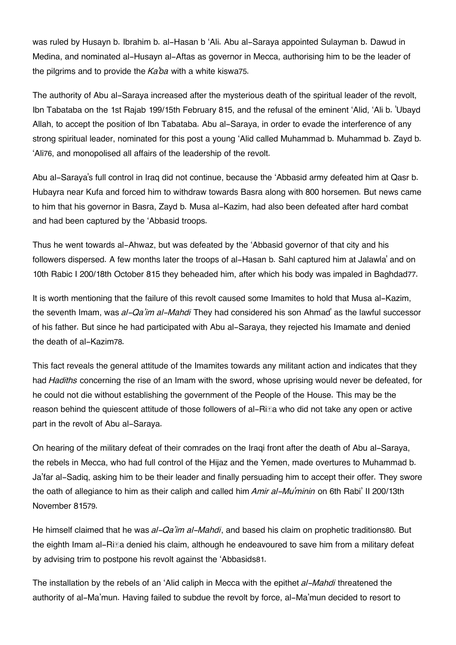was ruled by Husayn b. Ibrahim b. al-Hasan b 'Ali. Abu al-Saraya appointed Sulayman b. Dawud in Medina, and nominated al-Husayn al-Aftas as governor in Mecca, authorising him to be the leader of the pilgrims and to provide the *Ka'ba* with a white kiswa[75](#page--1-0).

The authority of Abu al-Saraya increased after the mysterious death of the spiritual leader of the revolt, Ibn Tabataba on the 1st Rajab 199/15th February 815, and the refusal of the eminent 'Alid, 'Ali b. 'Ubayd Allah, to accept the position of Ibn Tabataba. Abu al-Saraya, in order to evade the interference of any strong spiritual leader, nominated for this post a young 'Alid called Muhammad b. Muhammad b. Zayd b. 'Ali[76](#page--1-0), and monopolised all affairs of the leadership of the revolt.

Abu al-Saraya's full control in Iraq did not continue, because the 'Abbasid army defeated him at Qasr b. Hubayra near Kufa and forced him to withdraw towards Basra along with 800 horsemen. But news came to him that his governor in Basra, Zayd b. Musa al-Kazim, had also been defeated after hard combat and had been captured by the 'Abbasid troops.

Thus he went towards al-Ahwaz, but was defeated by the 'Abbasid governor of that city and his followers dispersed. A few months later the troops of al-Hasan b. Sahl captured him at Jalawla' and on 10th Rabic I 200/18th October 815 they beheaded him, after which his body was impaled in Baghdad[77](#page--1-0).

It is worth mentioning that the failure of this revolt caused some Imamites to hold that Musa al-Kazim, the seventh Imam, was *al-Qa'im al*-*Mahdi* They had considered his son Ahmad' as the lawful successor of his father. But since he had participated with Abu al-Saraya, they rejected his Imamate and denied the death of al-Kazim[78](#page--1-0).

This fact reveals the general attitude of the Imamites towards any militant action and indicates that they had *Hadiths* concerning the rise of an Imam with the sword, whose uprising would never be defeated, for he could not die without establishing the government of the People of the House. This may be the reason behind the quiescent attitude of those followers of al-Ri $\mathbb E$ a who did not take any open or active part in the revolt of Abu al-Saraya.

On hearing of the military defeat of their comrades on the Iraqi front after the death of Abu al-Saraya, the rebels in Mecca, who had full control of the Hijaz and the Yemen, made overtures to Muhammad b. Ja'far al-Sadiq, asking him to be their leader and finally persuading him to accept their offer. They swore the oath of allegiance to him as their caliph and called him *Amir al*-*Mu'minin* on 6th Rabi' II 200/13th November 815[79](#page--1-0).

He himself claimed that he was *al-Qa'im al*-*Mahdi*, and based his claim on prophetic traditions[80](#page--1-0). But the eighth Imam al-Ri**Ta denied his claim, although he endeavoured** to save him from a military defeat by advising trim to postpone his revolt against the 'Abbasids[81](#page--1-0).

The installation by the rebels of an 'Alid caliph in Mecca with the epithet *al*-*Mahdi* threatened the authority of al-Ma'mun. Having failed to subdue the revolt by force, al-Ma'mun decided to resort to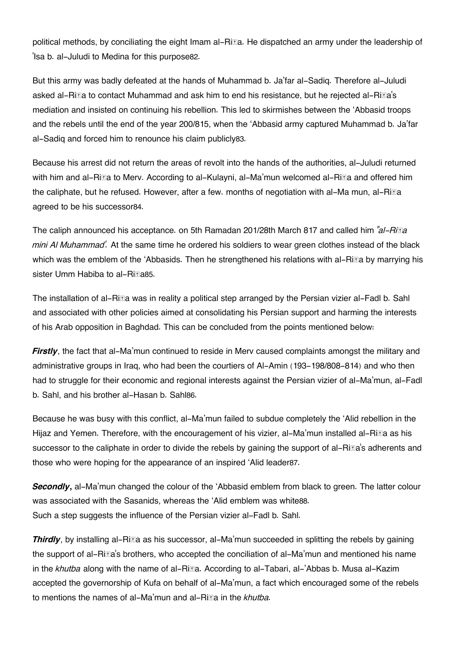political methods, by conciliating the eight Imam al-Riďa. He dispatched an army under the leadership of 'Isa b. al-Juludi to Medina for this purpose[82](#page--1-0).

But this army was badly defeated at the hands of Muhammad b. Ja'far al-Sadiq. Therefore al-Juludi asked al-RiMa to contact Muhammad and ask him to end his resistance, but he rejected al-RiMa's mediation and insisted on continuing his rebellion. This led to skirmishes between the 'Abbasid troops and the rebels until the end of the year 200/815, when the 'Abbasid army captured Muhammad b. Ja'far al-Sadiq and forced him to renounce his claim publicly[83](#page--1-0).

Because his arrest did not return the areas of revolt into the hands of the authorities, al-Juludi returned with him and al-Rilla to Merv. According to al-Kulayni, al-Ma'mun welcomed al-Rilla and offered him the caliphate, but he refused. However, after a few. months of negotiation with al-Ma mun, al-Ri $\Omega$ a agreed to be his successor[84](#page--1-0).

The caliph announced his acceptance. on 5th Ramadan 201/28th March 817 and called him *"al*-*Riďa mini Al Muhammad'.* At the same time he ordered his soldiers to wear green clothes instead of the black which was the emblem of the 'Abbasids. Then he strengthened his relations with al-Ri $\mathbb E$ a by marrying his sister Umm Habiba to al-Bina[85](#page--1-0).

The installation of al-Riďa was in reality a political step arranged by the Persian vizier al-Fadl b. Sahl and associated with other policies aimed at consolidating his Persian support and harming the interests of his Arab opposition in Baghdad. This can be concluded from the points mentioned below:

*Firstly*, the fact that al-Ma'mun continued to reside in Merv caused complaints amongst the military and administrative groups in Iraq, who had been the courtiers of Al-Amin (193-198/808-814) and who then had to struggle for their economic and regional interests against the Persian vizier of al-Ma'mun, al-Fadl b. Sahl, and his brother al-Hasan b. Sahl[86](#page--1-0).

Because he was busy with this conflict, al-Ma'mun failed to subdue completely the 'Alid rebellion in the Hijaz and Yemen. Therefore, with the encouragement of his vizier, al-Ma'mun installed al-Ri $\mathbb{E}$ a as his successor to the caliphate in order to divide the rebels by gaining the support of al-Ri $\square$ a's adherents and those who were hoping for the appearance of an inspired 'Alid leader[87](#page--1-0).

**Secondly**, al-Ma'mun changed the colour of the 'Abbasid emblem from black to green. The latter colour was associated with the Sasanids, whereas the 'Alid emblem was white[88](#page--1-0). Such a step suggests the influence of the Persian vizier al-Fadl b. Sahl.

**Thirdly**, by installing al-Rilla as his successor, al-Ma'mun succeeded in splitting the rebels by gaining the support of al-Riďa's brothers, who accepted the conciliation of al-Ma'mun and mentioned his name in the *khutba* along with the name of al-Riďa. According to al-Tabari, al-'Abbas b. Musa al-Kazim accepted the governorship of Kufa on behalf of al-Ma'mun, a fact which encouraged some of the rebels to mentions the names of al-Ma'mun and al-Ri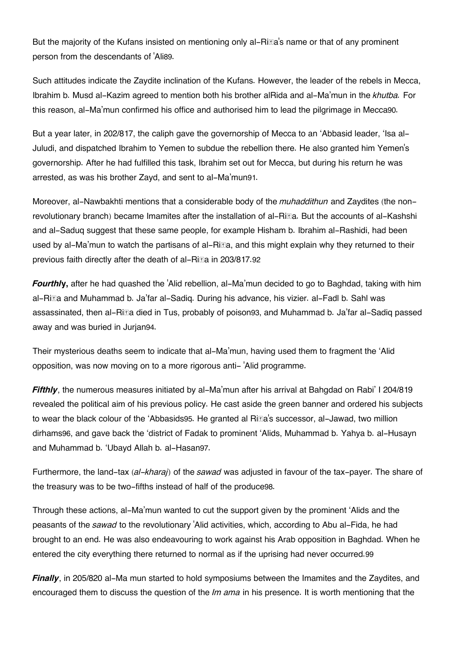But the majority of the Kufans insisted on mentioning only al-Ri $\mathbb{E}[a]$ 's name or that of any prominent person from the descendants of 'Ali[89](#page--1-0).

Such attitudes indicate the Zaydite inclination of the Kufans. However, the leader of the rebels in Mecca, Ibrahim b. Musd al-Kazim agreed to mention both his brother alRida and al-Ma'mun in the *khutba.* For this reason, al-Ma'mun confirmed his office and authorised him to lead the pilgrimage in Mecca[90](#page--1-0).

But a year later, in 202/817, the caliph gave the governorship of Mecca to an 'Abbasid leader, 'Isa al-Juludi, and dispatched Ibrahim to Yemen to subdue the rebellion there. He also granted him Yemen's governorship. After he had fulfilled this task, Ibrahim set out for Mecca, but during his return he was arrested, as was his brother Zayd, and sent to al-Ma'mun[91](#page--1-0).

Moreover, al-Nawbakhti mentions that a considerable body of the *muhaddithun* and Zaydites (the nonrevolutionary branch) became Imamites after the installation of al-Ri $\mathbb E$ a. But the accounts of al-Kashshi and al-Saduq suggest that these same people, for example Hisham b. Ibrahim al-Rashidi, had been used by al-Ma'mun to watch the partisans of al-Ri $\mathbb{E}$ a, and this might explain why they returned to their previous faith directly after the death of al-Riďa in 203/817.[92](#page--1-0)

*Fourthl***y,** after he had quashed the 'Alid rebellion, al-Ma'mun decided to go to Baghdad, taking with him al-Riďa and Muhammad b. Ja'far al-Sadiq. During his advance, his vizier. al-Fadl b. Sahl was assassinated, then al-Ri $\mathbb{E}$ a died in Tus, probably of poison[93](#page--1-0), and Muhammad b. Ja'far al-Sadiq passed away and was buried in Jurjan[94](#page--1-0).

Their mysterious deaths seem to indicate that al-Ma'mun, having used them to fragment the 'Alid opposition, was now moving on to a more rigorous anti- 'Alid programme.

*Fifthly*, the numerous measures initiated by al-Ma'mun after his arrival at Bahgdad on Rabi' I 204/819 revealed the political aim of his previous policy. He cast aside the green banner and ordered his subjects to wear the black colour of the 'Abbasids[95](#page--1-0). He granted al Ri $\bar{u}$ a's successor, al-Jawad, two million dirhams[96](#page--1-0), and gave back the 'district of Fadak to prominent 'Alids, Muhammad b. Yahya b. al-Husayn and Muhammad b. 'Ubayd Allah b. al-Hasan[97](#page--1-0).

Furthermore, the land-tax *(al*-*kharaj)* of the *sawad* was adjusted in favour of the tax-payer. The share of the treasury was to be two-fifths instead of half of the produce[98](#page--1-0).

Through these actions, al-Ma'mun wanted to cut the support given by the prominent 'Alids and the peasants of the *sawad* to the revolutionary 'Alid activities, which, according to Abu al-Fida, he had brought to an end. He was also endeavouring to work against his Arab opposition in Baghdad. When he entered the city everything there returned to normal as if the uprising had never occurred.[99](#page--1-0)

*Finally*, in 205/820 al-Ma mun started to hold symposiums between the Imamites and the Zaydites, and encouraged them to discuss the question of the *Im ama* in his presence. It is worth mentioning that the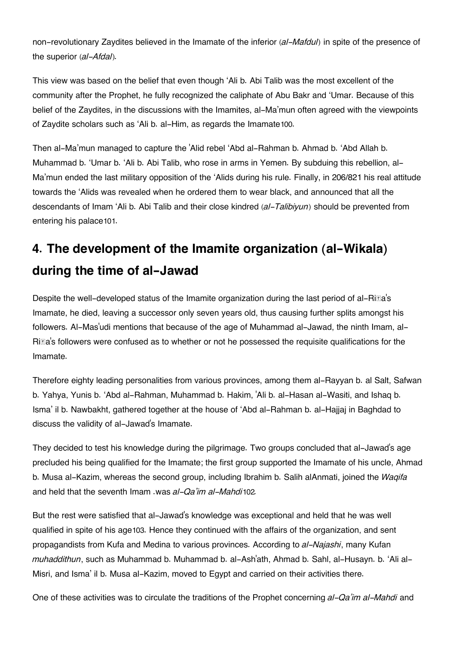non-revolutionary Zaydites believed in the Imamate of the inferior *(al*-*Mafdul)* in spite of the presence of the superior *(al*-*Afdal).*

This view was based on the belief that even though 'Ali b. Abi Talib was the most excellent of the community after the Prophet, he fully recognized the caliphate of Abu Bakr and 'Umar. Because of this belief of the Zaydites, in the discussions with the Imamites, al-Ma'mun often agreed with the viewpoints of Zaydite scholars such as 'Ali b. al-Him, as regards the Imamate[100](#page--1-0).

Then al-Ma'mun managed to capture the 'Alid rebel 'Abd al-Rahman b. Ahmad b. 'Abd Allah b. Muhammad b. 'Umar b. 'Ali b. Abi Talib, who rose in arms in Yemen. By subduing this rebellion, al-Ma'mun ended the last military opposition of the 'Alids during his rule. Finally, in 206/821 his real attitude towards the 'Alids was revealed when he ordered them to wear black, and announced that all the descendants of Imam 'Ali b. Abi Talib and their close kindred *(al*-*Talibiyun)* should be prevented from entering his palace[101](#page--1-0).

# **[4. The development of the Imamite organization \(al-Wikala\)](#page--1-0) [during the time of al-Jawad](#page--1-0)**

Despite the well-developed status of the Imamite organization during the last period of al-Ri $\mathbb{E}$ a's Imamate, he died, leaving a successor only seven years old, thus causing further splits amongst his followers. Al-Mas'udi mentions that because of the age of Muhammad al-Jawad, the ninth Imam, al-Riďa's followers were confused as to whether or not he possessed the requisite qualifications for the Imamate.

Therefore eighty leading personalities from various provinces, among them al-Rayyan b. al Salt, Safwan b. Yahya, Yunis b. 'Abd al-Rahman, Muhammad b. Hakim, 'Ali b. al-Hasan al-Wasiti, and Ishaq b. Isma' il b. Nawbakht, gathered together at the house of 'Abd al-Rahman b. al-Hajjaj in Baghdad to discuss the validity of al-Jawad's Imamate.

They decided to test his knowledge during the pilgrimage. Two groups concluded that al-Jawad's age precluded his being qualified for the Imamate; the first group supported the Imamate of his uncle, Ahmad b. Musa al-Kazim, whereas the second group, including Ibrahim b. Salih alAnmati, joined the *Waqifa* and held that the seventh Imam .was *al-Qa'im al*-*Mahdi*[102](#page--1-0)*.*

But the rest were satisfied that al-Jawad's knowledge was exceptional and held that he was well qualified in spite of his age[103](#page--1-0). Hence they continued with the affairs of the organization, and sent propagandists from Kufa and Medina to various provinces. According to *al*-*Najashi*, many Kufan *muhaddithun*, such as Muhammad b. Muhammad b. al-Ash'ath, Ahmad b. Sahl, al-Husayn. b. 'Ali al-Misri, and Isma' il b. Musa al-Kazim, moved to Egypt and carried on their activities there.

One of these activities was to circulate the traditions of the Prophet concerning *al-Qa'im al*-*Mahdi* and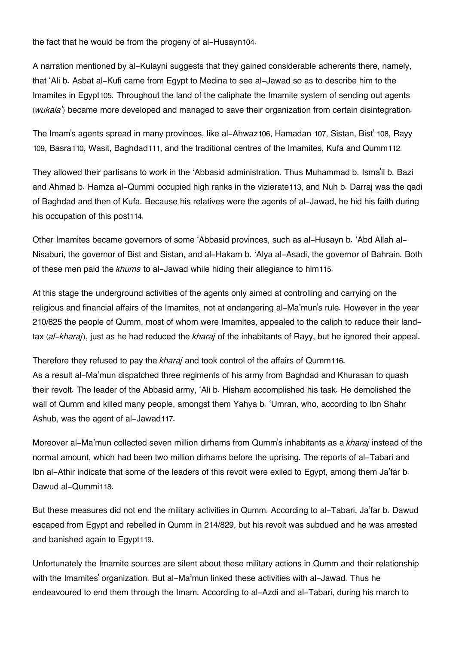the fact that he would be from the progeny of al-Husayn[104](#page--1-0).

A narration mentioned by al-Kulayni suggests that they gained considerable adherents there, namely, that 'Ali b. Asbat al-Kufi came from Egypt to Medina to see al-Jawad so as to describe him to the Imamites in Egypt[105](#page--1-0). Throughout the land of the caliphate the Imamite system of sending out agents *(wukala')* became more developed and managed to save their organization from certain disintegration.

The Imam's agents spread in many provinces, like al-Ahwaz[106](#page--1-0), Hamadan [107](#page--1-0), Sistan, Bist' [108](#page--1-0), Rayy [109](#page--1-0), Basra[110](#page--1-0), Wasit, Baghdad[111](#page--1-0), and the traditional centres of the Imamites, Kufa and Qumm[112](#page--1-0).

They allowed their partisans to work in the 'Abbasid administration. Thus Muhammad b. Isma'il b. Bazi and Ahmad b. Hamza al-Qummi occupied high ranks in the vizierate[113](#page--1-0), and Nuh b. Darraj was the qadi of Baghdad and then of Kufa. Because his relatives were the agents of al-Jawad, he hid his faith during his occupation of this post[114](#page--1-0).

Other Imamites became governors of some 'Abbasid provinces, such as al-Husayn b. 'Abd Allah al-Nisaburi, the governor of Bist and Sistan, and al-Hakam b. 'Alya al-Asadi, the governor of Bahrain. Both of these men paid the *khums* to al-Jawad while hiding their allegiance to him[115](#page--1-0).

At this stage the underground activities of the agents only aimed at controlling and carrying on the religious and financial affairs of the Imamites, not at endangering al-Ma'mun's rule. However in the year 210/825 the people of Qumm, most of whom were Imamites, appealed to the caliph to reduce their landtax *(al*-*kharaj)*, just as he had reduced the *kharaj* of the inhabitants of Rayy, but he ignored their appeal.

Therefore they refused to pay the *kharaj* and took control of the affairs of Qumm[116](#page--1-0). As a result al-Ma'mun dispatched three regiments of his army from Baghdad and Khurasan to quash their revolt. The leader of the Abbasid army, 'Ali b. Hisham accomplished his task. He demolished the wall of Qumm and killed many people, amongst them Yahya b. 'Umran, who, according to Ibn Shahr Ashub, was the agent of al-Jawad[117](#page--1-0).

Moreover al-Ma'mun collected seven million dirhams from Qumm's inhabitants as a *kharaj* instead of the normal amount, which had been two million dirhams before the uprising. The reports of al-Tabari and Ibn al-Athir indicate that some of the leaders of this revolt were exiled to Egypt, among them Ja'far b. Dawud al-Qummi[118](#page--1-0).

But these measures did not end the military activities in Qumm. According to al-Tabari, Ja'far b. Dawud escaped from Egypt and rebelled in Qumm in 214/829, but his revolt was subdued and he was arrested and banished again to Egypt[119](#page--1-0).

Unfortunately the Imamite sources are silent about these military actions in Qumm and their relationship with the Imamites' organization. But al-Ma'mun linked these activities with al-Jawad. Thus he endeavoured to end them through the Imam. According to al-Azdi and al-Tabari, during his march to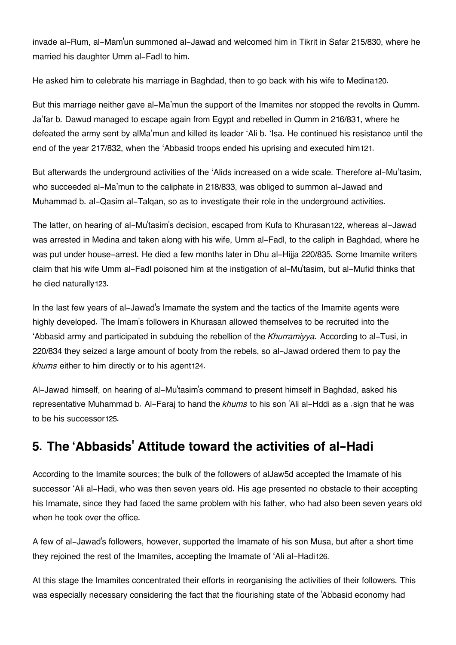invade al-Rum, al-Mam'un summoned al-Jawad and welcomed him in Tikrit in Safar 215/830, where he married his daughter Umm al-Fadl to him.

He asked him to celebrate his marriage in Baghdad, then to go back with his wife to Medina[120](#page--1-0).

But this marriage neither gave al-Ma'mun the support of the Imamites nor stopped the revolts in Qumm. Ja'far b. Dawud managed to escape again from Egypt and rebelled in Qumm in 216/831, where he defeated the army sent by alMa'mun and killed its leader 'Ali b. 'Isa. He continued his resistance until the end of the year 217/832, when the 'Abbasid troops ended his uprising and executed him[121](#page--1-0).

But afterwards the underground activities of the 'Alids increased on a wide scale. Therefore al-Mu'tasim, who succeeded al-Ma'mun to the caliphate in 218/833, was obliged to summon al-Jawad and Muhammad b. al-Qasim al-Talqan, so as to investigate their role in the underground activities.

The latter, on hearing of al-Mu'tasim's decision, escaped from Kufa to Khurasan[122](#page--1-0), whereas al-Jawad was arrested in Medina and taken along with his wife, Umm al-Fadl, to the caliph in Baghdad, where he was put under house-arrest. He died a few months later in Dhu al-Hijja 220/835. Some Imamite writers claim that his wife Umm al-Fadl poisoned him at the instigation of al-Mu'tasim, but al-Mufid thinks that he died naturally[123](#page--1-0).

In the last few years of al-Jawad's Imamate the system and the tactics of the Imamite agents were highly developed. The Imam's followers in Khurasan allowed themselves to be recruited into the 'Abbasid army and participated in subduing the rebellion of the *Khurramiyya.* According to al-Tusi, in 220/834 they seized a large amount of booty from the rebels, so al-Jawad ordered them to pay the *khums* either to him directly or to his agent[124](#page--1-0).

Al-Jawad himself, on hearing of al-Mu'tasim's command to present himself in Baghdad, asked his representative Muhammad b. Al-Faraj to hand the *khums* to his son 'Ali al-Hddi as a .sign that he was to be his successor[125](#page--1-0).

## **5. The 'Abbasids[' Attitude toward the activities of al-Hadi](#page--1-0)**

According to the Imamite sources; the bulk of the followers of alJaw5d accepted the Imamate of his successor 'Ali al-Hadi, who was then seven years old. His age presented no obstacle to their accepting his Imamate, since they had faced the same problem with his father, who had also been seven years old when he took over the office.

A few of al-Jawad's followers, however, supported the Imamate of his son Musa, but after a short time they rejoined the rest of the Imamites, accepting the Imamate of 'Ali al-Hadi[126](#page--1-0).

At this stage the Imamites concentrated their efforts in reorganising the activities of their followers. This was especially necessary considering the fact that the flourishing state of the 'Abbasid economy had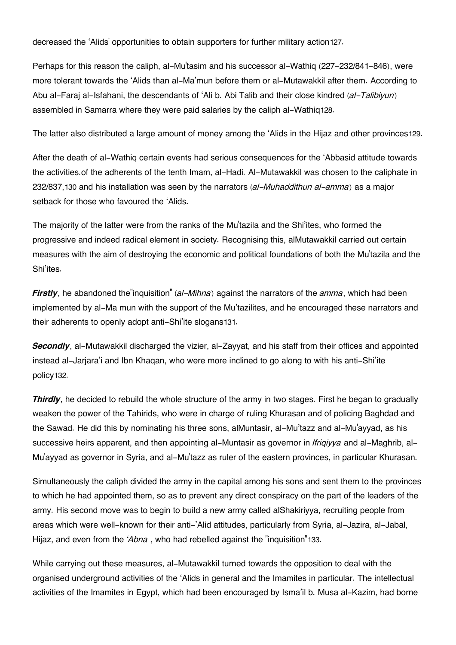decreased the 'Alids' opportunities to obtain supporters for further military action[127](#page--1-0).

Perhaps for this reason the caliph, al-Mu'tasim and his successor al-Wathiq (227-232/841-846), were more tolerant towards the 'Alids than al-Ma'mun before them or al-Mutawakkil after them. According to Abu al-Faraj al-Isfahani, the descendants of 'Ali b. Abi Talib and their close kindred (*al*-*Talibiyun)* assembled in Samarra where they were paid salaries by the caliph al-Wathiq[128](#page--1-0).

The latter also distributed a large amount of money among the 'Alids in the Hijaz and other provinces[129](#page--1-0).

After the death of al-Wathiq certain events had serious consequences for the 'Abbasid attitude towards the activities.of the adherents of the tenth Imam, al-Hadi. Al-Mutawakkil was chosen to the caliphate in 232/837,[130](#page--1-0) and his installation was seen by the narrators *(al*-*Muhaddithun al*-*amma)* as a major setback for those who favoured the 'Alids.

The majority of the latter were from the ranks of the Mu'tazila and the Shi'ites, who formed the progressive and indeed radical element in society. Recognising this, alMutawakkil carried out certain measures with the aim of destroying the economic and political foundations of both the Mu'tazila and the Shi'ites.

*Firstly*, he abandoned the"inquisition" *(al*-*Mihna)* against the narrators of the *amma*, which had been implemented by al-Ma mun with the support of the Mu'tazilites, and he encouraged these narrators and their adherents to openly adopt anti-Shi'ite slogans[131](#page--1-0).

**Secondly**, al-Mutawakkil discharged the vizier, al-Zayyat, and his staff from their offices and appointed instead al-Jarjara'i and Ibn Khaqan, who were more inclined to go along to with his anti-Shi'ite policy[132](#page--1-0).

**Thirdly**, he decided to rebuild the whole structure of the army in two stages. First he began to gradually weaken the power of the Tahirids, who were in charge of ruling Khurasan and of policing Baghdad and the Sawad. He did this by nominating his three sons, alMuntasir, al-Mu'tazz and al-Mu'ayyad, as his successive heirs apparent, and then appointing al-Muntasir as governor in *Ifriqiyya* and al-Maghrib, al-Mu'ayyad as governor in Syria, and al-Mu'tazz as ruler of the eastern provinces, in particular Khurasan.

Simultaneously the caliph divided the army in the capital among his sons and sent them to the provinces to which he had appointed them, so as to prevent any direct conspiracy on the part of the leaders of the army. His second move was to begin to build a new army called alShakiriyya, recruiting people from areas which were well-known for their anti-'Alid attitudes, particularly from Syria, al-Jazira, al-Jabal, Hijaz, and even from the *'Abna* , who had rebelled against the "inquisition"[133](#page--1-0).

While carrying out these measures, al-Mutawakkil turned towards the opposition to deal with the organised underground activities of the 'Alids in general and the Imamites in particular. The intellectual activities of the Imamites in Egypt, which had been encouraged by Isma'il b. Musa al-Kazim, had borne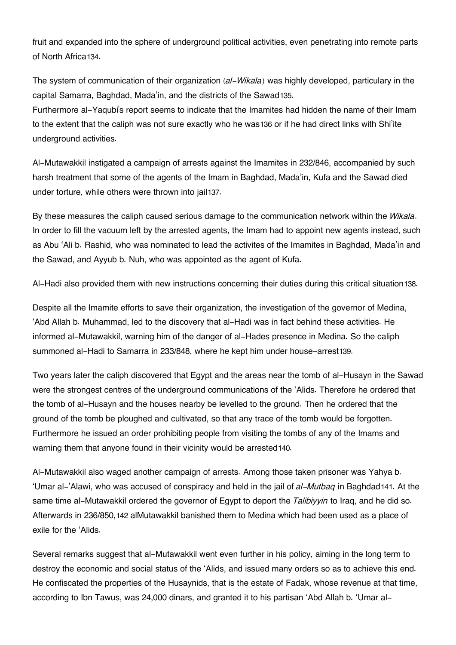fruit and expanded into the sphere of underground political activities, even penetrating into remote parts of North Africa[134](#page--1-0).

The system of communication of their organization (*al*-*Wikala*) was highly developed, particulary in the capital Samarra, Baghdad, Mada'in, and the districts of the Sawad[135](#page--1-0).

Furthermore al-Yaqubi's report seems to indicate that the Imamites had hidden the name of their Imam to the extent that the caliph was not sure exactly who he was[136](#page--1-0) or if he had direct links with Shi'ite underground activities.

Al-Mutawakkil instigated a campaign of arrests against the Imamites in 232/846, accompanied by such harsh treatment that some of the agents of the Imam in Baghdad, Mada'in, Kufa and the Sawad died under torture, while others were thrown into jail[137](#page--1-0).

By these measures the caliph caused serious damage to the communication network within the *Wikala*. In order to fill the vacuum left by the arrested agents, the Imam had to appoint new agents instead, such as Abu 'Ali b. Rashid, who was nominated to lead the activites of the Imamites in Baghdad, Mada'in and the Sawad, and Ayyub b. Nuh, who was appointed as the agent of Kufa.

Al-Hadi also provided them with new instructions concerning their duties during this critical situation[138](#page--1-0).

Despite all the Imamite efforts to save their organization, the investigation of the governor of Medina, 'Abd Allah b. Muhammad, led to the discovery that al-Hadi was in fact behind these activities. He informed al-Mutawakkil, warning him of the danger of al-Hades presence in Medina. So the caliph summoned al-Hadi to Samarra in 233/848, where he kept him under house-arrest[139](#page--1-0).

Two years later the caliph discovered that Egypt and the areas near the tomb of al-Husayn in the Sawad were the strongest centres of the underground communications of the 'Alids. Therefore he ordered that the tomb of al-Husayn and the houses nearby be levelled to the ground. Then he ordered that the ground of the tomb be ploughed and cultivated, so that any trace of the tomb would be forgotten. Furthermore he issued an order prohibiting people from visiting the tombs of any of the Imams and warning them that anyone found in their vicinity would be arrested[140](#page--1-0).

Al-Mutawakkil also waged another campaign of arrests. Among those taken prisoner was Yahya b. 'Umar al-'Alawi, who was accused of conspiracy and held in the jail of *al*-*Mutbaq* in Baghdad[141](#page--1-0). At the same time al-Mutawakkil ordered the governor of Egypt to deport the *Talibiyyin* to Iraq, and he did so. Afterwards in 236/850,[142](#page--1-0) alMutawakkil banished them to Medina which had been used as a place of exile for the 'Alids.

Several remarks suggest that al-Mutawakkil went even further in his policy, aiming in the long term to destroy the economic and social status of the 'Alids, and issued many orders so as to achieve this end. He confiscated the properties of the Husaynids, that is the estate of Fadak, whose revenue at that time, according to Ibn Tawus, was 24,000 dinars, and granted it to his partisan 'Abd Allah b. 'Umar al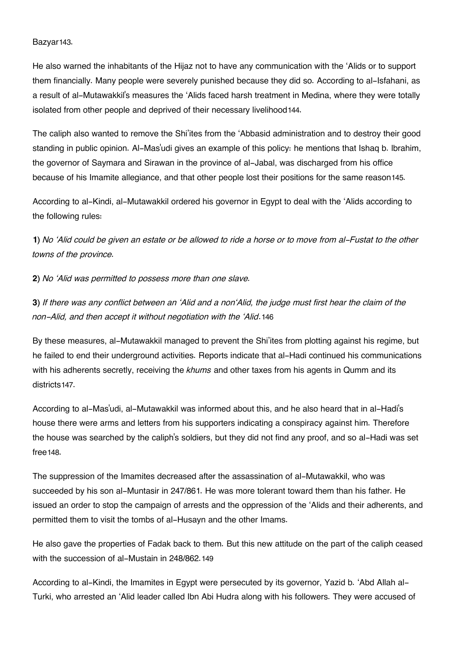Bazyar[143](#page--1-0).

He also warned the inhabitants of the Hijaz not to have any communication with the 'Alids or to support them financially. Many people were severely punished because they did so. According to al-Isfahani, as a result of al-Mutawakkil's measures the 'Alids faced harsh treatment in Medina, where they were totally isolated from other people and deprived of their necessary livelihood[144](#page--1-0).

The caliph also wanted to remove the Shi'ites from the 'Abbasid administration and to destroy their good standing in public opinion. Al-Mas'udi gives an example of this policy: he mentions that Ishaq b. lbrahim, the governor of Saymara and Sirawan in the province of al-Jabal, was discharged from his office because of his Imamite allegiance, and that other people lost their positions for the same reason[145](#page--1-0).

According to al-Kindi, al-Mutawakkil ordered his governor in Egypt to deal with the 'Alids according to the following rules:

1) No 'Alid could be given an estate or be allowed to ride a horse or to move from al-Fustat to the other *towns of the province.*

**2)** *No 'Alid was permitted to possess more than one slave.*

3) If there was any conflict between an 'Alid and a non'Alid, the judge must first hear the claim of the *non-Alid, and then accept it without negotiation with the 'Alid*.[146](#page--1-0)

By these measures, al-Mutawakkil managed to prevent the Shi'ites from plotting against his regime, but he failed to end their underground activities. Reports indicate that al-Hadi continued his communications with his adherents secretly, receiving the *khums* and other taxes from his agents in Qumm and its districts[147](#page--1-0).

According to al-Mas'udi, al-Mutawakkil was informed about this, and he also heard that in al-Hadi's house there were arms and letters from his supporters indicating a conspiracy against him. Therefore the house was searched by the caliph's soldiers, but they did not find any proof, and so al-Hadi was set free[148](#page--1-0).

The suppression of the Imamites decreased after the assassination of al-Mutawakkil, who was succeeded by his son al-Muntasir in 247/861. He was more tolerant toward them than his father. He issued an order to stop the campaign of arrests and the oppression of the 'Alids and their adherents, and permitted them to visit the tombs of al-Husayn and the other Imams.

He also gave the properties of Fadak back to them. But this new attitude on the part of the caliph ceased with the succession of al-Mustain in 248/862.[149](#page--1-0)

According to al-Kindi, the Imamites in Egypt were persecuted by its governor, Yazid b. 'Abd Allah al-Turki, who arrested an 'Alid leader called Ibn Abi Hudra along with his followers. They were accused of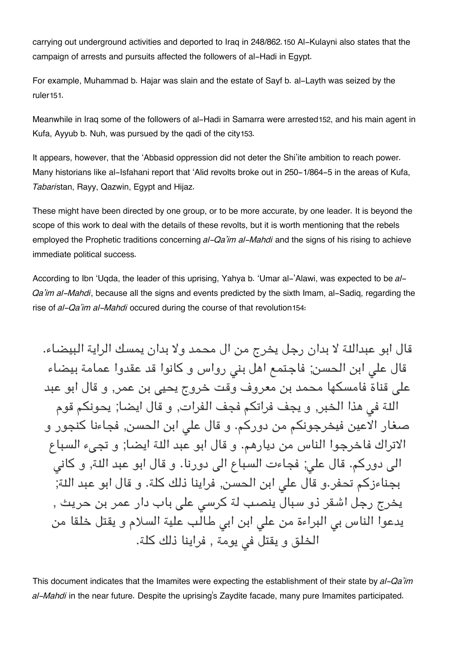carrying out underground activities and deported to Iraq in 248/862.[150](#page--1-0) Al-Kulayni also states that the campaign of arrests and pursuits affected the followers of al-Hadi in Egypt.

For example, Muhammad b. Hajar was slain and the estate of Sayf b. al-Layth was seized by the ruler[151](#page--1-0).

Meanwhile in Iraq some of the followers of al-Hadi in Samarra were arrested[152](#page--1-0), and his main agent in Kufa, Ayyub b. Nuh, was pursued by the qadi of the city[153](#page--1-0).

It appears, however, that the 'Abbasid oppression did not deter the Shi'ite ambition to reach power. Many historians like al-Isfahani report that 'Alid revolts broke out in 250-1/864-5 in the areas of Kufa, *Tabari*stan, Rayy, Qazwin, Egypt and Hijaz.

These might have been directed by one group, or to be more accurate, by one leader. It is beyond the scope of this work to deal with the details of these revolts, but it is worth mentioning that the rebels employed the Prophetic traditions concerning *al-Qa'im al*-*Mahdi* and the signs of his rising to achieve immediate political success.

According to Ibn 'Uqda, the leader of this uprising, Yahya b. 'Umar al-'Alawi, was expected to be *al-Qa'im al*-*Mahdi*, because all the signs and events predicted by the sixth Imam, al-Sadiq, regarding the rise of *al-Qa'im al*-*Mahdi* occured during the course of that revolution[154](#page--1-0):

قال ابو عبدالة لا بدان رجل يخرج من ال محمد ولا بدان يمسك الراية البيضاء. قال على ابن الحسن; فاجتمع اهل بنى رواس و كانوا قد عقدوا عمامة بيضاء علی قناة فامسکها محمد بن معروف وقت خروج يحيی بن عمر, و قال ابو عبد اللة في هذا الخبر, و يجف فراتكم فجف الفرات, و قال ايضا; يحونكم قوم صغار الاعين فيخرجونكم من دوركم. و قال على ابن الحسن, فجاءنا كنجور و الاتراك فاخرجوا الناس من ديارهم. و قال ابو عبد الة ايضا; و تجء السباع الي دوركم. قال علي; فجاءت السباع الى دورنا. و قال ابو عبد اللة, و كاني بجناءزكم تحفر.و قال عل ابن الحسن, فراينا ذلك كلة. و قال ابو عبد الة; يخرج رجل اشقر ذو سبال ينصب لة كرسى على باب دار عمر بن حريث , يدعوا الناس بي البراءة من على ابن ابي طالب علية السلام و يقتل خلقا من الخلق و يقتل في يومة , فراينا ذلك كلة.

This document indicates that the Imamites were expecting the establishment of their state by *al-Qa'im al*-*Mahdi* in the near future. Despite the uprising's Zaydite facade, many pure Imamites participated.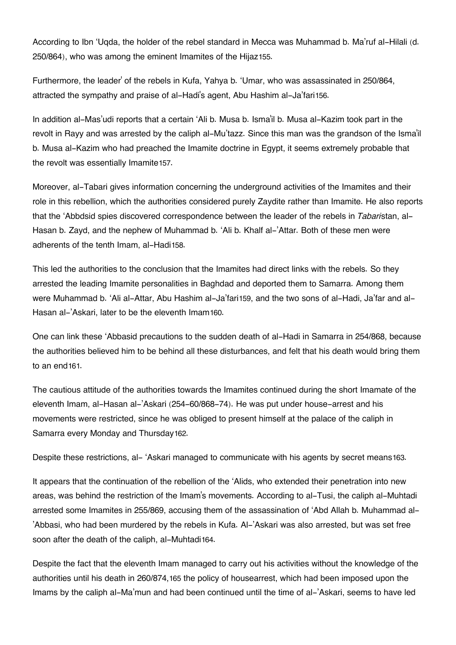According to Ibn 'Uqda, the holder of the rebel standard in Mecca was Muhammad b. Ma'ruf al-Hilali (d. 250/864), who was among the eminent Imamites of the Hijaz[155](#page--1-0).

Furthermore, the leader' of the rebels in Kufa, Yahya b. 'Umar, who was assassinated in 250/864, attracted the sympathy and praise of al-Hadi's agent, Abu Hashim al-Ja'fari[156](#page--1-0).

In addition al-Mas'udi reports that a certain 'Ali b. Musa b. Isma'il b. Musa al-Kazim took part in the revolt in Rayy and was arrested by the caliph al-Mu'tazz. Since this man was the grandson of the Isma'il b. Musa al-Kazim who had preached the Imamite doctrine in Egypt, it seems extremely probable that the revolt was essentially Imamite[157](#page--1-0).

Moreover, al-Tabari gives information concerning the underground activities of the Imamites and their role in this rebellion, which the authorities considered purely Zaydite rather than Imamite. He also reports that the 'Abbdsid spies discovered correspondence between the leader of the rebels in *Tabari*stan, al-Hasan b. Zayd, and the nephew of Muhammad b. 'Ali b. Khalf al-'Attar. Both of these men were adherents of the tenth Imam, al-Hadi[158](#page--1-0).

This led the authorities to the conclusion that the Imamites had direct links with the rebels. So they arrested the leading Imamite personalities in Baghdad and deported them to Samarra. Among them were Muhammad b. 'Ali al-Attar, Abu Hashim al-Ja'fari[159](#page--1-0), and the two sons of al-Hadi, Ja'far and al-Hasan al-'Askari, later to be the eleventh Imam[160](#page--1-0).

One can link these 'Abbasid precautions to the sudden death of al-Hadi in Samarra in 254/868, because the authorities believed him to be behind all these disturbances, and felt that his death would bring them to an end[161](#page--1-0).

The cautious attitude of the authorities towards the Imamites continued during the short Imamate of the eleventh Imam, al-Hasan al-'Askari (254-60/868-74). He was put under house-arrest and his movements were restricted, since he was obliged to present himself at the palace of the caliph in Samarra every Monday and Thursday[162](#page--1-0).

Despite these restrictions, al- 'Askari managed to communicate with his agents by secret means[163](#page--1-0).

It appears that the continuation of the rebellion of the 'Alids, who extended their penetration into new areas, was behind the restriction of the Imam's movements. According to al-Tusi, the caliph al-Muhtadi arrested some Imamites in 255/869, accusing them of the assassination of 'Abd Allah b. Muhammad al- 'Abbasi, who had been murdered by the rebels in Kufa. Al-'Askari was also arrested, but was set free soon after the death of the caliph, al-Muhtadi[164](#page--1-0).

Despite the fact that the eleventh Imam managed to carry out his activities without the knowledge of the authorities until his death in 260/874,[165](#page--1-0) the policy of housearrest, which had been imposed upon the Imams by the caliph al-Ma'mun and had been continued until the time of al-'Askari, seems to have led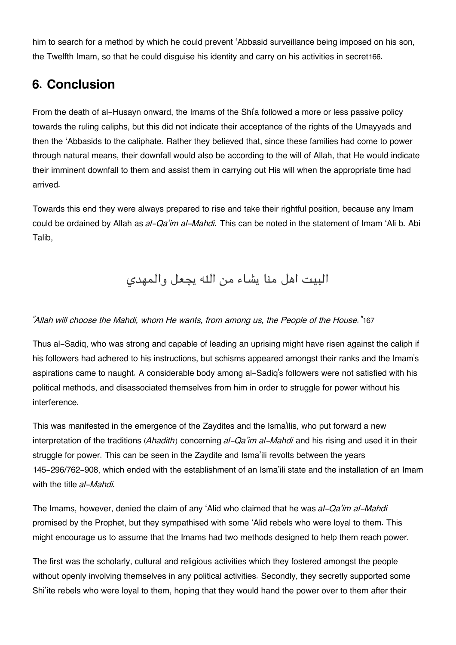him to search for a method by which he could prevent 'Abbasid surveillance being imposed on his son, the Twelfth Imam, so that he could disguise his identity and carry on his activities in secret[166](#page--1-0).

## **[6. Conclusion](#page--1-0)**

From the death of al-Husayn onward, the Imams of the Shi'a followed a more or less passive policy towards the ruling caliphs, but this did not indicate their acceptance of the rights of the Umayyads and then the 'Abbasids to the caliphate. Rather they believed that, since these families had come to power through natural means, their downfall would also be according to the will of Allah, that He would indicate their imminent downfall to them and assist them in carrying out His will when the appropriate time had arrived.

Towards this end they were always prepared to rise and take their rightful position, because any Imam could be ordained by Allah as *al-Qa'im al*-*Mahdi.* This can be noted in the statement of Imam 'Ali b. Abi Talib,

البيت اهل منا يشاء من اله يجعل والمهدي

#### *"Allah will choose the Mahdi, whom He wants, from among us, the People of the House."*[167](#page--1-0)

Thus al-Sadiq, who was strong and capable of leading an uprising might have risen against the caliph if his followers had adhered to his instructions, but schisms appeared amongst their ranks and the Imam's aspirations came to naught. A considerable body among al-Sadiq's followers were not satisfied with his political methods, and disassociated themselves from him in order to struggle for power without his interference.

This was manifested in the emergence of the Zaydites and the Isma'ilis, who put forward a new interpretation of the traditions *(Ahadith)* concerning *al-Qa'im al*-*Mahdi* and his rising and used it in their struggle for power. This can be seen in the Zaydite and Isma'ili revolts between the years 145-296/762-908, which ended with the establishment of an Isma'ili state and the installation of an Imam with the title *al*-*Mahdi.*

The Imams, however, denied the claim of any 'Alid who claimed that he was *al-Qa'im al*-*Mahdi* promised by the Prophet, but they sympathised with some 'Alid rebels who were loyal to them. This might encourage us to assume that the Imams had two methods designed to help them reach power.

The first was the scholarly, cultural and religious activities which they fostered amongst the people without openly involving themselves in any political activities. Secondly, they secretly supported some Shi'ite rebels who were loyal to them, hoping that they would hand the power over to them after their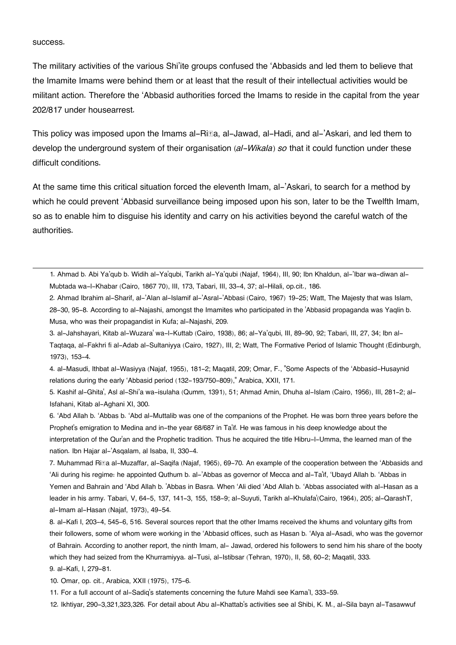success.

The military activities of the various Shi'ite groups confused the 'Abbasids and led them to believe that the Imamite Imams were behind them or at least that the result of their intellectual activities would be militant action. Therefore the 'Abbasid authorities forced the Imams to reside in the capital from the year 202/817 under housearrest.

This policy was imposed upon the Imams al-Riďa, al-Jawad, al-Hadi, and al-'Askari, and led them to develop the underground system of their organisation *(al*-*Wikala) so* that it could function under these difficult conditions.

At the same time this critical situation forced the eleventh Imam, al-'Askari, to search for a method by which he could prevent 'Abbasid surveillance being imposed upon his son, later to be the Twelfth Imam, so as to enable him to disguise his identity and carry on his activities beyond the careful watch of the authorities.

[1.](#page--1-0) Ahmad b. Abi Ya'qub b. Widih al-Ya'qubi, Tarikh al-Ya'qubi (Najaf, 1964), III, 90; Ibn Khaldun, al-'Ibar wa-diwan al-Mubtada wa-l-Khabar (Cairo, 1867 70), III, 173, Tabari, III, 33-4, 37; al-Hilali, op.cit., 186.

[2.](#page--1-0) Ahmad Ibrahim al-Sharif, al-'Alan al-Islamif al-'Asral-'Abbasi (Cairo, 1967) 19-25; Watt, The Majesty that was Islam, 28-30, 95-8. According to al-Najashi, amongst the Imamites who participated in the 'Abbasid propaganda was Yaqlin b. Musa, who was their propagandist in Kufa; al-Najashi, 209.

[3.](#page--1-0) al-Jahshayari, Kitab al-Wuzara' wa-l-Kuttab (Cairo, 1938), 86; al-Ya'qubi, III, 89-90, 92; Tabari, III, 27, 34; Ibn al-Taqtaqa, al-Fakhri fi al-Adab al-Sultaniyya (Cairo, 1927), III, 2; Watt, The Formative Period of Islamic Thought (Edinburgh, 1973), 153-4.

[4.](#page--1-0) al-Masudi, Ithbat al-Wasiyya (Najaf, 1955), 181-2; Maqatil, 209; Omar, F., "Some Aspects of the 'Abbasid-Husaynid relations during the early 'Abbasid period (132-193/750-809)," Arabica, XXII, 171.

[5.](#page--1-0) Kashif al-Ghita', Asl al-Shi'a wa-isulaha (Qumm, 1391), 51; Ahmad Amin, Dhuha al-Islam (Cairo, 1956), III, 281-2; al-Isfahani, Kitab al-Aghani XI, 300.

[6.](#page--1-0) 'Abd Allah b. 'Abbas b. 'Abd al-Muttalib was one of the companions of the Prophet. He was born three years before the Prophet's emigration to Medina and in-the year 68/687 in Ta'if. He was famous in his deep knowledge about the interpretation of the Qur'an and the Prophetic tradition. Thus he acquired the title Hibru-l-Umma, the learned man of the nation. Ibn Hajar al-'Asqalam, al Isaba, II, 330-4.

[7.](#page--1-0) Muhammad RiMa al-Muzaffar, al-Saqifa (Najaf, 1965), 69-70. An example of the cooperation between the 'Abbasids and 'Ali during his regime: he appointed Quthum b. al-'Abbas as governor of Mecca and al-Ta'if, 'Ubayd Allah b. 'Abbas in Yemen and Bahrain and 'Abd Allah b. 'Abbas in Basra. When 'Ali died 'Abd Allah b. 'Abbas associated with al-Hasan as a leader in his army. Tabari, V, 64-5, 137, 141-3, 155, 158-9; al-Suyuti, Tarikh al-Khulafa'(Cairo, 1964), 205; al-QarashT, al-Imam al-Hasan (Najaf, 1973), 49-54.

[8.](#page--1-0) al-Kafi I, 203-4, 545-6, 516. Several sources report that the other Imams received the khums and voluntary gifts from their followers, some of whom were working in the 'Abbasid offices, such as Hasan b. 'Alya al-Asadi, who was the governor of Bahrain. According to another report, the ninth Imam, al- Jawad, ordered his followers to send him his share of the booty which they had seized from the Khurramiyya. al-Tusi, al-Istibsar (Tehran, 1970), II, 58, 60-2; Maqatil, 333. [9.](#page--1-0) al-Kafi, I, 279-81.

[10.](#page--1-0) Omar, op. cit., Arabica, XXII (1975), 175-6.

[11.](#page--1-0) For a full account of al-Sadiq's statements concerning the future Mahdi see Kama'l, 333-59.

[12.](#page--1-0) Ikhtiyar, 290-3,321,323,326. For detail about Abu al-Khattab's activities see al Shibi, K. M., al-Sila bayn al-Tasawwuf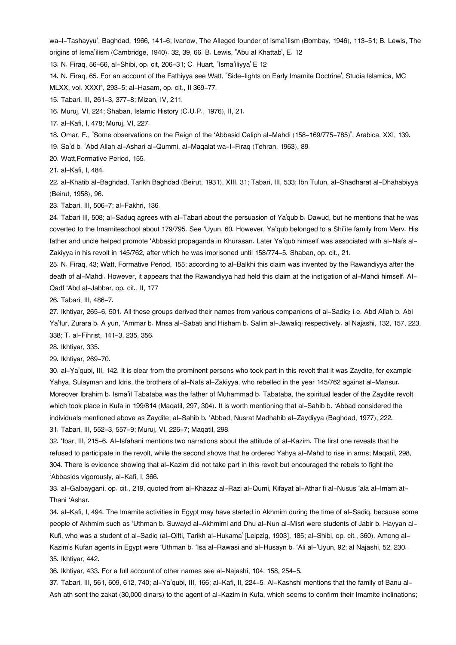wa-l-Tashayyu', Baghdad, 1966, 141-6; Ivanow, The Alleged founder of lsma'ilism (Bombay, 1946), 113-51; B. Lewis, The origins of Isma'ilism (Cambridge, 1940). 32, 39, 66. B. Lewis, "Abu al Khattab', E. 12

[13.](#page--1-0) N. Firaq, 56-66, al-Shibi, op. cit, 206-31; C. Huart, "Isma'iliyya' E 12

[14.](#page--1-0) N. Firaq, 65. For an account of the Fathiyya see Watt, "Side-lights on Early Imamite Doctrine', Studia lslamica, MC MLXX, vol. XXXI°, 293-5; al-Hasam, op. cit., II 369-77.

[15.](#page--1-0) Tabari, III, 261-3, 377-8; Mizan, IV, 211.

[16.](#page--1-0) Muruj, VI, 224; Shaban, Islamic History (C.U.P., 1976), II, 21.

[17.](#page--1-0) al-Kafi, I, 478; Muruj, VI, 227.

[18.](#page--1-0) Omar, F., "Some observations on the Reign of the 'Abbasid Caliph al-Mahdi (158-169/775-785)", Arabica, XXI, 139.

[19.](#page--1-0) Sa'd b. 'Abd Allah al-Ashari al-Qummi, al-Maqalat wa-I-Firaq (Tehran, 1963), 89.

[20.](#page--1-0) Watt,Formative Period, 155.

[21.](#page--1-0) al-Kafi, I, 484.

[22.](#page--1-0) al-Khatib al-Baghdad, Tarikh Baghdad (Beirut, 1931), XIII, 31; Tabari, III, 533; Ibn Tulun, al-Shadharat al-Dhahabiyya (Beirut, 1958), 96.

[23.](#page--1-0) Tabari, III, 506-7; al-Fakhri, 136.

[24.](#page--1-0) Tabari III, 508; al-Saduq agrees with al-Tabari about the persuasion of Ya'qub b. Dawud, but he mentions that he was coverted to the Imamiteschool about 179/795. See 'Uyun, 60. However, Ya'qub belonged to a Shi'ite family from Merv. His father and uncle helped promote 'Abbasid propaganda in Khurasan. Later Ya'qub himself was associated with al-Nafs al-Zakiyya in his revolt in 145/762, after which he was imprisoned until 158/774-5. Shaban, op. cit., 21.

[25.](#page--1-0) N. Firaq, 43; Watt, Formative Period, 155; according to al-Balkhi this claim was invented by the Rawandiyya after the death of al-Mahdi. However, it appears that the Rawandiyya had held this claim at the instigation of al-Mahdi himself. AI-Qadf 'Abd al-Jabbar, op. cit., II, 177

[26.](#page--1-0) Tabari, III, 486-7.

[27.](#page--1-0) Ikhtiyar, 265-6, 501. All these groups derived their names from various companions of al-Sadiq: i.e. Abd Allah b. Abi Ya'fur, Zurara b. A yun, 'Ammar b. Mnsa al-Sabati and Hisham b. Salim al-Jawaliqi respectively. al Najashi, 132, 157, 223, 338; T. al-Fihrist, 141-3, 235, 356.

[28.](#page--1-0) Ikhtiyar, 335.

[29.](#page--1-0) Ikhtiyar, 269-70.

[30.](#page--1-0) al-Ya'qubi, III, 142. It is clear from the prominent persons who took part in this revolt that it was Zaydite, for example Yahya, Sulayman and Idris, the brothers of al-Nafs al-Zakiyya, who rebelled in the year 145/762 against al-Mansur. Moreover Ibrahim b. Isma'il Tabataba was the father of Muhammad b. Tabataba, the spiritual leader of the Zaydite revolt which took place in Kufa in 199/814 (Maqatil, 297, 304). It is worth mentioning that al-Sahib b. 'Abbad considered the individuals mentioned above as Zaydite; al-Sahib b. 'Abbad, Nusrat Madhahib al-Zaydiyya (Baghdad, 1977), 222. [31.](#page--1-0) Tabari, III, 552-3, 557-9; Muruj, VI, 226-7; Maqatil, 298.

[32.](#page--1-0) 'Ibar, III, 215-6. Al-Isfahani mentions two narrations about the attitude of al-Kazim. The first one reveals that he refused to participate in the revolt, while the second shows that he ordered Yahya al-Mahd to rise in arms; Maqatil, 298, 304. There is evidence showing that al-Kazim did not take part in this revolt but encouraged the rebels to fight the 'Abbasids vigorously, al-Kafi, I, 366.

[33.](#page--1-0) al-Galbaygani, op. cit., 219, quoted from al-Khazaz al-Razi al-Qumi, Kifayat al-Athar fi al-Nusus 'ala al-Imam at-Thani 'Ashar.

[34.](#page--1-0) al-Kafi, I, 494. The Imamite activities in Egypt may have started in Akhmim during the time of al-Sadiq, because some people of Akhmim such as 'Uthman b. Suwayd al-Akhmimi and Dhu al-Nun al-Misri were students of Jabir b. Hayyan al-Kufi, who was a student of al-Sadiq (al-Qifti, Tarikh al-Hukama' [Leipzig, 1903], 185; al-Shibi, op. cit., 360). Among al-Kazim's Kufan agents in Egypt were 'Uthman b. 'Isa al-Rawasi and al-Husayn b. 'Ali al-'Uyun, 92; al Najashi, 52, 230. [35.](#page--1-0) Ikhtiyar, 442.

[36.](#page--1-0) Ikhtiyar, 433. For a full account of other names see al-Najashi, 104, 158, 254-5.

[37.](#page--1-0) Tabari, III, 561, 609, 612, 740; al-Ya'qubi, III, 166; al-Kafi, II, 224-5. AI-Kashshi mentions that the family of Banu al-Ash ath sent the zakat (30,000 dinars) to the agent of al-Kazim in Kufa, which seems to confirm their Imamite inclinations;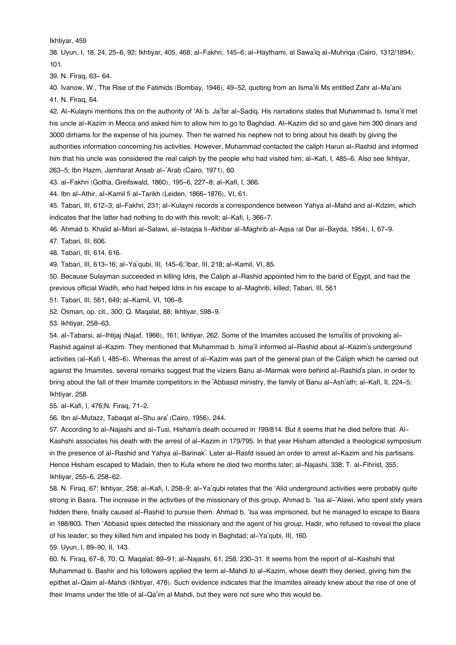Ikhtiyar, 459

[38.](#page--1-0) Uyun, I, 18, 24, 25-6, 92; Ikhtiyar, 405, 468; al-Fakhri, 145-6; al-Haythami, al Sawa'iq al-Muhriqa (Cairo, 1312/1894), 101.

[39.](#page--1-0) N. Firaq, 63- 64.

[40.](#page--1-0) Ivanow, W., The Rise of the Fatimids (Bombay, 1946), 49-52, quoting from an Isma'ili Ms entitled Zahr al-Ma'ani. [41.](#page--1-0) N. Firaq, 64.

[42.](#page--1-0) Al-Kulayni mentions this on the authority of 'Ali b. Ja'far al-Sadiq. His narrations states that Muhammad b. Isma'il met his uncle al-Kazim in Mecca and asked him to allow him to go to Baghdad. Al-Kazim did so and gave him 300 dinars and 3000 dirhams for the expense of his journey. Then he warned his nephew not to bring about his death by giving the authorities information concerning his activities. However, Muhammad contacted the caliph Harun al-Rashid and informed him that his uncle was considered the real caliph by the people who had visited him; al-Kafi, I, 485-6. Also see Ikhtiyar,

263-5; Ibn Hazm, Jamharat Ansab al-'Arab (Cairo, 1971), 60.

[43.](#page--1-0) al-Fakhri (Gotha, Greifswald, 1860), 195-6, 227-8; al-Kafi, I, 366.

[44.](#page--1-0) Ibn al-Athir, al-Kamil fi al-Tarikh (Leiden, 1866-1876), VI, 61.

[45.](#page--1-0) Tabari, III, 612-3; al-Fakhri, 231; al-Kulayni records a correspondence between Yahya al-Mahd and al-Kdzim, which indicates that the latter had nothing to do with this revolt; al-Kafi, I, 366-7.

[46.](#page--1-0) Ahmad b. Khalid al-Misri al-Salawi, al-Istaqsa li-Akhbar al-Maghrib al-Aqsa (al Dar al-Bayda, 1954), I, 67-9.

[47.](#page--1-0) Tabari, III, 606.

[48.](#page--1-0) Tabari, III, 614, 616.

[49.](#page--1-0) Tabari, III, 613-16; al-Ya'qubi, III, 145-6;'Ibar, III, 218; al-Kamil, VI, 85.

[50.](#page--1-0) Because Sulayman succeeded in killing Idris, the Caliph al-Rashid appointed him to the barid of Egypt, and had the previous official Wadih, who had helped Idris in his escape to al-Maghrib, killed; Tabari, III, 561

[51.](#page--1-0) Tabari, III, 561, 649; al-Kamil, VI, 106-8.

[52.](#page--1-0) Osman, op. cit., 300; Q. Maqalat, 88; Ikhtiyar, 598-9.

[53.](#page--1-0) Ikhtiyar, 258-63.

[54.](#page--1-0) al-Tabarsi, al-Ihtijaj (Najaf, 1966), 161; Ikhtiyar, 262. Some of the Imamites accused the Isma'ilis of provoking al-Rashid against al-Kazim. They mentioned that Muhammad b. Isma'il informed al-Rashid about al-Kazim's underground activities (al-Kafi I, 485-6). Whereas the arrest of al-Kazim was part of the general plan of the Caliph which he carried out against the Imamites, several remarks suggest that the viziers Banu al-Marmak were behind al-Rashid's plan, in order to bring about the fall of their Imamite competitors in the 'Abbasid ministry, the family of Banu al-Ash'ath; al-Kafi, II, 224-5; Ikhtiyar, 258.

[55.](#page--1-0) al-Kafi, I, 476;N. Firaq, 71-2.

[56.](#page--1-0) Ibn al-Mutazz, Tabaqat al-Shu ara' (Cairo, 1956), 244.

[57.](#page--1-0) According to al-Najashi and al-Tusi, Hisham's death occurred in 199/814. But it seems that he died before that. Al-Kashshi associates his death with the arrest of al-Kazim in 179/795. In that year Hisham attended a theological symposium in the presence of al-Rashid and Yahya al-Barinak'. Later al-Rasfd issued an order to arrest al-Kazim and his partisans. Hence Hisham escaped to Madain, then to Kufa where he died two months later; al-Najashi, 338; T. al-Fihrist, 355; Ikhtiyar, 255-6, 258-62.

[58.](#page--1-0) N. Firaq, 67; Ikhtiyar, 258; al-Kafi, I, 258-9; al-Ya'qubi relates that the 'Alid underground activities were probably quite strong in Basra. The increase in the activities of the missionary of this group, Ahmad b. 'Isa al-'Alawi, who spent sixty years hidden there, finally caused al-Rashid to pursue them. Ahmad b. 'Isa was imprisoned, but he managed to escape to Basra in 188/803. Then 'Abbasid spies detected the missionary and the agent of his group, Hadir, who refused to reveal the place of his leader; so they killed him and impaled his body in Baghdad; al-Ya'qubi, III, 160.

[59.](#page--1-0) Uyun, I, 89-90, II, 143.

[60.](#page--1-0) N. Firaq, 67-8, 70; Q. Maqalat, 89-91; al-Najashi, 61, 258, 230-31. It seems from the report of al-Kashshi that Muhammad b. Bashir and his followers applied the term al-Mahdi to al-Kazim, whose death they denied, giving him the epithet al-Qaim al-Mahdi (Ikhtiyar, 478). Such evidence indicates that the Imamites already knew about the rise of one of their Imams under the title of al-Qa'im al Mahdi, but they were not sure who this would be.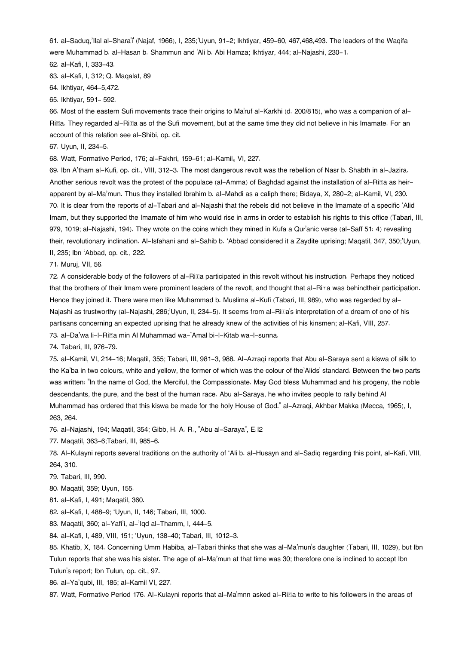[61.](#page--1-0) al-Saduq,'Ilal al-Shara'i' (Najaf, 1966), I, 235;'Uyun, 91-2; Ikhtiyar, 459-60, 467,468,493. The leaders of the Waqifa were Muhammad b. al-Hasan b. Shammun and 'Ali b. Abi Hamza; Ikhtiyar, 444; al-Najashi, 230-1.

[62.](#page--1-0) al-Kafi, I, 333-43.

[63.](#page--1-0) al-Kafi, I, 312; Q. Maqalat, 89

[64.](#page--1-0) Ikhtiyar, 464-5,472.

[65.](#page--1-0) Ikhtiyar, 591- 592.

[66.](#page--1-0) Most of the eastern Sufi movements trace their origins to Ma'ruf al-Karkhi (d. 200/815), who was a companion of al-Ri $\bar{z}$ a. They regarded al-Ri $\bar{z}$ a as of the Sufi movement, but at the same time they did not believe in his Imamate. For an account of this relation see al-Shibi, op. cit.

[67.](#page--1-0) Uyun, II, 234-5.

[68.](#page--1-0) Watt, Formative Period, 176; al-Fakhri, 159-61; al-Kamil,, VI, 227.

[69.](#page--1-0) Ibn A'tham al-Kufi, op. cit., VIII, 312-3. The most dangerous revolt was the rebellion of Nasr b. Shabth in al-Jazira. Another serious revolt was the protest of the populace (al-Amma) of Baghdad against the installation of al-Ri $\Box$ a as heirapparent by al-Ma'mun. Thus they installed Ibrahim b. al-Mahdi as a caliph there; Bidaya, X, 280-2; al-Kamil, VI, 230. [70.](#page--1-0) It is clear from the reports of al-Tabari and al-Najashi that the rebels did not believe in the Imamate of a specific 'Alid Imam, but they supported the Imamate of him who would rise in arms in order to establish his rights to this office (Tabari, III, 979, 1019; al-Najashi, 194). They wrote on the coins which they mined in Kufa a Qur'anic verse (al-Saff 51: 4) revealing their, revolutionary inclination. Al-Isfahani and al-Sahib b. 'Abbad considered it a Zaydite uprising; Maqatil, 347, 350;'Uyun, II, 235; Ibn 'Abbad, op. cit., 222.

[71.](#page--1-0) Muruj, VII, 56.

[72.](#page--1-0) A considerable body of the followers of al-Riďa participated in this revolt without his instruction. Perhaps they noticed that the brothers of their Imam were prominent leaders of the revolt, and thought that al-Ri $\Box$ a was behindtheir participation. Hence they joined it. There were men like Muhammad b. Muslima al-Kufi (Tabari, III, 989), who was regarded by al-Najashi as trustworthy (al-Najashi, 286;'Uyun, II, 234-5). It seems from al-Riďa's interpretation of a dream of one of his partisans concerning an expected uprising that he already knew of the activities of his kinsmen; al-Kafi, VIII, 257. [73.](#page--1-0) al-Da'wa li-l-Rilla min Al Muhammad wa-'Amal bi-l-Kitab wa-l-sunna.

[74.](#page--1-0) Tabari, III, 976-79.

[75.](#page--1-0) al-Kamil, VI, 214-16; Maqatil, 355; Tabari, III, 981-3, 988. Al-Azraqi reports that Abu al-Saraya sent a kiswa of silk to the Ka'ba in two colours, white and yellow, the former of which was the colour of the'Alids' standard. Between the two parts was written: "In the name of God, the Merciful, the Compassionate. May God bless Muhammad and his progeny, the noble descendants, the pure, and the best of the human race. Abu al-Saraya, he who invites people to rally behind Al Muhammad has ordered that this kiswa be made for the holy House of God." al-Azraqi, Akhbar Makka (Mecca, 1965), I, 263, 264.

[76.](#page--1-0) al-Najashi, 194; Maqatil, 354; Gibb, H. A. R., "Abu al-Saraya", E.I2

[77.](#page--1-0) Maqatil, 363-6;Tabari, III, 985-6.

[78.](#page--1-0) Al-Kulayni reports several traditions on the authority of 'Ali b. al-Husayn and al-Sadiq regarding this point, al-Kafi, VIII, 264, 310.

[79.](#page--1-0) Tabari, III, 990.

[80.](#page--1-0) Maqatil, 359; Uyun, 155.

[81.](#page--1-0) al-Kafi, I, 491; Maqatil, 360.

[82.](#page--1-0) al-Kafi, I, 488-9; 'Uyun, II, 146; Tabari, III, 1000.

[83.](#page--1-0) Maqatil, 360; al-Yafi'i, al-'Iqd al-Thamm, I, 444-5.

[84.](#page--1-0) al-Kafi, I, 489, VIII, 151; 'Uyun, 138-40; Tabari, III, 1012-3.

[85.](#page--1-0) Khatib, X, 184. Concerning Umm Habiba, al-Tabari thinks that she was al-Ma'mun's daughter (Tabari, III, 1029), but Ibn Tulun reports that she was his sister. The age of al-Ma'mun at that time was 30; therefore one is inclined to accept Ibn Tulun's report; Ibn Tulun, op. cit., 97.

[86.](#page--1-0) al-Ya'qubi, III, 185; al-Kamil VI, 227.

[87.](#page--1-0) Watt, Formative Period 176. Al-Kulayni reports that al-Ma'mnn asked al-Rixa to write to his followers in the areas of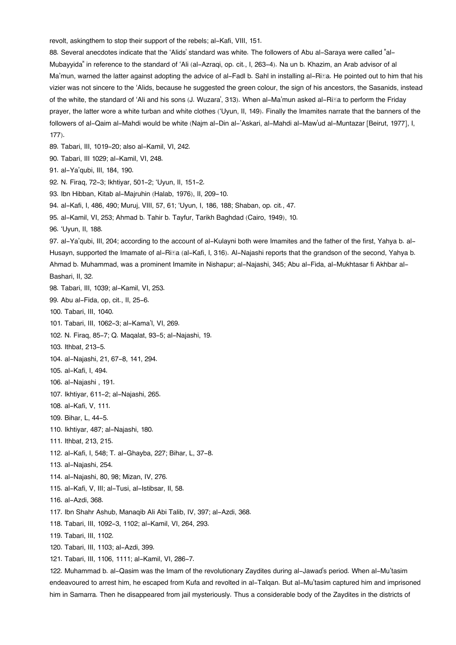revolt, askingthem to stop their support of the rebels; al-Kafi, VIII, 151.

[88.](#page--1-0) Several anecdotes indicate that the 'Alids' standard was white. The followers of Abu al-Saraya were called "al-Mubayyida" in reference to the standard of 'Ali (al-Azraqi, op. cit., I, 263-4). Na un b. Khazim, an Arab advisor of al Ma'mun, warned the latter against adopting the advice of al-Fadl b. Sahl in installing al-Riďa. He pointed out to him that his vizier was not sincere to the 'Alids, because he suggested the green colour, the sign of his ancestors, the Sasanids, instead of the white, the standard of 'Ali and his sons (J. Wuzara', 313). When al-Ma'mun asked al-Ri⊠a to perform the Friday prayer, the latter wore a white turban and white clothes ('Uyun, II, 149). Finally the Imamites narrate that the banners of the followers of al-Qaim al-Mahdi would be white (Najm al-Din al-'Askari, al-Mahdi al-Maw'ud al-Muntazar [Beirut, 1977], I, 177).

[89.](#page--1-0) Tabari, III, 1019-20; also al-Kamil, VI, 242.

[90.](#page--1-0) Tabari, III 1029; al-Kamil, VI, 248.

[91.](#page--1-0) al-Ya'qubi, III, 184, 190.

[92.](#page--1-0) N. Firaq, 72-3; Ikhtiyar, 501-2; 'Uyun, II, 151-2.

[93.](#page--1-0) Ibn Hibban, Kitab al-Majruhin (Halab, 1976), II, 209-10.

[94.](#page--1-0) al-Kafi, I, 486, 490; Muruj, VIII, 57, 61; 'Uyun, I, 186, 188; Shaban, op. cit., 47.

[95.](#page--1-0) al-Kamil, VI, 253; Ahmad b. Tahir b. Tayfur, Tarikh Baghdad (Cairo, 1949), 10.

[96.](#page--1-0) 'Uyun, II, 188.

[97.](#page--1-0) al-Ya'qubi, III, 204; according to the account of al-Kulayni both were Imamites and the father of the first, Yahya b. al-Husayn, supported the Imamate of al-Riďa (al-Kafi, I, 316). Al-Najashi reports that the grandson of the second, Yahya b. Ahmad b. Muhammad, was a prominent Imamite in Nishapur; al-Najashi, 345; Abu al-Fida, al-Mukhtasar fi Akhbar al-Bashari, II, 32.

[98.](#page--1-0) Tabari, III, 1039; al-Kamil, VI, 253.

[99.](#page--1-0) Abu al-Fida, op, cit., II, 25-6.

[100.](#page--1-0) Tabari, III, 1040.

[101.](#page--1-0) Tabari, III, 1062-3; al-Kama'l, VI, 269.

[102.](#page--1-0) N. Firaq, 85-7; Q. Maqalat, 93-5; al-Najashi, 19.

[103.](#page--1-0) Ithbat, 213-5.

[104.](#page--1-0) al-Najashi, 21, 67-8, 141, 294.

[105.](#page--1-0) al-Kafi, I, 494.

[106.](#page--1-0) al-Najashi , 191.

[107.](#page--1-0) Ikhtiyar, 611-2; al-Najashi, 265.

[108.](#page--1-0) al-Kafi, V, 111.

[109.](#page--1-0) Bihar, L, 44-5.

[110.](#page--1-0) Ikhtiyar, 487; al-Najashi, 180.

[111.](#page--1-0) Ithbat, 213, 215.

[112.](#page--1-0) al-Kafi, I, 548; T. al-Ghayba, 227; Bihar, L, 37-8.

[113.](#page--1-0) al-Najashi, 254.

[114.](#page--1-0) al-Najashi, 80, 98; Mizan, IV, 276.

[115.](#page--1-0) al-Kafi, V, III; al-Tusi, al-Istibsar, II, 58.

[116.](#page--1-0) al-Azdi, 368.

[117.](#page--1-0) Ibn Shahr Ashub, Manaqib Ali Abi Talib, IV, 397; al-Azdi, 368.

[118.](#page--1-0) Tabari, III, 1092-3, 1102; al-Kamil, VI, 264, 293.

[119.](#page--1-0) Tabari, III, 1102.

[120.](#page--1-0) Tabari, III, 1103; al-Azdi, 399.

[121.](#page--1-0) Tabari, III, 1106, 1111; al-Kamil, VI, 286-7.

[122.](#page--1-0) Muhammad b. al-Qasim was the Imam of the revolutionary Zaydites during al-Jawad's period. When al-Mu'tasim endeavoured to arrest him, he escaped from Kufa and revolted in al-Talqan. But al-Mu'tasim captured him and imprisoned him in Samarra. Then he disappeared from jail mysteriously. Thus a considerable body of the Zaydites in the districts of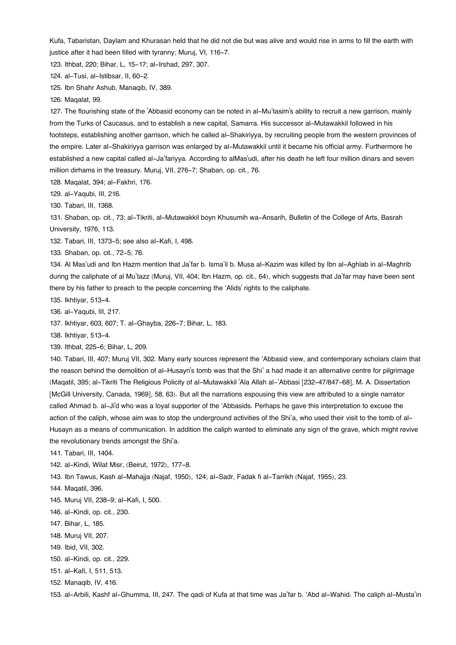Kufa, Tabaristan, Daylam and Khurasan held that he did not die but was alive and would rise in arms to fill the earth with justice after it had been filled with tyranny; Muruj, VI, 116-7.

[123.](#page--1-0) Ithbat, 220; Bihar, L, 15-17; al-Irshad, 297, 307.

[124.](#page--1-0) al-Tusi, al-Istibsar, II, 60-2.

[125.](#page--1-0) Ibn Shahr Ashub, Manaqib, IV, 389.

[126.](#page--1-0) Maqalat, 99.

[127.](#page--1-0) The flourishing state of the 'Abbasid economy can be noted in al-Mu'tasim's ability to recruit a new garrison, mainly from the Turks of Caucasus, and to establish a new capital, Samarra. His successor al-Mutawakkil followed in his footsteps, establishing another garrison, which he called al-Shakiriyya, by recruiting people from the western provinces of the empire. Later al-Shakiriyya garrison was enlarged by al-Mutawakkil until it became his official army. Furthermore he established a new capital called al-Ja'fariyya. According to alMas'udi, after his death he left four million dinars and seven million dirhams in the treasury. Muruj, VII, 276-7; Shaban, op. cit., 76.

[128.](#page--1-0) Maqalat, 394; al-Fakhri, 176.

[129.](#page--1-0) al-Yaqubi, III, 216.

[130.](#page--1-0) Tabari, III, 1368.

[131.](#page--1-0) Shaban, op. cit., 73; al-Tikriti, al-Mutawakkil boyn Khusumih wa-Ansarih, Bulletin of the College of Arts, Basrah University, 1976, 113.

[132.](#page--1-0) Tabari, III, 1373-5; see also al-Kafi, I, 498.

[133.](#page--1-0) Shaban, op. cit., 72-5; 76.

[134.](#page--1-0) Al Mas'udi and Ibn Hazm mention that Ja'far b. Isma'il b. Musa al-Kazim was killed by Ibn al-Aghlab in al-Maghrib during the caliphate of al Mu'tazz (Muruj, VII, 404; Ibn Hazm, op. cit., 64), which suggests that Ja'far may have been sent there by his father to preach to the people concerning the 'Alids' rights to the caliphate.

[135.](#page--1-0) Ikhtiyar, 513-4.

[136.](#page--1-0) al-Yaqubi, lII, 217.

[137.](#page--1-0) Ikhtiyar, 603, 607; T. al-Ghayba, 226-7; Bihar, L, 183.

[138.](#page--1-0) Ikhtiyar, 513-4.

[139.](#page--1-0) Ithbat, 225-6; Bihar, L, 209.

[140.](#page--1-0) Tabari, III, 407; Muruj VII, 302. Many early sources represent the 'Abbasid view, and contemporary scholars claim that the reason behind the demolition of al-Husayn's tomb was that the Shi' a had made it an alternative centre for pilgrimage (Maqatil, 395; al-Tikriti The Religious Policity of al-Mutawakkil 'Ala Allah al-'Abbasi [232-47/847-68], M. A. Dissertation [McGill University, Canada, 1969], 58, 63). But all the narrations espousing this view are attributed to a single narrator called Ahmad b. al-Ji'd who was a loyal supporter of the 'Abbasids. Perhaps he gave this interpretation to excuse the action of the caliph, whose aim was to stop the underground activities of the Shi'a, who used their visit to the tomb of al-Husayn as a means of communication. In addition the caliph wanted to eliminate any sign of the grave, which might revive the revolutionary trends amongst the Shi'a.

[141.](#page--1-0) Tabari, III, 1404.

[142.](#page--1-0) al-Kindi, Wilat Misr, (Beirut, 1972), 177-8.

[143.](#page--1-0) Ibn Tawus, Kash al-Mahajja (Najaf, 1950), 124; al-Sadr, Fadak fi al-Tarrikh (Najaf, 1955), 23.

[144.](#page--1-0) Maqatil, 396.

[145.](#page--1-0) Muruj VII, 238-9; al-Kafi, I, 500.

[146.](#page--1-0) al-Kindi, op. cit., 230.

[147.](#page--1-0) Bihar, L, 185.

[148.](#page--1-0) Muruj VII, 207.

[149.](#page--1-0) Ibid, VII, 302.

[150.](#page--1-0) al-Kindi, op. cit., 229.

[151.](#page--1-0) al-Kafi, I, 511, 513.

[152.](#page--1-0) Manaqib, IV, 416.

[153.](#page--1-0) al-Arbili, Kashf al-Ghumma, III, 247. The qadi of Kufa at that time was Ja'far b. 'Abd al-Wahid. The caliph al-Musta'in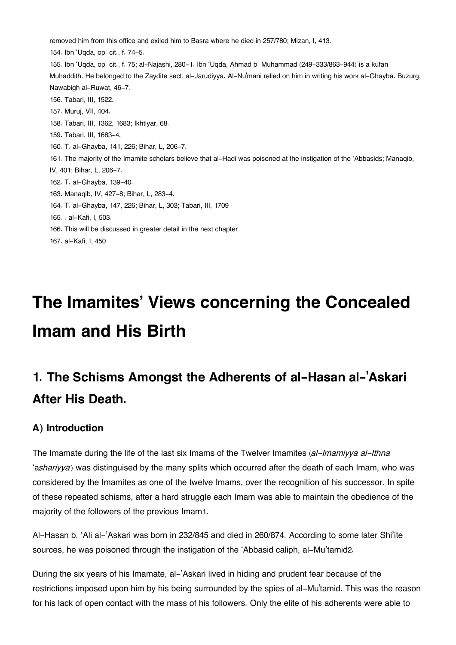removed him from this office and exiled him to Basra where he died in 257/780; Mizan, I, 413. [154.](#page--1-0) Ibn 'Uqda, op. cit., f. 74-5. [155.](#page--1-0) Ibn 'Uqda, op. cit., f. 75; al-Najashi, 280-1. Ibn 'Uqda, Ahmad b. Muhammad (249-333/863-944) is a kufan Muhaddith. He belonged to the Zaydite sect, al-Jarudiyya. Al-Nu'mani relied on him in writing his work al-Ghayba. Buzurg, Nawabigh al-Ruwat, 46-7. [156.](#page--1-0) Tabari, III, 1522. [157.](#page--1-0) Muruj, VII, 404. [158.](#page--1-0) Tabari, III, 1362, 1683; Ikhtiyar, 68. [159.](#page--1-0) Tabari, III, 1683-4. [160.](#page--1-0) T. al-Ghayba, 141, 226; Bihar, L, 206-7. [161.](#page--1-0) The majority of the Imamite scholars believe that al-Hadi was poisoned at the instigation of the 'Abbasids; Manaqib, IV, 401; Bihar, L, 206-7. [162.](#page--1-0) T. al-Ghayba, 139-40. [163.](#page--1-0) Manaqib, IV, 427-8; Bihar, L, 283-4. [164.](#page--1-0) T. al-Ghayba, 147, 226; Bihar, L, 303; Tabari, III, 1709 [165.](#page--1-0) . al-Kafi, I, 503. [166.](#page--1-0) This will be discussed in greater detail in the next chapter [167.](#page--1-0) al-Kafi, I, 450

# **The Imamites' Views concerning the Concealed Imam and His Birth**

## **[1. The Schisms Amongst the Adherents of al-Hasan al-](#page--1-0)'Askari [After His Death.](#page--1-0)**

#### **[A\) Introduction](#page--1-0)**

The Imamate during the life of the last six Imams of the Twelver Imamites *(al*-*Imamiyya al*-*Ithna* 'a*shariyya)* was distinguised by the many splits which occurred after the death of each Imam, who was considered by the Imamites as one of the twelve Imams, over the recognition of his successor. In spite of these repeated schisms, after a hard struggle each Imam was able to maintain the obedience of the majority of the followers of the previous Imam[1](#page--1-0).

Al-Hasan b. 'Ali al-'Askari was born in 232/845 and died in 260/874. According to some later Shi'ite sources, he was poisoned through the instigation of the 'Abbasid caliph, al-Mu'tamid[2](#page--1-0).

During the six years of his Imamate, al-'Askari lived in hiding and prudent fear because of the restrictions imposed upon him by his being surrounded by the spies of al-Mu'tamid. This was the reason for his lack of open contact with the mass of his followers. Only the elite of his adherents were able to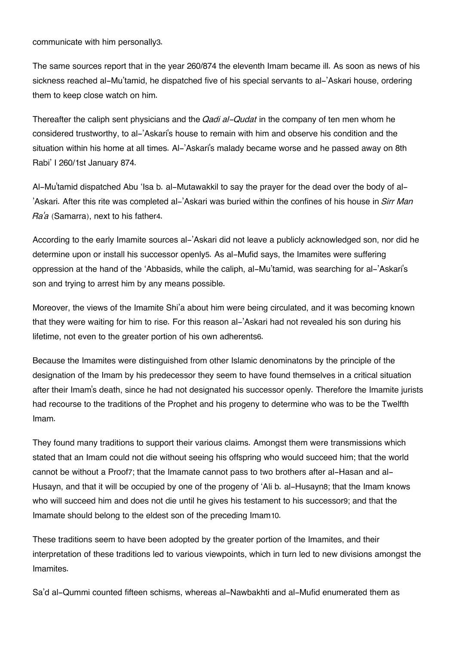communicate with him personally[3](#page--1-0).

The same sources report that in the year 260/874 the eleventh Imam became ill. As soon as news of his sickness reached al-Mu'tamid, he dispatched five of his special servants to al-'Askari house, ordering them to keep close watch on him.

Thereafter the caliph sent physicians and the *Qadi al*-*Qudat* in the company of ten men whom he considered trustworthy, to al-'Askari's house to remain with him and observe his condition and the situation within his home at all times. Al-'Askari's malady became worse and he passed away on 8th Rabi' I 260/1st January 874.

Al-Mu'tamid dispatched Abu 'Isa b. al-Mutawakkil to say the prayer for the dead over the body of al-'Askari. After this rite was completed al-'Askari was buried within the confines of his house in *Sirr Man Ra'a* (Samarra), next to his father[4](#page--1-0).

According to the early Imamite sources al-'Askari did not leave a publicly acknowledged son, nor did he determine upon or install his successor openly[5](#page--1-0). As al-Mufid says, the Imamites were suffering oppression at the hand of the 'Abbasids, while the caliph, al-Mu'tamid, was searching for al-'Askari's son and trying to arrest him by any means possible.

Moreover, the views of the Imamite Shi'a about him were being circulated, and it was becoming known that they were waiting for him to rise. For this reason al-'Askari had not revealed his son during his lifetime, not even to the greater portion of his own adherents[6](#page--1-0).

Because the Imamites were distinguished from other Islamic denominatons by the principle of the designation of the Imam by his predecessor they seem to have found themselves in a critical situation after their Imam's death, since he had not designated his successor openly. Therefore the Imamite jurists had recourse to the traditions of the Prophet and his progeny to determine who was to be the Twelfth Imam.

They found many traditions to support their various claims. Amongst them were transmissions which stated that an Imam could not die without seeing his offspring who would succeed him; that the world cannot be without a Proof[7](#page--1-0); that the Imamate cannot pass to two brothers after al-Hasan and al-Husayn, and that it will be occupied by one of the progeny of 'Ali b. al-Husayn[8](#page--1-0); that the Imam knows who will succeed him and does not die until he gives his testament to his successor[9](#page--1-0); and that the Imamate should belong to the eldest son of the preceding Imam[10](#page--1-0).

These traditions seem to have been adopted by the greater portion of the Imamites, and their interpretation of these traditions led to various viewpoints, which in turn led to new divisions amongst the Imamites.

Sa'd al-Qummi counted fifteen schisms, whereas al-Nawbakhti and al-Mufid enumerated them as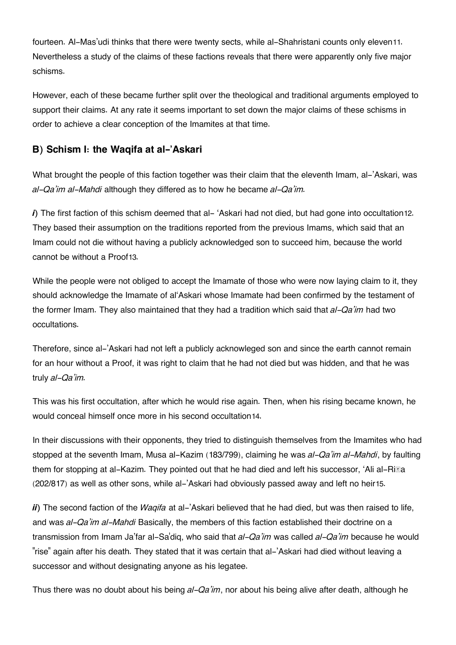fourteen. Al-Mas'udi thinks that there were twenty sects, while al-Shahristani counts only eleven[11](#page--1-0). Nevertheless a study of the claims of these factions reveals that there were apparently only five major schisms.

However, each of these became further split over the theological and traditional arguments employed to support their claims. At any rate it seems important to set down the major claims of these schisms in order to achieve a clear conception of the Imamites at that time.

#### **[B\) Schism I: the Waqifa at al-'Askari](#page--1-0)**

What brought the people of this faction together was their claim that the eleventh Imam, al-'Askari, was *al-Qa'im al*-*Mahdi* although they differed as to how he became *al-Qa'im.*

*i*) The first faction of this schism deemed that al- 'Askari had not died, but had gone into occultation [12](#page--1-0). They based their assumption on the traditions reported from the previous Imams, which said that an Imam could not die without having a publicly acknowledged son to succeed him, because the world cannot be without a Proof[13](#page--1-0).

While the people were not obliged to accept the Imamate of those who were now laying claim to it, they should acknowledge the Imamate of al'Askari whose Imamate had been confirmed by the testament of the former Imam. They also maintained that they had a tradition which said that *al-Qa'im* had two occultations.

Therefore, since al-'Askari had not left a publicly acknowleged son and since the earth cannot remain for an hour without a Proof, it was right to claim that he had not died but was hidden, and that he was truly *al-Qa'im.*

This was his first occultation, after which he would rise again. Then, when his rising became known, he would conceal himself once more in his second occultation[14](#page--1-0).

In their discussions with their opponents, they tried to distinguish themselves from the Imamites who had stopped at the seventh Imam, Musa al-Kazim (183/799), claiming he was *al-Qa'im al*-*Mahdi*, by faulting them for stopping at al-Kazim. They pointed out that he had died and left his successor, 'Ali al-Ri $\mathbb{E}$ a (202/817) as well as other sons, while al-'Askari had obviously passed away and left no heir[15](#page--1-0).

*ii*) The second faction of the *Waqifa* at al-'Askari believed that he had died, but was then raised to life, and was *al-Qa'im al*-*Mahdi* Basically, the members of this faction established their doctrine on a transmission from Imam Ja'far al-Sa'diq, who said that *al-Qa'im* was called *al-Qa'im* because he would "rise" again after his death. They stated that it was certain that al-'Askari had died without leaving a successor and without designating anyone as his legatee.

Thus there was no doubt about his being *al-Qa'im*, nor about his being alive after death, although he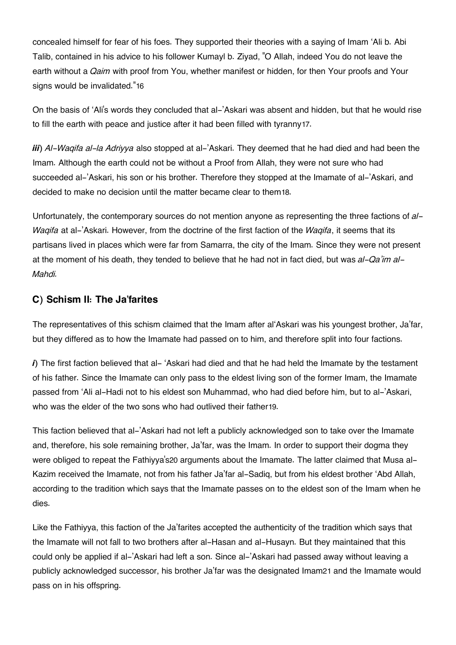concealed himself for fear of his foes. They supported their theories with a saying of Imam 'Ali b. Abi Talib, contained in his advice to his follower Kumayl b. Ziyad, "O Allah, indeed You do not leave the earth without a *Qaim* with proof from You, whether manifest or hidden, for then Your proofs and Your signs would be invalidated."[16](#page--1-0)

On the basis of 'Ali's words they concluded that al-'Askari was absent and hidden, but that he would rise to fill the earth with peace and justice after it had been filled with tyranny[17](#page--1-0).

*iii) Al*-*Waqifa al*-*la Adriyya* also stopped at al-'Askari. They deemed that he had died and had been the Imam. Although the earth could not be without a Proof from Allah, they were not sure who had succeeded al-'Askari, his son or his brother. Therefore they stopped at the Imamate of al-'Askari, and decided to make no decision until the matter became clear to them[18](#page--1-0).

Unfortunately, the contemporary sources do not mention anyone as representing the three factions of *al*-*Waqifa* at al-'Askari. However, from the doctrine of the first faction of the *Waqifa*, it seems that its partisans lived in places which were far from Samarra, the city of the Imam. Since they were not present at the moment of his death, they tended to believe that he had not in fact died, but was *al-Qa'im al*-*Mahdi.*

#### **[C\) Schism II: The Ja'farites](#page--1-0)**

The representatives of this schism claimed that the Imam after al'Askari was his youngest brother, Ja'far, but they differed as to how the Imamate had passed on to him, and therefore split into four factions.

*i*) The first faction believed that al- 'Askari had died and that he had held the Imamate by the testament of his father. Since the Imamate can only pass to the eldest living son of the former Imam, the Imamate passed from 'Ali al-Hadi not to his eldest son Muhammad, who had died before him, but to al-'Askari, who was the elder of the two sons who had outlived their father[19](#page--1-0).

This faction believed that al-'Askari had not left a publicly acknowledged son to take over the Imamate and, therefore, his sole remaining brother, Ja'far, was the Imam. In order to support their dogma they were obliged to repeat the Fathiyya's[20](#page--1-0) arguments about the Imamate. The latter claimed that Musa al-Kazim received the Imamate, not from his father Ja'far al-Sadiq, but from his eldest brother 'Abd Allah, according to the tradition which says that the Imamate passes on to the eldest son of the Imam when he dies.

Like the Fathiyya, this faction of the Ja'farites accepted the authenticity of the tradition which says that the Imamate will not fall to two brothers after al-Hasan and al-Husayn. But they maintained that this could only be applied if al-'Askari had left a son. Since al-'Askari had passed away without leaving a publicly acknowledged successor, his brother Ja'far was the designated Imam[21](#page--1-0) and the Imamate would pass on in his offspring.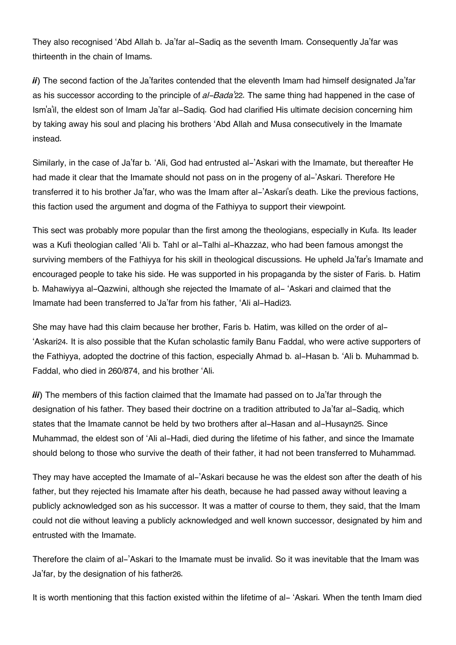They also recognised 'Abd Allah b. Ja'far al-Sadiq as the seventh Imam. Consequently Ja'far was thirteenth in the chain of Imams.

*ii)* The second faction of the Ja'farites contended that the eleventh Imam had himself designated Ja'far as his successor according to the principle of *al*-*Bada'*[22](#page--1-0). The same thing had happened in the case of Ism'a'il, the eldest son of Imam Ja'far al-Sadiq. God had clarified His ultimate decision concerning him by taking away his soul and placing his brothers 'Abd Allah and Musa consecutively in the Imamate instead.

Similarly, in the case of Ja'far b. 'Ali, God had entrusted al-'Askari with the Imamate, but thereafter He had made it clear that the Imamate should not pass on in the progeny of al-'Askari. Therefore He transferred it to his brother Ja'far, who was the Imam after al-'Askari's death. Like the previous factions, this faction used the argument and dogma of the Fathiyya to support their viewpoint.

This sect was probably more popular than the first among the theologians, especially in Kufa. Its leader was a Kufi theologian called 'Ali b. Tahl or al-Talhi al-Khazzaz, who had been famous amongst the surviving members of the Fathiyya for his skill in theological discussions. He upheld Ja'far's Imamate and encouraged people to take his side. He was supported in his propaganda by the sister of Faris. b. Hatim b. Mahawiyya al-Qazwini, although she rejected the Imamate of al- 'Askari and claimed that the Imamate had been transferred to Ja'far from his father, 'Ali al-Hadi[23](#page--1-0).

She may have had this claim because her brother, Faris b. Hatim, was killed on the order of al- 'Askari[24](#page--1-0). It is also possible that the Kufan scholastic family Banu Faddal, who were active supporters of the Fathiyya, adopted the doctrine of this faction, especially Ahmad b. al-Hasan b. 'Ali b. Muhammad b. Faddal, who died in 260/874, and his brother 'Ali.

*iii*) The members of this faction claimed that the Imamate had passed on to Ja'far through the designation of his father. They based their doctrine on a tradition attributed to Ja'far al-Sadiq, which states that the Imamate cannot be held by two brothers after al-Hasan and al-Husayn[25](#page--1-0). Since Muhammad, the eldest son of 'Ali al-Hadi, died during the lifetime of his father, and since the Imamate should belong to those who survive the death of their father, it had not been transferred to Muhammad.

They may have accepted the Imamate of al-'Askari because he was the eldest son after the death of his father, but they rejected his Imamate after his death, because he had passed away without leaving a publicly acknowledged son as his successor. It was a matter of course to them, they said, that the Imam could not die without leaving a publicly acknowledged and well known successor, designated by him and entrusted with the Imamate.

Therefore the claim of al-'Askari to the Imamate must be invalid. So it was inevitable that the Imam was Ja'far, by the designation of his father[26](#page--1-0).

It is worth mentioning that this faction existed within the lifetime of al- 'Askari. When the tenth Imam died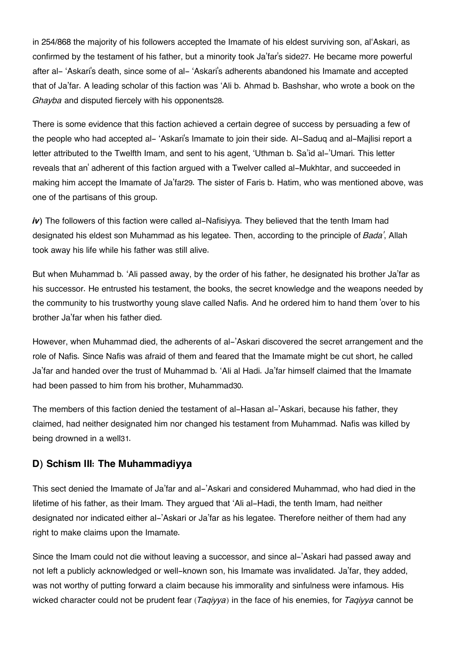in 254/868 the majority of his followers accepted the Imamate of his eldest surviving son, al'Askari, as confirmed by the testament of his father, but a minority took Ja'far's side[27](#page--1-0). He became more powerful after al- 'Askari's death, since some of al- 'Askari's adherents abandoned his Imamate and accepted that of Ja'far. A leading scholar of this faction was 'Ali b. Ahmad b. Bashshar, who wrote a book on the *Ghayba* and disputed fiercely with his opponents[28](#page--1-0).

There is some evidence that this faction achieved a certain degree of success by persuading a few of the people who had accepted al- 'Askari's Imamate to join their side. Al-Saduq and al-Majlisi report a letter attributed to the Twelfth Imam, and sent to his agent, 'Uthman b. Sa'id al-'Umari. This letter reveals that an' adherent of this faction argued with a Twelver called al-Mukhtar, and succeeded in making him accept the Imamate of Ja'far[29](#page--1-0). The sister of Faris b. Hatim, who was mentioned above, was one of the partisans of this group.

*iv*) The followers of this faction were called al-Nafisiyya. They believed that the tenth Imam had designated his eldest son Muhammad as his legatee. Then, according to the principle of *Bada'*, Allah took away his life while his father was still alive.

But when Muhammad b. 'Ali passed away, by the order of his father, he designated his brother Ja'far as his successor. He entrusted his testament, the books, the secret knowledge and the weapons needed by the community to his trustworthy young slave called Nafis. And he ordered him to hand them 'over to his brother Ja'far when his father died.

However, when Muhammad died, the adherents of al-'Askari discovered the secret arrangement and the role of Nafis. Since Nafis was afraid of them and feared that the Imamate might be cut short, he called Ja'far and handed over the trust of Muhammad b. 'Ali al Hadi. Ja'far himself claimed that the Imamate had been passed to him from his brother, Muhammad[30](#page--1-0).

The members of this faction denied the testament of al-Hasan al-'Askari, because his father, they claimed, had neither designated him nor changed his testament from Muhammad. Nafis was killed by being drowned in a well[31](#page--1-0).

#### **[D\) Schism III: The Muhammadiyya](#page--1-0)**

This sect denied the Imamate of Ja'far and al-'Askari and considered Muhammad, who had died in the lifetime of his father, as their Imam. They argued that 'Ali al-Hadi, the tenth Imam, had neither designated nor indicated either al-'Askari or Ja'far as his legatee. Therefore neither of them had any right to make claims upon the Imamate.

Since the Imam could not die without leaving a successor, and since al-'Askari had passed away and not left a publicly acknowledged or well-known son, his Imamate was invalidated. Ja'far, they added, was not worthy of putting forward a claim because his immorality and sinfulness were infamous. His wicked character could not be prudent fear *(Taqiyya)* in the face of his enemies, for *Taqiyya* cannot be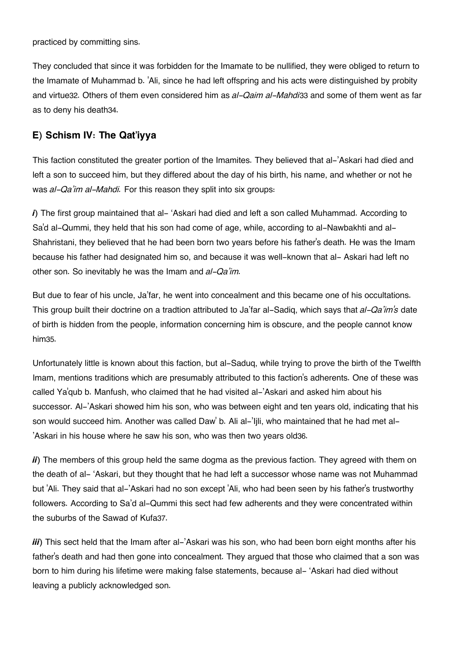practiced by committing sins.

They concluded that since it was forbidden for the Imamate to be nullified, they were obliged to return to the Imamate of Muhammad b. 'Ali, since he had left offspring and his acts were distinguished by probity and virtue[32](#page--1-0). Others of them even considered him as *al*-*Qaim al*-*Mahdi*[33](#page--1-0) and some of them went as far as to deny his death[34](#page--1-0).

#### **[E\) Schism IV: The Qat'iyya](#page--1-0)**

This faction constituted the greater portion of the Imamites. They believed that al-'Askari had died and left a son to succeed him, but they differed about the day of his birth, his name, and whether or not he was *al-Qa'im al*-*Mahdi.* For this reason they split into six groups:

*i*) The first group maintained that al- 'Askari had died and left a son called Muhammad. According to Sa'd al-Qummi, they held that his son had come of age, while, according to al-Nawbakhti and al-Shahristani, they believed that he had been born two years before his father's death. He was the Imam because his father had designated him so, and because it was well-known that al- Askari had left no other son. So inevitably he was the Imam and *al-Qa'im.*

But due to fear of his uncle, Ja'far, he went into concealment and this became one of his occultations. This group built their doctrine on a tradtion attributed to Ja'far al-Sadiq, which says that *al-Qa'im's* date of birth is hidden from the people, information concerning him is obscure, and the people cannot know him[35](#page--1-0).

Unfortunately little is known about this faction, but al-Saduq, while trying to prove the birth of the Twelfth Imam, mentions traditions which are presumably attributed to this faction's adherents. One of these was called Ya'qub b. Manfush, who claimed that he had visited al-'Askari and asked him about his successor. Al-'Askari showed him his son, who was between eight and ten years old, indicating that his son would succeed him. Another was called Daw' b. Ali al-'Ijli, who maintained that he had met al- 'Askari in his house where he saw his son, who was then two years old[36](#page--1-0).

*ii*) The members of this group held the same dogma as the previous faction. They agreed with them on the death of al- 'Askari, but they thought that he had left a successor whose name was not Muhammad but 'Ali. They said that al-'Askari had no son except 'Ali, who had been seen by his father's trustworthy followers. According to Sa'd al-Qummi this sect had few adherents and they were concentrated within the suburbs of the Sawad of Kufa[37](#page--1-0).

*iii*) This sect held that the Imam after al-'Askari was his son, who had been born eight months after his father's death and had then gone into concealment. They argued that those who claimed that a son was born to him during his lifetime were making false statements, because al- 'Askari had died without leaving a publicly acknowledged son.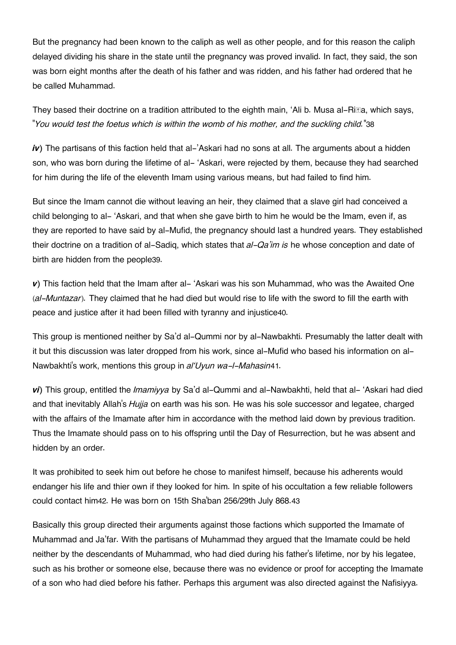But the pregnancy had been known to the caliph as well as other people, and for this reason the caliph delayed dividing his share in the state until the pregnancy was proved invalid. In fact, they said, the son was born eight months after the death of his father and was ridden, and his father had ordered that he be called Muhammad.

They based their doctrine on a tradition attributed to the eighth main, 'Ali b. Musa al-Ri $\mathbb{E}$ a, which says, "*You would test the foetus which is within the womb of his mother, and the suckling child.*"[38](#page--1-0)

*iv*) The partisans of this faction held that al-'Askari had no sons at all. The arguments about a hidden son, who was born during the lifetime of al- 'Askari, were rejected by them, because they had searched for him during the life of the eleventh Imam using various means, but had failed to find him.

But since the Imam cannot die without leaving an heir, they claimed that a slave girl had conceived a child belonging to al- 'Askari, and that when she gave birth to him he would be the Imam, even if, as they are reported to have said by al-Mufid, the pregnancy should last a hundred years. They established their doctrine on a tradition of al-Sadiq, which states that *al-Qa'im is* he whose conception and date of birth are hidden from the people[39](#page--1-0).

*v)* This faction held that the Imam after al- 'Askari was his son Muhammad, who was the Awaited One *(al*-*Muntazar).* They claimed that he had died but would rise to life with the sword to fill the earth with peace and justice after it had been filled with tyranny and injustice[40](#page--1-0).

This group is mentioned neither by Sa'd al-Qummi nor by al-Nawbakhti. Presumably the latter dealt with it but this discussion was later dropped from his work, since al-Mufid who based his information on al-Nawbakhti's work, mentions this group in *al'Uyun wa*-*l*-*Mahasin*[41](#page--1-0).

*vi)* This group, entitled the *Imamiyya* by Sa'd al-Qummi and al-Nawbakhti, held that al- 'Askari had died and that inevitably Allah's *Hujja* on earth was his son. He was his sole successor and legatee, charged with the affairs of the Imamate after him in accordance with the method laid down by previous tradition. Thus the Imamate should pass on to his offspring until the Day of Resurrection, but he was absent and hidden by an order.

It was prohibited to seek him out before he chose to manifest himself, because his adherents would endanger his life and thier own if they looked for him. In spite of his occultation a few reliable followers could contact him[42](#page--1-0). He was born on 15th Sha'ban 256/29th July 868.[43](#page--1-0)

Basically this group directed their arguments against those factions which supported the Imamate of Muhammad and Ja'far. With the partisans of Muhammad they argued that the Imamate could be held neither by the descendants of Muhammad, who had died during his father's lifetime, nor by his legatee, such as his brother or someone else, because there was no evidence or proof for accepting the Imamate of a son who had died before his father. Perhaps this argument was also directed against the Nafisiyya.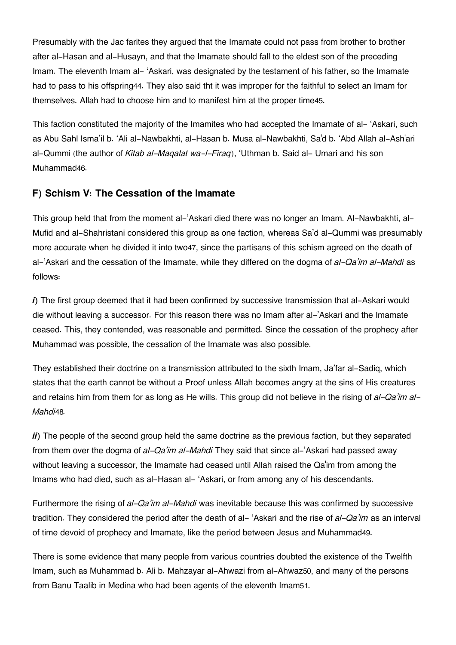Presumably with the Jac farites they argued that the Imamate could not pass from brother to brother after al-Hasan and al-Husayn, and that the Imamate should fall to the eldest son of the preceding Imam. The eleventh Imam al- 'Askari, was designated by the testament of his father, so the Imamate had to pass to his offspring[44](#page--1-0). They also said tht it was improper for the faithful to select an Imam for themselves. Allah had to choose him and to manifest him at the proper time[45](#page--1-0).

This faction constituted the majority of the Imamites who had accepted the Imamate of al- 'Askari, such as Abu Sahl Isma'il b. 'Ali al-Nawbakhti, al-Hasan b. Musa al-Nawbakhti, Sa'd b. 'Abd Allah al-Ash'ari al-Qummi (the author of *Kitab al*-*Maqalat wa*-*l*-*Firaq)*, 'Uthman b. Said al- Umari and his son Muhammad[46](#page--1-0).

#### **[F\) Schism V: The Cessation of the Imamate](#page--1-0)**

This group held that from the moment al-'Askari died there was no longer an Imam. Al-Nawbakhti, al-Mufid and al-Shahristani considered this group as one faction, whereas Sa'd al-Qummi was presumably more accurate when he divided it into two[47](#page--1-0), since the partisans of this schism agreed on the death of al-'Askari and the cessation of the Imamate, while they differed on the dogma of *al-Qa'im al*-*Mahdi* as follows:

*i*) The first group deemed that it had been confirmed by successive transmission that al-Askari would die without leaving a successor. For this reason there was no Imam after al-'Askari and the Imamate ceased. This, they contended, was reasonable and permitted. Since the cessation of the prophecy after Muhammad was possible, the cessation of the Imamate was also possible.

They established their doctrine on a transmission attributed to the sixth Imam, Ja'far al-Sadiq, which states that the earth cannot be without a Proof unless Allah becomes angry at the sins of His creatures and retains him from them for as long as He wills. This group did not believe in the rising of *al-Qa'im al*-*Mahdi*[48](#page--1-0)*.*

*ii*) The people of the second group held the same doctrine as the previous faction, but they separated from them over the dogma of *al-Qa'im al*-*Mahdi* They said that since al-'Askari had passed away without leaving a successor, the Imamate had ceased until Allah raised the Qa'im from among the Imams who had died, such as al-Hasan al- 'Askari, or from among any of his descendants.

Furthermore the rising of *al-Qa'im al*-*Mahdi* was inevitable because this was confirmed by successive tradition. They considered the period after the death of al- 'Askari and the rise of *al-Qa'im* as an interval of time devoid of prophecy and Imamate, like the period between Jesus and Muhammad[49](#page--1-0).

There is some evidence that many people from various countries doubted the existence of the Twelfth Imam, such as Muhammad b. Ali b. Mahzayar al-Ahwazi from al-Ahwaz[50](#page--1-0), and many of the persons from Banu Taalib in Medina who had been agents of the eleventh Imam[51](#page--1-0).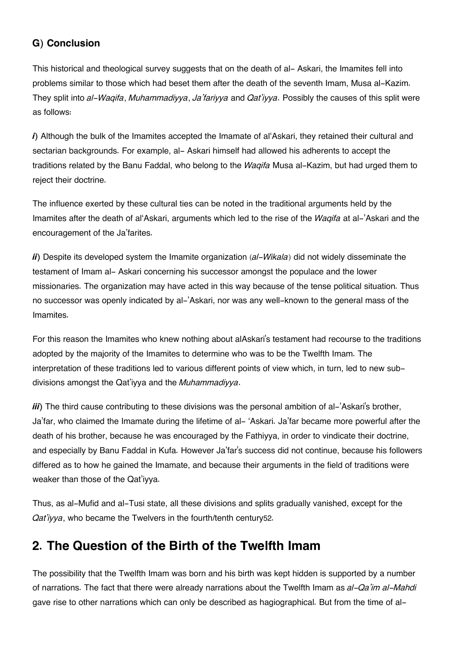#### **[G\) Conclusion](#page--1-0)**

This historical and theological survey suggests that on the death of al- Askari, the Imamites fell into problems similar to those which had beset them after the death of the seventh Imam, Musa al-Kazim. They split into *al*-*Waqifa*, *Muhammadiyya*, *Ja'fariyya* and *Qat'iyya*. Possibly the causes of this split were as follows:

*i*) Although the bulk of the Imamites accepted the Imamate of al'Askari, they retained their cultural and sectarian backgrounds. For example, al- Askari himself had allowed his adherents to accept the traditions related by the Banu Faddal, who belong to the *Waqifa* Musa al-Kazim, but had urged them to reject their doctrine.

The influence exerted by these cultural ties can be noted in the traditional arguments held by the Imamites after the death of al'Askari, arguments which led to the rise of the *Waqifa* at al-'Askari and the encouragement of the Ja'farites.

*ii)* Despite its developed system the Imamite organization *(al*-*Wikala)* did not widely disseminate the testament of Imam al- Askari concerning his successor amongst the populace and the lower missionaries. The organization may have acted in this way because of the tense political situation. Thus no successor was openly indicated by al-'Askari, nor was any well-known to the general mass of the Imamites.

For this reason the Imamites who knew nothing about alAskari's testament had recourse to the traditions adopted by the majority of the Imamites to determine who was to be the Twelfth Imam. The interpretation of these traditions led to various different points of view which, in turn, led to new subdivisions amongst the Qat'iyya and the *Muhammadiyya*.

*iii*) The third cause contributing to these divisions was the personal ambition of al-'Askari's brother, Ja'far, who claimed the Imamate during the lifetime of al- 'Askari. Ja'far became more powerful after the death of his brother, because he was encouraged by the Fathiyya, in order to vindicate their doctrine, and especially by Banu Faddal in Kufa. However Ja'far's success did not continue, because his followers differed as to how he gained the Imamate, and because their arguments in the field of traditions were weaker than those of the Qat'iyya.

Thus, as al-Mufid and al-Tusi state, all these divisions and splits gradually vanished, except for the *Qat'iyya*, who became the Twelvers in the fourth/tenth century[52](#page--1-0).

## **[2. The Question of the Birth of the Twelfth Imam](#page--1-0)**

The possibility that the Twelfth Imam was born and his birth was kept hidden is supported by a number of narrations. The fact that there were already narrations about the Twelfth Imam as *al-Qa'im al*-*Mahdi* gave rise to other narrations which can only be described as hagiographical. But from the time of al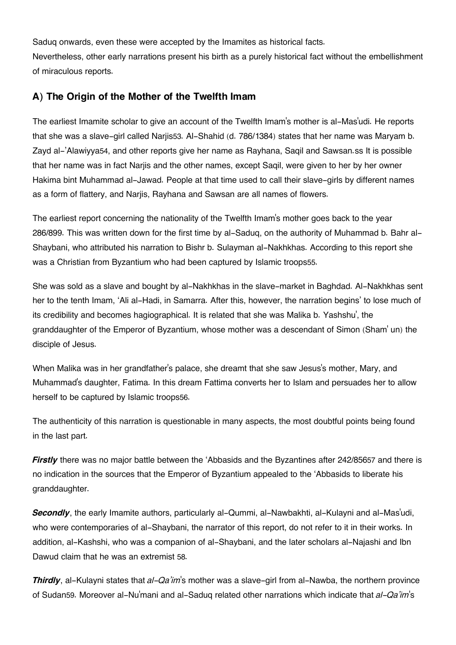Saduq onwards, even these were accepted by the Imamites as historical facts.

Nevertheless, other early narrations present his birth as a purely historical fact without the embellishment of miraculous reports.

#### **[A\) The Origin of the Mother of the Twelfth Imam](#page--1-0)**

The earliest Imamite scholar to give an account of the Twelfth Imam's mother is al-Mas'udi. He reports that she was a slave-girl called Narjis[53](#page--1-0). Al-Shahid (d. 786/1384) states that her name was Maryam b. Zayd al-'Alawiyya[54](#page--1-0), and other reports give her name as Rayhana, Saqil and Sawsan.ss It is possible that her name was in fact Narjis and the other names, except Saqil, were given to her by her owner Hakima bint Muhammad al-Jawad. People at that time used to call their slave-girls by different names as a form of flattery, and Narjis, Rayhana and Sawsan are all names of flowers.

The earliest report concerning the nationality of the Twelfth Imam's mother goes back to the year 286/899. This was written down for the first time by al-Saduq, on the authority of Muhammad b. Bahr al-Shaybani, who attributed his narration to Bishr b. Sulayman al-Nakhkhas. According to this report she was a Christian from Byzantium who had been captured by Islamic troops[55](#page--1-0).

She was sold as a slave and bought by al-Nakhkhas in the slave-market in Baghdad. Al-Nakhkhas sent her to the tenth Imam, 'Ali al-Hadi, in Samarra. After this, however, the narration begins' to lose much of its credibility and becomes hagiographical. It is related that she was Malika b. Yashshu', the granddaughter of the Emperor of Byzantium, whose mother was a descendant of Simon (Sham' un) the disciple of Jesus.

When Malika was in her grandfather's palace, she dreamt that she saw Jesus's mother, Mary, and Muhammad's daughter, Fatima. In this dream Fattima converts her to Islam and persuades her to allow herself to be captured by Islamic troops[56](#page--1-0).

The authenticity of this narration is questionable in many aspects, the most doubtful points being found in the last part.

*Firstly* there was no major battle between the 'Abbasids and the Byzantines after 242/856[57](#page--1-0) and there is no indication in the sources that the Emperor of Byzantium appealed to the 'Abbasids to liberate his granddaughter.

*Secondly*, the early Imamite authors, particularly al-Qummi, al-Nawbakhti, al-Kulayni and al-Mas'udi, who were contemporaries of al-Shaybani, the narrator of this report, do not refer to it in their works. In addition, al-Kashshi, who was a companion of al-Shaybani, and the later scholars al-Najashi and Ibn Dawud claim that he was an extremist [58](#page--1-0).

*Thirdly*, al-Kulayni states that *al-Qa'im*'s mother was a slave-girl from al-Nawba, the northern province of Sudan[59](#page--1-0). Moreover al-Nu'mani and al-Saduq related other narrations which indicate that *al-Qa'im*'s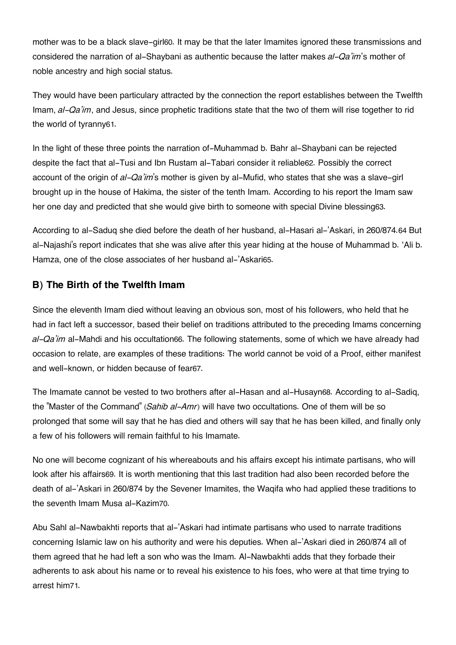mother was to be a black slave-girl[60](#page--1-0). It may be that the later Imamites ignored these transmissions and considered the narration of al-Shaybani as authentic because the latter makes *al-Qa'im*'s mother of noble ancestry and high social status.

They would have been particulary attracted by the connection the report establishes between the Twelfth Imam, *al-Qa'im*, and Jesus, since prophetic traditions state that the two of them will rise together to rid the world of tyranny[61](#page--1-0).

In the light of these three points the narration of-Muhammad b. Bahr al-Shaybani can be rejected despite the fact that al-Tusi and Ibn Rustam al-Tabari consider it reliable[62](#page--1-0). Possibly the correct account of the origin of *al-Qa'im*'s mother is given by al-Mufid, who states that she was a slave-girl brought up in the house of Hakima, the sister of the tenth Imam. According to his report the Imam saw her one day and predicted that she would give birth to someone with special Divine blessing[63](#page--1-0).

According to al-Saduq she died before the death of her husband, al-Hasari al-'Askari, in 260/874.[64](#page--1-0) But al-Najashi's report indicates that she was alive after this year hiding at the house of Muhammad b. 'Ali b. Hamza, one of the close associates of her husband al-'Askari[65](#page--1-0).

#### **[B\) The Birth of the Twelfth Imam](#page--1-0)**

Since the eleventh Imam died without leaving an obvious son, most of his followers, who held that he had in fact left a successor, based their belief on traditions attributed to the preceding Imams concerning *al-Qa'im* al-Mahdi and his occultation[66](#page--1-0). The following statements, some of which we have already had occasion to relate, are examples of these traditions: The world cannot be void of a Proof, either manifest and well-known, or hidden because of fear[67](#page--1-0).

The Imamate cannot be vested to two brothers after al-Hasan and al-Husayn[68](#page--1-0). According to al-Sadiq, the "Master of the Command" (*Sahib al*-*Amr*) will have two occultations. One of them will be so prolonged that some will say that he has died and others will say that he has been killed, and finally only a few of his followers will remain faithful to his Imamate.

No one will become cognizant of his whereabouts and his affairs except his intimate partisans, who will look after his affairs[69](#page--1-0). It is worth mentioning that this last tradition had also been recorded before the death of al-'Askari in 260/874 by the Sevener Imamites, the Waqifa who had applied these traditions to the seventh Imam Musa al-Kazim[70](#page--1-0).

Abu Sahl al-Nawbakhti reports that al-'Askari had intimate partisans who used to narrate traditions concerning Islamic law on his authority and were his deputies. When al-'Askari died in 260/874 all of them agreed that he had left a son who was the Imam. Al-Nawbakhti adds that they forbade their adherents to ask about his name or to reveal his existence to his foes, who were at that time trying to arrest him[71](#page--1-0).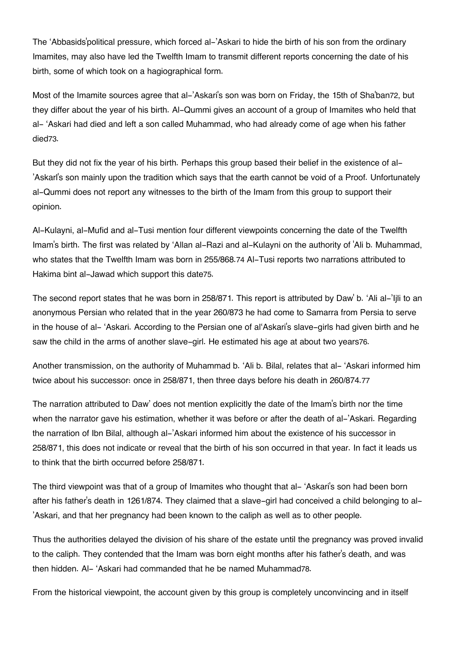The 'Abbasids'political pressure, which forced al-'Askari to hide the birth of his son from the ordinary Imamites, may also have led the Twelfth Imam to transmit different reports concerning the date of his birth, some of which took on a hagiographical form.

Most of the Imamite sources agree that al-'Askari's son was born on Friday, the 15th of Sha'ban[72](#page--1-0), but they differ about the year of his birth. Al-Qummi gives an account of a group of Imamites who held that al- 'Askari had died and left a son called Muhammad, who had already come of age when his father died[73](#page--1-0).

But they did not fix the year of his birth. Perhaps this group based their belief in the existence of al- 'Askarl's son mainly upon the tradition which says that the earth cannot be void of a Proof. Unfortunately al-Qummi does not report any witnesses to the birth of the Imam from this group to support their opinion.

Al-Kulayni, al-Mufid and al-Tusi mention four different viewpoints concerning the date of the Twelfth Imam's birth. The first was related by 'Allan al-Razi and al-Kulayni on the authority of 'Ali b. Muhammad, who states that the Twelfth Imam was born in 255/868.[74](#page--1-0) Al-Tusi reports two narrations attributed to Hakima bint al-Jawad which support this date[75](#page--1-0).

The second report states that he was born in 258/871. This report is attributed by Daw' b. 'Ali al-'Ijli to an anonymous Persian who related that in the year 260/873 he had come to Samarra from Persia to serve in the house of al- 'Askari. According to the Persian one of al'Askari's slave-girls had given birth and he saw the child in the arms of another slave-girl. He estimated his age at about two years[76](#page--1-0).

Another transmission, on the authority of Muhammad b. 'Ali b. Bilal, relates that al- 'Askari informed him twice about his successor: once in 258/871, then three days before his death in 260/874.[77](#page--1-0)

The narration attributed to Daw' does not mention explicitly the date of the Imam's birth nor the time when the narrator gave his estimation, whether it was before or after the death of al-'Askari. Regarding the narration of Ibn Bilal, although al-'Askari informed him about the existence of his successor in 258/871, this does not indicate or reveal that the birth of his son occurred in that year. In fact it leads us to think that the birth occurred before 258/871.

The third viewpoint was that of a group of Imamites who thought that al- 'Askari's son had been born after his father's death in 1261/874. They claimed that a slave-girl had conceived a child belonging to al- 'Askari, and that her pregnancy had been known to the caliph as well as to other people.

Thus the authorities delayed the division of his share of the estate until the pregnancy was proved invalid to the caliph. They contended that the Imam was born eight months after his father's death, and was then hidden. Al- 'Askari had commanded that he be named Muhammad[78](#page--1-0).

From the historical viewpoint, the account given by this group is completely unconvincing and in itself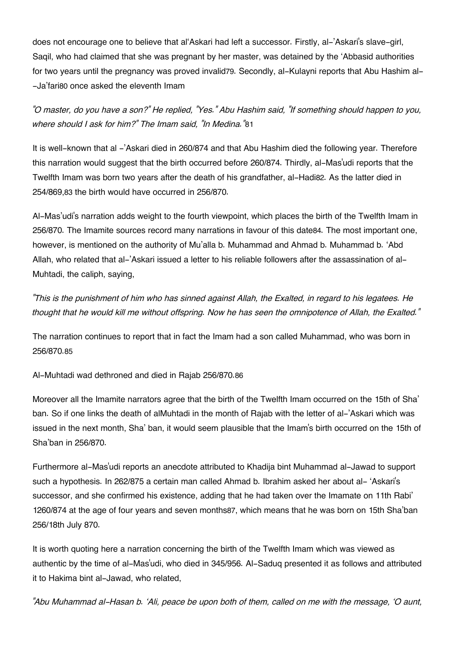does not encourage one to believe that al'Askari had left a successor. Firstly, al-'Askari's slave-girl, Saqil, who had claimed that she was pregnant by her master, was detained by the 'Abbasid authorities for two years until the pregnancy was proved invalid[79](#page--1-0). Secondly, al-Kulayni reports that Abu Hashim al- -Ja'fari[80](#page--1-0) once asked the eleventh Imam

*"O master, do you have a son?" He replied, "Yes." Abu Hashim said, "If something should happen to you, where should I ask for him?" The Imam said, "In Medina."*[81](#page--1-0)

It is well-known that al -'Askari died in 260/874 and that Abu Hashim died the following year. Therefore this narration would suggest that the birth occurred before 260/874. Thirdly, al-Mas'udi reports that the Twelfth Imam was born two years after the death of his grandfather, al-Hadi[82](#page--1-0). As the latter died in 254/869,[83](#page--1-0) the birth would have occurred in 256/870.

Al-Mas'udi's narration adds weight to the fourth viewpoint, which places the birth of the Twelfth Imam in 256/870. The Imamite sources record many narrations in favour of this date[84](#page--1-0). The most important one, however, is mentioned on the authority of Mu'alla b. Muhammad and Ahmad b. Muhammad b. 'Abd Allah, who related that al-'Askari issued a letter to his reliable followers after the assassination of al-Muhtadi, the caliph, saying,

*"This is the punishment of him who has sinned against Allah, the Exalted, in regard to his legatees. He thought that he would kill me without offspring. Now he has seen the omnipotence of Allah, the Exalted."*

The narration continues to report that in fact the Imam had a son called Muhammad, who was born in 256/870.[85](#page--1-0)

Al-Muhtadi wad dethroned and died in Rajab 256/870.[86](#page--1-0)

Moreover all the Imamite narrators agree that the birth of the Twelfth Imam occurred on the 15th of Sha' ban. So if one links the death of alMuhtadi in the month of Rajab with the letter of al-'Askari which was issued in the next month, Sha' ban, it would seem plausible that the Imam's birth occurred on the 15th of Sha'ban in 256/870.

Furthermore al-Mas'udi reports an anecdote attributed to Khadija bint Muhammad al-Jawad to support such a hypothesis. In 262/875 a certain man called Ahmad b. Ibrahim asked her about al- 'Askari's successor, and she confirmed his existence, adding that he had taken over the Imamate on 11th Rabi' 1260/874 at the age of four years and seven months[87](#page--1-0), which means that he was born on 15th Sha'ban 256/18th July 870.

It is worth quoting here a narration concerning the birth of the Twelfth Imam which was viewed as authentic by the time of al-Mas'udi, who died in 345/956. Al-Saduq presented it as follows and attributed it to Hakima bint al-Jawad, who related,

*"Abu Muhammad al-Hasan b. 'Ali, peace be upon both of them, called on me with the message, 'O aunt,*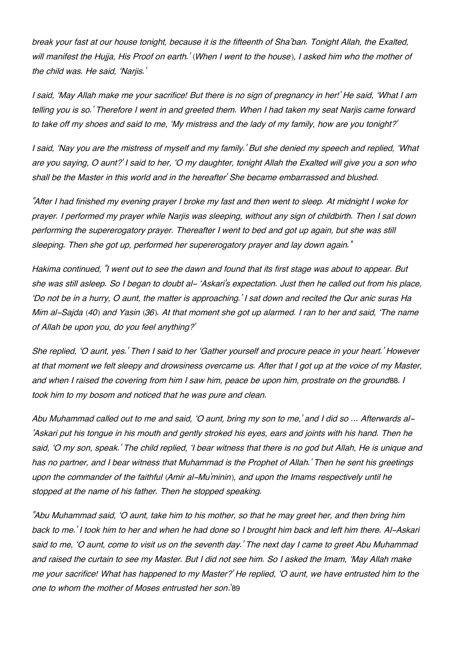*break your fast at our house tonight, because it is the fifteenth of Sha'ban. Tonight Allah, the Exalted, will manifest the Hujja, His Proof on earth.' (When I went to the house), I asked him who the mother of the child was. He said, 'Narjis.'*

*I said, 'May Allah make me your sacrifice! But there is no sign of pregnancy in her!' He said, 'What I am telling you is so.' Therefore I went in and greeted them. When I had taken my seat Narjis came forward to take off my shoes and said to me, 'My mistress and the lady of my family, how are you tonight?'*

*I said, 'Nay you are the mistress of myself and my family.' But she denied my speech and replied, 'What are you saying, O aunt?' I said to her, 'O my daughter, tonight Allah the Exalted will give you a son who shall be the Master in this world and in the hereafter' She became embarrassed and blushed.*

*"After I had finished my evening prayer I broke my fast and then went to sleep. At midnight I woke for prayer. I performed my prayer while Narjis was sleeping, without any sign of childbirth. Then I sat down performing the supererogatory prayer. Thereafter I went to bed and got up again, but she was still sleeping. Then she got up, performed her supererogatory prayer and lay down again."*

*Hakima continued, "I went out to see the dawn and found that its first stage was about to appear. But she was still asleep. So I began to doubt al- 'Askari's expectation. Just then he called out from his place, 'Do not be in a hurry, O aunt, the matter is approaching.' I sat down and recited the Qur anic suras Ha Mim al-Sajda (40) and Yasin (36). At that moment she got up alarmed. I ran to her and said, 'The name of Allah be upon you, do you feel anything?'*

*She replied, 'O aunt, yes.' Then I said to her 'Gather yourself and procure peace in your heart.' However at that moment we felt sleepy and drowsiness overcame us. After that I got up at the voice of my Master, and when I raised the covering from him I saw him, peace be upon him, prostrate on the ground*[88](#page--1-0). *I took him to my bosom and noticed that he was pure and clean.*

*Abu Muhammad called out to me and said, 'O aunt, bring my son to me,' and I did so ... Afterwards al- 'Askari put his tongue in his mouth and gently stroked his eyes, ears and joints with his hand. Then he said, 'O my son, speak.' The child replied, 'I bear witness that there is no god but Allah, He is unique and has no partner, and I bear witness that Muhammad is the Prophet of Allah.' Then he sent his greetings upon the commander of the faithful (Amir al-Mu'minin), and upon the Imams respectively until he stopped at the name of his father. Then he stopped speaking.*

*"Abu Muhammad said, 'O aunt, take him to his mother, so that he may greet her, and then bring him back to me.' I took him to her and when he had done so I brought him back and left him there. Al-Askari said to me, 'O aunt, come to visit us on the seventh day.' The next day I came to greet Abu Muhammad and raised the curtain to see my Master. But I did not see him. So I asked the Imam, 'May Allah make me your sacrifice! What has happened to my Master?' He replied, 'O aunt, we have entrusted him to the one to whom the mother of Moses entrusted her son*.'[89](#page--1-0)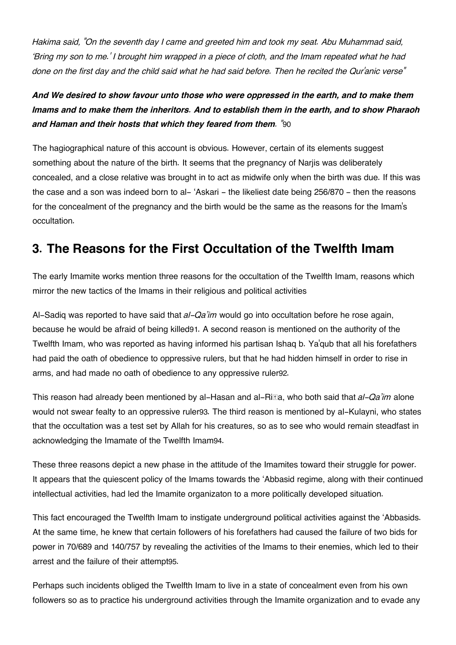*Hakima said, "On the seventh day I came and greeted him and took my seat. Abu Muhammad said, 'Bring my son to me.' I brought him wrapped in a piece of cloth, and the Imam repeated what he had done on the first day and the child said what he had said before. Then he recited the Qur'anic verse"*

### *And We desired to show favour unto those who were oppressed in the earth, and to make them Imams and to make them the inheritors. And to establish them in the earth, and to show Pharaoh and Haman and their hosts that which they feared from them. "*[90](#page--1-0)

The hagiographical nature of this account is obvious. However, certain of its elements suggest something about the nature of the birth. It seems that the pregnancy of Narjis was deliberately concealed, and a close relative was brought in to act as midwife only when the birth was due. If this was the case and a son was indeed born to al- 'Askari - the likeliest date being 256/870 - then the reasons for the concealment of the pregnancy and the birth would be the same as the reasons for the Imam's occultation.

# **[3. The Reasons for the First Occultation of the Twelfth Imam](#page--1-0)**

The early Imamite works mention three reasons for the occultation of the Twelfth Imam, reasons which mirror the new tactics of the Imams in their religious and political activities

Al-Sadiq was reported to have said that *al-Qa'im* would go into occultation before he rose again, because he would be afraid of being killed[91](#page--1-0). A second reason is mentioned on the authority of the Twelfth Imam, who was reported as having informed his partisan Ishaq b. Ya'qub that all his forefathers had paid the oath of obedience to oppressive rulers, but that he had hidden himself in order to rise in arms, and had made no oath of obedience to any oppressive ruler[92](#page--1-0).

This reason had already been mentioned by al-Hasan and al-Riďa, who both said that *al-Qa'im* alone would not swear fealty to an oppressive ruler[93](#page--1-0). The third reason is mentioned by al-Kulayni, who states that the occultation was a test set by Allah for his creatures, so as to see who would remain steadfast in acknowledging the Imamate of the Twelfth Imam[94](#page--1-0).

These three reasons depict a new phase in the attitude of the Imamites toward their struggle for power. It appears that the quiescent policy of the Imams towards the 'Abbasid regime, along with their continued intellectual activities, had led the Imamite organizaton to a more politically developed situation.

This fact encouraged the Twelfth Imam to instigate underground political activities against the 'Abbasids. At the same time, he knew that certain followers of his forefathers had caused the failure of two bids for power in 70/689 and 140/757 by revealing the activities of the Imams to their enemies, which led to their arrest and the failure of their attempt[95](#page--1-0).

Perhaps such incidents obliged the Twelfth Imam to live in a state of concealment even from his own followers so as to practice his underground activities through the Imamite organization and to evade any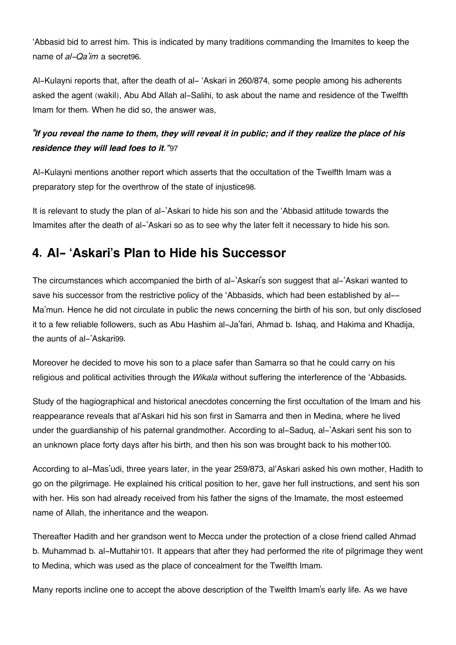'Abbasid bid to arrest him. This is indicated by many traditions commanding the Imamites to keep the name of *al-Qa'im* a secret[96](#page--1-0).

Al-Kulayni reports that, after the death of al- 'Askari in 260/874, some people among his adherents asked the agent (wakil), Abu Abd Allah al-Salihi, to ask about the name and residence of the Twelfth Imam for them. When he did so, the answer was,

### *"If you reveal the name to them, they will reveal it in public; and if they realize the place of his residence they will lead foes to it."*[97](#page--1-0)

Al-Kulayni mentions another report which asserts that the occultation of the Twelfth Imam was a preparatory step for the overthrow of the state of injustice[98](#page--1-0).

It is relevant to study the plan of al-'Askari to hide his son and the 'Abbasid attitude towards the Imamites after the death of al-'Askari so as to see why the later felt it necessary to hide his son.

# **[4. Al- 'Askari's Plan to Hide his Successor](#page--1-0)**

The circumstances which accompanied the birth of al-'Askari's son suggest that al-'Askari wanted to save his successor from the restrictive policy of the 'Abbasids, which had been established by al-- Ma'mun. Hence he did not circulate in public the news concerning the birth of his son, but only disclosed it to a few reliable followers, such as Abu Hashim al-Ja'fari, Ahmad b. Ishaq, and Hakima and Khadija, the aunts of al-'Askari[99](#page--1-0).

Moreover he decided to move his son to a place safer than Samarra so that he could carry on his religious and political activities through the *Wikala* without suffering the interference of the 'Abbasids.

Study of the hagiographical and historical anecdotes concerning the first occultation of the Imam and his reappearance reveals that al'Askari hid his son first in Samarra and then in Medina, where he lived under the guardianship of his paternal grandmother. According to al-Saduq, al-'Askari sent his son to an unknown place forty days after his birth, and then his son was brought back to his mother[100](#page--1-0).

According to al-Mas'udi, three years later, in the year 259/873, al'Askari asked his own mother, Hadith to go on the pilgrimage. He explained his critical position to her, gave her full instructions, and sent his son with her. His son had already received from his father the signs of the Imamate, the most esteemed name of Allah, the inheritance and the weapon.

Thereafter Hadith and her grandson went to Mecca under the protection of a close friend called Ahmad b. Muhammad b. al-Muttahir[101](#page--1-0). It appears that after they had performed the rite of pilgrimage they went to Medina, which was used as the place of concealment for the Twelfth Imam.

Many reports incline one to accept the above description of the Twelfth Imam's early life. As we have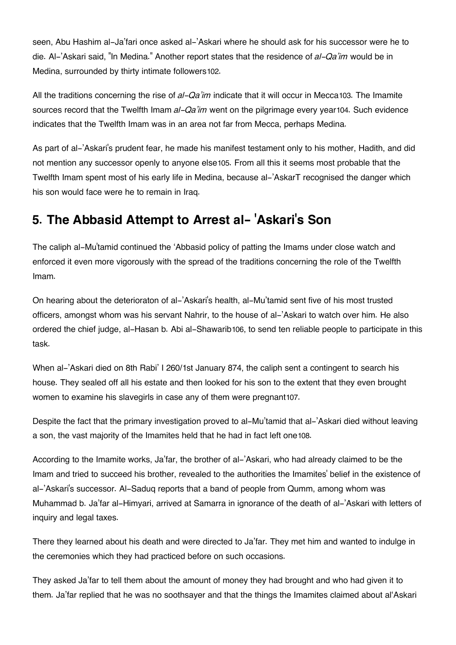seen, Abu Hashim al-Ja'fari once asked al-'Askari where he should ask for his successor were he to die. Al-'Askari said, "In Medina." Another report states that the residence of *al-Qa'im* would be in Medina, surrounded by thirty intimate followers[102](#page--1-0).

All the traditions concerning the rise of *al-Qa'im* indicate that it will occur in Mecca[103](#page--1-0). The Imamite sources record that the Twelfth Imam *al-Qa'im* went on the pilgrimage every year[104](#page--1-0). Such evidence indicates that the Twelfth Imam was in an area not far from Mecca, perhaps Medina.

As part of al-'Askari's prudent fear, he made his manifest testament only to his mother, Hadith, and did not mention any successor openly to anyone else[105](#page--1-0). From all this it seems most probable that the Twelfth Imam spent most of his early life in Medina, because al-'AskarT recognised the danger which his son would face were he to remain in Iraq.

# **[5. The Abbasid Attempt to Arrest al-](#page--1-0) 'Askari's Son**

The caliph al-Mu'tamid continued the 'Abbasid policy of patting the Imams under close watch and enforced it even more vigorously with the spread of the traditions concerning the role of the Twelfth Imam.

On hearing about the deterioraton of al-'Askari's health, al-Mu'tamid sent five of his most trusted officers, amongst whom was his servant Nahrir, to the house of al-'Askari to watch over him. He also ordered the chief judge, al-Hasan b. Abi al-Shawarib[106](#page--1-0), to send ten reliable people to participate in this task.

When al-'Askari died on 8th Rabi' I 260/1st January 874, the caliph sent a contingent to search his house. They sealed off all his estate and then looked for his son to the extent that they even brought women to examine his slavegirls in case any of them were pregnant[107](#page--1-0).

Despite the fact that the primary investigation proved to al-Mu'tamid that al-'Askari died without leaving a son, the vast majority of the Imamites held that he had in fact left one[108](#page--1-0).

According to the Imamite works, Ja'far, the brother of al-'Askari, who had already claimed to be the Imam and tried to succeed his brother, revealed to the authorities the Imamites' belief in the existence of al-'Askari's successor. Al-Saduq reports that a band of people from Qumm, among whom was Muhammad b. Ja'far al-Himyari, arrived at Samarra in ignorance of the death of al-'Askari with letters of inquiry and legal taxes.

There they learned about his death and were directed to Ja'far. They met him and wanted to indulge in the ceremonies which they had practiced before on such occasions.

They asked Ja'far to tell them about the amount of money they had brought and who had given it to them. Ja'far replied that he was no soothsayer and that the things the Imamites claimed about al'Askari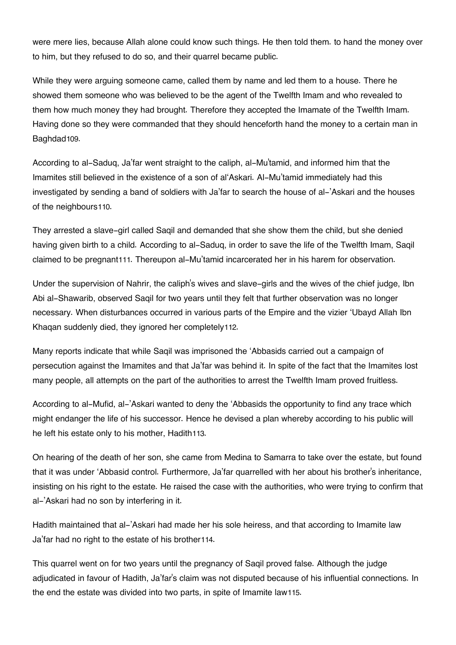were mere lies, because Allah alone could know such things. He then told them. to hand the money over to him, but they refused to do so, and their quarrel became public.

While they were arguing someone came, called them by name and led them to a house. There he showed them someone who was believed to be the agent of the Twelfth Imam and who revealed to them how much money they had brought. Therefore they accepted the Imamate of the Twelfth Imam. Having done so they were commanded that they should henceforth hand the money to a certain man in Baghdad[109](#page--1-0).

According to al-Saduq, Ja'far went straight to the caliph, al-Mu'tamid, and informed him that the Imamites still believed in the existence of a son of al'Askari. Al-Mu'tamid immediately had this investigated by sending a band of soldiers with Ja'far to search the house of al-'Askari and the houses of the neighbours[110](#page--1-0).

They arrested a slave-girl called Saqil and demanded that she show them the child, but she denied having given birth to a child. According to al-Saduq, in order to save the life of the Twelfth Imam, Saqil claimed to be pregnant[111](#page--1-0). Thereupon al-Mu'tamid incarcerated her in his harem for observation.

Under the supervision of Nahrir, the caliph's wives and slave-girls and the wives of the chief judge, Ibn Abi al-Shawarib, observed Saqil for two years until they felt that further observation was no longer necessary. When disturbances occurred in various parts of the Empire and the vizier 'Ubayd Allah Ibn Khaqan suddenly died, they ignored her completely[112](#page--1-0).

Many reports indicate that while Saqil was imprisoned the 'Abbasids carried out a campaign of persecution against the Imamites and that Ja'far was behind it. In spite of the fact that the Imamites lost many people, all attempts on the part of the authorities to arrest the Twelfth Imam proved fruitless.

According to al-Mufid, al-'Askari wanted to deny the 'Abbasids the opportunity to find any trace which might endanger the life of his successor. Hence he devised a plan whereby according to his public will he left his estate only to his mother, Hadith[113](#page--1-0).

On hearing of the death of her son, she came from Medina to Samarra to take over the estate, but found that it was under 'Abbasid control. Furthermore, Ja'far quarrelled with her about his brother's inheritance, insisting on his right to the estate. He raised the case with the authorities, who were trying to confirm that al-'Askari had no son by interfering in it.

Hadith maintained that al-'Askari had made her his sole heiress, and that according to Imamite law Ja'far had no right to the estate of his brother[114](#page--1-0).

This quarrel went on for two years until the pregnancy of Saqil proved false. Although the judge adjudicated in favour of Hadith, Ja'far's claim was not disputed because of his influential connections. In the end the estate was divided into two parts, in spite of Imamite law[115](#page--1-0).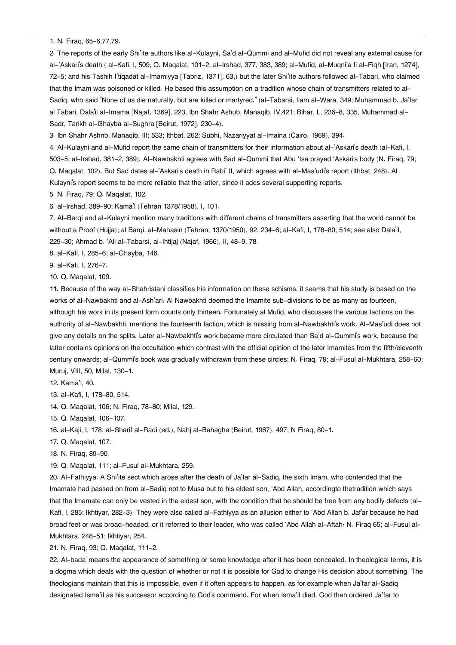[1.](#page--1-0) N. Firaq, 65-6,77,79.

[2.](#page--1-0) The reports of the early Shi'ite authors like al-Kulayni, Sa'd al-Qummi and al-Mufid did not reveal any external cause for al-'Askari's death ( al-Kafi, I, 509; Q. Maqalat, 101-2, al-Irshad, 377, 383, 389; al-Mufid, al-Muqni'a fi al-Fiqh [Iran, 1274], 72-5; and his Tashih I'tiqadat al-Imamiyya [Tabriz, 1371], 63,) but the later Shi'ite authors followed al-Tabari, who claimed that the Imam was poisoned or killed. He based this assumption on a tradition whose chain of transmitters related to al-Sadiq, who said "None of us die naturally, but are killed or martyred." (al-Tabarsi, Ilam al-Wara, 349; Muhammad b. Ja'far al Tabari, Dala'il al-Imama [Najaf, 1369], 223, Ibn Shahr Ashub, Manaqib, IV,421; Bihar, L, 236-8, 335, Muhammad al-Sadr, Tarikh al-Ghayba al-Sughra [Beirut, 1972], 230-4).

[3.](#page--1-0) Ibn Shahr Ashnb, Manaqib, III; 533; Ithbat, 262; Subhi, Nazariyyat al-Imaina (Cairo, 1969), 394.

[4.](#page--1-0) Al-Kulayni and al-Mufid report the same chain of transmitters for their information about al-'Askari's death (al-Kafi, I, 503-5; al-Irshad, 381-2, 389). Al-Nawbakhti agrees with Sad al-Qummi that Abu 'Isa prayed 'Askari's body (N. Firaq, 79; Q. Maqalat, 102). But Sad dates al-'Askari's death in Rabi' II, which agrees with al-Mas'udi's report (Ithbat, 248). Al Kulayni's report seems to be more reliable that the latter, since it adds several supporting reports.

[5.](#page--1-0) N. Firaq, 79; Q. Maqalat, 102.

[6.](#page--1-0) al-Irshad, 389-90; Kama'l (Tehran 1378/1958), I, 101.

[7.](#page--1-0) Al-Barqi and al-Kulayni mention many traditions with different chains of transmitters asserting that the world cannot be without a Proof (Hujja); al Barqi, al-Mahasin (Tehran, 1370/1950), 92, 234-6; al-Kafi, I, 178-80, 514; see also Dala'il, 229-30; Ahmad b. 'Ali al-Tabarsi, al-Ihtijaj (Najaf, 1966), II, 48-9, 78.

[8.](#page--1-0) al-Kafi, I, 285-6; al-Ghayba, 146.

[9.](#page--1-0) al-Kafi, I, 276-7.

[10.](#page--1-0) Q. Maqalat, 109.

[11.](#page--1-0) Because of the way al-Shahristani classifies his information on these schisms, it seems that his study is based on the works of al-Nawbakhti and al-Ash'ari. Al Nawbakhti deemed the Imamite sub-divisions to be as many as fourteen, although his work in its present form counts only thirteen. Fortunately al Mufid, who discusses the various factions on the authority of al-Nawbakhti, mentions the fourteenth faction, which is missing from al-Nawbakhti's work. Al-Mas'udi does not give any details on the splits. Later al-Nawbakhti's work became more circulated than Sa'd al-Qummi's work, because the latter contains opinions on the occultation which contrast with the official opinion of the later Imamites from the fifth/eleventh century onwards; al-Qummi's book was gradually withdrawn from these circles; N. Firaq, 79; al-Fusul al-Mukhtara, 258-60; Muruj, VIII, 50, Milal, 130-1.

[12.](#page--1-0) Kama'l, 40.

[13.](#page--1-0) al-Kafi, I, 178-80, 514.

[14.](#page--1-0) Q. Maqalat, 106; N. Firaq, 78-80; Milal, 129.

[15.](#page--1-0) Q. Maqalat, 106-107.

[16.](#page--1-0) al-Kaji, I, 178; al-Sharif al-Radi (ed.), Nahj al-Bahagha (Beirut, 1967), 497; N Firaq, 80-1.

[17.](#page--1-0) Q. Maqalat, 107.

[18.](#page--1-0) N. Firaq, 89-90.

[19.](#page--1-0) Q. Maqalat, 111; al-Fusul al-Mukhtara, 259.

[20.](#page--1-0) Al-Fathiyya: A Shi'ite sect which arose after the death of Ja'far al-Sadiq, the sixth Imam, who contended that the Imamate had passed on from al-Sadiq not to Musa but to his eldest son, 'Abd Allah, accordingto thetradition which says that the Imamate can only be vested in the eldest son, with the condition that he should be free from any bodily defects (al-Kafi, I, 285; Ikhtiyar, 282-3). They were also called al-Fathiyya as an allusion either to 'Abd Allah b. Jaf'ar because he had broad feet or was broad-headed, or it referred to their leader, who was called 'Abd Allah al-Aftah: N. Firaq 65; al-Fusul al-Mukhtara, 248-51; Ikhtiyar, 254.

[21.](#page--1-0) N. Firaq, 93; Q. Maqalat, 111-2.

[22.](#page--1-0) Al-bada' means the appearance of something or some knowledge after it has been concealed. In theological terms, it is a dogma which deals with the question of whether or not it is possible for God to change His decision about something. The theologians maintain that this is impossible, even if it often appears to happen, as for example when Ja'far al-Sadiq designated Isma'il as his successor according to God's command. For when Isma'il died, God then ordered Ja'far to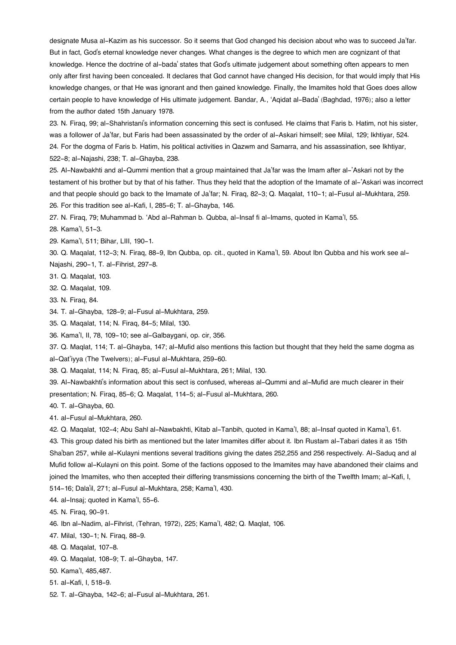designate Musa al-Kazim as his successor. So it seems that God changed his decision about who was to succeed Ja'far. But in fact, God's eternal knowledge never changes. What changes is the degree to which men are cognizant of that knowledge. Hence the doctrine of al-bada' states that God's ultimate judgement about something often appears to men only after first having been concealed. It declares that God cannot have changed His decision, for that would imply that His knowledge changes, or that He was ignorant and then gained knowledge. Finally, the Imamites hold that Goes does allow certain people to have knowledge of His ultimate judgement. Bandar, A., 'Aqidat al-Bada' (Baghdad, 1976); also a letter from the author dated 15th January 1978.

[23.](#page--1-0) N. Firaq, 99; al-Shahristani's information concerning this sect is confused. He claims that Faris b. Hatim, not his sister, was a follower of Ja'far, but Faris had been assassinated by the order of al-Askari himself; see Milal, 129; Ikhtiyar, 524. [24.](#page--1-0) For the dogma of Faris b. Hatim, his political activities in Qazwm and Samarra, and his assassination, see Ikhtiyar, 522-8; al-Najashi, 238; T. al-Ghayba, 238.

[25.](#page--1-0) Al-Nawbakhti and al-Qummi mention that a group maintained that Ja'far was the Imam after al-'Askari not by the testament of his brother but by that of his father. Thus they held that the adoption of the Imamate of al-'Askari was incorrect and that people should go back to the Imamate of Ja'far; N. Firaq, 82-3; Q. Maqalat, 110-1; al-Fusul al-Mukhtara, 259. [26.](#page--1-0) For this tradition see al-Kafi, I, 285-6; T. al-Ghayba, 146.

[27.](#page--1-0) N. Firaq, 79; Muhammad b. 'Abd al-Rahman b. Qubba, al-Insaf fi al-Imams, quoted in Kama'l, 55.

[28.](#page--1-0) Kama'l, 51-3.

[29.](#page--1-0) Kama'l, 511; Bihar, LIII, 190-1.

[30.](#page--1-0) Q. Maqalat, 112-3; N. Firaq, 88-9, Ibn Qubba, op. cit., quoted in Kama'l, 59. About Ibn Qubba and his work see al-Najashi, 290-1, T. al-Fihrist, 297-8.

[31.](#page--1-0) Q. Maqalat, 103.

[32.](#page--1-0) Q. Maqalat, 109.

[33.](#page--1-0) N. Firaq, 84.

[34.](#page--1-0) T. al-Ghayba, 128-9; al-Fusul al-Mukhtara, 259.

[35.](#page--1-0) Q. Maqalat, 114; N. Firaq, 84-5; Milal, 130.

[36.](#page--1-0) Kama'l, II, 78, 109-10; see al-Galbaygani, op. cir, 356.

[37.](#page--1-0) Q. Maqlat, 114; T. al-Ghayba, 147; al-Mufid also mentions this faction but thought that they held the same dogma as al-Qat'iyya (The Twelvers); al-Fusul al-Mukhtara, 259-60.

[38.](#page--1-0) Q. Maqalat, 114; N. Firaq, 85; al-Fusul al-Mukhtara, 261; Milal, 130.

[39.](#page--1-0) Al-Nawbakhti's information about this sect is confused, whereas al-Qummi and al-Mufid are much clearer in their presentation; N. Firaq, 85-6; Q. Maqalat, 114-5; al-Fusul al-Mukhtara, 260.

[40.](#page--1-0) T. al-Ghayba, 60.

[41.](#page--1-0) al-Fusul al-Mukhtara, 260.

[42.](#page--1-0) Q. Maqalat, 102-4; Abu Sahl al-Nawbakhti, Kitab al-Tanbih, quoted in Kama'l, 88; al-Insaf quoted in Kama'l, 61.

[43.](#page--1-0) This group dated his birth as mentioned but the later Imamites differ about it. Ibn Rustam al-Tabari dates it as 15th Sha'ban 257, while al-Kulayni mentions several traditions giving the dates 252,255 and 256 respectively. Al-Saduq and al Mufid follow al-Kulayni on this point. Some of the factions opposed to the Imamites may have abandoned their claims and joined the Imamites, who then accepted their differing transmissions concerning the birth of the Twelfth Imam; al-Kafi, I,

514-16; Dala'il, 271; al-Fusul al-Mukhtara, 258; Kama'l, 430.

[44.](#page--1-0) al-Insaj; quoted in Kama'l, 55-6.

[45.](#page--1-0) N. Firaq, 90-91.

[46.](#page--1-0) Ibn al-Nadim, al-Fihrist, (Tehran, 1972), 225; Kama'l, 482; Q. Maqlat, 106.

[47.](#page--1-0) Milal, 130-1; N. Firaq, 88-9.

[48.](#page--1-0) Q. Maqalat, 107-8.

- [49.](#page--1-0) Q. Maqalat, 108-9; T. al-Ghayba, 147.
- [50.](#page--1-0) Kama'l, 485,487.
- [51.](#page--1-0) al-Kafi, I, 518-9.
- [52.](#page--1-0) T. al-Ghayba, 142-6; al-Fusul al-Mukhtara, 261.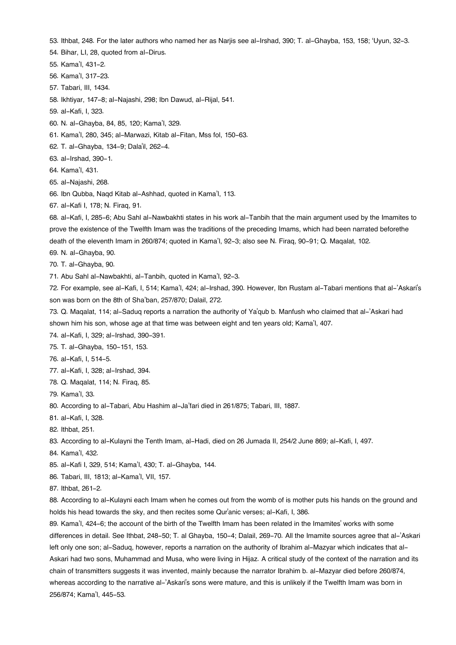[53.](#page--1-0) Ithbat, 248. For the later authors who named her as Narjis see al-Irshad, 390; T. al-Ghayba, 153, 158; 'Uyun, 32-3.

[54.](#page--1-0) Bihar, LI, 28, quoted from al-Dirus.

[55.](#page--1-0) Kama'l, 431-2.

[56.](#page--1-0) Kama'l, 317-23.

[57.](#page--1-0) Tabari, III, 1434.

[58.](#page--1-0) Ikhtiyar, 147-8; al-Najashi, 298; Ibn Dawud, al-Rijal, 541.

[59.](#page--1-0) al-Kafi, I, 323.

[60.](#page--1-0) N. al-Ghayba, 84, 85, 120; Kama'l, 329.

[61.](#page--1-0) Kama'l, 280, 345; al-Marwazi, Kitab al-Fitan, Mss fol, 150-63.

[62.](#page--1-0) T. al-Ghayba, 134-9; Dala'il, 262-4.

[63.](#page--1-0) al-Irshad, 390-1.

[64.](#page--1-0) Kama'l, 431.

[65.](#page--1-0) al-Najashi, 268.

[66.](#page--1-0) Ibn Qubba, Naqd Kitab al-Ashhad, quoted in Kama'l, 113.

[67.](#page--1-0) al-Kafi I, 178; N. Firaq, 91.

[68.](#page--1-0) al-Kafi, I, 285-6; Abu Sahl al-Nawbakhti states in his work al-Tanbih that the main argument used by the Imamites to prove the existence of the Twelfth Imam was the traditions of the preceding Imams, which had been narrated beforethe death of the eleventh Imam in 260/874; quoted in Kama'l, 92-3; also see N. Firaq, 90-91; Q. Maqalat, 102.

[69.](#page--1-0) N. al-Ghayba, 90.

[70.](#page--1-0) T. al-Ghayba, 90.

[71.](#page--1-0) Abu Sahl al-Nawbakhti, al-Tanbih, quoted in Kama'l, 92-3.

[72.](#page--1-0) For example, see al-Kafi, I, 514; Kama'l, 424; al-Irshad, 390. However, Ibn Rustam al-Tabari mentions that al-'Askari's son was born on the 8th of Sha'ban, 257/870; Dalail, 272.

[73.](#page--1-0) Q. Maqalat, 114; al-Saduq reports a narration the authority of Ya'qub b. Manfush who claimed that al-'Askari had shown him his son, whose age at that time was between eight and ten years old; Kama'l, 407.

[74.](#page--1-0) al-Kafi, I, 329; al-Irshad, 390-391.

[75.](#page--1-0) T. al-Ghayba, 150-151, 153.

[76.](#page--1-0) al-Kafi, I, 514-5.

[77.](#page--1-0) al-Kafi, I, 328; al-Irshad, 394.

[78.](#page--1-0) Q. Maqalat, 114; N. Firaq, 85.

[79.](#page--1-0) Kama'l, 33.

[80.](#page--1-0) According to al-Tabari, Abu Hashim al-Ja'fari died in 261/875; Tabari, III, 1887.

[81.](#page--1-0) al-Kafi, I, 328.

[82.](#page--1-0) Ithbat, 251.

[83.](#page--1-0) According to al-Kulayni the Tenth Imam, al-Hadi, died on 26 Jumada II, 254/2 June 869; al-Kafi, I, 497.

[84.](#page--1-0) Kama'l, 432.

[85.](#page--1-0) al-Kafi I, 329, 514; Kama'l, 430; T. al-Ghayba, 144.

[86.](#page--1-0) Tabari, III, 1813; al-Kama'l, VII, 157.

[87.](#page--1-0) Ithbat, 261-2.

[88.](#page--1-0) According to al-Kulayni each Imam when he comes out from the womb of is mother puts his hands on the ground and holds his head towards the sky, and then recites some Qur'anic verses; al-Kafi, I, 386.

[89.](#page--1-0) Kama'l, 424-6; the account of the birth of the Twelfth Imam has been related in the Imamites' works with some differences in detail. See Ithbat, 248-50; T. al Ghayba, 150-4; Dalail, 269-70. All the Imamite sources agree that al-'Askari left only one son; al-Saduq, however, reports a narration on the authority of Ibrahim al-Mazyar which indicates that al-Askari had two sons, Muhammad and Musa, who were living in Hijaz. A critical study of the context of the narration and its chain of transmitters suggests it was invented, mainly because the narrator Ibrahim b. al-Mazyar died before 260/874, whereas according to the narrative al-'Askari's sons were mature, and this is unlikely if the Twelfth Imam was born in 256/874; Kama'l, 445-53.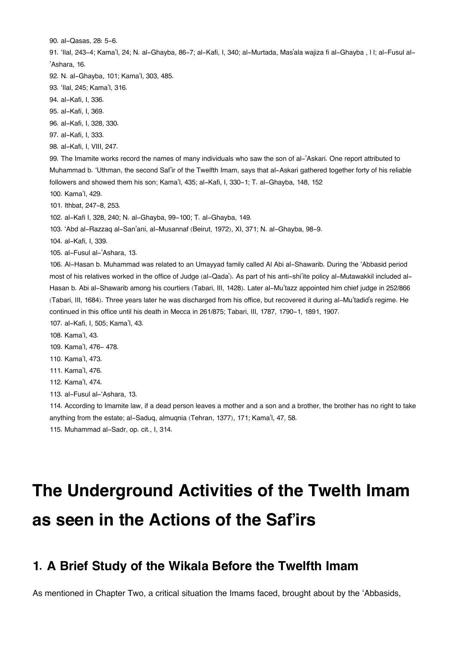[90.](#page--1-0) al-Qasas, 28: 5-6. [91.](#page--1-0) 'Ilal, 243-4; Kama'l, 24; N. al-Ghayba, 86-7; al-Kafi, I, 340; al-Murtada, Mas'ala wajiza fi al-Ghayba , l l; al-Fusul al- 'Ashara, 16. [92.](#page--1-0) N. al-Ghayba, 101; Kama'l, 303, 485. [93.](#page--1-0) 'Ilal, 245; Kama'l, 316. [94.](#page--1-0) al-Kafi, I, 336. [95.](#page--1-0) al-Kafi, I, 369. [96.](#page--1-0) al-Kafi, I, 328, 330. [97.](#page--1-0) al-Kafi, I, 333. [98.](#page--1-0) al-Kafi, I, VIII, 247. [99.](#page--1-0) The Imamite works record the names of many individuals who saw the son of al-'Askari. One report attributed to Muhammad b. 'Uthman, the second Saf'ir of the Twelfth Imam, says that al-Askari gathered together forty of his reliable followers and showed them his son; Kama'l, 435; al-Kafi, I, 330-1; T. al-Ghayba, 148, 152 [100.](#page--1-0) Kama'l, 429. [101.](#page--1-0) Ithbat, 247-8, 253. [102.](#page--1-0) al-Kafi I, 328, 240; N. al-Ghayba, 99-100; T. al-Ghayba, 149. [103.](#page--1-0) 'Abd al-Razzaq al-San'ani, al-Musannaf (Beirut, 1972), XI, 371; N. al-Ghayba, 98-9. [104.](#page--1-0) al-Kafi, I, 339. [105.](#page--1-0) al-Fusul al-'Ashara, 13. [106.](#page--1-0) Al-Hasan b. Muhammad was related to an Umayyad family called Al Abi al-Shawarib. During the 'Abbasid period most of his relatives worked in the office of Judge (al-Qada'). As part of his anti-shi'ite policy al-Mutawakkil included al-Hasan b. Abi al-Shawarib among his courtiers (Tabari, III, 1428). Later al-Mu'tazz appointed him chief judge in 252/866 (Tabari, III, 1684). Three years later he was discharged from his office, but recovered it during al-Mu'tadid's regime. He continued in this office until his death in Mecca in 261/875; Tabari, III, 1787, 1790-1, 1891, 1907. [107.](#page--1-0) al-Kafi, I, 505; Kama'l, 43. [108.](#page--1-0) Kama'l, 43. [109.](#page--1-0) Kama'l, 476- 478. [110.](#page--1-0) Kama'l, 473. [111.](#page--1-0) Kama'l, 476. [112.](#page--1-0) Kama'l, 474. [113.](#page--1-0) al-Fusul al-'Ashara, 13. [114.](#page--1-0) According to Imamite law, if a dead person leaves a mother and a son and a brother, the brother has no right to take anything from the estate; al-Saduq, almuqnia (Tehran, 1377), 171; Kama'l, 47, 58. [115.](#page--1-0) Muhammad al-Sadr, op. cit., I, 314.

# **The Underground Activities of the Twelth Imam as seen in the Actions of the Saf'irs**

### **[1. A Brief Study of the Wikala Before the Twelfth Imam](#page--1-0)**

As mentioned in Chapter Two, a critical situation the Imams faced, brought about by the 'Abbasids,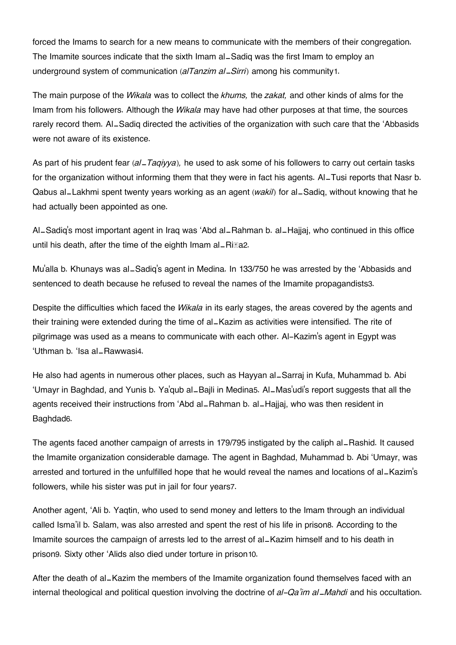forced the Imams to search for a new means to communicate with the members of their congregation. The Imamite sources indicate that the sixth Imam al–Sadiq was the first Imam to employ an underground system of communication *(alTanzim al‑Sirri)* among his community[1](#page--1-0).

The main purpose of the *Wikala* was to collect the *khums,* the *zakat,* and other kinds of alms for the Imam from his followers. Although the *Wikala* may have had other purposes at that time, the sources rarely record them. Al‑Sadiq directed the activities of the organization with such care that the 'Abbasids were not aware of its existence.

As part of his prudent fear *(al \_Taqiyya)*, he used to ask some of his followers to carry out certain tasks for the organization without informing them that they were in fact his agents. Al–Tusi reports that Nasr b. Qabus al<sub>-</sub>Lakhmi spent twenty years working as an agent *(wakil)* for al-Sadig, without knowing that he had actually been appointed as one.

Al-Sadiq's most important agent in Iraq was 'Abd al-Rahman b. al-Hajjaj, who continued in this office until his death, after the time of the eighth Imam al $\Box$ Ri $\square$ a[2](#page--1-0).

Mu'alla b. Khunays was al‑Sadiq's agent in Medina. In 133/750 he was arrested by the 'Abbasids and sentenced to death because he refused to reveal the names of the Imamite propagandists[3](#page--1-0).

Despite the difficulties which faced the *Wikala* in its early stages, the areas covered by the agents and their training were extended during the time of al‑Kazim as activities were intensified. The rite of pilgrimage was used as a means to communicate with each other. Al-Kazim's agent in Egypt was 'Uthman b. 'Isa al‑Rawwasi[4](#page--1-0).

He also had agents in numerous other places, such as Hayyan al–Sarraj in Kufa, Muhammad b. Abi 'Umayr in Baghdad, and Yunis b. Ya'qub al‑Bajli in Medina[5](#page--1-0). Al‑Mas'udi's report suggests that all the agents received their instructions from 'Abd al\_Rahman b. al\_Hajjaj, who was then resident in Baghdad[6](#page--1-0).

The agents faced another campaign of arrests in 179/795 instigated by the caliph al\_Rashid. It caused the Imamite organization considerable damage. The agent in Baghdad, Muhammad b. Abi 'Umayr, was arrested and tortured in the unfulfilled hope that he would reveal the names and locations of al\_Kazim's followers, while his sister was put in jail for four years[7](#page--1-0).

Another agent, 'Ali b. Yaqtin, who used to send money and letters to the Imam through an individual called Isma'il b. Salam, was also arrested and spent the rest of his life in prison[8](#page--1-0). According to the Imamite sources the campaign of arrests led to the arrest of al<sub>–</sub>Kazim himself and to his death in prison[9](#page--1-0). Sixty other 'Alids also died under torture in prison[10](#page--1-0).

After the death of al<sub>-</sub>Kazim the members of the Imamite organization found themselves faced with an internal theological and political question involving the doctrine of *al-Qa'im al‑Mahdi* and his occultation.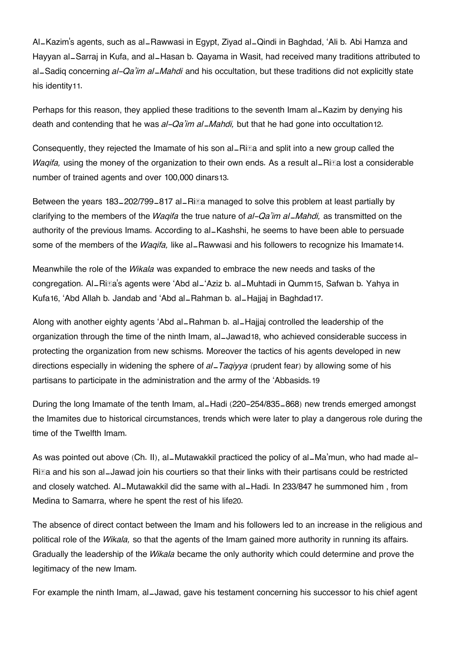Al‑Kazim's agents, such as al‑Rawwasi in Egypt, Ziyad al‑Qindi in Baghdad, 'Ali b. Abi Hamza and Hayyan al‑Sarraj in Kufa, and al‑Hasan b. Qayama in Wasit, had received many traditions attributed to al‑Sadiq concerning *al-Qa'im al‑Mahdi* and his occultation, but these traditions did not explicitly state his identity[11](#page--1-0).

Perhaps for this reason, they applied these traditions to the seventh Imam al–Kazim by denying his death and contending that he was *al-Qa'im al‑Mahdi,* but that he had gone into occultation[12](#page--1-0).

Consequently, they rejected the Imamate of his son al‑Riďa and split into a new group called the *Waqifa*, using the money of the organization to their own ends. As a result al\_RiTa lost a considerable number of trained agents and over 100,000 dinars[13](#page--1-0).

Between the years 183–202/799–817 al–RiMa managed to solve this problem at least partially by clarifying to the members of the *Waqifa* the true nature of *al-Qa'im al‑Mahdi,* as transmitted on the authority of the previous Imams. According to al‑Kashshi, he seems to have been able to persuade some of the members of the *Waqifa*, like al<sub>-</sub>Rawwasi and his followers to recognize his Imamate[14](#page--1-0).

Meanwhile the role of the *Wikala* was expanded to embrace the new needs and tasks of the congregation. Al‑Riďa's agents were 'Abd al‑'Aziz b. al‑Muhtadi in Qumm[15](#page--1-0), Safwan b. Yahya in Kufa[16](#page--1-0), 'Abd Allah b. Jandab and 'Abd al<sub>-</sub>Rahman b. al-Hajjaj in Baghdad[17](#page--1-0).

Along with another eighty agents 'Abd al\_Rahman b. al\_Hajjaj controlled the leadership of the organization through the time of the ninth Imam, al‑Jawad[18](#page--1-0), who achieved considerable success in protecting the organization from new schisms. Moreover the tactics of his agents developed in new directions especially in widening the sphere of *al‑Taqiyya* (prudent fear) by allowing some of his partisans to participate in the administration and the army of the 'Abbasids.[19](#page--1-0)

During the long Imamate of the tenth Imam, al–Hadi (220–254/835–868) new trends emerged amongst the Imamites due to historical circumstances, trends which were later to play a dangerous role during the time of the Twelfth Imam.

As was pointed out above (Ch. II), al‑Mutawakkil practiced the policy of al‑Ma'mun, who had made al-Ri $\mathbb E$ a and his son al-Jawad join his courtiers so that their links with their partisans could be restricted and closely watched. Al‑Mutawakkil did the same with al‑Hadi. In 233/847 he summoned him , from Medina to Samarra, where he spent the rest of his life[20](#page--1-0).

The absence of direct contact between the Imam and his followers led to an increase in the religious and political role of the *Wikala,* so that the agents of the Imam gained more authority in running its affairs. Gradually the leadership of the *Wikala* became the only authority which could determine and prove the legitimacy of the new Imam.

For example the ninth Imam, al–Jawad, gave his testament concerning his successor to his chief agent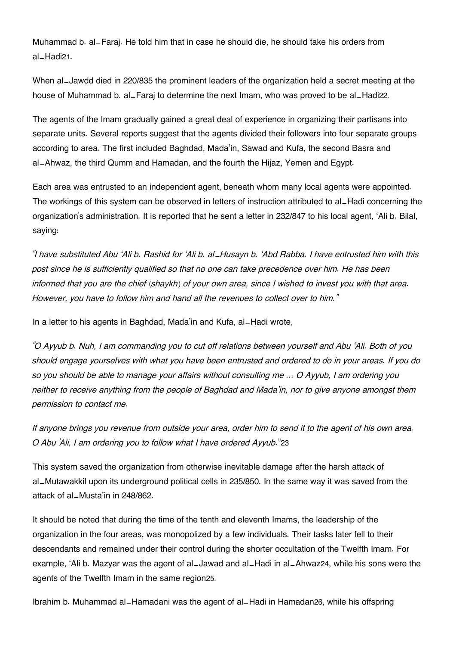Muhammad b. al‑Faraj. He told him that in case he should die, he should take his orders from al‑Hadi[21](#page--1-0).

When al–Jawdd died in 220/835 the prominent leaders of the organization held a secret meeting at the house of Muhammad b. al\_Faraj to determine the next Imam, who was proved to be al\_Hadi[22](#page--1-0).

The agents of the Imam gradually gained a great deal of experience in organizing their partisans into separate units. Several reports suggest that the agents divided their followers into four separate groups according to area. The first included Baghdad, Mada'in, Sawad and Kufa, the second Basra and al<sub>-Ahwaz</sub>, the third Qumm and Hamadan, and the fourth the Hijaz, Yemen and Egypt.

Each area was entrusted to an independent agent, beneath whom many local agents were appointed. The workings of this system can be observed in letters of instruction attributed to al–Hadi concerning the organization's administration. It is reported that he sent a letter in 232/847 to his local agent, 'Ali b. Bilal, saying:

*"I have substituted Abu 'Ali b. Rashid for 'Ali b. al‑Husayn b. 'Abd Rabba. I have entrusted him with this post since he is sufficiently qualified so that no one can take precedence over him. He has been informed that you are the chief (shaykh) of your own area, since I wished to invest you with that area. However, you have to follow him and hand all the revenues to collect over to him."*

In a letter to his agents in Baghdad, Mada'in and Kufa, al\_Hadi wrote,

*"O Ayyub b. Nuh, I am commanding you to cut off relations between yourself and Abu 'Ali. Both of you should engage yourselves with what you have been entrusted and ordered to do in your areas. If you do so you should be able to manage your affairs without consulting me ... O Ayyub, I am ordering you neither to receive anything from the people of Baghdad and Mada'in, nor to give anyone amongst them permission to contact me.*

*If anyone brings you revenue from outside your area, order him to send it to the agent of his own area. O Abu 'Ali, I am ordering you to follow what I have ordered Ayyub.*"[23](#page--1-0)

This system saved the organization from otherwise inevitable damage after the harsh attack of al–Mutawakkil upon its underground political cells in 235/850. In the same way it was saved from the attack of al‑Musta'in in 248/862.

It should be noted that during the time of the tenth and eleventh Imams, the leadership of the organization in the four areas, was monopolized by a few individuals. Their tasks later fell to their descendants and remained under their control during the shorter occultation of the Twelfth Imam. For example, 'Ali b. Mazyar was the agent of al‑Jawad and al‑Hadi in al‑Ahwaz[24](#page--1-0), while his sons were the agents of the Twelfth Imam in the same region[25](#page--1-0).

Ibrahim b. Muhammad al‑Hamadani was the agent of al‑Hadi in Hamadan[26](#page--1-0), while his offspring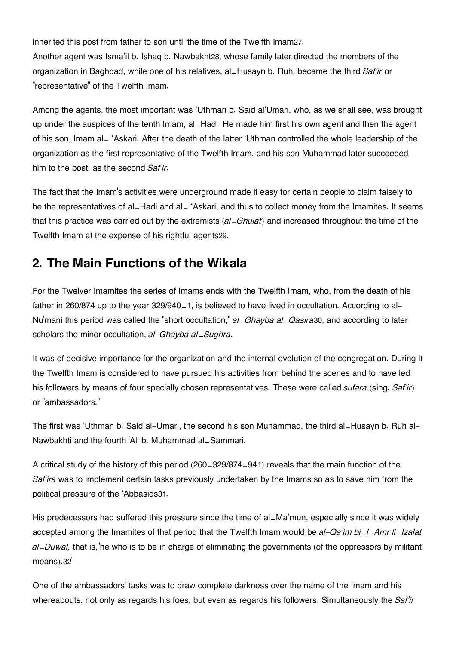inherited this post from father to son until the time of the Twelfth Imam[27](#page--1-0). Another agent was Isma'il b. Ishaq b. Nawbakht[28](#page--1-0), whose family later directed the members of the organization in Baghdad, while one of his relatives, al‑Husayn b. Ruh, became the third *Saf'ir* or "representative" of the Twelfth Imam.

Among the agents, the most important was 'Uthmari b. Said al'Umari, who, as we shall see, was brought up under the auspices of the tenth Imam, al–Hadi. He made him first his own agent and then the agent of his son, Imam al‑ 'Askari. After the death of the latter 'Uthman controlled the whole leadership of the organization as the first representative of the Twelfth Imam, and his son Muhammad later succeeded him to the post, as the second *Saf'ir.*

The fact that the Imam's activities were underground made it easy for certain people to claim falsely to be the representatives of al–Hadi and al– 'Askari, and thus to collect money from the Imamites. It seems that this practice was carried out by the extremists *(al‑Ghulat)* and increased throughout the time of the Twelfth Imam at the expense of his rightful agents[29](#page--1-0).

## **[2. The Main Functions of the Wikala](#page--1-0)**

For the Twelver Imamites the series of Imams ends with the Twelfth Imam, who, from the death of his father in 260/874 up to the year 329/940<sub>-1</sub>, is believed to have lived in occultation. According to al-Nu'mani this period was called the "short occultation," *al‑Ghayba al‑Qasira*[30](#page--1-0), and according to later scholars the minor occultation, *al-Ghayba al‑Sughra*.

It was of decisive importance for the organization and the internal evolution of the congregation. During it the Twelfth Imam is considered to have pursued his activities from behind the scenes and to have led his followers by means of four specially chosen representatives. These were called *sufara* (sing. *Saf'ir)* or "ambassadors."

The first was 'Uthman b. Said al-Umari, the second his son Muhammad, the third al – Husayn b. Ruh al– Nawbakhti and the fourth 'Ali b. Muhammad al‑Sammari.

A critical study of the history of this period (260‑329/874‑941) reveals that the main function of the *Saf'irs* was to implement certain tasks previously undertaken by the Imams so as to save him from the political pressure of the 'Abbasids[31](#page--1-0).

His predecessors had suffered this pressure since the time of al\_Ma'mun, especially since it was widely accepted among the Imamites of that period that the Twelfth Imam would be *al-Qa'im bi‑l‑Amr li‑Izalat al‑Duwal,* that is,"he who is to be in charge of eliminating the governments (of the oppressors by militant means).[32](#page--1-0)"

One of the ambassadors' tasks was to draw complete darkness over the name of the Imam and his whereabouts, not only as regards his foes, but even as regards his followers. Simultaneously the *Saf'ir*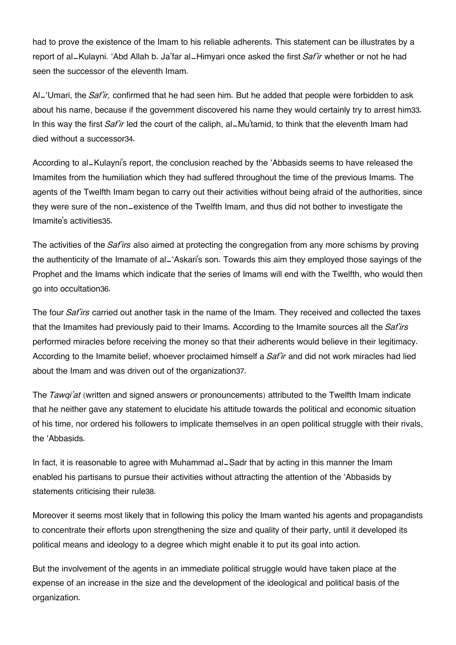had to prove the existence of the Imam to his reliable adherents. This statement can be illustrates by a report of al‑Kulayni. 'Abd Allah b. Ja'far al‑Himyari once asked the first *Saf'ir* whether or not he had seen the successor of the eleventh Imam.

Al‑'Umari, the *Saf'ir,* confirmed that he had seen him. But he added that people were forbidden to ask about his name, because if the government discovered his name they would certainly try to arrest him[33](#page--1-0). In this way the first *Saf'ir* led the court of the caliph, al \_Mu'tamid, to think that the eleventh Imam had died without a successor[34](#page--1-0).

According to al<sub>-</sub>Kulayni's report, the conclusion reached by the 'Abbasids seems to have released the Imamites from the humiliation which they had suffered throughout the time of the previous Imams. The agents of the Twelfth Imam began to carry out their activities without being afraid of the authorities, since they were sure of the non‑existence of the Twelfth Imam, and thus did not bother to investigate the Imamite's activities[35](#page--1-0).

The activities of the *Saf'irs* also aimed at protecting the congregation from any more schisms by proving the authenticity of the Imamate of al‑'Askari's son. Towards this aim they employed those sayings of the Prophet and the Imams which indicate that the series of Imams will end with the Twelfth, who would then go into occultation[36](#page--1-0).

The four *Saf'irs* carried out another task in the name of the Imam. They received and collected the taxes that the Imamites had previously paid to their Imams. According to the Imamite sources all the *Saf'irs* performed miracles before receiving the money so that their adherents would believe in their legitimacy. According to the Imamite belief, whoever proclaimed himself a *Saf'ir* and did not work miracles had lied about the Imam and was driven out of the organization[37](#page--1-0).

The *Tawqi'at* (written and signed answers or pronouncements) attributed to the Twelfth Imam indicate that he neither gave any statement to elucidate his attitude towards the political and economic situation of his time, nor ordered his followers to implicate themselves in an open political struggle with their rivals, the 'Abbasids.

In fact, it is reasonable to agree with Muhammad al-Sadr that by acting in this manner the Imam enabled his partisans to pursue their activities without attracting the attention of the 'Abbasids by statements criticising their rule[38](#page--1-0).

Moreover it seems most likely that in following this policy the Imam wanted his agents and propagandists to concentrate their efforts upon strengthening the size and quality of their party, until it developed its political means and ideology to a degree which might enable it to put its goal into action.

But the involvement of the agents in an immediate political struggle would have taken place at the expense of an increase in the size and the development of the ideological and political basis of the organization.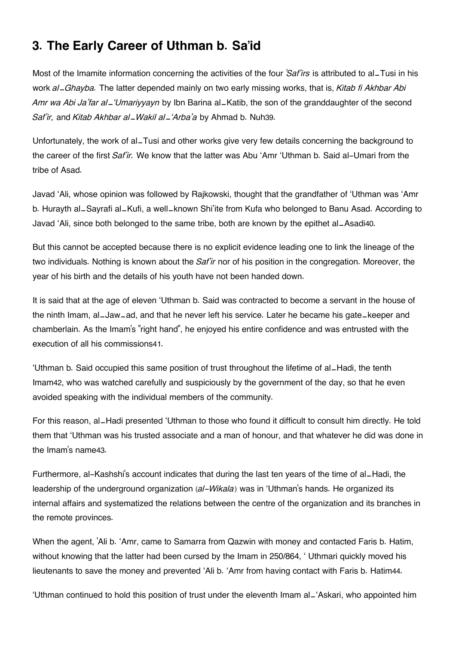### **[3. The Early Career of Uthman b. Sa'id](#page--1-0)**

Most of the Imamite information concerning the activities of the four *'Saf'irs* is attributed to al–Tusi in his work *al‑Ghayba.* The latter depended mainly on two early missing works, that is, *Kitab fi Akhbar Abi Amr wa Abi Ja'far al‑'Umariyyayn* by Ibn Barina al‑Katib, the son of the granddaughter of the second *Saf'ir,* and *Kitab Akhbar al‑Wakil al‑'Arba'a* by Ahmad b. Nuh[39](#page--1-0).

Unfortunately, the work of al–Tusi and other works give very few details concerning the background to the career of the first *Saf'ir.* We know that the latter was Abu 'Amr 'Uthman b. Said al-Umari from the tribe of Asad.

Javad 'Ali, whose opinion was followed by Rajkowski, thought that the grandfather of 'Uthman was 'Amr b. Hurayth al‑Sayrafi al‑Kufi, a well‑known Shi'ite from Kufa who belonged to Banu Asad. According to Javad 'Ali, since both belonged to the same tribe, both are known by the epithet al‑Asadi[40](#page--1-0).

But this cannot be accepted because there is no explicit evidence leading one to link the lineage of the two individuals. Nothing is known about the *Saf'ir* nor of his position in the congregation. Moreover, the year of his birth and the details of his youth have not been handed down.

It is said that at the age of eleven 'Uthman b. Said was contracted to become a servant in the house of the ninth Imam, al–Jaw–ad, and that he never left his service. Later he became his gate–keeper and chamberlain. As the Imam's "right hand", he enjoyed his entire confidence and was entrusted with the execution of all his commissions[41](#page--1-0).

'Uthman b. Said occupied this same position of trust throughout the lifetime of al‑Hadi, the tenth Imam[42](#page--1-0), who was watched carefully and suspiciously by the government of the day, so that he even avoided speaking with the individual members of the community.

For this reason, al–Hadi presented 'Uthman to those who found it difficult to consult him directly. He told them that 'Uthman was his trusted associate and a man of honour, and that whatever he did was done in the Imam's name[43](#page--1-0).

Furthermore, al-Kashshi's account indicates that during the last ten years of the time of al\_Hadi, the leadership of the underground organization *(al-Wikala)* was in 'Uthman's hands. He organized its internal affairs and systematized the relations between the centre of the organization and its branches in the remote provinces.

When the agent, 'Ali b. 'Amr, came to Samarra from Qazwin with money and contacted Faris b. Hatim, without knowing that the latter had been cursed by the Imam in 250/864, ' Uthmari quickly moved his lieutenants to save the money and prevented 'Ali b. 'Amr from having contact with Faris b. Hatim[44](#page--1-0).

'Uthman continued to hold this position of trust under the eleventh Imam al‑'Askari, who appointed him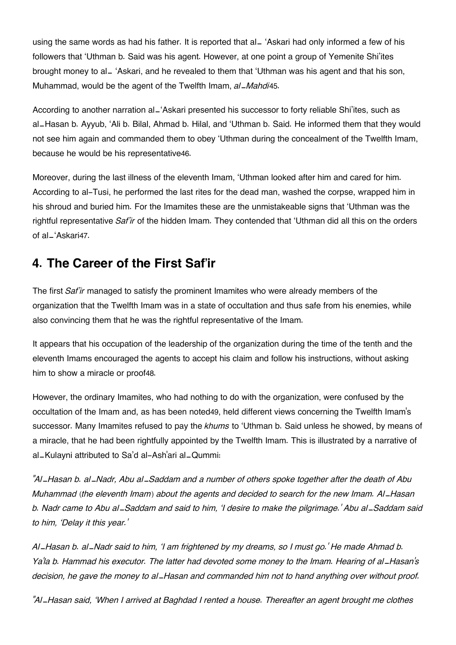using the same words as had his father. It is reported that al‑ 'Askari had only informed a few of his followers that 'Uthman b. Said was his agent. However, at one point a group of Yemenite Shi'ites brought money to al‑ 'Askari, and he revealed to them that 'Uthman was his agent and that his son, Muhammad, would be the agent of the Twelfth Imam, *al‑Mahdi*[45](#page--1-0).

According to another narration al‑'Askari presented his successor to forty reliable Shi'ites, such as al‑Hasan b. Ayyub, 'Ali b. Bilal, Ahmad b. Hilal, and 'Uthman b. Said. He informed them that they would not see him again and commanded them to obey 'Uthman during the concealment of the Twelfth Imam, because he would be his representative[46](#page--1-0).

Moreover, during the last illness of the eleventh Imam, 'Uthman looked after him and cared for him. According to al-Tusi, he performed the last rites for the dead man, washed the corpse, wrapped him in his shroud and buried him. For the Imamites these are the unmistakeable signs that 'Uthman was the rightful representative *Saf'ir* of the hidden Imam. They contended that 'Uthman did all this on the orders of al<sub>-</sub>'Askari[47](#page--1-0).

### **[4. The Career of the First Saf'ir](#page--1-0)**

The first *Saf'ir* managed to satisfy the prominent Imamites who were already members of the organization that the Twelfth Imam was in a state of occultation and thus safe from his enemies, while also convincing them that he was the rightful representative of the Imam.

It appears that his occupation of the leadership of the organization during the time of the tenth and the eleventh Imams encouraged the agents to accept his claim and follow his instructions, without asking him to show a miracle or proof[48](#page--1-0).

However, the ordinary Imamites, who had nothing to do with the organization, were confused by the occultation of the Imam and, as has been noted[49](#page--1-0), held different views concerning the Twelfth Imam's successor. Many Imamites refused to pay the *khums* to 'Uthman b. Said unless he showed, by means of a miracle, that he had been rightfully appointed by the Twelfth Imam. This is illustrated by a narrative of al‑Kulayni attributed to Sa'd al-Ash'ari al‑Qummi:

*"Al‑Hasan b. al‑Nadr, Abu al‑Saddam and a number of others spoke together after the death of Abu Muhammad (the eleventh Imam) about the agents and decided to search for the new Imam. Al‑Hasan b. Nadr came to Abu al‑Saddam and said to him, 'I desire to make the pilgrimage.' Abu al‑Saddam said to him, 'Delay it this year.'*

*Al‑Hasan b. al‑Nadr said to him, 'I am frightened by my dreams, so I must go.' He made Ahmad b. Ya'la b. Hammad his executor. The latter had devoted some money to the Imam. Hearing of al‑Hasan's decision, he gave the money to al‑Hasan and commanded him not to hand anything over without proof.*

*"Al‑Hasan said, 'When I arrived at Baghdad I rented a house. Thereafter an agent brought me clothes*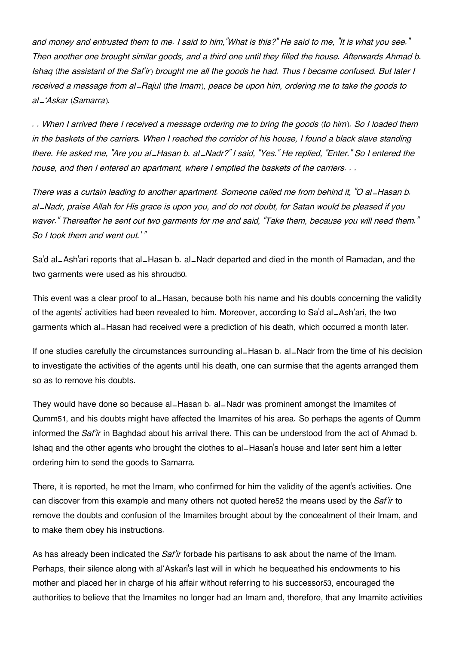*and money and entrusted them to me. I said to him,"What is this?" He said to me, "It is what you see." Then another one brought similar goods, and a third one until they filled the house. Afterwards Ahmad b. Ishaq (the assistant of the Saf'ir) brought me all the goods he had. Thus I became confused. But later I received a message from al‑Rajul (the Imam), peace be upon him, ordering me to take the goods to al‑'Askar (Samarra).*

*. . When I arrived there I received a message ordering me to bring the goods (to him). So I loaded them in the baskets of the carriers. When I reached the corridor of his house, I found a black slave standing there. He asked me, "Are you al‑Hasan b. al‑Nadr?" I said, "Yes." He replied, "Enter." So I entered the house, and then I entered an apartment, where I emptied the baskets of the carriers. . .*

*There was a curtain leading to another apartment. Someone called me from behind it, "O al‑Hasan b. al‑Nadr, praise Allah for His grace is upon you, and do not doubt, for Satan would be pleased if you waver." Thereafter he sent out two garments for me and said, "Take them, because you will need them." So I took them and went out.' "*

Sa'd al<sub>–</sub>Ash'ari reports that al–Hasan b. al–Nadr departed and died in the month of Ramadan, and the two garments were used as his shroud[50](#page--1-0).

This event was a clear proof to al–Hasan, because both his name and his doubts concerning the validity of the agents' activities had been revealed to him. Moreover, according to Sa'd al‑Ash'ari, the two garments which al\_Hasan had received were a prediction of his death, which occurred a month later.

If one studies carefully the circumstances surrounding al\_Hasan b. al\_Nadr from the time of his decision to investigate the activities of the agents until his death, one can surmise that the agents arranged them so as to remove his doubts.

They would have done so because al–Hasan b. al–Nadr was prominent amongst the Imamites of Qumm[51](#page--1-0), and his doubts might have affected the Imamites of his area. So perhaps the agents of Qumm informed the *Saf'ir* in Baghdad about his arrival there. This can be understood from the act of Ahmad b. Ishaq and the other agents who brought the clothes to al‑Hasan's house and later sent him a letter ordering him to send the goods to Samarra.

There, it is reported, he met the Imam, who confirmed for him the validity of the agent's activities. One can discover from this example and many others not quoted here[52](#page--1-0) the means used by the *Saf'ir* to remove the doubts and confusion of the Imamites brought about by the concealment of their Imam, and to make them obey his instructions.

As has already been indicated the *Saf'ir* forbade his partisans to ask about the name of the Imam. Perhaps, their silence along with al'Askari's last will in which he bequeathed his endowments to his mother and placed her in charge of his affair without referring to his successor[53](#page--1-0), encouraged the authorities to believe that the Imamites no longer had an Imam and, therefore, that any Imamite activities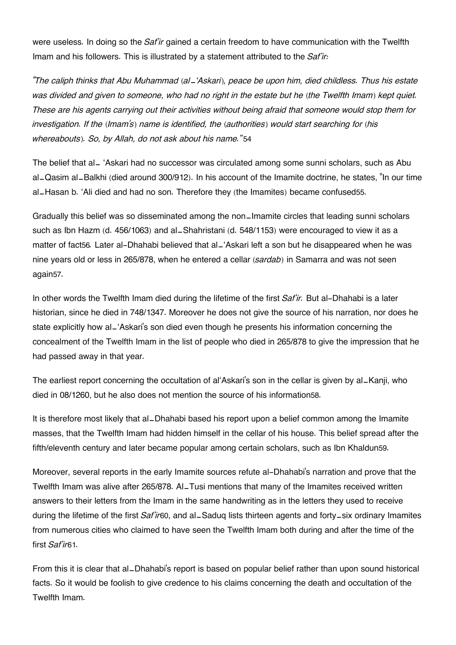were useless. In doing so the *Saf'ir* gained a certain freedom to have communication with the Twelfth Imam and his followers. This is illustrated by a statement attributed to the *Saf'ir:*

*"The caliph thinks that Abu Muhammad (al‑'Askari), peace be upon him, died childless. Thus his estate was divided and given to someone, who had no right in the estate but he (the Twelfth Imam) kept quiet. These are his agents carrying out their activities without being afraid that someone would stop them for investigation. If the (Imam's) name is identified, the (authorities) would start searching for (his whereabouts). So, by Allah, do not ask about his name.*"[54](#page--1-0)

The belief that al<sub>-</sub> 'Askari had no successor was circulated among some sunni scholars, such as Abu al<sub>-</sub>Qasim al-Balkhi (died around 300/912). In his account of the Imamite doctrine, he states, "In our time al–Hasan b. 'Ali died and had no son. Therefore they (the Imamites) became confused[55](#page--1-0).

Gradually this belief was so disseminated among the non–Imamite circles that leading sunni scholars such as Ibn Hazm (d. 456/1063) and al\_Shahristani (d. 548/1153) were encouraged to view it as a matter of fact[56](#page--1-0)*.* Later al-Dhahabi believed that al‑'Askari left a son but he disappeared when he was nine years old or less in 265/878, when he entered a cellar *(sardab)* in Samarra and was not seen again[57](#page--1-0).

In other words the Twelfth Imam died during the lifetime of the first *Saf'ir.* But al-Dhahabi is a later historian, since he died in 748/1347. Moreover he does not give the source of his narration, nor does he state explicitly how al<sub>-</sub>'Askari's son died even though he presents his information concerning the concealment of the Twelfth Imam in the list of people who died in 265/878 to give the impression that he had passed away in that year.

The earliest report concerning the occultation of al'Askari's son in the cellar is given by al–Kanji, who died in 08/1260, but he also does not mention the source of his information[58](#page--1-0).

It is therefore most likely that al–Dhahabi based his report upon a belief common among the Imamite masses, that the Twelfth Imam had hidden himself in the cellar of his house. This belief spread after the fifth/eleventh century and later became popular among certain scholars, such as Ibn Khaldun[59](#page--1-0).

Moreover, several reports in the early Imamite sources refute al-Dhahabi's narration and prove that the Twelfth Imam was alive after 265/878. Al\_Tusi mentions that many of the Imamites received written answers to their letters from the Imam in the same handwriting as in the letters they used to receive during the lifetime of the first *Saf'ir*[60](#page--1-0), and al‑Saduq lists thirteen agents and forty‑six ordinary Imamites from numerous cities who claimed to have seen the Twelfth Imam both during and after the time of the first *Saf'ir*[61](#page--1-0).

From this it is clear that al‑Dhahabi's report is based on popular belief rather than upon sound historical facts. So it would be foolish to give credence to his claims concerning the death and occultation of the Twelfth Imam.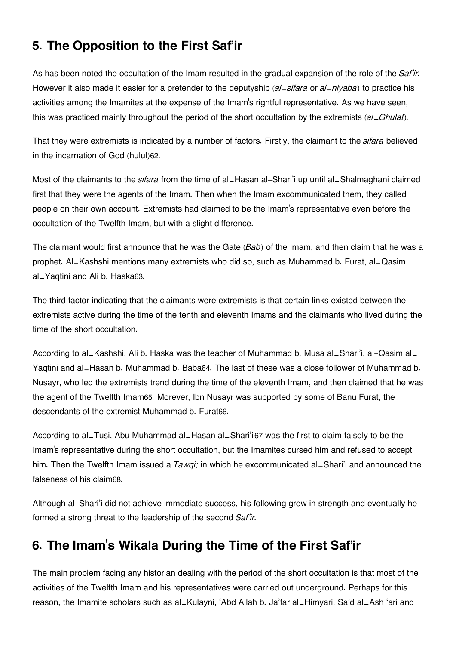# **[5. The Opposition to the First Saf'ir](#page--1-0)**

As has been noted the occultation of the Imam resulted in the gradual expansion of the role of the *Saf'ir.* However it also made it easier for a pretender to the deputyship *(al‑sifara* or *al‑niyaba)* to practice his activities among the Imamites at the expense of the Imam's rightful representative. As we have seen, this was practiced mainly throughout the period of the short occultation by the extremists *(al‑Ghulat).*

That they were extremists is indicated by a number of factors. Firstly, the claimant to the *sifara* believed in the incarnation of God (hulul)[62](#page--1-0).

Most of the claimants to the *sifara* from the time of al<sub>-</sub>Hasan al-Shari'i up until al-Shalmaghani claimed first that they were the agents of the Imam. Then when the Imam excommunicated them, they called people on their own account. Extremists had claimed to be the Imam's representative even before the occultation of the Twelfth Imam, but with a slight difference.

The claimant would first announce that he was the Gate *(Bab)* of the Imam, and then claim that he was a prophet. Al<sub>-</sub>Kashshi mentions many extremists who did so, such as Muhammad b. Furat, al-Qasim al‑Yaqtini and Ali b. Haska[63](#page--1-0).

The third factor indicating that the claimants were extremists is that certain links existed between the extremists active during the time of the tenth and eleventh Imams and the claimants who lived during the time of the short occultation.

According to al<sub>–</sub>Kashshi, Ali b. Haska was the teacher of Muhammad b. Musa al–Shari'i, al-Qasim al<sub>–</sub> Yaqtini and al‑Hasan b. Muhammad b. Baba[64](#page--1-0). The last of these was a close follower of Muhammad b. Nusayr, who led the extremists trend during the time of the eleventh Imam, and then claimed that he was the agent of the Twelfth Imam[65](#page--1-0). Morever, Ibn Nusayr was supported by some of Banu Furat, the descendants of the extremist Muhammad b. Furat[66](#page--1-0).

According to al\_Tusi, Abu Muhammad al\_Hasan al\_Shari'i'[67](#page--1-0) was the first to claim falsely to be the Imam's representative during the short occultation, but the Imamites cursed him and refused to accept him. Then the Twelfth Imam issued a *Tawqi;* in which he excommunicated al Shari'i and announced the falseness of his claim[68](#page--1-0).

Although al-Shari'i did not achieve immediate success, his following grew in strength and eventually he formed a strong threat to the leadership of the second *Saf'ir.*

# **6. The Imam['s Wikala During the Time of the First Saf'ir](#page--1-0)**

The main problem facing any historian dealing with the period of the short occultation is that most of the activities of the Twelfth Imam and his representatives were carried out underground. Perhaps for this reason, the Imamite scholars such as al‑Kulayni, 'Abd Allah b. Ja'far al‑Himyari, Sa'd al‑Ash 'ari and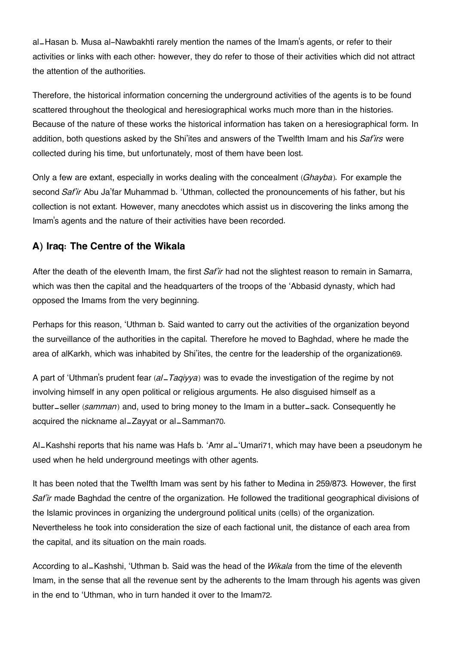al–Hasan b. Musa al–Nawbakhti rarely mention the names of the Imam's agents, or refer to their activities or links with each other: however, they do refer to those of their activities which did not attract the attention of the authorities.

Therefore, the historical information concerning the underground activities of the agents is to be found scattered throughout the theological and heresiographical works much more than in the histories. Because of the nature of these works the historical information has taken on a heresiographical form. In addition, both questions asked by the Shi'ites and answers of the Twelfth Imam and his *Saf'irs* were collected during his time, but unfortunately, most of them have been lost.

Only a few are extant, especially in works dealing with the concealment *(Ghayba).* For example the second *Saf'ir* Abu Ja'far Muhammad b. 'Uthman, collected the pronouncements of his father, but his collection is not extant. However, many anecdotes which assist us in discovering the links among the Imam's agents and the nature of their activities have been recorded.

### **[A\) Iraq: The Centre of the Wikala](#page--1-0)**

After the death of the eleventh Imam, the first *Saf'ir* had not the slightest reason to remain in Samarra, which was then the capital and the headquarters of the troops of the 'Abbasid dynasty, which had opposed the Imams from the very beginning.

Perhaps for this reason, 'Uthman b. Said wanted to carry out the activities of the organization beyond the surveillance of the authorities in the capital. Therefore he moved to Baghdad, where he made the area of alKarkh, which was inhabited by Shi'ites, the centre for the leadership of the organization[69](#page--1-0).

A part of 'Uthman's prudent fear *(al‑Taqiyya)* was to evade the investigation of the regime by not involving himself in any open political or religious arguments. He also disguised himself as a butter–seller *(samman)* and, used to bring money to the Imam in a butter–sack. Consequently he acquired the nickname al‑Zayyat or al‑Samman[70](#page--1-0).

Al‑Kashshi reports that his name was Hafs b. 'Amr al‑'Umari[71](#page--1-0), which may have been a pseudonym he used when he held underground meetings with other agents.

It has been noted that the Twelfth Imam was sent by his father to Medina in 259/873. However, the first *Saf'ir* made Baghdad the centre of the organization. He followed the traditional geographical divisions of the Islamic provinces in organizing the underground political units (cells) of the organization. Nevertheless he took into consideration the size of each factional unit, the distance of each area from the capital, and its situation on the main roads.

According to al‑Kashshi, 'Uthman b. Said was the head of the *Wikala* from the time of the eleventh Imam, in the sense that all the revenue sent by the adherents to the Imam through his agents was given in the end to 'Uthman, who in turn handed it over to the Imam[72](#page--1-0).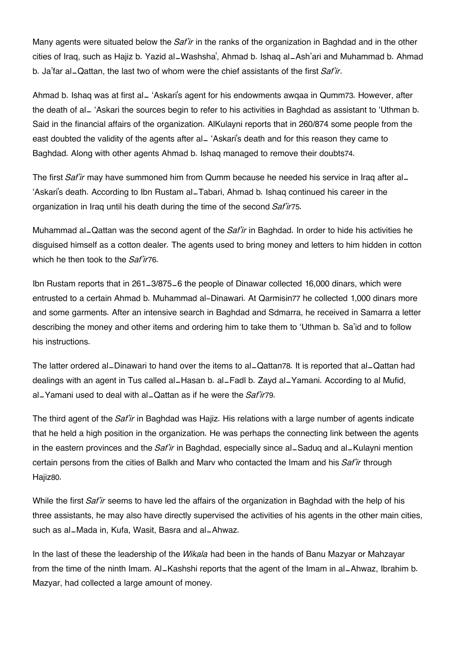Many agents were situated below the *Saf'ir* in the ranks of the organization in Baghdad and in the other cities of Iraq, such as Hajiz b. Yazid al‑Washsha', Ahmad b. Ishaq al‑Ash'ari and Muhammad b. Ahmad b. Ja'far al‑Qattan, the last two of whom were the chief assistants of the first *Saf'ir*.

Ahmad b. Ishaq was at first al‑ 'Askari's agent for his endowments awqaa in Qumm[73](#page--1-0). However, after the death of al‑ 'Askari the sources begin to refer to his activities in Baghdad as assistant to 'Uthman b. Said in the financial affairs of the organization. AlKulayni reports that in 260/874 some people from the east doubted the validity of the agents after al<sub>-</sub> 'Askari's death and for this reason they came to Baghdad. Along with other agents Ahmad b. Ishaq managed to remove their doubts[74](#page--1-0).

The first *Saf'ir* may have summoned him from Qumm because he needed his service in Iraq after al<sub>-</sub> 'Askari's death. According to Ibn Rustam al‑Tabari, Ahmad b. Ishaq continued his career in the organization in Iraq until his death during the time of the second *Saf'ir*[75](#page--1-0).

Muhammad al‑Qattan was the second agent of the *Saf'ir* in Baghdad. In order to hide his activities he disguised himself as a cotton dealer. The agents used to bring money and letters to him hidden in cotton which he then took to the *Saf'ir*[76](#page--1-0).

Ibn Rustam reports that in 261‑3/875‑6 the people of Dinawar collected 16,000 dinars, which were entrusted to a certain Ahmad b. Muhammad al-Dinawari. At Qarmisin[77](#page--1-0) he collected 1,000 dinars more and some garments. After an intensive search in Baghdad and Sdmarra, he received in Samarra a letter describing the money and other items and ordering him to take them to 'Uthman b. Sa'id and to follow his instructions.

The latter ordered al–Dinawari to hand over the items to al–Qattan[78](#page--1-0). It is reported that al–Qattan had dealings with an agent in Tus called al<sub>–</sub>Hasan b. al–Fadl b. Zayd al–Yamani. According to al Mufid, al‑Yamani used to deal with al‑Qattan as if he were the *Saf'ir*[79](#page--1-0).

The third agent of the *Saf'ir* in Baghdad was Hajiz. His relations with a large number of agents indicate that he held a high position in the organization. He was perhaps the connecting link between the agents in the eastern provinces and the *Saf'ir* in Baghdad, especially since al‑Saduq and al‑Kulayni mention certain persons from the cities of Balkh and Marv who contacted the Imam and his *Saf'ir* through Hajiz[80](#page--1-0).

While the first *Saf'ir* seems to have led the affairs of the organization in Baghdad with the help of his three assistants, he may also have directly supervised the activities of his agents in the other main cities, such as al\_Mada in, Kufa, Wasit, Basra and al\_Ahwaz.

In the last of these the leadership of the *Wikala* had been in the hands of Banu Mazyar or Mahzayar from the time of the ninth Imam. Al-Kashshi reports that the agent of the Imam in al-Ahwaz, Ibrahim b. Mazyar, had collected a large amount of money.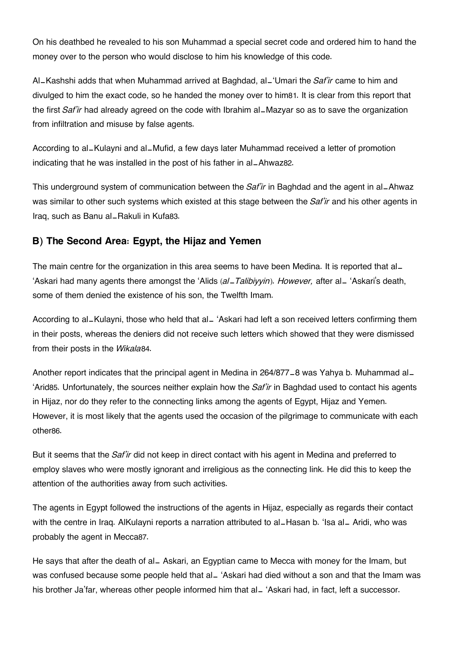On his deathbed he revealed to his son Muhammad a special secret code and ordered him to hand the money over to the person who would disclose to him his knowledge of this code.

Al‑Kashshi adds that when Muhammad arrived at Baghdad, al‑'Umari the *Saf'ir* came to him and divulged to him the exact code, so he handed the money over to him[81](#page--1-0). It is clear from this report that the first *Saf'ir* had already agreed on the code with Ibrahim al‑Mazyar so as to save the organization from infiltration and misuse by false agents.

According to al‑Kulayni and al‑Mufid, a few days later Muhammad received a letter of promotion indicating that he was installed in the post of his father in al\_Ahwaz[82](#page--1-0).

This underground system of communication between the *Saf'ir* in Baghdad and the agent in al‑Ahwaz was similar to other such systems which existed at this stage between the *Saf'ir* and his other agents in Iraq, such as Banu al‑Rakuli in Kufa[83](#page--1-0).

### **[B\) The Second Area: Egypt, the Hijaz and Yemen](#page--1-0)**

The main centre for the organization in this area seems to have been Medina. It is reported that al-'Askari had many agents there amongst the 'Alids *(al‑Talibiyyin). However,* after al‑ 'Askari's death, some of them denied the existence of his son, the Twelfth Imam.

According to al–Kulayni, those who held that al– 'Askari had left a son received letters confirming them in their posts, whereas the deniers did not receive such letters which showed that they were dismissed from their posts in the *Wikala*[84](#page--1-0).

Another report indicates that the principal agent in Medina in 264/877 - 8 was Yahya b. Muhammad al -'Arid[85](#page--1-0). Unfortunately, the sources neither explain how the *Saf'ir* in Baghdad used to contact his agents in Hijaz, nor do they refer to the connecting links among the agents of Egypt, Hijaz and Yemen. However, it is most likely that the agents used the occasion of the pilgrimage to communicate with each other[86](#page--1-0).

But it seems that the *Saf'ir* did not keep in direct contact with his agent in Medina and preferred to employ slaves who were mostly ignorant and irreligious as the connecting link. He did this to keep the attention of the authorities away from such activities.

The agents in Egypt followed the instructions of the agents in Hijaz, especially as regards their contact with the centre in Iraq. AlKulayni reports a narration attributed to al\_Hasan b. 'Isa al\_ Aridi, who was probably the agent in Mecca[87](#page--1-0).

He says that after the death of al<sub>-</sub> Askari, an Egyptian came to Mecca with money for the Imam, but was confused because some people held that al<sub>-</sub> 'Askari had died without a son and that the Imam was his brother Ja'far, whereas other people informed him that al<sub>-</sub> 'Askari had, in fact, left a successor.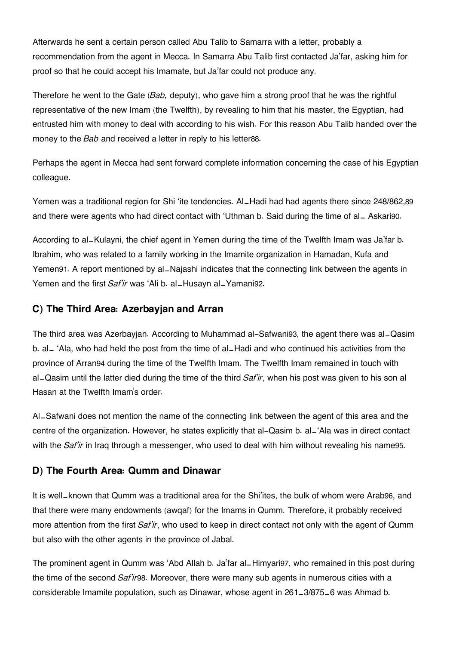Afterwards he sent a certain person called Abu Talib to Samarra with a letter, probably a recommendation from the agent in Mecca. In Samarra Abu Talib first contacted Ja'far, asking him for proof so that he could accept his Imamate, but Ja'far could not produce any.

Therefore he went to the Gate *(Bab,* deputy), who gave him a strong proof that he was the rightful representative of the new Imam (the Twelfth), by revealing to him that his master, the Egyptian, had entrusted him with money to deal with according to his wish. For this reason Abu Talib handed over the money to the *Bab* and received a letter in reply to his letter[88](#page--1-0).

Perhaps the agent in Mecca had sent forward complete information concerning the case of his Egyptian colleague.

Yemen was a traditional region for Shi 'ite tendencies. Al‑Hadi had had agents there since 248/862,[89](#page--1-0) and there were agents who had direct contact with 'Uthman b. Said during the time of al\_ Askari[90](#page--1-0).

According to al‑Kulayni, the chief agent in Yemen during the time of the Twelfth Imam was Ja'far b. Ibrahim, who was related to a family working in the Imamite organization in Hamadan, Kufa and Yemen[91](#page--1-0). A report mentioned by al‑Najashi indicates that the connecting link between the agents in Yemen and the first *Saf'ir* was 'Ali b. al<sub>-Husayn al-Yamani[92](#page--1-0).</sub>

#### **[C\) The Third Area: Azerbayjan and Arran](#page--1-0)**

The third area was Azerbayjan. According to Muhammad al-Safwani[93](#page--1-0), the agent there was al‑Qasim b. al<sub>-</sub> 'Ala, who had held the post from the time of al-Hadi and who continued his activities from the province of Arran[94](#page--1-0) during the time of the Twelfth Imam. The Twelfth Imam remained in touch with al‑Qasim until the latter died during the time of the third *Saf'ir*, when his post was given to his son al Hasan at the Twelfth Imam's order.

Al‑Safwani does not mention the name of the connecting link between the agent of this area and the centre of the organization. However, he states explicitly that al-Qasim b. al‑'Ala was in direct contact with the *Saf'ir* in Iraq through a messenger, who used to deal with him without revealing his name[95](#page--1-0).

#### **[D\) The Fourth Area: Qumm and Dinawar](#page--1-0)**

It is well\_known that Qumm was a traditional area for the Shi'ites, the bulk of whom were Arab[96](#page--1-0), and that there were many endowments (awqaf) for the Imams in Qumm. Therefore, it probably received more attention from the first *Saf'ir*, who used to keep in direct contact not only with the agent of Qumm but also with the other agents in the province of Jabal.

The prominent agent in Qumm was 'Abd Allah b. Ja'far al\_Himyari[97](#page--1-0), who remained in this post during the time of the second *Saf'ir*[98](#page--1-0). Moreover, there were many sub agents in numerous cities with a considerable Imamite population, such as Dinawar, whose agent in 261‑3/875‑6 was Ahmad b.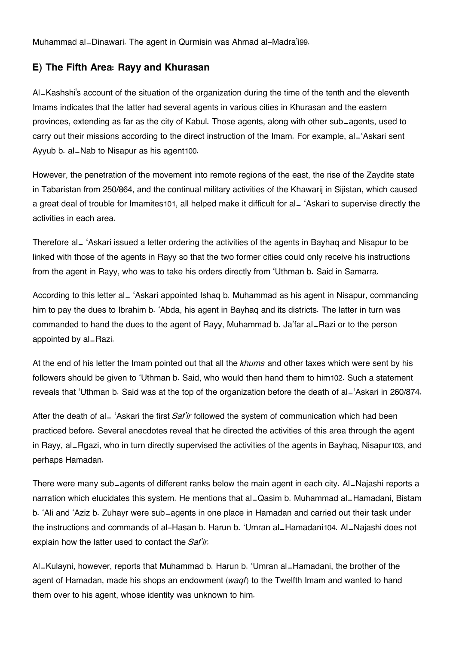Muhammad al‑Dinawari. The agent in Qurmisin was Ahmad al-Madra'i[99](#page--1-0).

#### **[E\) The Fifth Area: Rayy and Khurasan](#page--1-0)**

Al‑Kashshi's account of the situation of the organization during the time of the tenth and the eleventh Imams indicates that the latter had several agents in various cities in Khurasan and the eastern provinces, extending as far as the city of Kabul. Those agents, along with other sub-agents, used to carry out their missions according to the direct instruction of the Imam. For example, al<sub>-</sub>'Askari sent Ayyub b. al‑Nab to Nisapur as his agent[100](#page--1-0).

However, the penetration of the movement into remote regions of the east, the rise of the Zaydite state in Tabaristan from 250/864, and the continual military activities of the Khawarij in Sijistan, which caused a great deal of trouble for Imamites[101](#page--1-0), all helped make it difficult for al‑ 'Askari to supervise directly the activities in each area.

Therefore al‑ 'Askari issued a letter ordering the activities of the agents in Bayhaq and Nisapur to be linked with those of the agents in Rayy so that the two former cities could only receive his instructions from the agent in Rayy, who was to take his orders directly from 'Uthman b. Said in Samarra.

According to this letter al<sub>-</sub> 'Askari appointed Ishaq b. Muhammad as his agent in Nisapur, commanding him to pay the dues to Ibrahim b. 'Abda, his agent in Bayhaq and its districts. The latter in turn was commanded to hand the dues to the agent of Rayy, Muhammad b. Ja'far al‑Razi or to the person appointed by al‑Razi.

At the end of his letter the Imam pointed out that all the *khums* and other taxes which were sent by his followers should be given to 'Uthman b. Said, who would then hand them to him[102](#page--1-0). Such a statement reveals that 'Uthman b. Said was at the top of the organization before the death of al<sub>-</sub>'Askari in 260/874.

After the death of al‑ 'Askari the first *Saf'ir* followed the system of communication which had been practiced before. Several anecdotes reveal that he directed the activities of this area through the agent in Rayy, al‑Rgazi, who in turn directly supervised the activities of the agents in Bayhaq, Nisapur[103](#page--1-0), and perhaps Hamadan.

There were many sub agents of different ranks below the main agent in each city. Al–Najashi reports a narration which elucidates this system. He mentions that al<sub>-</sub>Qasim b. Muhammad al-Hamadani, Bistam b. 'Ali and 'Aziz b. Zuhayr were sub-agents in one place in Hamadan and carried out their task under the instructions and commands of al-Hasan b. Harun b. 'Umran al\_Hamadani[104](#page--1-0). Al\_Najashi does not explain how the latter used to contact the *Saf'ir.*

Al‑Kulayni, however, reports that Muhammad b. Harun b. 'Umran al‑Hamadani, the brother of the agent of Hamadan, made his shops an endowment *(waqf)* to the Twelfth Imam and wanted to hand them over to his agent, whose identity was unknown to him.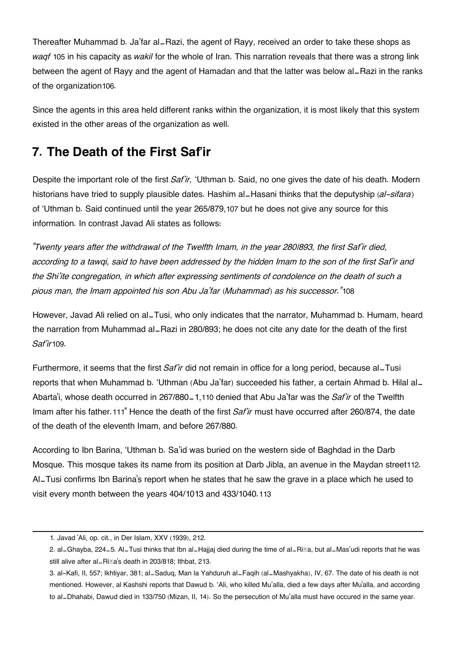Thereafter Muhammad b. Ja'far al\_Razi, the agent of Rayy, received an order to take these shops as *waqf* [105](#page--1-0) in his capacity as *wakil* for the whole of Iran. This narration reveals that there was a strong link between the agent of Rayy and the agent of Hamadan and that the latter was below al\_Razi in the ranks of the organization[106](#page--1-0).

Since the agents in this area held different ranks within the organization, it is most likely that this system existed in the other areas of the organization as well.

## **[7. The Death of the First Saf'ir](#page--1-0)**

Despite the important role of the first *Saf'ir,* 'Uthman b. Said, no one gives the date of his death. Modern historians have tried to supply plausible dates. Hashim al‑Hasani thinks that the deputyship *(al-sifara)* of 'Uthman b. Said continued until the year 265/879,[107](#page--1-0) but he does not give any source for this information. In contrast Javad Ali states as follows:

*"Twenty years after the withdrawal of the Twelfth Imam, in the year 280/893, the first Saf'ir died, according to a tawqi, said to have been addressed by the hidden Imam to the son of the first Saf'ir and the Shi'ite congregation, in which after expressing sentiments of condolence on the death of such a pious man, the Imam appointed his son Abu Ja'far (Muhammad) as his successor."*[108](#page--1-0)

However, Javad Ali relied on al–Tusi, who only indicates that the narrator, Muhammad b. Humam, heard the narration from Muhammad al‑Razi in 280/893; he does not cite any date for the death of the first *Saf'ir*[109](#page--1-0).

Furthermore, it seems that the first *Saf'ir* did not remain in office for a long period, because al\_Tusi reports that when Muhammad b. 'Uthman (Abu Ja'far) succeeded his father, a certain Ahmad b. Hilal al-Abarta'i, whose death occurred in 267/880‑1,[110](#page--1-0) denied that Abu Ja'far was the *Saf'ir* of the Twelfth Imam after his father.[111](#page--1-0)" Hence the death of the first *Saf'ir* must have occurred after 260/874, the date of the death of the eleventh Imam, and before 267/880.

According to Ibn Barina, 'Uthman b. Sa'id was buried on the western side of Baghdad in the Darb Mosque. This mosque takes its name from its position at Darb Jibla, an avenue in the Maydan street[112](#page--1-0). Al‑Tusi confirms Ibn Barina's report when he states that he saw the grave in a place which he used to visit every month between the years 404/1013 and 433/1040.[113](#page--1-0)

[<sup>1.</sup>](#page--1-0) Javad 'Ali, op. cit., in Der Islam, XXV (1939), 212.

[<sup>2.</sup>](#page--1-0) al<sub>–</sub>Ghayba, 224–5. Al–Tusi thinks that Ibn al–Hajjaj died during the time of al–Rita, but al–Mas'udi reports that he was still alive after al\_Ri $\square a$ 's death in 203/818; Ithbat, 213.

[<sup>3.</sup>](#page--1-0) al-Kafi, II, 557; Ikhtiyar, 381; al‑Saduq, Man la Yahduruh al‑Faqih (al‑Mashyakha), IV, 67. The date of his death is not mentioned. However, al Kashshi reports that Dawud b. 'Ali, who killed Mu'alla, died a few days after Mu'alla, and according to al<sub>-</sub>Dhahabi, Dawud died in 133/750 (Mizan, II, 14). So the persecution of Mu'alla must have occured in the same year.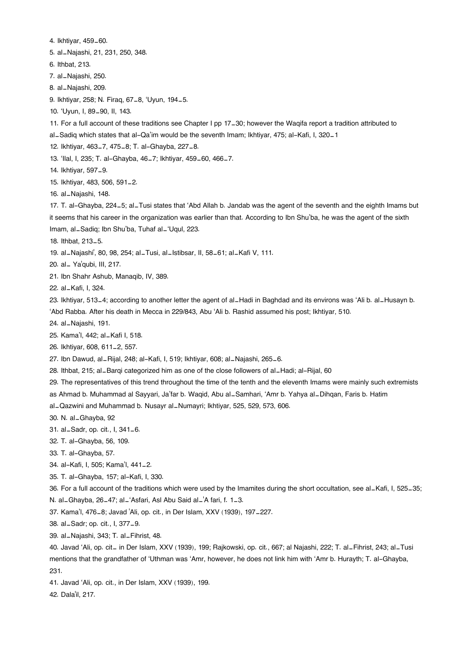[4.](#page--1-0) Ikhtiyar, 459‑60.

[5.](#page--1-0) al‑Najashi, 21, 231, 250, 348.

[6.](#page--1-0) Ithbat, 213.

[7.](#page--1-0) al‑Najashi, 250.

[8.](#page--1-0) al‑Najashi, 209.

[9.](#page--1-0) Ikhtiyar, 258; N. Firaq, 67<sub>-8</sub>, 'Uyun, 194<sub>-5</sub>.

[10.](#page--1-0) 'Uyun, I, 89‑90, II, 143.

[11.](#page--1-0) For a full account of these traditions see Chapter I pp 17‑30; however the Waqifa report a tradition attributed to al-Sadiq which states that al-Qa'im would be the seventh Imam; Ikhtiyar, 475; al-Kafi, I, 320-1

[12.](#page--1-0) Ikhtiyar, 463‑7, 475‑8; T. al-Ghayba, 227‑8.

[13.](#page--1-0) 'Ilal, I, 235; T. al-Ghayba, 46‑7; Ikhtiyar, 459‑60, 466‑7.

[14.](#page--1-0) Ikhtiyar, 597‑9.

[15.](#page--1-0) Ikhtiyar, 483, 506, 591<sub>-2</sub>.

[16.](#page--1-0) al‑Najashi, 148.

[17.](#page--1-0) T. al-Ghayba, 224‑5; al‑Tusi states that 'Abd Allah b. Jandab was the agent of the seventh and the eighth Imams but it seems that his career in the organization was earlier than that. According to Ibn Shu'ba, he was the agent of the sixth Imam, al<sub>-</sub>Sadiq; Ibn Shu'ba, Tuhaf al-'Uqul, 223.

[18.](#page--1-0) Ithbat, 213‑5.

[19.](#page--1-0) al‑Najashi', 80, 98, 254; al‑Tusi, al‑Istibsar, II, 58‑61; al‑Kafi V, 111.

[20.](#page--1-0) al‑ Ya'qubi, III, 217.

[21.](#page--1-0) Ibn Shahr Ashub, Manaqib, IV, 389.

[22.](#page--1-0) al‑Kafi, I, 324.

[23.](#page--1-0) Ikhtiyar, 513‑4; according to another letter the agent of al‑Hadi in Baghdad and its environs was 'Ali b. al‑Husayn b. 'Abd Rabba. After his death in Mecca in 229/843, Abu 'Ali b. Rashid assumed his post; Ikhtiyar, 510.

[24.](#page--1-0) al‑Najashi, 191.

[25.](#page--1-0) Kama'l, 442; al‑Kafi I, 518.

[26.](#page--1-0) Ikhtiyar, 608, 611‑2, 557.

[27.](#page--1-0) Ibn Dawud, al‑Rijal, 248; al-Kafi, I, 519; Ikhtiyar, 608; al‑Najashi, 265‑6.

[28.](#page--1-0) Ithbat, 215; al\_Barqi categorized him as one of the close followers of al\_Hadi; al-Rijal, 60

[29.](#page--1-0) The representatives of this trend throughout the time of the tenth and the eleventh Imams were mainly such extremists

as Ahmad b. Muhammad al Sayyari, Ja'far b. Waqid, Abu al<sub>–</sub>Samhari, 'Amr b. Yahya al<sub>–</sub>Dihqan, Faris b. Hatim

al<sub>-</sub>Qazwini and Muhammad b. Nusayr al-Numayri; Ikhtiyar, 525, 529, 573, 606.

[30.](#page--1-0) N. al‑Ghayba, 92

[31.](#page--1-0) al‑Sadr, op. cit., I, 341‑6.

[32.](#page--1-0) T. al-Ghayba, 56, 109.

[33.](#page--1-0) T. al-Ghayba, 57.

[34.](#page--1-0) al-Kafi, I, 505; Kama'l, 441<sub>-2</sub>.

[35.](#page--1-0) T. al-Ghayba, 157; al-Kafi, I, 330.

[36.](#page--1-0) For a full account of the traditions which were used by the Imamites during the short occultation, see al<sub>–</sub>Kafi, I, 525–35; N. al<sub>-</sub>Ghayba, 26<sub>-47</sub>; al-'Asfari, Asl Abu Said al-'A fari, f. 1<sub>-3</sub>.

[37.](#page--1-0) Kama'l, 476-8; Javad 'Ali, op. cit., in Der Islam, XXV (1939), 197-227.

[38.](#page--1-0) al‑Sadr; op. cit., I, 377‑9.

[39.](#page--1-0) al‑Najashi, 343; T. al‑Fihrist, 48.

[40.](#page--1-0) Javad 'Ali, op. cit<sub>-</sub> in Der Islam, XXV (1939), 199; Rajkowski, op. cit., 667; al Najashi, 222; T. al<sub>-Fihrist, 243; al-Tusi</sub> mentions that the grandfather of 'Uthman was 'Amr, however, he does not link him with 'Amr b. Hurayth; T. al-Ghayba, 231.

[41.](#page--1-0) Javad 'Ali, op. cit., in Der Islam, XXV (1939), 199.

[42.](#page--1-0) Dala'il, 217.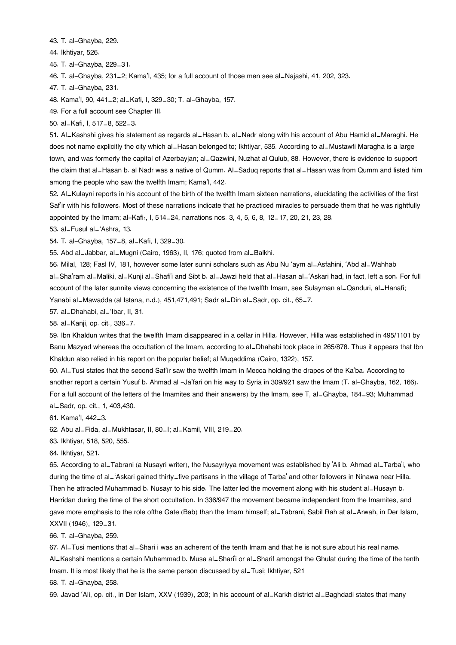[43.](#page--1-0) T. al-Ghayba, 229.

[44.](#page--1-0) Ikhtiyar, 526.

[45.](#page--1-0) T. al-Ghayba, 229‑31.

[46.](#page--1-0) T. al-Ghayba, 231‑2; Kama'l, 435; for a full account of those men see al‑Najashi, 41, 202, 323.

[47.](#page--1-0) T. al-Ghayba, 231.

[48.](#page--1-0) Kama'l, 90, 441‑2; al‑Kafi, I, 329‑30; T. al-Ghayba, 157.

[49.](#page--1-0) For a full account see Chapter III.

[50.](#page--1-0) al‑Kafi, I, 517‑8, 522‑3.

[51.](#page--1-0) Al‑Kashshi gives his statement as regards al‑Hasan b. al‑Nadr along with his account of Abu Hamid al‑Maraghi. He does not name explicitly the city which al\_Hasan belonged to; Ikhtiyar, 535. According to al\_Mustawfi Maragha is a large town, and was formerly the capital of Azerbayjan; al\_Qazwini, Nuzhat al Qulub, 88. However, there is evidence to support the claim that al‑Hasan b. al Nadr was a native of Qumm. Al‑Saduq reports that al‑Hasan was from Qumm and listed him among the people who saw the twelfth Imam; Kama'l, 442.

[52.](#page--1-0) Al‑Kulayni reports in his account of the birth of the twelfth Imam sixteen narrations, elucidating the activities of the first Saf'ir with his followers. Most of these narrations indicate that he practiced miracles to persuade them that he was rightfully appointed by the Imam; al-Kafi:, I, 514–24, narrations nos. 3, 4, 5, 6, 8, 12–17, 20, 21, 23, 28.

[53.](#page--1-0) al‑Fusul al‑'Ashra, 13.

[54.](#page--1-0) T. al-Ghayba, 157‑8, al‑Kafi, I, 329‑30.

[55.](#page--1-0) Abd al-Jabbar, al-Mugni (Cairo, 1963), II, 176; quoted from al-Balkhi.

[56.](#page--1-0) Milal, 128; Fasl IV, 181, however some later sunni scholars such as Abu Nu 'aym al‑Asfahini, 'Abd al‑Wahhab al‑Sha'ram al‑Maliki, al‑Kunji al‑Shafi'i and Sibt b. al‑Jawzi held that al‑Hasan al‑'Askari had, in fact, left a son. For full account of the later sunnite views concerning the existence of the twelfth Imam, see Sulayman al<sub>–</sub>Qanduri, al<sub>–</sub>Hanafi; Yanabi al\_Mawadda (al Istana, n.d.), 451,471,491; Sadr al\_Din al\_Sadr, op. cit., 65\_7.

[57.](#page--1-0) al‑Dhahabi, al‑'Ibar, II, 31.

[58.](#page--1-0) al‑Kanji, op. cit., 336‑7.

[59.](#page--1-0) Ibn Khaldun writes that the twelfth Imam disappeared in a cellar in Hilla. However, Hilla was established in 495/1101 by Banu Mazyad whereas the occultation of the Imam, according to al‑Dhahabi took place in 265/878. Thus it appears that Ibn Khaldun also relied in his report on the popular belief; al Muqaddima (Cairo, 1322), 157.

[60.](#page--1-0) Al‑Tusi states that the second Saf'ir saw the twelfth Imam in Mecca holding the drapes of the Ka'ba. According to another report a certain Yusuf b. Ahmad al -Ja'fari on his way to Syria in 309/921 saw the Imam (T. al-Ghayba, 162, 166). For a full account of the letters of the Imamites and their answers) by the Imam, see T, al‑Ghayba, 184‑93; Muhammad al‑Sadr, op. cit., 1, 403,430.

[61.](#page--1-0) Kama'l, 442‑3.

[62.](#page--1-0) Abu al‑Fida, al‑Mukhtasar, II, 80‑I; al‑Kamil, VIII, 219‑20.

[63.](#page--1-0) Ikhtiyar, 518, 520, 555.

[64.](#page--1-0) Ikhtiyar, 521.

[65.](#page--1-0) According to al<sub>-Tabrani</sub> (a Nusayri writer), the Nusayriyya movement was established by 'Ali b. Ahmad al<sub>-Tarba</sub>'i, who during the time of al<sub>-</sub>'Askari gained thirty<sub>-</sub>five partisans in the village of Tarba' and other followers in Ninawa near Hilla. Then he attracted Muhammad b. Nusayr to his side. The latter led the movement along with his student al\_Husayn b. Harridan during the time of the short occultation. In 336/947 the movement became independent from the Imamites, and gave more emphasis to the role ofthe Gate (Bab) than the Imam himself; al<sub>-Tabrani,</sub> Sabil Rah at al<sub>-Arwah, in Der Islam,</sub> XXVII (1946), 129‑31.

[66.](#page--1-0) T. al-Ghayba, 259.

[67.](#page--1-0) Al\_Tusi mentions that al\_Shari i was an adherent of the tenth Imam and that he is not sure about his real name. Al–Kashshi mentions a certain Muhammad b. Musa al–Shari'i or al–Sharif amongst the Ghulat during the time of the tenth Imam. It is most likely that he is the same person discussed by al\_Tusi; Ikhtiyar, 521

[68.](#page--1-0) T. al-Ghayba, 258.

[69.](#page--1-0) Javad 'Ali, op. cit., in Der Islam, XXV (1939), 203; In his account of al‑Karkh district al‑Baghdadi states that many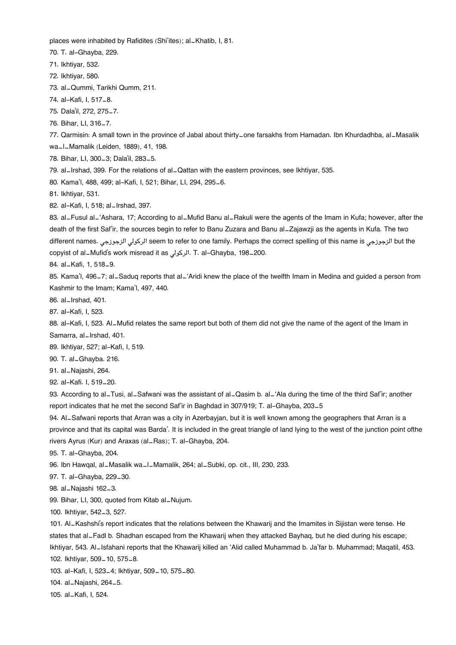places were inhabited by Rafidites (Shi'ites); al\_Khatib, I, 81.

[70.](#page--1-0) T. al-Ghayba, 229.

[71.](#page--1-0) Ikhtiyar, 532.

[72.](#page--1-0) Ikhtiyar, 580.

[73.](#page--1-0) al‑Qummi, Tarikhi Qumm, 211.

[74.](#page--1-0) al-Kafi, I, 517‑8.

[75.](#page--1-0) Dala'il, 272, 275‑7.

[76.](#page--1-0) Bihar, LI, 316‑7.

[77.](#page--1-0) Qarmisin: A small town in the province of Jabal about thirty\_one farsakhs from Hamadan. Ibn Khurdadhba, al\_Masalik

wa‑l‑Mamalik (Leiden, 1889), 41, 198.

[78.](#page--1-0) Bihar, LI, 300‑3; Dala'il, 283‑5.

[79.](#page--1-0) al<sub>-</sub>Irshad, 399. For the relations of al-Qattan with the eastern provinces, see Ikhtiyar, 535.

[80.](#page--1-0) Kama'l, 488, 499; al-Kafi, I, 521; Bihar, LI, 294, 295‑6.

[81.](#page--1-0) Ikhtiyar, 531.

[82.](#page--1-0) al-Kafi, I, 518; al\_Irshad, 397.

[83.](#page--1-0) al–Fusul al–'Ashara, 17; According to al–Mufid Banu al–Rakuli were the agents of the Imam in Kufa; however, after the death of the first Saf'ir, the sources begin to refer to Banu Zuzara and Banu al-Zajawzji as the agents in Kufa. The two different names. الركولي الزجوزجي seem to refer to one family. Perhaps the correct spelling of this name is الزجوزجى copyist of al‑Mufid's work misread it as الركول. T. al-Ghayba, 198‑200.

[84.](#page--1-0) al\_Kafi, 1, 518<sub>-9</sub>.

[85.](#page--1-0) Kama'l, 496–7; al–Saduq reports that al–'Aridi knew the place of the twelfth Imam in Medina and guided a person from Kashmir to the Imam; Kama'l, 497, 440.

[86.](#page--1-0) al\_Irshad, 401.

[87.](#page--1-0) al-Kafi, I, 523.

[88.](#page--1-0) al-Kafi, I, 523. Al–Mufid relates the same report but both of them did not give the name of the agent of the Imam in Samarra, al\_Irshad, 401.

[89.](#page--1-0) Ikhtiyar, 527; al-Kafi, I, 519.

[90.](#page--1-0) T. al‑Ghayba. 216.

[91.](#page--1-0) al‑Najashi, 264.

[92.](#page--1-0) al-Kafi. I, 519-20.

[93.](#page--1-0) According to al<sub>–</sub>Tusi, al–Safwani was the assistant of al–Qasim b. al–'Ala during the time of the third Saf'ir; another report indicates that he met the second Saf'ir in Baghdad in 307/919; T. al-Ghayba, 203‑5

[94.](#page--1-0) Al<sub>-</sub>Safwani reports that Arran was a city in Azerbayjan, but it is well known among the geographers that Arran is a province and that its capital was Barda'. It is included in the great triangle of land lying to the west of the junction point ofthe rivers Ayrus (Kur) and Araxas (al‑Ras); T. al-Ghayba, 204.

[95.](#page--1-0) T. al-Ghayba, 204.

[96.](#page--1-0) Ibn Hawqal, al\_Masalik wa\_l\_Mamalik, 264; al\_Subki, op. cit., III, 230, 233.

[97.](#page--1-0) T. al-Ghayba, 229-30.

[98.](#page--1-0) al\_Najashi 162\_3.

[99.](#page--1-0) Bihar, LI, 300, quoted from Kitab al\_Nujum.

[100.](#page--1-0) Ikhtiyar, 542‑3, 527.

[101.](#page--1-0) Al<sub>–</sub>Kashshi's report indicates that the relations between the Khawarij and the Imamites in Sijistan were tense. He states that al\_Fadl b. Shadhan escaped from the Khawarij when they attacked Bayhaq, but he died during his escape; Ikhtiyar, 543. Al‑Isfahani reports that the Khawarij killed an 'Alid called Muhammad b. Ja'far b. Muhammad; Maqatil, 453. [102.](#page--1-0) Ikhtiyar, 509<sub>-10</sub>, 575-8.

[103.](#page--1-0) al-Kafi, I, 523<sub>-4</sub>; Ikhtiyar, 509<sub>-10</sub>, 575-80.

[104.](#page--1-0) al<sub>-Najashi, 264-5.</sub>

[105.](#page--1-0) al‑Kafi, I, 524.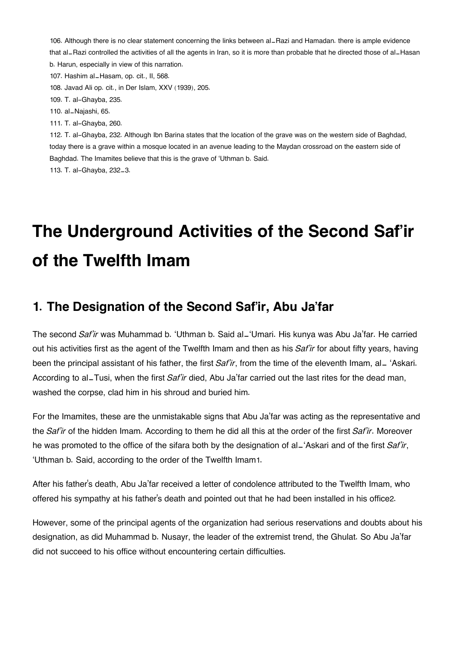[106.](#page--1-0) Although there is no clear statement concerning the links between al\_Razi and Hamadan. there is ample evidence that al<sub>-</sub>Razi controlled the activities of all the agents in Iran, so it is more than probable that he directed those of al-Hasan b. Harun, especially in view of this narration.

[107.](#page--1-0) Hashim al\_Hasam, op. cit., II, 568.

[108.](#page--1-0) Javad Ali op. cit., in Der Islam, XXV (1939), 205.

[109.](#page--1-0) T. al-Ghayba, 235.

[110.](#page--1-0) al‑Najashi, 65.

[111.](#page--1-0) T. al-Ghayba, 260.

[112.](#page--1-0) T. al-Ghayba, 232. Although Ibn Barina states that the location of the grave was on the western side of Baghdad, today there is a grave within a mosque located in an avenue leading to the Maydan crossroad on the eastern side of Baghdad. The Imamites believe that this is the grave of 'Uthman b. Said.

[113.](#page--1-0) T. al-Ghayba, 232‑3.

# **The Underground Activities of the Second Saf'ir of the Twelfth Imam**

### **[1. The Designation of the Second Saf'ir, Abu Ja'far](#page--1-0)**

The second *Saf'ir* was Muhammad b. 'Uthman b. Said al‑'Umari. His kunya was Abu Ja'far. He carried out his activities first as the agent of the Twelfth Imam and then as his *Saf'ir* for about fifty years, having been the principal assistant of his father, the first *Saf'ir*, from the time of the eleventh Imam, al‑ 'Askari. According to al‑Tusi, when the first *Saf'ir* died, Abu Ja'far carried out the last rites for the dead man, washed the corpse, clad him in his shroud and buried him.

For the Imamites, these are the unmistakable signs that Abu Ja'far was acting as the representative and the *Saf'ir* of the hidden Imam. According to them he did all this at the order of the first *Saf'ir*. Moreover he was promoted to the office of the sifara both by the designation of al<sub>-</sub>'Askari and of the first *Saf'ir*, 'Uthman b. Said, according to the order of the Twelfth Imam[1](#page--1-0).

After his father's death, Abu Ja'far received a letter of condolence attributed to the Twelfth Imam, who offered his sympathy at his father's death and pointed out that he had been installed in his office[2](#page--1-0).

However, some of the principal agents of the organization had serious reservations and doubts about his designation, as did Muhammad b. Nusayr, the leader of the extremist trend, the Ghulat. So Abu Ja'far did not succeed to his office without encountering certain difficulties.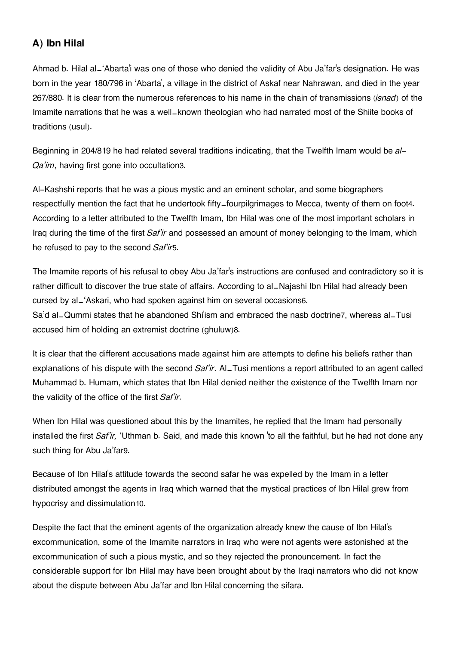### **[A\) Ibn Hilal](#page--1-0)**

Ahmad b. Hilal al-'Abarta'i was one of those who denied the validity of Abu Ja'far's designation. He was born in the year 180/796 in 'Abarta', a village in the district of Askaf near Nahrawan, and died in the year 267/880. It is clear from the numerous references to his name in the chain of transmissions (*isnad*) of the Imamite narrations that he was a well‑known theologian who had narrated most of the Shiite books of traditions (usul).

Beginning in 204/819 he had related several traditions indicating, that the Twelfth Imam would be *al-Qa'im*, having first gone into occultation[3](#page--1-0).

Al-Kashshi reports that he was a pious mystic and an eminent scholar, and some biographers respectfully mention the fact that he undertook fifty–fourpilgrimages to Mecca, twenty of them on foot[4](#page--1-0). According to a letter attributed to the Twelfth Imam, Ibn Hilal was one of the most important scholars in Iraq during the time of the first *Saf'ir* and possessed an amount of money belonging to the Imam, which he refused to pay to the second *Saf'ir*[5](#page--1-0).

The Imamite reports of his refusal to obey Abu Ja'far's instructions are confused and contradictory so it is rather difficult to discover the true state of affairs. According to al<sub>–</sub>Najashi Ibn Hilal had already been cursed by al<sub>-</sub>'Askari, who had spoken against him on several occasions[6](#page--1-0). Sa'd al<sub>-</sub>Qummi states that he abandoned Shi'ism and embraced the nasb doctrine[7](#page--1-0), whereas al-Tusi accused him of holding an extremist doctrine (ghuluw)[8](#page--1-0).

It is clear that the different accusations made against him are attempts to define his beliefs rather than explanations of his dispute with the second *Saf'ir*. Al–Tusi mentions a report attributed to an agent called Muhammad b. Humam, which states that Ibn Hilal denied neither the existence of the Twelfth Imam nor the validity of the office of the first *Saf'ir*.

When Ibn Hilal was questioned about this by the Imamites, he replied that the Imam had personally installed the first *Saf'ir,* 'Uthman b. Said, and made this known 'to all the faithful, but he had not done any such thing for Abu Ja'far[9](#page--1-0).

Because of Ibn Hilal's attitude towards the second safar he was expelled by the Imam in a letter distributed amongst the agents in Iraq which warned that the mystical practices of Ibn Hilal grew from hypocrisy and dissimulation[10](#page--1-0).

Despite the fact that the eminent agents of the organization already knew the cause of Ibn Hilal's excommunication, some of the Imamite narrators in Iraq who were not agents were astonished at the excommunication of such a pious mystic, and so they rejected the pronouncement. In fact the considerable support for Ibn Hilal may have been brought about by the Iraqi narrators who did not know about the dispute between Abu Ja'far and Ibn Hilal concerning the sifara.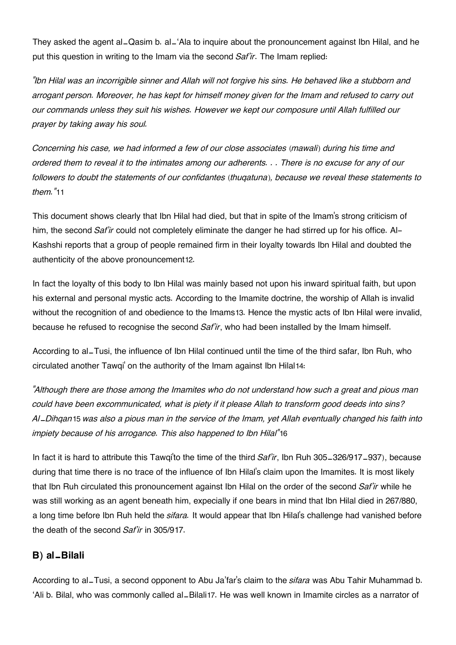They asked the agent al\_Qasim b. al\_'Ala to inquire about the pronouncement against Ibn Hilal, and he put this question in writing to the Imam via the second *Saf'ir*. The Imam replied:

*"Ibn Hilal was an incorrigible sinner and Allah will not forgive his sins. He behaved like a stubborn and arrogant person. Moreover, he has kept for himself money given for the Imam and refused to carry out our commands unless they suit his wishes. However we kept our composure until Allah fulfilled our prayer by taking away his soul.*

*Concerning his case, we had informed a few of our close associates (mawali) during his time and ordered them to reveal it to the intimates among our adherents. . . There is no excuse for any of our followers to doubt the statements of our confidantes (thuqatuna), because we reveal these statements to them."*[11](#page--1-0)

This document shows clearly that Ibn Hilal had died, but that in spite of the Imam's strong criticism of him, the second *Saf'ir* could not completely eliminate the danger he had stirred up for his office. Al-Kashshi reports that a group of people remained firm in their loyalty towards Ibn Hilal and doubted the authenticity of the above pronouncement[12](#page--1-0).

In fact the loyalty of this body to Ibn Hilal was mainly based not upon his inward spiritual faith, but upon his external and personal mystic acts. According to the Imamite doctrine, the worship of Allah is invalid without the recognition of and obedience to the Imams[13](#page--1-0). Hence the mystic acts of Ibn Hilal were invalid, because he refused to recognise the second *Saf'ir*, who had been installed by the Imam himself.

According to al\_Tusi, the influence of Ibn Hilal continued until the time of the third safar, Ibn Ruh, who circulated another Tawqi' on the authority of the Imam against Ibn Hilal[14](#page--1-0):

*"Although there are those among the Imamites who do not understand how such a great and pious man could have been excommunicated, what is piety if it please Allah to transform good deeds into sins? Al‑Dihqan*[15](#page--1-0) *was also a pious man in the service of the Imam, yet Allah eventually changed his faith into impiety because of his arrogance. This also happened to Ibn Hilal"*[16](#page--1-0)

In fact it is hard to attribute this Tawqi'to the time of the third *Saf'ir*, Ibn Ruh 305‑326/917‑937), because during that time there is no trace of the influence of Ibn Hilal's claim upon the Imamites. It is most likely that Ibn Ruh circulated this pronouncement against Ibn Hilal on the order of the second *Saf'ir* while he was still working as an agent beneath him, expecially if one bears in mind that Ibn Hilal died in 267/880, a long time before Ibn Ruh held the *sifara.* It would appear that Ibn Hilal's challenge had vanished before the death of the second *Saf'ir* in 305/917.

#### **[B\) al‑Bilali](#page--1-0)**

According to al‑Tusi, a second opponent to Abu Ja'far's claim to the *sifara* was Abu Tahir Muhammad b. 'Ali b. Bilal, who was commonly called al‑Bilali[17](#page--1-0). He was well known in Imamite circles as a narrator of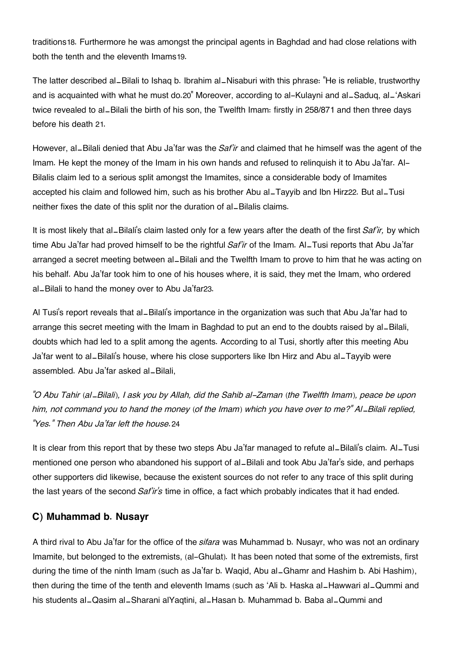traditions[18](#page--1-0). Furthermore he was amongst the principal agents in Baghdad and had close relations with both the tenth and the eleventh Imams[19](#page--1-0).

The latter described al–Bilali to Ishaq b. Ibrahim al–Nisaburi with this phrase: "He is reliable, trustworthy and is acquainted with what he must do.[20](#page--1-0)" Moreover, according to al-Kulayni and al-Saduq, al-'Askari twice revealed to al\_Bilali the birth of his son, the Twelfth Imam: firstly in 258/871 and then three days before his death [21](#page--1-0).

However, al<sub>-</sub>Bilali denied that Abu Ja'far was the *Saf'ir* and claimed that he himself was the agent of the Imam. He kept the money of the Imam in his own hands and refused to relinquish it to Abu Ja'far. Al-Bilalis claim led to a serious split amongst the Imamites, since a considerable body of Imamites accepted his claim and followed him, such as his brother Abu al\_Tayyib and Ibn Hirz[22](#page--1-0). But al\_Tusi neither fixes the date of this split nor the duration of al\_Bilalis claims.

It is most likely that al‑Bilali's claim lasted only for a few years after the death of the first *Saf'ir,* by which time Abu Ja'far had proved himself to be the rightful *Saf'ir* of the Imam. Al‑Tusi reports that Abu Ja'far arranged a secret meeting between al‑Bilali and the Twelfth Imam to prove to him that he was acting on his behalf. Abu Ja'far took him to one of his houses where, it is said, they met the Imam, who ordered al\_Bilali to hand the money over to Abu Ja'far[23](#page--1-0).

Al Tusi's report reveals that al\_Bilali's importance in the organization was such that Abu Ja'far had to arrange this secret meeting with the Imam in Baghdad to put an end to the doubts raised by al\_Bilali, doubts which had led to a split among the agents. According to al Tusi, shortly after this meeting Abu Ja'far went to al‑Bilali's house, where his close supporters like Ibn Hirz and Abu al‑Tayyib were assembled. Abu Ja'far asked al‑Bilali,

*"O Abu Tahir (al‑Bilali), I ask you by Allah, did the Sahib al-Zaman (the Twelfth Imam), peace be upon him, not command you to hand the money (of the Imam) which you have over to me?" Al‑Bilali replied, "Yes." Then Abu Ja'far left the house.*[24](#page--1-0)

It is clear from this report that by these two steps Abu Ja'far managed to refute al - Bilali's claim. Al - Tusi mentioned one person who abandoned his support of al-Bilali and took Abu Ja'far's side, and perhaps other supporters did likewise, because the existent sources do not refer to any trace of this split during the last years of the second *Saf'ir's* time in office, a fact which probably indicates that it had ended.

#### **[C\) Muhammad b. Nusayr](#page--1-0)**

A third rival to Abu Ja'far for the office of the *sifara* was Muhammad b. Nusayr, who was not an ordinary Imamite, but belonged to the extremists, *(*al-Ghulat*).* It has been noted that some of the extremists, first during the time of the ninth Imam (such as Ja'far b. Waqid, Abu al–Ghamr and Hashim b. Abi Hashim), then during the time of the tenth and eleventh Imams (such as 'Ali b. Haska al–Hawwari al–Qummi and his students al<sub>-</sub>Qasim al<sub>-</sub>Sharani alYaqtini, al<sub>-</sub>Hasan b. Muhammad b. Baba al-Qummi and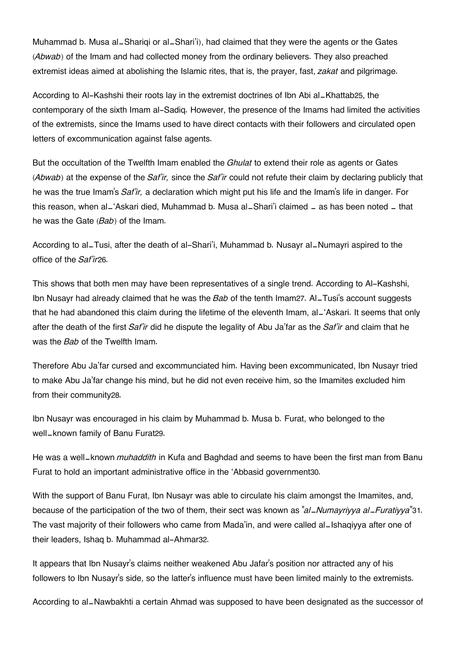Muhammad b. Musa al–Shariqi or al–Shari'i), had claimed that they were the agents or the Gates *(Abwab)* of the Imam and had collected money from the ordinary believers. They also preached extremist ideas aimed at abolishing the Islamic rites, that is, the prayer, fast, *zakat* and pilgrimage.

According to Al-Kashshi their roots lay in the extremist doctrines of Ibn Abi al‑Khattab[25](#page--1-0), the contemporary of the sixth Imam al-Sadiq. However, the presence of the Imams had limited the activities of the extremists, since the Imams used to have direct contacts with their followers and circulated open letters of excommunication against false agents.

But the occultation of the Twelfth Imam enabled the *Ghulat* to extend their role as agents or Gates *(Abwab)* at the expense of the *Saf'ir,* since the *Saf'ir* could not refute their claim by declaring publicly that he was the true Imam's *Saf'ir,* a declaration which might put his life and the Imam's life in danger. For this reason, when al<sub>-</sub>'Askari died, Muhammad b. Musa al-Shari'i claimed – as has been noted – that he was the Gate *(Bab)* of the Imam.

According to al<sub>-Tusi</sub>, after the death of al-Shari'i, Muhammad b. Nusayr al-Numayri aspired to the office of the *Saf'ir*[26](#page--1-0).

This shows that both men may have been representatives of a single trend. According to Al-Kashshi, Ibn Nusayr had already claimed that he was the *Bab* of the tenth Imam[27](#page--1-0). Al‑Tusi's account suggests that he had abandoned this claim during the lifetime of the eleventh Imam, al–'Askari. It seems that only after the death of the first *Saf'ir* did he dispute the legality of Abu Ja'far as the *Saf'ir* and claim that he was the *Bab* of the Twelfth Imam.

Therefore Abu Ja'far cursed and excommunciated him. Having been excommunicated, Ibn Nusayr tried to make Abu Ja'far change his mind, but he did not even receive him, so the Imamites excluded him from their community[28](#page--1-0).

Ibn Nusayr was encouraged in his claim by Muhammad b. Musa b. Furat, who belonged to the well\_known family of Banu Furat[29](#page--1-0).

He was a well‑known *muhaddith* in Kufa and Baghdad and seems to have been the first man from Banu Furat to hold an important administrative office in the 'Abbasid government[30](#page--1-0).

With the support of Banu Furat, Ibn Nusayr was able to circulate his claim amongst the Imamites, and, because of the participation of the two of them, their sect was known as "*al‑Numayriyya al‑Furatiyya*"[31](#page--1-0). The vast majority of their followers who came from Mada'in, and were called al\_Ishaqiyya after one of their leaders, Ishaq b. Muhammad al-Ahmar[32](#page--1-0).

It appears that Ibn Nusayr's claims neither weakened Abu Jafar's position nor attracted any of his followers to Ibn Nusayr's side, so the latter's influence must have been limited mainly to the extremists.

According to al‑Nawbakhti a certain Ahmad was supposed to have been designated as the successor of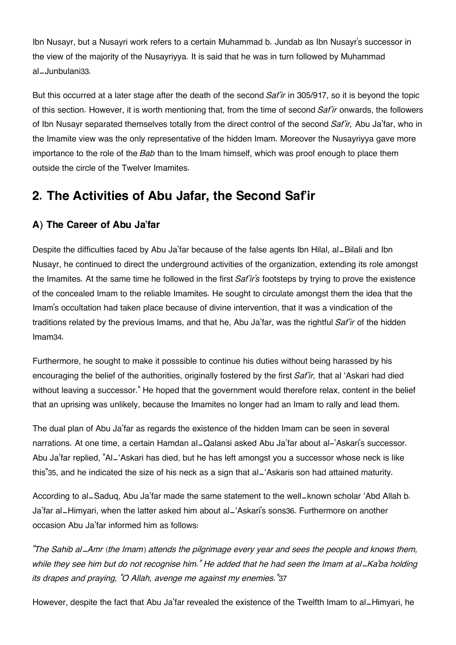Ibn Nusayr, but a Nusayri work refers to a certain Muhammad b. Jundab as Ibn Nusayr's successor in the view of the majority of the Nusayriyya. It is said that he was in turn followed by Muhammad al‑Junbulani[33](#page--1-0).

But this occurred at a later stage after the death of the second *Saf'ir* in 305/917, so it is beyond the topic of this section. However, it is worth mentioning that, from the time of second *Saf'ir* onwards, the followers of Ibn Nusayr separated themselves totally from the direct control of the second *Saf'ir,* Abu Ja'far, who in the Imamite view was the only representative of the hidden Imam. Moreover the Nusayriyya gave more importance to the role of the *Bab* than to the Imam himself, which was proof enough to place them outside the circle of the Twelver Imamites.

## **[2. The Activities of Abu Jafar, the Second Saf'ir](#page--1-0)**

### **[A\) The Career of Abu Ja'far](#page--1-0)**

Despite the difficulties faced by Abu Ja'far because of the false agents Ibn Hilal, al–Bilali and Ibn Nusayr, he continued to direct the underground activities of the organization, extending its role amongst the Imamites. At the same time he followed in the first *Saf'ir's* footsteps by trying to prove the existence of the concealed Imam to the reliable Imamites. He sought to circulate amongst them the idea that the Imam's occultation had taken place because of divine intervention, that it was a vindication of the traditions related by the previous Imams, and that he, Abu Ja'far, was the rightful *Saf'ir* of the hidden Imam[34](#page--1-0).

Furthermore, he sought to make it posssible to continue his duties without being harassed by his encouraging the belief of the authorities, originally fostered by the first *Saf'ir,* that al 'Askari had died without leaving a successor." He hoped that the government would therefore relax, content in the belief that an uprising was unlikely, because the Imamites no longer had an Imam to rally and lead them.

The dual plan of Abu Ja'far as regards the existence of the hidden Imam can be seen in several narrations. At one time, a certain Hamdan al‑Qalansi asked Abu Ja'far about al-'Askari's successor. Abu Ja'far replied, "Al‑'Askari has died, but he has left amongst you a successor whose neck is like this"[35](#page--1-0), and he indicated the size of his neck as a sign that al‑'Askaris son had attained maturity.

According to al‑Saduq, Abu Ja'far made the same statement to the well‑known scholar 'Abd Allah b. Ja'far al‑Himyari, when the latter asked him about al‑'Askari's sons[36](#page--1-0). Furthermore on another occasion Abu Ja'far informed him as follows:

*"The Sahib al‑Amr (the Imam) attends the pilgrimage every year and sees the people and knows them, while they see him but do not recognise him." He added that he had seen the Imam at al‑Ka'ba holding its drapes and praying, "O Allah, avenge me against my enemies."*[37](#page--1-0)

However, despite the fact that Abu Ja'far revealed the existence of the Twelfth Imam to al–Himyari, he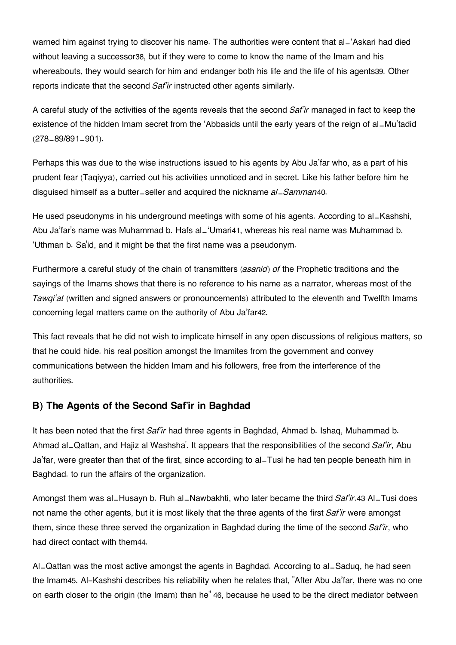warned him against trying to discover his name. The authorities were content that al<sub>-</sub>'Askari had died without leaving a successor[38](#page--1-0), but if they were to come to know the name of the Imam and his whereabouts, they would search for him and endanger both his life and the life of his agents[39](#page--1-0). Other reports indicate that the second *Saf'ir* instructed other agents similarly.

A careful study of the activities of the agents reveals that the second *Saf'ir* managed in fact to keep the existence of the hidden Imam secret from the 'Abbasids until the early years of the reign of al‑Mu'tadid (278‑89/891‑901).

Perhaps this was due to the wise instructions issued to his agents by Abu Ja'far who, as a part of his prudent fear (Taqiyya), carried out his activities unnoticed and in secret. Like his father before him he disguised himself as a butter‑seller and acquired the nickname *al‑Samman*[40](#page--1-0).

He used pseudonyms in his underground meetings with some of his agents. According to al\_Kashshi, Abu Ja'far's name was Muhammad b. Hafs al<sub>-</sub>'Umari[41](#page--1-0), whereas his real name was Muhammad b. 'Uthman b. Sa'id, and it might be that the first name was a pseudonym.

Furthermore a careful study of the chain of transmitters *(asanid) of* the Prophetic traditions and the sayings of the Imams shows that there is no reference to his name as a narrator, whereas most of the *Tawqi'at* (written and signed answers or pronouncements) attributed to the eleventh and Twelfth Imams concerning legal matters came on the authority of Abu Ja'far[42](#page--1-0).

This fact reveals that he did not wish to implicate himself in any open discussions of religious matters, so that he could hide. his real position amongst the Imamites from the government and convey communications between the hidden Imam and his followers, free from the interference of the authorities.

#### **[B\) The Agents of the Second Saf'ir in Baghdad](#page--1-0)**

It has been noted that the first *Saf'ir* had three agents in Baghdad, Ahmad b. Ishaq, Muhammad b. Ahmad al‑Qattan, and Hajiz al Washsha'. It appears that the responsibilities of the second *Saf'ir*, Abu Ja'far, were greater than that of the first, since according to al‑Tusi he had ten people beneath him in Baghdad. to run the affairs of the organization.

Amongst them was al‑Husayn b. Ruh al‑Nawbakhti, who later became the third *Saf'ir*.[43](#page--1-0) Al‑Tusi does not name the other agents, but it is most likely that the three agents of the first *Saf'ir* were amongst them, since these three served the organization in Baghdad during the time of the second *Saf'ir*, who had direct contact with them[44](#page--1-0).

Al-Qattan was the most active amongst the agents in Baghdad. According to al-Sadug, he had seen the Imam[45](#page--1-0). Al-Kashshi describes his reliability when he relates that, "After Abu Ja'far, there was no one on earth closer to the origin (the Imam) than he" [46](#page--1-0), because he used to be the direct mediator between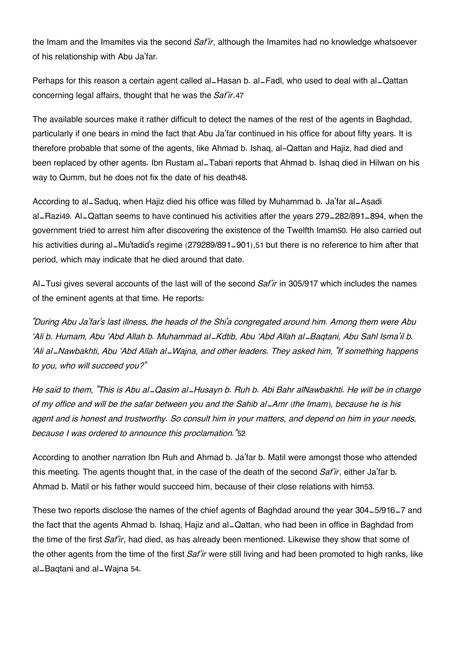the Imam and the Imamites via the second *Saf'ir*, although the Imamites had no knowledge whatsoever of his relationship with Abu Ja'far.

Perhaps for this reason a certain agent called al–Hasan b. al–Fadl, who used to deal with al–Qattan concerning legal affairs, thought that he was the *Saf'ir*.[47](#page--1-0)

The available sources make it rather difficult to detect the names of the rest of the agents in Baghdad, particularly if one bears in mind the fact that Abu Ja'far continued in his office for about fifty years. It is therefore probable that some of the agents, like Ahmad b. Ishaq, al-Qattan and Hajiz, had died and been replaced by other agents. Ibn Rustam al\_Tabari reports that Ahmad b. Ishaq died in Hilwan on his way to Qumm, but he does not fix the date of his death[48](#page--1-0).

According to al‑Saduq, when Hajiz died his office was filled by Muhammad b. Ja'far al‑Asadi al–Razi[49](#page--1-0). Al–Qattan seems to have continued his activities after the years 279–282/891–894, when the government tried to arrest him after discovering the existence of the Twelfth Imam[50](#page--1-0). He also carried out his activities during al<sub>-</sub>Mu'tadid's regime (279289/891-901),[51](#page--1-0) but there is no reference to him after that period, which may indicate that he died around that date.

Al‑Tusi gives several accounts of the last will of the second *Saf'ir* in 305/917 which includes the names of the eminent agents at that time. He reports:

*"During Abu Ja'far's last illness, the heads of the Shi'a congregated around him. Among them were Abu 'Ali b. Humam, Abu 'Abd Allah b. Muhammad al‑Kdtib, Abu 'Abd Allah al‑Baqtani, Abu Sahl Isma'il b. 'Ali al‑Nawbakhti, Abu 'Abd Allah al‑Wajna, and other leaders. They asked him, "If something happens to you, who will succeed you?"*

*He said to them, "This is Abu al‑Qasim al‑Husayn b. Ruh b. Abi Bahr alNawbakhti. He will be in charge of my office and will be the safar between you and the Sahib al‑Amr (the Imam), because he is his agent and is honest and trustworthy. So consult him in your matters, and depend on him in your needs, because I was ordered to announce this proclamation."*[52](#page--1-0)

According to another narration Ibn Ruh and Ahmad b. Ja'far b. Matil were amongst those who attended this meeting. The agents thought that, in the case of the death of the second *Saf'ir*, either Ja'far b. Ahmad b. Matil or his father would succeed him, because of their close relations with him[53](#page--1-0).

These two reports disclose the names of the chief agents of Baghdad around the year 304‑5/916‑7 and the fact that the agents Ahmad b. Ishaq, Hajiz and al‑Qattan, who had been in office in Baghdad from the time of the first *Saf'ir*, had died, as has already been mentioned. Likewise they show that some of the other agents from the time of the first *Saf'ir* were still living and had been promoted to high ranks, like al‑Baqtani and al‑Wajna [54](#page--1-0).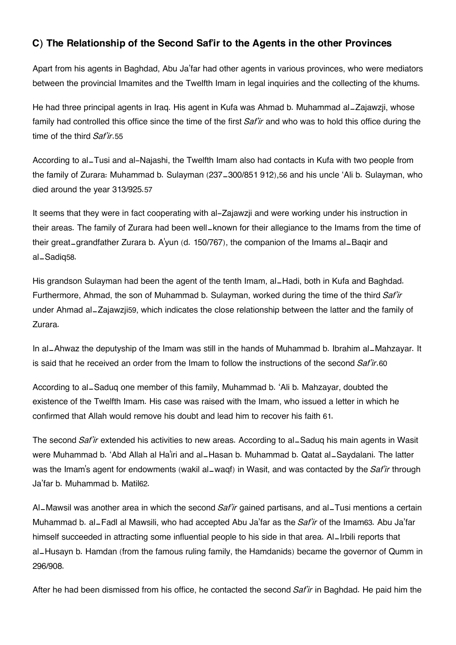#### **[C\) The Relationship of the Second Saf'ir to the Agents in the other Provinces](#page--1-0)**

Apart from his agents in Baghdad, Abu Ja'far had other agents in various provinces, who were mediators between the provincial Imamites and the Twelfth Imam in legal inquiries and the collecting of the khums.

He had three principal agents in Iraq. His agent in Kufa was Ahmad b. Muhammad al–Zajawzji, whose family had controlled this office since the time of the first *Saf'ir* and who was to hold this office during the time of the third *Saf'ir*.[55](#page--1-0)

According to al–Tusi and al–Najashi, the Twelfth Imam also had contacts in Kufa with two people from the family of Zurara: Muhammad b. Sulayman (237–300/851 912),[56](#page--1-0) and his uncle 'Ali b. Sulayman, who died around the year 313/925.[57](#page--1-0)

It seems that they were in fact cooperating with al-Zajawzji and were working under his instruction in their areas. The family of Zurara had been well‑known for their allegiance to the Imams from the time of their great\_grandfather Zurara b. A'yun (d. 150/767), the companion of the Imams al\_Baqir and al<sub>-Sadig[58](#page--1-0)</sub>.

His grandson Sulayman had been the agent of the tenth Imam, al–Hadi, both in Kufa and Baghdad. Furthermore, Ahmad, the son of Muhammad b. Sulayman, worked during the time of the third *Saf'ir* under Ahmad al‑Zajawzji[59](#page--1-0), which indicates the close relationship between the latter and the family of Zurara.

In al–Ahwaz the deputyship of the Imam was still in the hands of Muhammad b. Ibrahim al–Mahzayar. It is said that he received an order from the Imam to follow the instructions of the second *Saf'ir*.[60](#page--1-0)

According to al‑Saduq one member of this family, Muhammad b. 'Ali b. Mahzayar, doubted the existence of the Twelfth Imam. His case was raised with the Imam, who issued a letter in which he confirmed that Allah would remove his doubt and lead him to recover his faith [61](#page--1-0).

The second *Saf'ir* extended his activities to new areas. According to al<sub>-</sub>Sadug his main agents in Wasit were Muhammad b. 'Abd Allah al Ha'iri and al-Hasan b. Muhammad b. Qatat al-Saydalani. The latter was the Imam's agent for endowments (wakil al\_waqf) in Wasit, and was contacted by the *Saf'ir* through Ja'far b. Muhammad b. Matil[62](#page--1-0).

Al‑Mawsil was another area in which the second *Saf'ir* gained partisans, and al‑Tusi mentions a certain Muhammad b. al‑Fadl al Mawsili, who had accepted Abu Ja'far as the *Saf'ir* of the Imam[63](#page--1-0). Abu Ja'far himself succeeded in attracting some influential people to his side in that area. Al–Irbili reports that al–Husayn b. Hamdan (from the famous ruling family, the Hamdanids) became the governor of Qumm in 296/908.

After he had been dismissed from his office, he contacted the second *Saf'ir* in Baghdad. He paid him the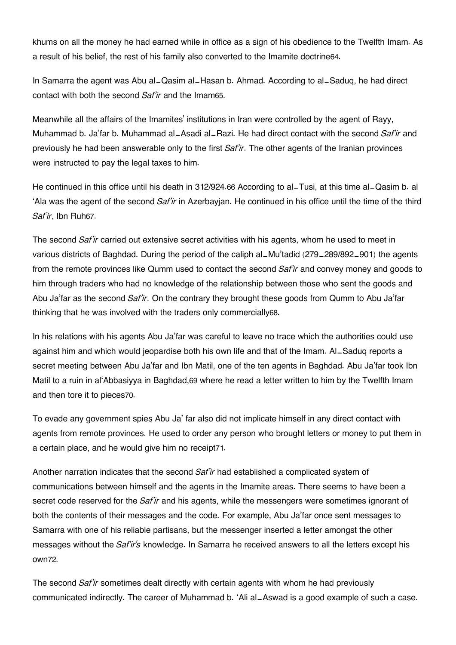khums on all the money he had earned while in office as a sign of his obedience to the Twelfth Imam. As a result of his belief, the rest of his family also converted to the Imamite doctrine[64](#page--1-0).

In Samarra the agent was Abu al–Qasim al–Hasan b. Ahmad. According to al–Sadug, he had direct contact with both the second *Saf'ir* and the Imam[65](#page--1-0).

Meanwhile all the affairs of the Imamites' institutions in Iran were controlled by the agent of Rayy, Muhammad b. Ja'far b. Muhammad al‑Asadi al‑Razi. He had direct contact with the second *Saf'ir* and previously he had been answerable only to the first *Saf'ir*. The other agents of the Iranian provinces were instructed to pay the legal taxes to him.

He continued in this office until his death in 312/924.[66](#page--1-0) According to al\_Tusi, at this time al\_Qasim b. al 'Ala was the agent of the second *Saf'ir* in Azerbayjan. He continued in his office until the time of the third *Saf'ir*, Ibn Ruh[67](#page--1-0).

The second *Saf'ir* carried out extensive secret activities with his agents, whom he used to meet in various districts of Baghdad. During the period of the caliph al–Mu'tadid (279–289/892–901) the agents from the remote provinces like Qumm used to contact the second *Saf'ir* and convey money and goods to him through traders who had no knowledge of the relationship between those who sent the goods and Abu Ja'far as the second *Saf'ir*. On the contrary they brought these goods from Qumm to Abu Ja'far thinking that he was involved with the traders only commercially[68](#page--1-0).

In his relations with his agents Abu Ja'far was careful to leave no trace which the authorities could use against him and which would jeopardise both his own life and that of the Imam. Al\_Saduq reports a secret meeting between Abu Ja'far and Ibn Matil, one of the ten agents in Baghdad. Abu Ja'far took Ibn Matil to a ruin in al'Abbasiyya in Baghdad,[69](#page--1-0) where he read a letter written to him by the Twelfth Imam and then tore it to pieces[70](#page--1-0).

To evade any government spies Abu Ja' far also did not implicate himself in any direct contact with agents from remote provinces. He used to order any person who brought letters or money to put them in a certain place, and he would give him no receipt[71](#page--1-0).

Another narration indicates that the second *Saf'ir* had established a complicated system of communications between himself and the agents in the Imamite areas. There seems to have been a secret code reserved for the *Saf'ir* and his agents, while the messengers were sometimes ignorant of both the contents of their messages and the code. For example, Abu Ja'far once sent messages to Samarra with one of his reliable partisans, but the messenger inserted a letter amongst the other messages without the *Saf'ir's* knowledge. In Samarra he received answers to all the letters except his own[72](#page--1-0).

The second *Saf'ir* sometimes dealt directly with certain agents with whom he had previously communicated indirectly. The career of Muhammad b. 'Ali al‑Aswad is a good example of such a case.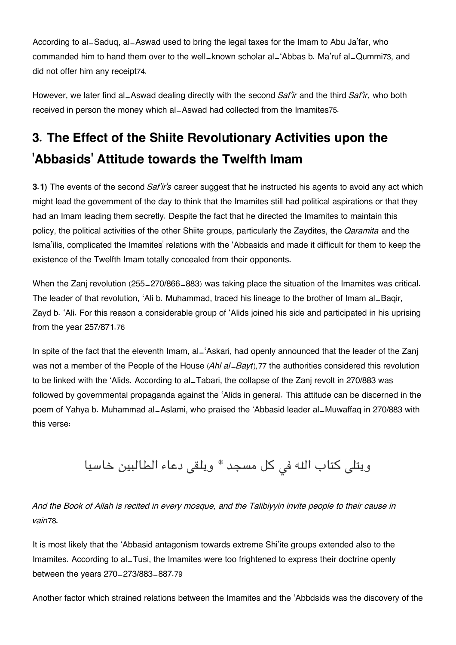According to al‑Saduq, al‑Aswad used to bring the legal taxes for the Imam to Abu Ja'far, who commanded him to hand them over to the well–known scholar al–'Abbas b. Ma'ruf al–Qummi[73](#page--1-0), and did not offer him any receipt[74](#page--1-0).

However, we later find al‑Aswad dealing directly with the second *Saf'ir* and the third *Saf'ir,* who both received in person the money which al‑Aswad had collected from the Imamites[75](#page--1-0).

## **[3. The Effect of the Shiite Revolutionary Activities upon the](#page--1-0) ['Abbasids' Attitude towards the Twelfth Imam](#page--1-0)**

**3.1)** The events of the second *Saf'ir's* career suggest that he instructed his agents to avoid any act which might lead the government of the day to think that the Imamites still had political aspirations or that they had an Imam leading them secretly. Despite the fact that he directed the Imamites to maintain this policy, the political activities of the other Shiite groups, particularly the Zaydites, the *Qaramita* and the Isma'ilis, complicated the Imamites' relations with the 'Abbasids and made it difficult for them to keep the existence of the Twelfth Imam totally concealed from their opponents.

When the Zanj revolution (255–270/866–883) was taking place the situation of the Imamites was critical. The leader of that revolution, 'Ali b. Muhammad, traced his lineage to the brother of Imam al-Bagir, Zayd b. 'Ali. For this reason a considerable group of 'Alids joined his side and participated in his uprising from the year 257/871.[76](#page--1-0)

In spite of the fact that the eleventh Imam, al<sub>-</sub>'Askari, had openly announced that the leader of the Zanj was not a member of the People of the House *(Ahl al \_Bayt)*, [77](#page--1-0) the authorities considered this revolution to be linked with the 'Alids. According to al\_Tabari, the collapse of the Zanj revolt in 270/883 was followed by governmental propaganda against the 'Alids in general. This attitude can be discerned in the poem of Yahya b. Muhammad al‑Aslami, who praised the 'Abbasid leader al‑Muwaffaq in 270/883 with this verse:

## ويتلى كتاب الله فى كل مسجد \* ويلقى دعاء الطالبين خاسيا

*And the Book of Allah is recited in every mosque, and the Talibiyyin invite people to their cause in vain*[78](#page--1-0).

It is most likely that the 'Abbasid antagonism towards extreme Shi'ite groups extended also to the Imamites. According to al–Tusi, the Imamites were too frightened to express their doctrine openly between the years 270-273/883-887.[79](#page--1-0)

Another factor which strained relations between the Imamites and the 'Abbdsids was the discovery of the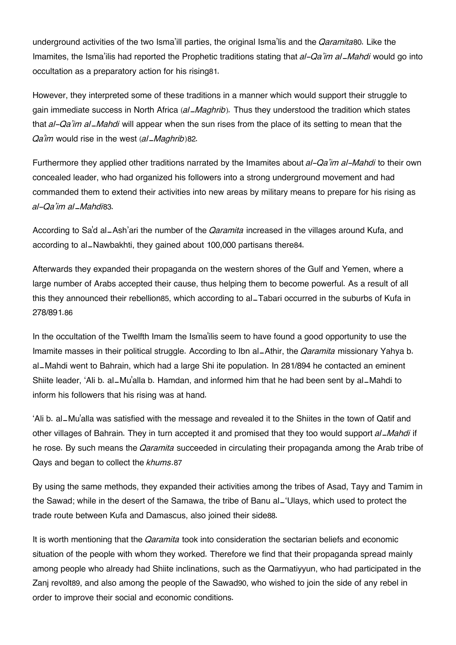underground activities of the two Isma'ill parties, the original Isma'lis and the *Qaramita*[80](#page--1-0). Like the Imamites, the Isma'ilis had reported the Prophetic traditions stating that *al-Qa'im al‑Mahdi* would go into occultation as a preparatory action for his rising[81](#page--1-0).

However, they interpreted some of these traditions in a manner which would support their struggle to gain immediate success in North Africa *(al‑Maghrib).* Thus they understood the tradition which states that *al-Qa'im al‑Mahdi* will appear when the sun rises from the place of its setting to mean that the *Qa'im* would rise in the west *(al‑Maghrib)*[82](#page--1-0).

Furthermore they applied other traditions narrated by the Imamites about *al-Qa'im al-Mahdi* to their own concealed leader, who had organized his followers into a strong underground movement and had commanded them to extend their activities into new areas by military means to prepare for his rising as *al-Qa'im al‑Mahdi*[83](#page--1-0).

According to Sa'd al‑Ash'ari the number of the *Qaramita* increased in the villages around Kufa, and according to al‑Nawbakhti, they gained about 100,000 partisans there[84](#page--1-0).

Afterwards they expanded their propaganda on the western shores of the Gulf and Yemen, where a large number of Arabs accepted their cause, thus helping them to become powerful. As a result of all this they announced their rebellion[85](#page--1-0), which according to al‑Tabari occurred in the suburbs of Kufa in 278/891.[86](#page--1-0)

In the occultation of the Twelfth Imam the Isma'ilis seem to have found a good opportunity to use the Imamite masses in their political struggle. According to Ibn al‑Athir, the *Qaramita* missionary Yahya b. al‑Mahdi went to Bahrain, which had a large Shi ite population. In 281/894 he contacted an eminent Shiite leader, 'Ali b. al‑Mu'alla b. Hamdan, and informed him that he had been sent by al‑Mahdi to inform his followers that his rising was at hand.

'Ali b. al‑Mu'alla was satisfied with the message and revealed it to the Shiites in the town of Qatif and other villages of Bahrain. They in turn accepted it and promised that they too would support *al‑Mahdi* if he rose. By such means the *Qaramita* succeeded in circulating their propaganda among the Arab tribe of Qays and began to collect the *khums*.[87](#page--1-0)

By using the same methods, they expanded their activities among the tribes of Asad, Tayy and Tamim in the Sawad; while in the desert of the Samawa, the tribe of Banu al–'Ulays, which used to protect the trade route between Kufa and Damascus, also joined their side[88](#page--1-0).

It is worth mentioning that the *Qaramita* took into consideration the sectarian beliefs and economic situation of the people with whom they worked. Therefore we find that their propaganda spread mainly among people who already had Shiite inclinations, such as the Qarmatiyyun, who had participated in the Zanj revolt[89](#page--1-0), and also among the people of the Sawad[90](#page--1-0), who wished to join the side of any rebel in order to improve their social and economic conditions.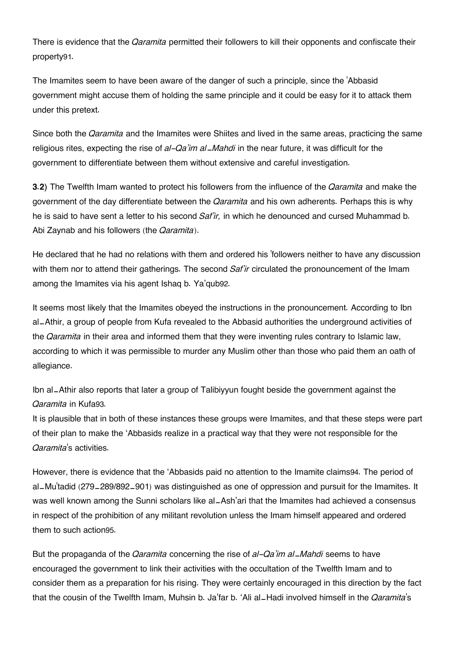There is evidence that the *Qaramita* permitted their followers to kill their opponents and confiscate their property[91](#page--1-0).

The Imamites seem to have been aware of the danger of such a principle, since the 'Abbasid government might accuse them of holding the same principle and it could be easy for it to attack them under this pretext.

Since both the *Qaramita* and the Imamites were Shiites and lived in the same areas, practicing the same religious rites, expecting the rise of *al-Qa'im al‑Mahdi* in the near future, it was difficult for the government to differentiate between them without extensive and careful investigation.

**3.2)** The Twelfth Imam wanted to protect his followers from the influence of the *Qaramita* and make the government of the day differentiate between the *Qaramita* and his own adherents. Perhaps this is why he is said to have sent a letter to his second *Saf'ir,* in which he denounced and cursed Muhammad b. Abi Zaynab and his followers (the *Qaramita*).

He declared that he had no relations with them and ordered his 'followers neither to have any discussion with them nor to attend their gatherings. The second *Saf'ir* circulated the pronouncement of the Imam among the Imamites via his agent Ishaq b. Ya'qub[92](#page--1-0).

It seems most likely that the Imamites obeyed the instructions in the pronouncement. According to Ibn al‑Athir, a group of people from Kufa revealed to the Abbasid authorities the underground activities of the *Qaramita* in their area and informed them that they were inventing rules contrary to Islamic law, according to which it was permissible to murder any Muslim other than those who paid them an oath of allegiance.

Ibn al‑Athir also reports that later a group of Talibiyyun fought beside the government against the *Qaramita* in Kufa[93](#page--1-0).

It is plausible that in both of these instances these groups were Imamites, and that these steps were part of their plan to make the 'Abbasids realize in a practical way that they were not responsible for the *Qaramita*'s activities.

However, there is evidence that the 'Abbasids paid no attention to the Imamite claims[94](#page--1-0). The period of al–Mu'tadid (279–289/892–901) was distinguished as one of oppression and pursuit for the Imamites. It was well known among the Sunni scholars like al<sub>-</sub>Ash'ari that the Imamites had achieved a consensus in respect of the prohibition of any militant revolution unless the Imam himself appeared and ordered them to such action[95](#page--1-0).

But the propaganda of the *Qaramita* concerning the rise of *al-Qa'im al‑Mahdi* seems to have encouraged the government to link their activities with the occultation of the Twelfth Imam and to consider them as a preparation for his rising. They were certainly encouraged in this direction by the fact that the cousin of the Twelfth Imam, Muhsin b. Ja'far b. 'Ali al‑Hadi involved himself in the *Qaramita*'s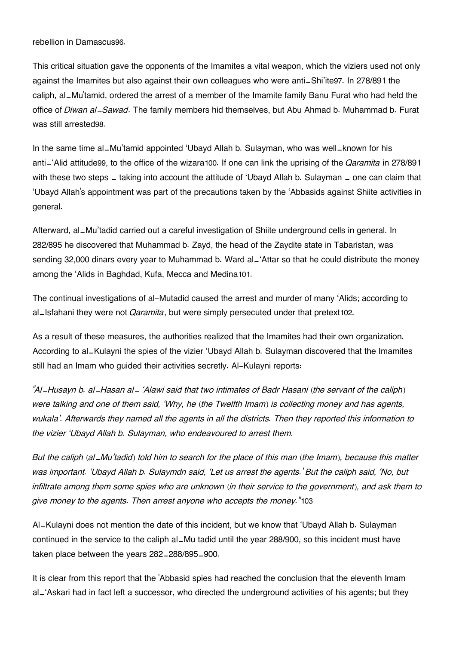rebellion in Damascus[96](#page--1-0).

This critical situation gave the opponents of the Imamites a vital weapon, which the viziers used not only against the Imamites but also against their own colleagues who were anti \_Shi'ite[97](#page--1-0). In 278/891 the caliph, al\_Mu'tamid, ordered the arrest of a member of the Imamite family Banu Furat who had held the office of *Diwan al‑Sawad*. The family members hid themselves, but Abu Ahmad b. Muhammad b. Furat was still arrested[98](#page--1-0).

In the same time al–Mu'tamid appointed 'Ubayd Allah b. Sulayman, who was well–known for his anti‑'Alid attitude[99](#page--1-0), to the office of the wizara[100](#page--1-0). If one can link the uprising of the *Qaramita* in 278/891 with these two steps – taking into account the attitude of 'Ubayd Allah b. Sulayman – one can claim that 'Ubayd Allah's appointment was part of the precautions taken by the 'Abbasids against Shiite activities in general.

Afterward, al\_Mu'tadid carried out a careful investigation of Shiite underground cells in general. In 282/895 he discovered that Muhammad b. Zayd, the head of the Zaydite state in Tabaristan, was sending 32,000 dinars every year to Muhammad b. Ward al<sub>-</sub>'Attar so that he could distribute the money among the 'Alids in Baghdad, Kufa, Mecca and Medina[101](#page--1-0).

The continual investigations of al-Mutadid caused the arrest and murder of many 'Alids; according to al<sub>-Isfahani they were not *Qaramita*, but were simply persecuted under that pretext[102](#page--1-0).</sub>

As a result of these measures, the authorities realized that the Imamites had their own organization. According to al\_Kulayni the spies of the vizier 'Ubayd Allah b. Sulayman discovered that the Imamites still had an Imam who guided their activities secretly. Al-Kulayni reports:

*"Al‑Husayn b. al‑Hasan al‑ 'Alawi said that two intimates of Badr Hasani (the servant of the caliph) were talking and one of them said, 'Why, he (the Twelfth Imam) is collecting money and has agents, wukala'. Afterwards they named all the agents in all the districts. Then they reported this information to the vizier 'Ubayd Allah b. Sulayman, who endeavoured to arrest them.*

*But the caliph (al‑Mu'tadid) told him to search for the place of this man (the Imam), because this matter was important. 'Ubayd Allah b. Sulaymdn said, 'Let us arrest the agents.' But the caliph said, 'No, but infiltrate among them some spies who are unknown (in their service to the government), and ask them to give money to the agents. Then arrest anyone who accepts the money."*[103](#page--1-0)

Al‑Kulayni does not mention the date of this incident, but we know that 'Ubayd Allah b. Sulayman continued in the service to the caliph al‑Mu tadid until the year 288/900, so this incident must have taken place between the years 282–288/895–900.

It is clear from this report that the 'Abbasid spies had reached the conclusion that the eleventh Imam al<sub>-</sub>'Askari had in fact left a successor, who directed the underground activities of his agents; but they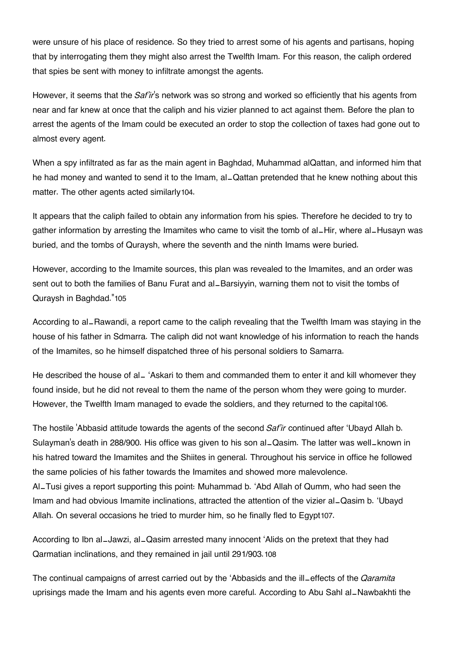were unsure of his place of residence. So they tried to arrest some of his agents and partisans, hoping that by interrogating them they might also arrest the Twelfth Imam. For this reason, the caliph ordered that spies be sent with money to infiltrate amongst the agents.

However, it seems that the *Saf'ir*'s network was so strong and worked so efficiently that his agents from near and far knew at once that the caliph and his vizier planned to act against them. Before the plan to arrest the agents of the Imam could be executed an order to stop the collection of taxes had gone out to almost every agent.

When a spy infiltrated as far as the main agent in Baghdad, Muhammad alQattan, and informed him that he had money and wanted to send it to the Imam, al\_Qattan pretended that he knew nothing about this matter. The other agents acted similarly[104](#page--1-0).

It appears that the caliph failed to obtain any information from his spies. Therefore he decided to try to gather information by arresting the Imamites who came to visit the tomb of al\_Hir, where al\_Husayn was buried, and the tombs of Quraysh, where the seventh and the ninth Imams were buried.

However, according to the Imamite sources, this plan was revealed to the Imamites, and an order was sent out to both the families of Banu Furat and al<sub>–</sub>Barsiyyin, warning them not to visit the tombs of Quraysh in Baghdad."[105](#page--1-0)

According to al‑Rawandi, a report came to the caliph revealing that the Twelfth Imam was staying in the house of his father in Sdmarra. The caliph did not want knowledge of his information to reach the hands of the Imamites, so he himself dispatched three of his personal soldiers to Samarra.

He described the house of al<sub>-</sub> 'Askari to them and commanded them to enter it and kill whomever they found inside, but he did not reveal to them the name of the person whom they were going to murder. However, the Twelfth Imam managed to evade the soldiers, and they returned to the capital[106](#page--1-0).

The hostile 'Abbasid attitude towards the agents of the second *Saf'ir* continued after 'Ubayd Allah b. Sulayman's death in 288/900. His office was given to his son al‑Qasim. The latter was well‑known in his hatred toward the Imamites and the Shiites in general. Throughout his service in office he followed the same policies of his father towards the Imamites and showed more malevolence.

Al–Tusi gives a report supporting this point: Muhammad b. 'Abd Allah of Qumm, who had seen the Imam and had obvious Imamite inclinations, attracted the attention of the vizier al‑Qasim b. 'Ubayd Allah. On several occasions he tried to murder him, so he finally fled to Egypt[107](#page--1-0).

According to Ibn al‑Jawzi, al‑Qasim arrested many innocent 'Alids on the pretext that they had Qarmatian inclinations, and they remained in jail until 291/903.[108](#page--1-0)

The continual campaigns of arrest carried out by the 'Abbasids and the ill‑effects of the *Qaramita* uprisings made the Imam and his agents even more careful. According to Abu Sahl al‑Nawbakhti the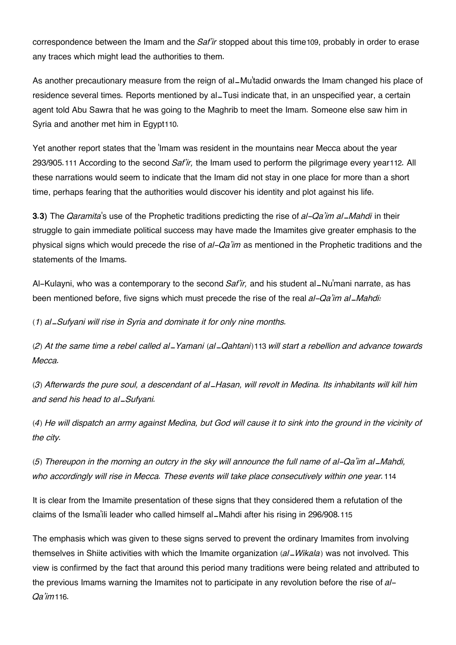correspondence between the Imam and the *Saf'ir* stopped about this time[109](#page--1-0), probably in order to erase any traces which might lead the authorities to them.

As another precautionary measure from the reign of al–Mu'tadid onwards the Imam changed his place of residence several times. Reports mentioned by al\_Tusi indicate that, in an unspecified year, a certain agent told Abu Sawra that he was going to the Maghrib to meet the Imam. Someone else saw him in Syria and another met him in Egypt[110](#page--1-0).

Yet another report states that the 'Imam was resident in the mountains near Mecca about the year 293/905.[111](#page--1-0) According to the second *Saf'ir,* the Imam used to perform the pilgrimage every year[112](#page--1-0). All these narrations would seem to indicate that the Imam did not stay in one place for more than a short time, perhaps fearing that the authorities would discover his identity and plot against his life.

**3.3)** The *Qaramita*'s use of the Prophetic traditions predicting the rise of *al–Qa'im al–Mahdi* in their struggle to gain immediate political success may have made the Imamites give greater emphasis to the physical signs which would precede the rise of *al-Qa'im* as mentioned in the Prophetic traditions and the statements of the Imams.

Al-Kulayni, who was a contemporary to the second *Saf'ir,* and his student al‑Nu'mani narrate, as has been mentioned before, five signs which must precede the rise of the real *al–Qa'im al<sub>–</sub>Mahdi:* 

*(1) al‑Sufyani will rise in Syria and dominate it for only nine months.*

*(2) At the same time a rebel called al‑Yamani (al‑Qahtani)*[113](#page--1-0) *will start a rebellion and advance towards Mecca.*

*(3) Afterwards the pure soul, a descendant of al‑Hasan, will revolt in Medina. Its inhabitants will kill him and send his head to al‑Sufyani.*

*(4) He will dispatch an army against Medina, but God will cause it to sink into the ground in the vicinity of the city.*

*(5) Thereupon in the morning an outcry in the sky will announce the full name of al-Qa'im al‑Mahdi, who accordingly will rise in Mecca. These events will take place consecutively within one year.*[114](#page--1-0)

It is clear from the Imamite presentation of these signs that they considered them a refutation of the claims of the Isma'ili leader who called himself al‑Mahdi after his rising in 296/908.[115](#page--1-0)

The emphasis which was given to these signs served to prevent the ordinary Imamites from involving themselves in Shiite activities with which the Imamite organization *(al‑Wikala)* was not involved. This view is confirmed by the fact that around this period many traditions were being related and attributed to the previous Imams warning the Imamites not to participate in any revolution before the rise of *al-Qa'im*[116](#page--1-0).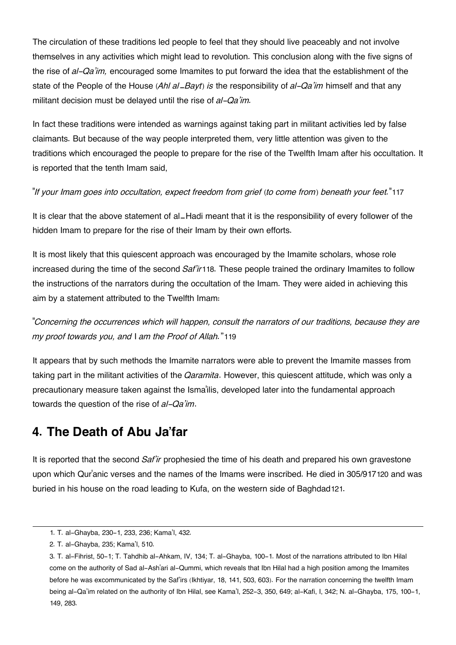The circulation of these traditions led people to feel that they should live peaceably and not involve themselves in any activities which might lead to revolution. This conclusion along with the five signs of the rise of *al-Qa'im,* encouraged some Imamites to put forward the idea that the establishment of the state of the People of the House *(Ahl al‑Bayt) is* the responsibility of *al-Qa'im* himself and that any militant decision must be delayed until the rise of *al-Qa'im.*

In fact these traditions were intended as warnings against taking part in militant activities led by false claimants. But because of the way people interpreted them, very little attention was given to the traditions which encouraged the people to prepare for the rise of the Twelfth Imam after his occultation. It is reported that the tenth Imam said,

"*If your Imam goes into occultation, expect freedom from grief (to come from) beneath your feet.*"[117](#page--1-0)

It is clear that the above statement of al\_Hadi meant that it is the responsibility of every follower of the hidden Imam to prepare for the rise of their Imam by their own efforts.

It is most likely that this quiescent approach was encouraged by the Imamite scholars, whose role increased during the time of the second *Saf'ir*[118](#page--1-0). These people trained the ordinary Imamites to follow the instructions of the narrators during the occultation of the Imam. They were aided in achieving this aim by a statement attributed to the Twelfth Imam:

"*Concerning the occurrences which will happen, consult the narrators of our traditions, because they are my proof towards you, and* I *am the Proof of Allah.*"[119](#page--1-0)

It appears that by such methods the Imamite narrators were able to prevent the Imamite masses from taking part in the militant activities of the *Qaramita*. However, this quiescent attitude, which was only a precautionary measure taken against the Isma'ilis, developed later into the fundamental approach towards the question of the rise of *al-Qa'im*.

#### **[4. The Death of Abu Ja'far](#page--1-0)**

It is reported that the second *Saf'ir* prophesied the time of his death and prepared his own gravestone upon which Qur'anic verses and the names of the Imams were inscribed. He died in 305/917[120](#page--1-0) and was buried in his house on the road leading to Kufa, on the western side of Baghdad[121](#page--1-0).

[<sup>1.</sup>](#page--1-0) T. al-Ghayba, 230-1, 233, 236; Kama'l, 432.

[<sup>2.</sup>](#page--1-0) T. al-Ghayba, 235; Kama'l, 510.

[<sup>3.</sup>](#page--1-0) T. al-Fihrist, 50-1; T. Tahdhib al-Ahkam, IV, 134; T. al-Ghayba, 100-1. Most of the narrations attributed to Ibn Hilal come on the authority of Sad al-Ash'ari al-Qummi, which reveals that Ibn Hilal had a high position among the Imamites before he was excommunicated by the Saf'irs (Ikhtiyar, 18, 141, 503, 603). For the narration concerning the twelfth Imam being al-Qa'im related on the authority of Ibn Hilal, see Kama'l, 252-3, 350, 649; al-Kafi, I, 342; N. al-Ghayba, 175, 100-1, 149, 283.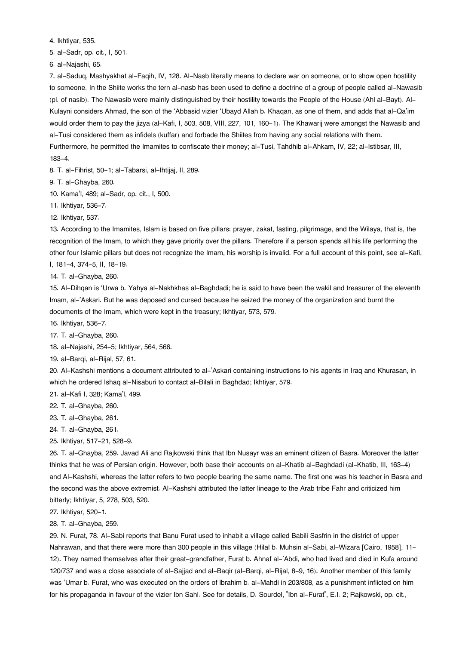[4.](#page--1-0) Ikhtiyar, 535.

[5.](#page--1-0) al-Sadr, op. cit., I, 501.

[6.](#page--1-0) al-Najashi, 65.

[7.](#page--1-0) al-Saduq, Mashyakhat al-Faqih, IV, 128. Al-Nasb literally means to declare war on someone, or to show open hostility to someone. In the Shiite works the tern al-nasb has been used to define a doctrine of a group of people called al-Nawasib (pl. of nasib). The Nawasib were mainly distinguished by their hostility towards the People of the House (Ahl al-Bayt). Al-Kulayni considers Ahmad, the son of the 'Abbasid vizier 'Ubayd Allah b. Khaqan, as one of them, and adds that al-Qa'im would order them to pay the jizya (al-Kafi, I, 503, 508, VIII, 227, 101, 160-1). The Khawarij were amongst the Nawasib and al-Tusi considered them as infidels (kuffar) and forbade the Shiites from having any social relations with them. Furthermore, he permitted the Imamites to confiscate their money; al-Tusi, Tahdhib al-Ahkam, IV, 22; al-Istibsar, III, 183-4.

[8.](#page--1-0) T. al-Fihrist, 50-1; al-Tabarsi, al-Ihtijaj, II, 289.

[9.](#page--1-0) T. al-Ghayba, 260.

[10.](#page--1-0) Kama'l, 489; al-Sadr, op. cit., I, 500.

[11.](#page--1-0) Ikhtiyar, 536-7.

[12.](#page--1-0) Ikhtiyar, 537.

[13.](#page--1-0) According to the Imamites, Islam is based on five pillars: prayer, zakat, fasting, pilgrimage, and the Wilaya, that is, the recognition of the Imam, to which they gave priority over the pillars. Therefore if a person spends all his life performing the other four Islamic pillars but does not recognize the Imam, his worship is invalid. For a full account of this point, see al-Kafi, I, 181-4, 374-5, II, 18-19.

[14.](#page--1-0) T. al-Ghayba, 260.

[15.](#page--1-0) Al-Dihqan is 'Urwa b. Yahya al-Nakhkhas al-Baghdadi; he is said to have been the wakil and treasurer of the eleventh Imam, al-'Askari. But he was deposed and cursed because he seized the money of the organization and burnt the documents of the Imam, which were kept in the treasury; Ikhtiyar, 573, 579.

[16.](#page--1-0) Ikhtiyar, 536-7.

[17.](#page--1-0) T. al-Ghayba, 260.

[18.](#page--1-0) al-Najashi, 254-5; Ikhtiyar, 564, 566.

[19.](#page--1-0) al-Barqi, al-Rijal, 57, 61.

[20.](#page--1-0) Al-Kashshi mentions a document attributed to al-'Askari containing instructions to his agents in Iraq and Khurasan, in which he ordered Ishaq al-Nisaburi to contact al-Bilali in Baghdad; Ikhtiyar, 579.

[21.](#page--1-0) al-Kafi I, 328; Kama'l, 499.

[22.](#page--1-0) T. al-Ghayba, 260.

[23.](#page--1-0) T. al-Ghayba, 261.

[24.](#page--1-0) T. al-Ghayba, 261.

[25.](#page--1-0) Ikhtiyar, 517-21, 528-9.

[26.](#page--1-0) T. al-Ghayba, 259. Javad Ali and Rajkowski think that Ibn Nusayr was an eminent citizen of Basra. Moreover the latter thinks that he was of Persian origin. However, both base their accounts on al-Khatib al-Baghdadi (al-Khatib, III, 163-4) and Al-Kashshi, whereas the latter refers to two people bearing the same name. The first one was his teacher in Basra and the second was the above extremist. Al-Kashshi attributed the latter lineage to the Arab tribe Fahr and criticized him bitterly; Ikhtiyar, 5, 278, 503, 520.

[27.](#page--1-0) Ikhtiyar, 520-1.

[28.](#page--1-0) T. al-Ghayba, 259.

[29.](#page--1-0) N. Furat, 78. Al-Sabi reports that Banu Furat used to inhabit a village called Babili Sasfrin in the district of upper Nahrawan, and that there were more than 300 people in this village (Hilal b. Muhsin al-Sabi, al-Wizara [Cairo, 1958], 11- 12). They named themselves after their great-grandfather, Furat b. Ahnaf al-'Abdi, who had lived and died in Kufa around 120/737 and was a close associate of al-Sajjad and al-Baqir (al-Barqi, al-Rijal, 8-9, 16). Another member of this family was 'Umar b. Furat, who was executed on the orders of lbrahim b. al-Mahdi in 203/808, as a punishment inflicted on him for his propaganda in favour of the vizier Ibn Sahl. See for details, D. Sourdel, "Ibn al-Furat", E.I. 2; Rajkowski, op. cit.,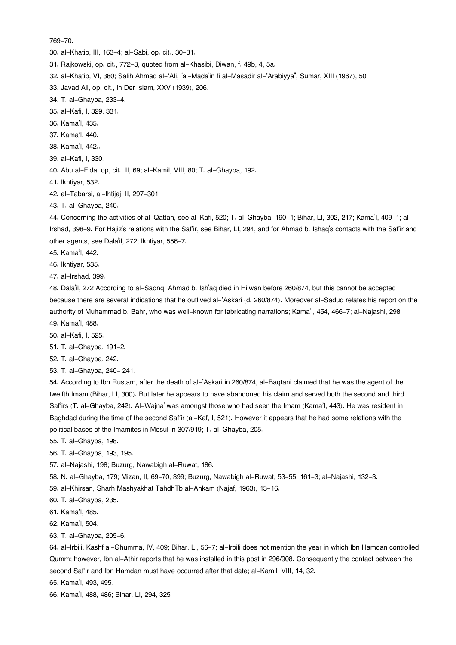769-70.

[30.](#page--1-0) al-Khatib, III, 163-4; al-Sabi, op. cit., 30-31.

[31.](#page--1-0) Rajkowski, op. cit., 772-3, quoted from al-Khasibi, Diwan, f. 49b, 4, 5a.

[32.](#page--1-0) al-Khatib, VI, 380; Salih Ahmad al-'Ali, "al-Mada'in fi al-Masadir al-'Arabiyya", Sumar, XIII (1967), 50.

[33.](#page--1-0) Javad Ali, op. cit., in Der Islam, XXV (1939), 206.

[34.](#page--1-0) T. al-Ghayba, 233-4.

[35.](#page--1-0) al-Kafi, I, 329, 331.

[36.](#page--1-0) Kama'l, 435.

[37.](#page--1-0) Kama'l, 440.

[38.](#page--1-0) Kama'l, 442..

[39.](#page--1-0) al-Kafi, I, 330.

[40.](#page--1-0) Abu al-Fida, op, cit., II, 69; al-Kamil, VIII, 80; T. al-Ghayba, 192.

[41.](#page--1-0) Ikhtiyar, 532.

[42.](#page--1-0) al-Tabarsi, al-Ihtijaj, II, 297-301.

[43.](#page--1-0) T. al-Ghayba, 240.

[44.](#page--1-0) Concerning the activities of al-Qattan, see al-Kafi, 520; T. al-Ghayba, 190-1; Bihar, LI, 302, 217; Kama'l, 409-1; al-Irshad, 398-9. For Hajiz's relations with the Saf'ir, see Bihar, LI, 294, and for Ahmad b. Ishaq's contacts with the Saf'ir and other agents, see Dala'il, 272; Ikhtiyar, 556-7.

[45.](#page--1-0) Kama'l, 442.

[46.](#page--1-0) Ikhtiyar, 535.

[47.](#page--1-0) al-Irshad, 399.

[48.](#page--1-0) Dala'il, 272 According to al-Sadnq, Ahmad b. Ish'aq died in Hilwan before 260/874, but this cannot be accepted because there are several indications that he outlived al-'Askari (d. 260/874). Moreover al-Saduq relates his report on the authority of Muhammad b. Bahr, who was well-known for fabricating narrations; Kama'l, 454, 466-7; al-Najashi, 298. [49.](#page--1-0) Kama'l, 488.

[50.](#page--1-0) al-Kafi, I, 525.

[51.](#page--1-0) T. al-Ghayba, 191-2.

[52.](#page--1-0) T. al-Ghayba, 242.

[53.](#page--1-0) T. al-Ghayba, 240- 241.

[54.](#page--1-0) According to Ibn Rustam, after the death of al-'Askari in 260/874, al-Baqtani claimed that he was the agent of the twelfth Imam (Bihar, LI, 300). But later he appears to have abandoned his claim and served both the second and third Saf'irs (T. al-Ghayba, 242). Al-Wajna' was amongst those who had seen the Imam (Kama'l, 443). He was resident in Baghdad during the time of the second Saf'ir (al-Kaf, I, 521). However it appears that he had some relations with the political bases of the Imamites in Mosul in 307/919; T. al-Ghayba, 205.

[55.](#page--1-0) T. al-Ghayba, 198.

[56.](#page--1-0) T. al-Ghayba, 193, 195.

[57.](#page--1-0) al-Najashi, 198; Buzurg, Nawabigh al-Ruwat, 186.

[58.](#page--1-0) N. al-Ghayba, 179; Mizan, II, 69-70, 399; Buzurg, Nawabigh al-Ruwat, 53-55, 161-3; al-Najashi, 132-3.

[59.](#page--1-0) al-Khirsan, Sharh Mashyakhat TahdhTb al-Ahkam (Najaf, 1963), 13-16.

[60.](#page--1-0) T. al-Ghayba, 235.

[61.](#page--1-0) Kama'l, 485.

[62.](#page--1-0) Kama'l, 504.

[63.](#page--1-0) T. al-Ghayba, 205-6.

[64.](#page--1-0) al-Irbili, Kashf al-Ghumma, IV, 409; Bihar, LI, 56-7; al-Irbili does not mention the year in which Ibn Hamdan controlled Qumm; however, Ibn al-Athir reports that he was installed in this post in 296/908. Consequently the contact between the second Saf'ir and Ibn Hamdan must have occurred after that date; al-Kamil, VIII, 14, 32.

[65.](#page--1-0) Kama'l, 493, 495.

[66.](#page--1-0) Kama'l, 488, 486; Bihar, LI, 294, 325.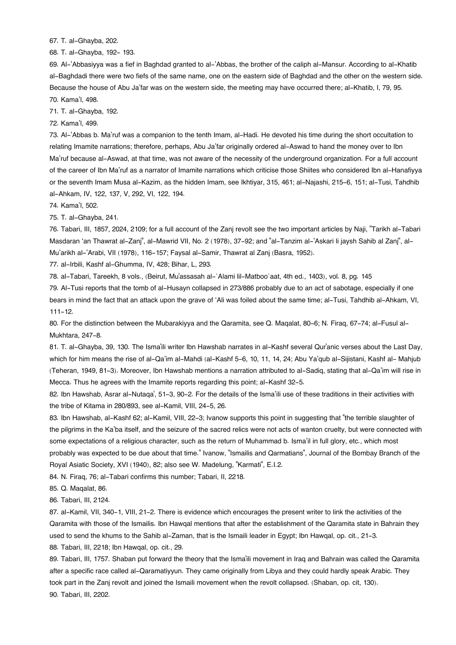[67.](#page--1-0) T. al-Ghayba, 202.

[68.](#page--1-0) T. al-Ghayba, 192- 193.

[69.](#page--1-0) Al-'Abbasiyya was a fief in Baghdad granted to al-'Abbas, the brother of the caliph al-Mansur. According to al-Khatib al-Baghdadi there were two fiefs of the same name, one on the eastern side of Baghdad and the other on the western side. Because the house of Abu Ja'far was on the western side, the meeting may have occurred there; al-Khatib, I, 79, 95.

[70.](#page--1-0) Kama'l, 498.

[71.](#page--1-0) T. al-Ghayba, 192.

[72.](#page--1-0) Kama'l, 499.

[73.](#page--1-0) Al-'Abbas b. Ma'ruf was a companion to the tenth Imam, al-Hadi. He devoted his time during the short occultation to relating Imamite narrations; therefore, perhaps, Abu Ja'far originally ordered al-Aswad to hand the money over to Ibn Ma'ruf because al-Aswad, at that time, was not aware of the necessity of the underground organization. For a full account of the career of Ibn Ma'ruf as a narrator of Imamite narrations which criticise those Shiites who considered Ibn al-Hanafiyya or the seventh Imam Musa al-Kazim, as the hidden Imam, see Ikhtiyar, 315, 461; al-Najashi, 215-6, 151; al-Tusi, Tahdhib al-Ahkam, IV, 122, 137, V, 292, VI, 122, 194.

[74.](#page--1-0) Kama'l, 502.

[75.](#page--1-0) T. al-Ghayba, 241.

[76.](#page--1-0) Tabari, III, 1857, 2024, 2109; for a full account of the Zanj revolt see the two important articles by Naji, "Tarikh al-Tabari Masdaran 'an Thawrat al-Zanj", al-Mawrid VII, No. 2 (1978), 37-92; and "al-Tanzim al-'Askari li jaysh Sahib al Zanj", al-Mu'arikh al-'Arabi, VII (1978), 116-157; Faysal al-Samir, Thawrat al Zanj (Basra, 1952).

[77.](#page--1-0) al-Irbili, Kashf al-Ghumma, IV, 428; Bihar, L, 293.

[78.](#page--1-0) al-Tabari, Tareekh, 8 vols., (Beirut, Mu'assasah al-`Alami lil-Matboo`aat, 4th ed., 1403), vol. 8, pg. 145

[79.](#page--1-0) Al-Tusi reports that the tomb of al-Husayn collapsed in 273/886 probably due to an act of sabotage, especially if one bears in mind the fact that an attack upon the grave of 'Ali was foiled about the same time; al-Tusi, Tahdhib al-Ahkam, VI, 111-12.

[80.](#page--1-0) For the distinction between the Mubarakiyya and the Qaramita, see Q. Maqalat, 80-6; N. Firaq, 67-74; al-Fusul al-Mukhtara, 247-8.

[81.](#page--1-0) T. al-Ghayba, 39, 130. The Isma'ili writer Ibn Hawshab narrates in al-Kashf several Qur'anic verses about the Last Day, which for him means the rise of al-Qa'im al-Mahdi (al-Kashf 5-6, 10, 11, 14, 24; Abu Ya'qub al-Sijistani, Kashf al- Mahjub (Teheran, 1949, 81-3). Moreover, Ibn Hawshab mentions a narration attributed to al-Sadiq, stating that al-Qa'im will rise in Mecca. Thus he agrees with the Imamite reports regarding this point; al-Kashf 32-5.

[82.](#page--1-0) Ibn Hawshab, Asrar al-Nutaqa', 51-3, 90-2. For the details of the Isma'ili use of these traditions in their activities with the tribe of Kitama in 280/893, see al-Kamil, VIII, 24-5, 26.

[83.](#page--1-0) Ibn Hawshab, al-Kashf 62; al-Kamil, VIII, 22-3; Ivanow supports this point in suggesting that "the terrible slaughter of the pilgrims in the Ka'ba itself, and the seizure of the sacred relics were not acts of wanton cruelty, but were connected with some expectations of a religious character, such as the return of Muhammad b. Isma'il in full glory, etc., which most probably was expected to be due about that time." Ivanow, "Ismailis and Qarmatians", Journal of the Bombay Branch of the Royal Asiatic Society, XVI (1940), 82; also see W. Madelung, "Karmati", E.I.2.

[84.](#page--1-0) N. Firaq, 76; al-Tabari confirms this number; Tabari, II, 2218.

[85.](#page--1-0) Q. Maqalat, 86.

[86.](#page--1-0) Tabari, III, 2124.

[87.](#page--1-0) al-Kamil, VII, 340-1, VIII, 21-2. There is evidence which encourages the present writer to link the activities of the Qaramita with those of the Ismailis. Ibn Hawqal mentions that after the establishment of the Qaramita state in Bahrain they used to send the khums to the Sahib al-Zaman, that is the Ismaili leader in Egypt; Ibn Hawqal, op. cit., 21-3. [88.](#page--1-0) Tabari, III, 2218; Ibn Hawqal, op. cit., 29.

[89.](#page--1-0) Tabari, III, 1757. Shaban put forward the theory that the Isma'ili movement in Iraq and Bahrain was called the Qaramita after a specific race called al-Qaramatiyyun. They came originally from Libya and they could hardly speak Arabic. They took part in the Zanj revolt and joined the Ismaili movement when the revolt collapsed. (Shaban, op. cit, 130). [90.](#page--1-0) Tabari, III, 2202.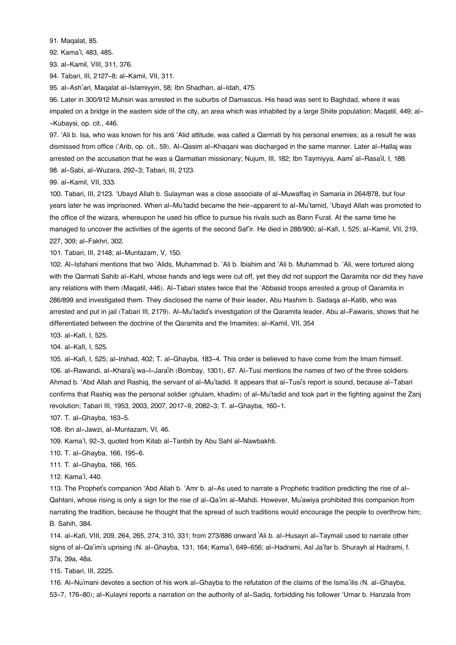[91.](#page--1-0) Maqalat, 85.

[92.](#page--1-0) Kama'l, 483, 485.

[93.](#page--1-0) al-Kamil, VIII, 311, 376.

[94.](#page--1-0) Tabari, III, 2127-8; al-Kamil, VII, 311.

[95.](#page--1-0) al-Ash'ari, Maqalat al-Islamiyyin, 58; Ibn Shadhan, al-Idah, 475.

[96.](#page--1-0) Later in 300/912 Muhsin was arrested in the suburbs of Damascus. His head was sent to Baghdad, where it was impaled on a bridge in the eastern side of the city, an area which was inhabited by a large Shiite population; Maqatil, 449; al- -Kubaysi, op. cit., 446.

[97.](#page--1-0) 'Ali b. Isa, who was known for his anti 'Alid attitude, was called a Qarmati by his personal enemies; as a result he was dismissed from office ('Arib, op. cit., 59). Al-Qasim al-Khaqani was discharged in the same manner. Later al-Hallaj was arrested on the accusation that he was a Qarmatian missionary; Nujum, III, 182; Ibn Taymiyya, Aami' al-Rasa'il, I, 188. [98.](#page--1-0) al-Sabi, al-Wuzara, 292-3; Tabari, III, 2123.

[99.](#page--1-0) al-Kamil, VII, 333.

[100.](#page--1-0) Tabari, III, 2123. 'Ubayd Allah b. Sulayman was a close associate of al-Muwaffaq in Samaria in 264/878, but four years later he was imprisoned. When al-Mu'tadid became the heir-apparent to al-Mu'tamid, 'Ubayd Allah was promoted to the office of the wizara, whereupon he used his office to pursue his rivals such as Bann Furat. At the same time he managed to uncover the activities of the agents of the second Saf'ir. He died in 288/900; al-Kafi, I, 525; al-Kamil, VII, 219, 227, 309; al-Fakhri, 302.

[101.](#page--1-0) Tabari, III, 2148; al-Muntazam, V, 150.

[102.](#page--1-0) Al-Isfahani mentions that two 'Alids, Muhammad b. 'Ali b. Ibiahim and 'Ali b. Muhammad b. 'Ali, were tortured along with the Qarmati Sahib al-Kahl, whose hands and legs were cut off, yet they did not support the Qaramita nor did they have any relations with them (Maqatil, 446). Al-Tabari states twice that the 'Abbasid troops arrested a group of Qaramita in 286/899 and investigated them. They disclosed the name of their leader, Abu Hashim b. Sadaqa al-Katib, who was arrested and put in jail (Tabari III, 2179). Al-Mu'tadid's investigation of the Qaramita leader, Abu al-Fawaris, shows that he differentiated between the doctrine of the Qaramita and the Imamites; al-Kamil, VII, 354

[103.](#page--1-0) al-Kafi, I, 525.

[104.](#page--1-0) al-Kafi, I, 525.

[105.](#page--1-0) al-Kafi, I, 525; al-Irshad, 402; T. al-Ghayba, 183-4. This order is believed to have come from the Imam himself. [106.](#page--1-0) al-Rawandi, al-Khara'ij wa-l-Jara'ih (Bombay, 1301), 67. Al-Tusi mentions the names of two of the three soldiers: Ahmad b. 'Abd Allah and Rashiq, the servant of al-Mu'tadid. It appears that al-Tusi's report is sound, because al-Tabari confirms that Rashiq was the personal soldier (ghulam, khadim) of al-Mu'tadid and took part in the fighting against the Zanj revolution; Tabari III, 1953, 2003, 2007, 2017-9, 2082-3; T. al-Ghayba, 160-1.

[107.](#page--1-0) T. al-Ghayba, 163-5.

[108.](#page--1-0) Ibn al-Jawzi, al-Muntazam, VI, 46.

[109.](#page--1-0) Kama'l, 92-3, quoted from Kitab al-Tanbih by Abu Sahl al-Nawbakhti.

[110.](#page--1-0) T. al-Ghayba, 166, 195-6.

[111.](#page--1-0) T. al-Ghayba, 166, 165.

[112.](#page--1-0) Kama'l, 440.

[113.](#page--1-0) The Prophet's companion 'Abd Allah b. 'Amr b. al-As used to narrate a Prophetic tradition predicting the rise of al-Qahtani, whose rising is only a sign for the rise of al-Qa'im al-Mahdi. However, Mu'awiya prohibited this companion from narrating the tradition, because he thought that the spread of such traditions would encourage the people to overthrow him; B. Sahih, 384.

[114.](#page--1-0) al-Kafi, VIII, 209, 264, 265, 274, 310, 331; from 273/886 onward 'Ali b. al-Husayn al-Taymali used to narrate other signs of al-Qa'im's uprising (N. al-Ghayba, 131, 164; Kama'l, 649-656; al-Hadrami, Asl Ja'far b. Shurayh al Hadrami, f. 37a, 39a, 48a.

[115.](#page--1-0) Tabari, III, 2225.

[116.](#page--1-0) Al-Nu'mani devotes a section of his work al-Ghayba to the refutation of the claims of the Isma'ilis (N. al-Ghayba, 53-7, 176-80); al-Kulayni reports a narration on the authority of al-Sadiq, forbidding his follower 'Umar b. Hanzala from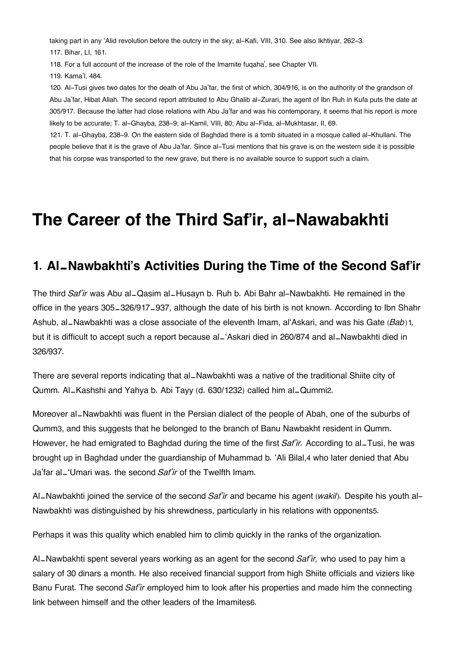taking part in any 'Alid revolution before the outcry in the sky; al-Kafi, VIII, 310. See also Ikhtiyar, 262-3.

[117.](#page--1-0) Bihar, LI, 161.

[118.](#page--1-0) For a full account of the increase of the role of the Imamite fuqaha', see Chapter VII.

[119.](#page--1-0) Kama'l, 484.

[120.](#page--1-0) Al-Tusi gives two dates for the death of Abu Ja'far, the first of which, 304/916, is on the authority of the grandson of Abu Ja'far, Hibat Allah. The second report attributed to Abu Ghalib al-Zurari, the agent of Ibn Ruh in Kufa puts the date at 305/917. Because the latter had close relations with Abu Ja'far and was his contemporary, it seems that his report is more likely to be accurate; T. al-Ghayba, 238-9; al-Kamil, VIII, 80; Abu al-Fida, al-Mukhtasar, II, 69.

[121.](#page--1-0) T. al-Ghayba, 238-9. On the eastern side of Baghdad there is a tomb situated in a mosque called al-Khullani. The people believe that it is the grave of Abu Ja'far. Since al-Tusi mentions that his grave is on the western side it is possible that his corpse was transported to the new grave, but there is no available source to support such a claim.

# **The Career of the Third Saf'ir, al-Nawabakhti**

## **[1. Al‑Nawbakhti's Activities During the Time of the Second Saf'ir](#page--1-0)**

The third *Saf'ir* was Abu al<sub>-</sub>Qasim al-Husayn b. Ruh b. Abi Bahr al-Nawbakhti. He remained in the office in the years 305‑326/917‑937, although the date of his birth is not known. According to Ibn Shahr Ashub, al‑Nawbakhti was a close associate of the eleventh Imam, al'Askari, and was his Gate *(Bab)*[1](#page--1-0)*,* but it is difficult to accept such a report because al<sub>-</sub>'Askari died in 260/874 and al<sub>-</sub>Nawbakhti died in 326/937.

There are several reports indicating that al\_Nawbakhti was a native of the traditional Shiite city of Qumm. Al‑Kashshi and Yahya b. Abi Tayy (d. 630/1232) called him al‑Qummi[2](#page--1-0).

Moreover al\_Nawbakhti was fluent in the Persian dialect of the people of Abah, one of the suburbs of Qumm[3](#page--1-0), and this suggests that he belonged to the branch of Banu Nawbakht resident in Qumm. However, he had emigrated to Baghdad during the time of the first *Saf'ir.* According to al–Tusi, he was brought up in Baghdad under the guardianship of Muhammad b. 'Ali Bilal,[4](#page--1-0) who later denied that Abu Ja'far al‑'Umari was. the second *Saf'ir* of the Twelfth Imam.

Al‑Nawbakhti joined the service of the second *Saf'ir* and became his agent *(wakil).* Despite his youth al-Nawbakhti was distinguished by his shrewdness, particularly in his relations with opponents[5](#page--1-0).

Perhaps it was this quality which enabled him to climb quickly in the ranks of the organization.

Al‑Nawbakhti spent several years working as an agent for the second *Saf'ir,* who used to pay him a salary of 30 dinars a month. He also received financial support from high Shiite officials and viziers like Banu Furat. The second *Saf'ir* employed him to look after his properties and made him the connecting link between himself and the other leaders of the Imamites[6](#page--1-0).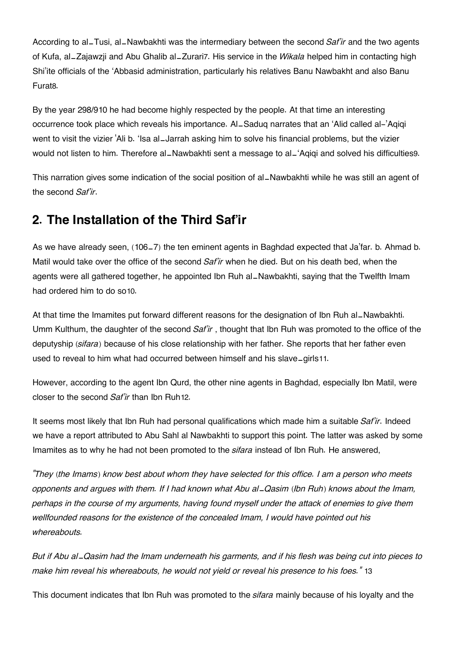According to al‑Tusi, al‑Nawbakhti was the intermediary between the second *Saf'ir* and the two agents of Kufa, al‑Zajawzji and Abu Ghalib al‑Zurari[7](#page--1-0). His service in the *Wikala* helped him in contacting high Shi'ite officials of the 'Abbasid administration, particularly his relatives Banu Nawbakht and also Banu Furat[8](#page--1-0).

By the year 298/910 he had become highly respected by the people. At that time an interesting occurrence took place which reveals his importance. Al‑Saduq narrates that an 'Alid called al-'Aqiqi went to visit the vizier 'Ali b. 'Isa al-Jarrah asking him to solve his financial problems, but the vizier would not listen to him. Therefore al<sub>–</sub>Nawbakhti sent a message to al–'Aqiqi and solved his difficulties[9](#page--1-0).

This narration gives some indication of the social position of al‑Nawbakhti while he was still an agent of the second *Saf'ir*.

### **[2. The Installation of the Third Saf'ir](#page--1-0)**

As we have already seen, (106‑7) the ten eminent agents in Baghdad expected that Ja'far. b. Ahmad b. Matil would take over the office of the second *Saf'ir* when he died. But on his death bed, when the agents were all gathered together, he appointed Ibn Ruh al\_Nawbakhti, saying that the Twelfth Imam had ordered him to do so[10](#page--1-0).

At that time the Imamites put forward different reasons for the designation of Ibn Ruh al\_Nawbakhti. Umm Kulthum, the daughter of the second *Saf'ir* , thought that Ibn Ruh was promoted to the office of the deputyship (*sifara*) because of his close relationship with her father. She reports that her father even used to reveal to him what had occurred between himself and his slave\_girls[11](#page--1-0).

However, according to the agent Ibn Qurd, the other nine agents in Baghdad, especially Ibn Matil, were closer to the second *Saf'ir* than Ibn Ruh[12](#page--1-0).

It seems most likely that Ibn Ruh had personal qualifications which made him a suitable *Saf'ir*. Indeed we have a report attributed to Abu Sahl al Nawbakhti to support this point. The latter was asked by some Imamites as to why he had not been promoted to the *sifara* instead of Ibn Ruh. He answered,

*"They (the Imams) know best about whom they have selected for this office. I am a person who meets opponents and argues with them. If I had known what Abu al‑Qasim (Ibn Ruh) knows about the Imam, perhaps in the course of my arguments, having found myself under the attack of enemies to give them wellfounded reasons for the existence of the concealed Imam, I would have pointed out his whereabouts.*

*But if Abu al‑Qasim had the Imam underneath his garments, and if his flesh was being cut into pieces to make him reveal his whereabouts, he would not yield or reveal his presence to his foes."* [13](#page--1-0)

This document indicates that Ibn Ruh was promoted to the *sifara* mainly because of his loyalty and the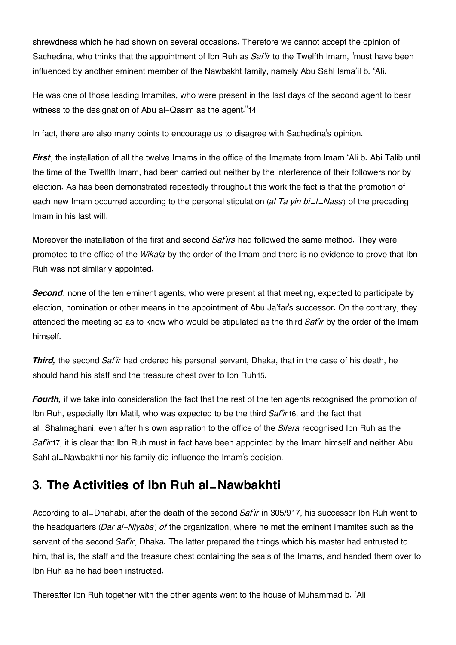shrewdness which he had shown on several occasions. Therefore we cannot accept the opinion of Sachedina, who thinks that the appointment of Ibn Ruh as *Saf'ir* to the Twelfth Imam, "must have been influenced by another eminent member of the Nawbakht family, namely Abu Sahl Isma'il b. 'Ali.

He was one of those leading Imamites, who were present in the last days of the second agent to bear witness to the designation of Abu al-Qasim as the agent."[14](#page--1-0)

In fact, there are also many points to encourage us to disagree with Sachedina's opinion.

*First*, the installation of all the twelve Imams in the office of the Imamate from Imam 'Ali b. Abi Talib until the time of the Twelfth Imam, had been carried out neither by the interference of their followers nor by election. As has been demonstrated repeatedly throughout this work the fact is that the promotion of each new Imam occurred according to the personal stipulation (*al Ta yin bi‑l‑Nass*) of the preceding Imam in his last will.

Moreover the installation of the first and second *Saf'irs* had followed the same method. They were promoted to the office of the *Wikala* by the order of the Imam and there is no evidence to prove that Ibn Ruh was not similarly appointed.

**Second**, none of the ten eminent agents, who were present at that meeting, expected to participate by election, nomination or other means in the appointment of Abu Ja'far's successor. On the contrary, they attended the meeting so as to know who would be stipulated as the third *Saf'ir* by the order of the Imam himself.

*Third,* the second *Saf'ir* had ordered his personal servant, Dhaka, that in the case of his death, he should hand his staff and the treasure chest over to Ibn Ruh[15](#page--1-0).

*Fourth*, if we take into consideration the fact that the rest of the ten agents recognised the promotion of Ibn Ruh, especially Ibn Matil, who was expected to be the third *Saf'ir*[16](#page--1-0), and the fact that al‑Shalmaghani, even after his own aspiration to the office of the *Sifara* recognised Ibn Ruh as the *Saf'ir*[17](#page--1-0), it is clear that Ibn Ruh must in fact have been appointed by the Imam himself and neither Abu Sahl al–Nawbakhti nor his family did influence the Imam's decision.

#### **[3. The Activities of Ibn Ruh al‑Nawbakhti](#page--1-0)**

According to al‑Dhahabi, after the death of the second *Saf'ir* in 305/917, his successor Ibn Ruh went to the headquarters (*Dar al-Niyaba) of* the organization, where he met the eminent Imamites such as the servant of the second *Saf'ir*, Dhaka. The latter prepared the things which his master had entrusted to him, that is, the staff and the treasure chest containing the seals of the Imams, and handed them over to Ibn Ruh as he had been instructed.

Thereafter Ibn Ruh together with the other agents went to the house of Muhammad b. 'Ali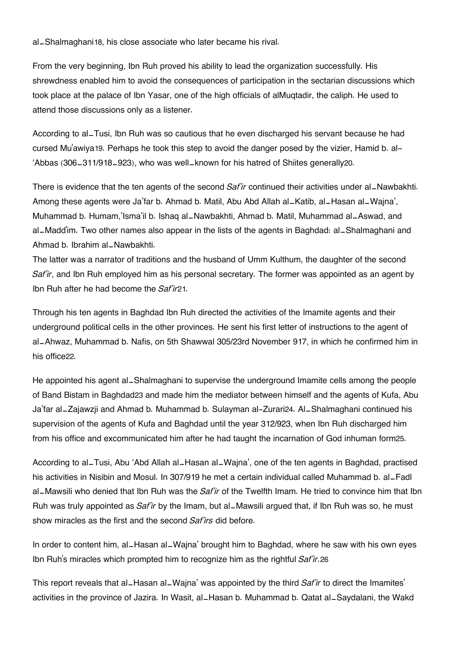al‑Shalmaghani[18](#page--1-0), his close associate who later became his rival.

From the very beginning, Ibn Ruh proved his ability to lead the organization successfully. His shrewdness enabled him to avoid the consequences of participation in the sectarian discussions which took place at the palace of Ibn Yasar, one of the high officials of alMuqtadir, the caliph. He used to attend those discussions only as a listener.

According to al‑Tusi, Ibn Ruh was so cautious that he even discharged his servant because he had cursed Mu'awiya[19](#page--1-0). Perhaps he took this step to avoid the danger posed by the vizier, Hamid b. al- 'Abbas (306‑311/918‑923), who was well‑known for his hatred of Shiites generally[20](#page--1-0).

There is evidence that the ten agents of the second *Saf'ir* continued their activities under al<sub>–</sub>Nawbakhti. Among these agents were Ja'far b. Ahmad b. Matil, Abu Abd Allah al<sub>–</sub>Katib, al<sub>–</sub>Hasan al–Waina', Muhammad b. Humam,'Isma'il b. Ishaq al\_Nawbakhti, Ahmad b. Matil, Muhammad al\_Aswad, and al–Madd'im. Two other names also appear in the lists of the agents in Baghdad: al–Shalmaghani and Ahmad b. Ibrahim al‑Nawbakhti.

The latter was a narrator of traditions and the husband of Umm Kulthum, the daughter of the second *Saf'ir*, and Ibn Ruh employed him as his personal secretary. The former was appointed as an agent by Ibn Ruh after he had become the *Saf'ir*[21](#page--1-0).

Through his ten agents in Baghdad Ibn Ruh directed the activities of the Imamite agents and their underground political cells in the other provinces. He sent his first letter of instructions to the agent of al‑Ahwaz, Muhammad b. Nafis, on 5th Shawwal 305/23rd November 917, in which he confirmed him in his office[22](#page--1-0).

He appointed his agent al\_Shalmaghani to supervise the underground Imamite cells among the people of Band Bistam in Baghdad[23](#page--1-0) and made him the mediator between himself and the agents of Kufa, Abu Ja'far al‑Zajawzji and Ahmad b. Muhammad b. Sulayman al-Zurari[24](#page--1-0). Al‑Shalmaghani continued his supervision of the agents of Kufa and Baghdad until the year 312/923, when Ibn Ruh discharged him from his office and excommunicated him after he had taught the incarnation of God inhuman form[25](#page--1-0).

According to al–Tusi, Abu 'Abd Allah al–Hasan al–Wajna', one of the ten agents in Baghdad, practised his activities in Nisibin and Mosul. In 307/919 he met a certain individual called Muhammad b. al–Fadl al‑Mawsili who denied that Ibn Ruh was the *Saf'ir* of the Twelfth Imam. He tried to convince him that Ibn Ruh was truly appointed as *Saf'ir* by the Imam, but al<sub>–</sub>Mawsili argued that, if Ibn Ruh was so, he must show miracles as the first and the second *Saf'irs* did before.

In order to content him, al\_Hasan al\_Wajna' brought him to Baghdad, where he saw with his own eyes Ibn Ruh's miracles which prompted him to recognize him as the rightful *Saf'ir*.[26](#page--1-0)

This report reveals that al–Hasan al–Waina' was appointed by the third *Saf'ir* to direct the Imamites' activities in the province of Jazira. In Wasit, al\_Hasan b. Muhammad b. Qatat al\_Saydalani, the Wakd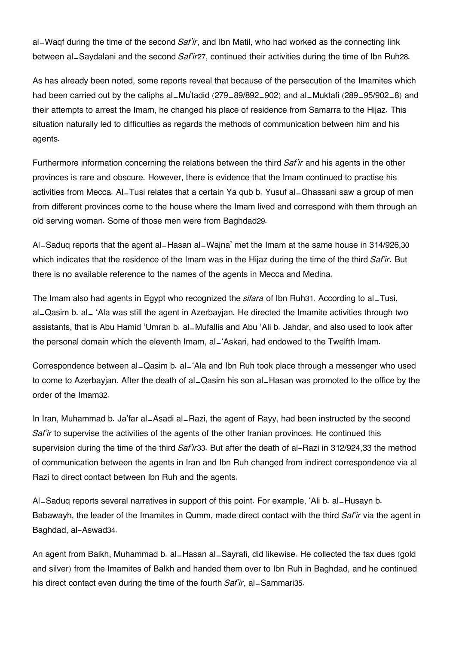al‑Waqf during the time of the second *Saf'ir*, and Ibn Matil, who had worked as the connecting link between al‑Saydalani and the second *Saf'ir*[27](#page--1-0), continued their activities during the time of Ibn Ruh[28](#page--1-0).

As has already been noted, some reports reveal that because of the persecution of the Imamites which had been carried out by the caliphs al\_Mu'tadid (279–89/892–902) and al–Muktafi (289–95/902–8) and their attempts to arrest the Imam, he changed his place of residence from Samarra to the Hijaz. This situation naturally led to difficulties as regards the methods of communication between him and his agents.

Furthermore information concerning the relations between the third *Saf'ir* and his agents in the other provinces is rare and obscure. However, there is evidence that the Imam continued to practise his activities from Mecca. Al\_Tusi relates that a certain Ya qub b. Yusuf al\_Ghassani saw a group of men from different provinces come to the house where the Imam lived and correspond with them through an old serving woman. Some of those men were from Baghdad[29](#page--1-0).

Al‑Saduq reports that the agent al‑Hasan al‑Wajna' met the Imam at the same house in 314/926,[30](#page--1-0) which indicates that the residence of the Imam was in the Hijaz during the time of the third *Saf'ir*. But there is no available reference to the names of the agents in Mecca and Medina.

The Imam also had agents in Egypt who recognized the *sifara* of Ibn Ruh[31](#page--1-0). According to al–Tusi, al–Qasim b. al– 'Ala was still the agent in Azerbayjan. He directed the Imamite activities through two assistants, that is Abu Hamid 'Umran b. al‑Mufallis and Abu 'Ali b. Jahdar, and also used to look after the personal domain which the eleventh Imam, al<sub>-</sub>'Askari, had endowed to the Twelfth Imam.

Correspondence between al‑Qasim b. al‑'Ala and Ibn Ruh took place through a messenger who used to come to Azerbayjan. After the death of al–Qasim his son al–Hasan was promoted to the office by the order of the Imam[32](#page--1-0).

In Iran, Muhammad b. Ja'far al–Asadi al–Razi, the agent of Rayy, had been instructed by the second *Saf'ir* to supervise the activities of the agents of the other Iranian provinces. He continued this supervision during the time of the third *Saf'ir*[33](#page--1-0). But after the death of al-Razi in 312/924,33 the method of communication between the agents in Iran and Ibn Ruh changed from indirect correspondence via al Razi to direct contact between Ibn Ruh and the agents.

Al‑Saduq reports several narratives in support of this point. For example, 'Ali b. al‑Husayn b. Babawayh, the leader of the Imamites in Qumm, made direct contact with the third *Saf'ir* via the agent in Baghdad, al-Aswad[34](#page--1-0).

An agent from Balkh, Muhammad b. al‑Hasan al‑Sayrafi, did likewise. He collected the tax dues (gold and silver) from the Imamites of Balkh and handed them over to Ibn Ruh in Baghdad, and he continued his direct contact even during the time of the fourth *Saf'ir*, al\_Sammari[35](#page--1-0).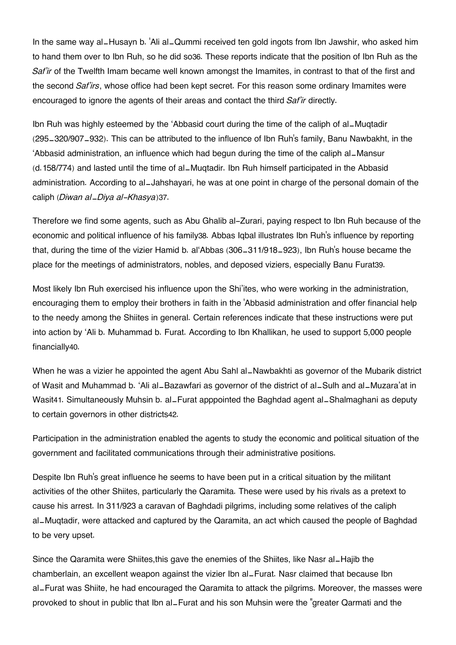In the same way al‑Husayn b. 'Ali al‑Qummi received ten gold ingots from Ibn Jawshir, who asked him to hand them over to Ibn Ruh, so he did so[36](#page--1-0). These reports indicate that the position of Ibn Ruh as the *Saf'ir* of the Twelfth Imam became well known amongst the Imamites, in contrast to that of the first and the second *Saf'irs*, whose office had been kept secret. For this reason some ordinary Imamites were encouraged to ignore the agents of their areas and contact the third *Saf'ir* directly.

Ibn Ruh was highly esteemed by the 'Abbasid court during the time of the caliph of al‑Muqtadir (295‑320/907‑932). This can be attributed to the influence of Ibn Ruh's family, Banu Nawbakht, in the 'Abbasid administration, an influence which had begun during the time of the caliph al‑Mansur (d.158/774) and lasted until the time of al‑Muqtadir. Ibn Ruh himself participated in the Abbasid administration. According to al‑Jahshayari, he was at one point in charge of the personal domain of the caliph (*Diwan al‑Diya al-Khasya*)[37](#page--1-0).

Therefore we find some agents, such as Abu Ghalib al-Zurari, paying respect to Ibn Ruh because of the economic and political influence of his family[38](#page--1-0). Abbas Iqbal illustrates Ibn Ruh's influence by reporting that, during the time of the vizier Hamid b. al'Abbas (306‑311/918‑923), Ibn Ruh's house became the place for the meetings of administrators, nobles, and deposed viziers, especially Banu Furat[39](#page--1-0).

Most likely Ibn Ruh exercised his influence upon the Shi'ites, who were working in the administration, encouraging them to employ their brothers in faith in the 'Abbasid administration and offer financial help to the needy among the Shiites in general. Certain references indicate that these instructions were put into action by 'Ali b. Muhammad b. Furat. According to Ibn Khallikan, he used to support 5,000 people financially[40](#page--1-0).

When he was a vizier he appointed the agent Abu Sahl al\_Nawbakhti as governor of the Mubarik district of Wasit and Muhammad b. 'Ali al\_Bazawfari as governor of the district of al\_Sulh and al\_Muzara'at in Wasit[41](#page--1-0). Simultaneously Muhsin b. al–Furat apppointed the Baghdad agent al–Shalmaghani as deputy to certain governors in other districts[42](#page--1-0).

Participation in the administration enabled the agents to study the economic and political situation of the government and facilitated communications through their administrative positions.

Despite Ibn Ruh's great influence he seems to have been put in a critical situation by the militant activities of the other Shiites, particularly the Qaramita. These were used by his rivals as a pretext to cause his arrest. In 311/923 a caravan of Baghdadi pilgrims, including some relatives of the caliph al\_Muqtadir, were attacked and captured by the Qaramita, an act which caused the people of Baghdad to be very upset.

Since the Qaramita were Shiites, this gave the enemies of the Shiites, like Nasr al–Hajib the chamberlain, an excellent weapon against the vizier Ibn al‑Furat. Nasr claimed that because Ibn al–Furat was Shiite, he had encouraged the Qaramita to attack the pilgrims. Moreover, the masses were provoked to shout in public that Ibn al\_Furat and his son Muhsin were the "greater Qarmati and the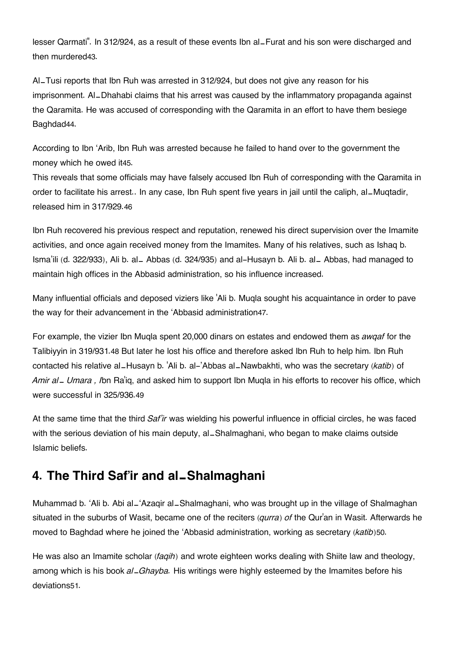lesser Qarmati". In 312/924, as a result of these events Ibn al‑Furat and his son were discharged and then murdered[43](#page--1-0).

Al‑Tusi reports that Ibn Ruh was arrested in 312/924, but does not give any reason for his imprisonment. Al\_Dhahabi claims that his arrest was caused by the inflammatory propaganda against the Qaramita. He was accused of corresponding with the Qaramita in an effort to have them besiege Baghdad[44](#page--1-0).

According to Ibn 'Arib, Ibn Ruh was arrested because he failed to hand over to the government the money which he owed it[45](#page--1-0).

This reveals that some officials may have falsely accused Ibn Ruh of corresponding with the Qaramita in order to facilitate his arrest.. In any case, Ibn Ruh spent five years in jail until the caliph, al‑Muqtadir, released him in 317/929.[46](#page--1-0)

Ibn Ruh recovered his previous respect and reputation, renewed his direct supervision over the Imamite activities, and once again received money from the Imamites. Many of his relatives, such as Ishaq b. Isma'ili (d. 322/933), Ali b. al‑ Abbas (d. 324/935) and al-Husayn b. Ali b. al‑ Abbas, had managed to maintain high offices in the Abbasid administration, so his influence increased.

Many influential officials and deposed viziers like 'Ali b. Muqla sought his acquaintance in order to pave the way for their advancement in the 'Abbasid administration[47](#page--1-0).

For example, the vizier Ibn Muqla spent 20,000 dinars on estates and endowed them as *awqaf* for the Talibiyyin in 319/931.[48](#page--1-0) But later he lost his office and therefore asked Ibn Ruh to help him. Ibn Ruh contacted his relative al‑Husayn b. 'Ali b. al-'Abbas al‑Nawbakhti, who was the secretary *(katib)* of *Amir al‑ Umara , I*bn Ra'iq, and asked him to support Ibn Muqla in his efforts to recover his office, which were successful in 325/936.[49](#page--1-0)

At the same time that the third *Saf'ir* was wielding his powerful influence in official circles, he was faced with the serious deviation of his main deputy, al–Shalmaghani, who began to make claims outside Islamic beliefs.

#### **[4. The Third Saf'ir and al‑Shalmaghani](#page--1-0)**

Muhammad b. 'Ali b. Abi al–'Azagir al–Shalmaghani, who was brought up in the village of Shalmaghan situated in the suburbs of Wasit, became one of the reciters *(qurra) of* the Qur'an in Wasit. Afterwards he moved to Baghdad where he joined the 'Abbasid administration, working as secretary *(katib)*[50](#page--1-0).

He was also an Imamite scholar *(faqih)* and wrote eighteen works dealing with Shiite law and theology, among which is his book *al‑Ghayba.* His writings were highly esteemed by the Imamites before his deviations[51](#page--1-0).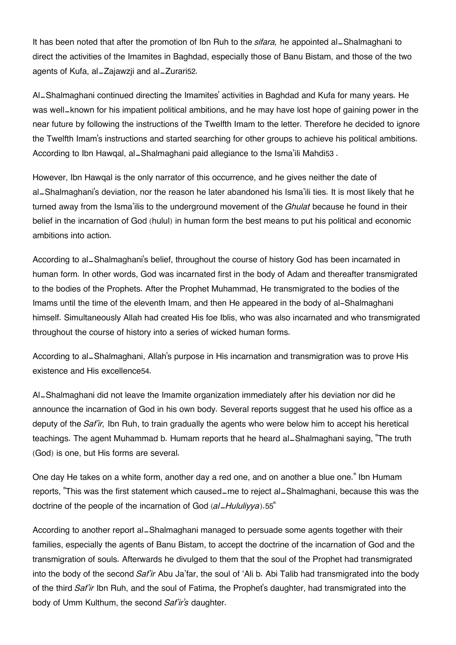It has been noted that after the promotion of Ibn Ruh to the *sifara,* he appointed al‑Shalmaghani to direct the activities of the Imamites in Baghdad, especially those of Banu Bistam, and those of the two agents of Kufa, al\_Zajawzji and al\_Zurari[52](#page--1-0).

Al‑Shalmaghani continued directing the Imamites' activities in Baghdad and Kufa for many years. He was well–known for his impatient political ambitions, and he may have lost hope of gaining power in the near future by following the instructions of the Twelfth Imam to the letter. Therefore he decided to ignore the Twelfth Imam's instructions and started searching for other groups to achieve his political ambitions. According to Ibn Hawqal, al\_Shalmaghani paid allegiance to the Isma'ili Mahdi[53](#page--1-0).

However, Ibn Hawqal is the only narrator of this occurrence, and he gives neither the date of al‑Shalmaghani's deviation, nor the reason he later abandoned his Isma'ili ties. It is most likely that he turned away from the Isma'ilis to the underground movement of the *Ghulat* because he found in their belief in the incarnation of God (hulul) in human form the best means to put his political and economic ambitions into action.

According to al‑Shalmaghani's belief, throughout the course of history God has been incarnated in human form. In other words, God was incarnated first in the body of Adam and thereafter transmigrated to the bodies of the Prophets. After the Prophet Muhammad, He transmigrated to the bodies of the Imams until the time of the eleventh Imam, and then He appeared in the body of al-Shalmaghani himself. Simultaneously Allah had created His foe Iblis, who was also incarnated and who transmigrated throughout the course of history into a series of wicked human forms.

According to al‑Shalmaghani, Allah's purpose in His incarnation and transmigration was to prove His existence and His excellence[54](#page--1-0).

Al‑Shalmaghani did not leave the Imamite organization immediately after his deviation nor did he announce the incarnation of God in his own body. Several reports suggest that he used his office as a deputy of the *Saf'ir,* Ibn Ruh, to train gradually the agents who were below him to accept his heretical teachings. The agent Muhammad b. Humam reports that he heard al‑Shalmaghani saying, "The truth (God) is one, but His forms are several.

One day He takes on a white form, another day a red one, and on another a blue one." Ibn Humam reports, "This was the first statement which caused–me to reject al–Shalmaghani, because this was the doctrine of the people of the incarnation of God (*al‑Hululiyya*).[55](#page--1-0)"

According to another report al‑Shalmaghani managed to persuade some agents together with their families, especially the agents of Banu Bistam, to accept the doctrine of the incarnation of God and the transmigration of souls. Afterwards he divulged to them that the soul of the Prophet had transmigrated into the body of the second *Saf'ir* Abu Ja'far, the soul of 'Ali b. Abi Talib had transmigrated into the body of the third *Saf'ir* Ibn Ruh, and the soul of Fatima, the Prophet's daughter, had transmigrated into the body of Umm Kulthum, the second *Saf'ir's* daughter.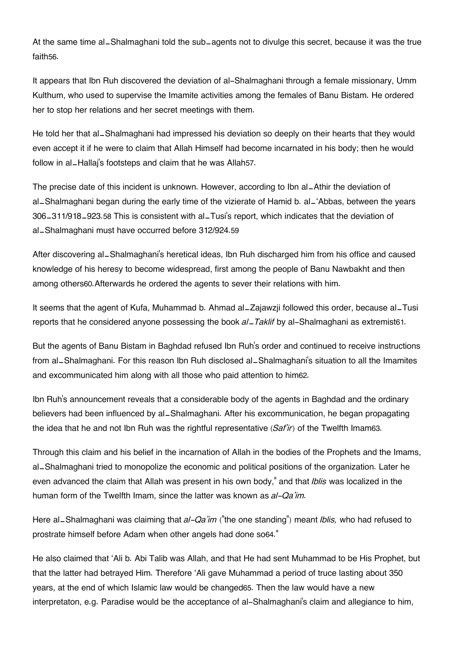At the same time al–Shalmaghani told the sub–agents not to divulge this secret, because it was the true faith[56](#page--1-0).

It appears that Ibn Ruh discovered the deviation of al-Shalmaghani through a female missionary, Umm Kulthum, who used to supervise the Imamite activities among the females of Banu Bistam. He ordered her to stop her relations and her secret meetings with them.

He told her that al\_Shalmaghani had impressed his deviation so deeply on their hearts that they would even accept it if he were to claim that Allah Himself had become incarnated in his body; then he would follow in al\_Hallaj's footsteps and claim that he was Allah[57](#page--1-0).

The precise date of this incident is unknown. However, according to Ibn al\_Athir the deviation of al–Shalmaghani began during the early time of the vizierate of Hamid b. al–'Abbas, between the years 306‑311/918‑923.[58](#page--1-0) This is consistent with al‑Tusi's report, which indicates that the deviation of al‑Shalmaghani must have occurred before 312/924.[59](#page--1-0)

After discovering al‑Shalmaghani's heretical ideas, Ibn Ruh discharged him from his office and caused knowledge of his heresy to become widespread, first among the people of Banu Nawbakht and then among others[60](#page--1-0).Afterwards he ordered the agents to sever their relations with him.

It seems that the agent of Kufa, Muhammad b. Ahmad al–Zajawzji followed this order, because al–Tusi reports that he considered anyone possessing the book *al‑Taklif* by al-Shalmaghani as extremist[61](#page--1-0).

But the agents of Banu Bistam in Baghdad refused Ibn Ruh's order and continued to receive instructions from al<sub>-</sub>Shalmaghani. For this reason Ibn Ruh disclosed al-Shalmaghani's situation to all the Imamites and excommunicated him along with all those who paid attention to him[62](#page--1-0).

Ibn Ruh's announcement reveals that a considerable body of the agents in Baghdad and the ordinary believers had been influenced by al–Shalmaghani. After his excommunication, he began propagating the idea that he and not Ibn Ruh was the rightful representative *(Saf'ir)* of the Twelfth Imam[63](#page--1-0).

Through this claim and his belief in the incarnation of Allah in the bodies of the Prophets and the Imams, al‑Shalmaghani tried to monopolize the economic and political positions of the organization. Later he even advanced the claim that Allah was present in his own body," and that *Iblis* was localized in the human form of the Twelfth Imam, since the latter was known as *al-Qa'im.*

Here al‑Shalmaghani was claiming that *al-Qa'im* ("the one standing") meant *Iblis,* who had refused to prostrate himself before Adam when other angels had done so[64](#page--1-0)."

He also claimed that 'Ali b. Abi Talib was Allah, and that He had sent Muhammad to be His Prophet, but that the latter had betrayed Him. Therefore 'Ali gave Muhammad a period of truce lasting about 350 years, at the end of which Islamic law would be changed[65](#page--1-0). Then the law would have a new interpretaton, e.g. Paradise would be the acceptance of al-Shalmaghani's claim and allegiance to him,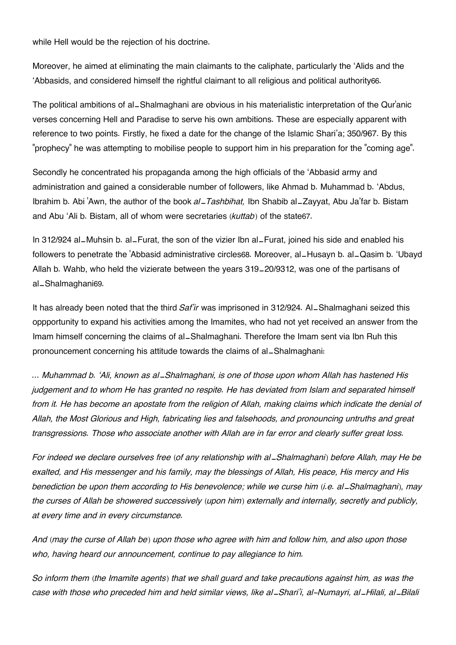while Hell would be the rejection of his doctrine.

Moreover, he aimed at eliminating the main claimants to the caliphate, particularly the 'Alids and the 'Abbasids, and considered himself the rightful claimant to all religious and political authority[66](#page--1-0).

The political ambitions of al\_Shalmaghani are obvious in his materialistic interpretation of the Qur'anic verses concerning Hell and Paradise to serve his own ambitions. These are especially apparent with reference to two points. Firstly, he fixed a date for the change of the Islamic Shari'a; 350/967. By this "prophecy" he was attempting to mobilise people to support him in his preparation for the "coming age".

Secondly he concentrated his propaganda among the high officials of the 'Abbasid army and administration and gained a considerable number of followers, like Ahmad b. Muhammad b. 'Abdus, Ibrahim b. Abi 'Awn, the author of the book *al‑Tashbihat,* Ibn Shabib al‑Zayyat, Abu Ja'far b. Bistam and Abu 'Ali b. Bistam, all of whom were secretaries *(kuttab)* of the state[67](#page--1-0).

In 312/924 al–Muhsin b. al–Furat, the son of the vizier Ibn al–Furat, joined his side and enabled his followers to penetrate the 'Abbasid administrative circles[68](#page--1-0). Moreover, al–Husayn b. al–Qasim b. 'Ubayd Allah b. Wahb, who held the vizierate between the years 319‑20/9312, was one of the partisans of al‑Shalmaghani[69](#page--1-0).

It has already been noted that the third *Saf'ir* was imprisoned in 312/924. Al‑Shalmaghani seized this oppportunity to expand his activities among the Imamites, who had not yet received an answer from the Imam himself concerning the claims of al\_Shalmaghani. Therefore the Imam sent via Ibn Ruh this pronouncement concerning his attitude towards the claims of al\_Shalmaghani:

*... Muhammad b. 'Ali, known as al‑Shalmaghani, is one of those upon whom Allah has hastened His judgement and to whom He has granted no respite. He has deviated from Islam and separated himself from it. He has become an apostate from the religion of Allah, making claims which indicate the denial of Allah, the Most Glorious and High, fabricating lies and falsehoods, and pronouncing untruths and great transgressions. Those who associate another with Allah are in far error and clearly suffer great loss.*

*For indeed we declare ourselves free (of any relationship with al‑Shalmaghani) before Allah, may He be exalted, and His messenger and his family, may the blessings of Allah, His peace, His mercy and His benediction be upon them according to His benevolence; while we curse him (i.e. al‑Shalmaghani), may the curses of Allah be showered successively (upon him) externally and internally, secretly and publicly, at every time and in every circumstance.*

*And (may the curse of Allah be) upon those who agree with him and follow him, and also upon those who, having heard our announcement, continue to pay allegiance to him.*

*So inform them (the Imamite agents) that we shall guard and take precautions against him, as was the case with those who preceded him and held similar views, like al‑Shari'i, al-Numayri, al‑Hilali, al‑Bilali*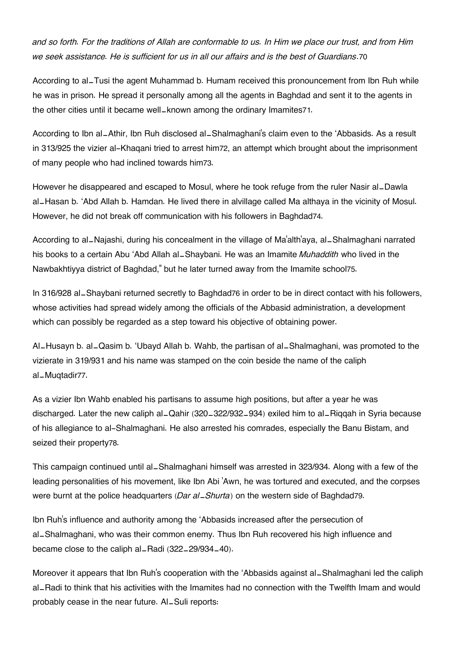*and so forth. For the traditions of Allah are conformable to us. In Him we place our trust, and from Him we seek assistance. He is sufficient for us in all our affairs and is the best of Guardians*.[70](#page--1-0)

According to al‑Tusi the agent Muhammad b. Humam received this pronouncement from Ibn Ruh while he was in prison. He spread it personally among all the agents in Baghdad and sent it to the agents in the other cities until it became well\_known among the ordinary Imamites[71](#page--1-0).

According to Ibn al‑Athir, Ibn Ruh disclosed al‑Shalmaghani's claim even to the 'Abbasids. As a result in 313/925 the vizier al-Khaqani tried to arrest him[72](#page--1-0), an attempt which brought about the imprisonment of many people who had inclined towards him[73](#page--1-0).

However he disappeared and escaped to Mosul, where he took refuge from the ruler Nasir al\_Dawla al‑Hasan b. 'Abd Allah b. Hamdan. He lived there in alvillage called Ma althaya in the vicinity of Mosul. However, he did not break off communication with his followers in Baghdad[74](#page--1-0).

According to al‑Najashi, during his concealment in the village of Ma'alth'aya, al‑Shalmaghani narrated his books to a certain Abu 'Abd Allah al‑Shaybani. He was an Imamite *Muhaddith* who lived in the Nawbakhtiyya district of Baghdad," but he later turned away from the Imamite school[75](#page--1-0).

In 316/928 al-Shaybani returned secretly to Baghdad[76](#page--1-0) in order to be in direct contact with his followers, whose activities had spread widely among the officials of the Abbasid administration, a development which can possibly be regarded as a step toward his objective of obtaining power.

Al‑Husayn b. al‑Qasim b. 'Ubayd Allah b. Wahb, the partisan of al‑Shalmaghani, was promoted to the vizierate in 319/931 and his name was stamped on the coin beside the name of the caliph al<sub>-Mudtadir[77](#page--1-0).</sub>

As a vizier Ibn Wahb enabled his partisans to assume high positions, but after a year he was discharged. Later the new caliph al<sub>-Qahir</sub> (320-322/932-934) exiled him to al-Riqqah in Syria because of his allegiance to al-Shalmaghani. He also arrested his comrades, especially the Banu Bistam, and seized their property[78](#page--1-0).

This campaign continued until al‑Shalmaghani himself was arrested in 323/934. Along with a few of the leading personalities of his movement, like Ibn Abi 'Awn, he was tortured and executed, and the corpses were burnt at the police headquarters *(Dar al‑Shurta)* on the western side of Baghdad[79](#page--1-0).

Ibn Ruh's influence and authority among the 'Abbasids increased after the persecution of al–Shalmaghani, who was their common enemy. Thus Ibn Ruh recovered his high influence and became close to the caliph al\_Radi (322\_29/934\_40).

Moreover it appears that Ibn Ruh's cooperation with the 'Abbasids against al\_Shalmaghani led the caliph al–Radi to think that his activities with the Imamites had no connection with the Twelfth Imam and would probably cease in the near future. Al\_Suli reports: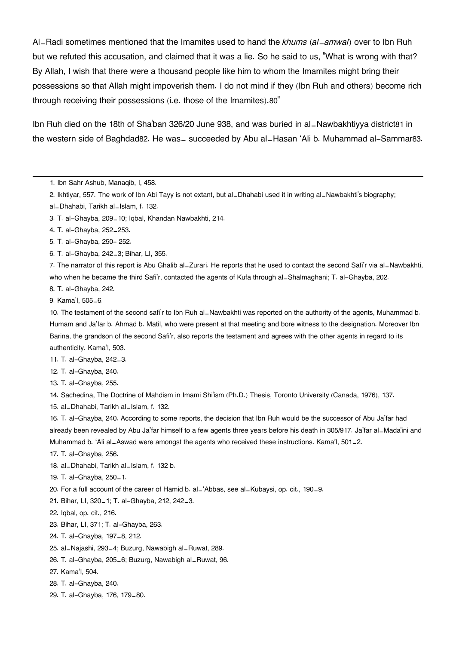Al‑Radi sometimes mentioned that the Imamites used to hand the *khums (al‑amwal)* over to Ibn Ruh but we refuted this accusation, and claimed that it was a lie. So he said to us, "What is wrong with that? By Allah, I wish that there were a thousand people like him to whom the Imamites might bring their possessions so that Allah might impoverish them. I do not mind if they (Ibn Ruh and others) become rich through receiving their possessions (i.e. those of the Imamites).[80](#page--1-0)"

Ibn Ruh died on the 18th of Sha<sup>'</sup>ban 326/20 June 938, and was buried in al<sub>–</sub>Nawbakhtiyya district[81](#page--1-0) in the western side of Baghdad[82](#page--1-0). He was – succeeded by Abu al – Hasan 'Ali b. Muhammad al-Sammar[83](#page--1-0).

- [2.](#page--1-0) Ikhtiyar, 557. The work of Ibn Abi Tayy is not extant, but al‑Dhahabi used it in writing al‑Nawbakhti's biography;
- al<sub>-</sub>Dhahabi, Tarikh al-Islam, f. 132.
- [3.](#page--1-0) T. al-Ghayba, 209‑10; Iqbal, Khandan Nawbakhti, 214.
- [4.](#page--1-0) T. al-Ghayba, 252‑253.
- [5.](#page--1-0) T. al-Ghayba, 250- 252.
- [6.](#page--1-0) T. al-Ghayba, 242‑3; Bihar, LI, 355.

[7.](#page--1-0) The narrator of this report is Abu Ghalib al\_Zurari. He reports that he used to contact the second Safi'r via al\_Nawbakhti, who when he became the third Safi'r, contacted the agents of Kufa through al \_Shalmaghani; T. al-Ghayba, 202.

- [8.](#page--1-0) T. al-Ghayba, 242.
- [9.](#page--1-0) Kama'l, 505‑6.

[10.](#page--1-0) The testament of the second safi'r to Ibn Ruh al‑Nawbakhti was reported on the authority of the agents, Muhammad b. Humam and Ja'far b. Ahmad b. Matil, who were present at that meeting and bore witness to the designation. Moreover Ibn Barina, the grandson of the second Safi'r, also reports the testament and agrees with the other agents in regard to its authenticity. Kama'l, 503.

- [11.](#page--1-0) T. al-Ghayba, 242‑3.
- [12.](#page--1-0) T. al-Ghayba, 240.
- [13.](#page--1-0) T. al-Ghayba, 255.

[14.](#page--1-0) Sachedina, The Doctrine of Mahdism in Imami Shi'ism (Ph.D.) Thesis, Toronto University (Canada, 1976), 137.

[15.](#page--1-0) al<sub>-</sub>Dhahabi, Tarikh al-Islam, f. 132.

[16.](#page--1-0) T. al-Ghayba, 240. According to some reports, the decision that Ibn Ruh would be the successor of Abu Ja'far had already been revealed by Abu Ja'far himself to a few agents three years before his death in 305/917. Ja'far al\_Mada'ini and Muhammad b. 'Ali al\_Aswad were amongst the agents who received these instructions. Kama'l, 501-2.

[17.](#page--1-0) T. al-Ghayba, 256.

- [18.](#page--1-0) al<sub>-</sub>Dhahabi, Tarikh al-Islam, f. 132 b.
- [19.](#page--1-0) T. al-Ghayba, 250‑1.

[20.](#page--1-0) For a full account of the career of Hamid b. al<sub>-</sub>'Abbas, see al<sub>-Kubaysi, op. cit., 190-9.</sub>

[21.](#page--1-0) Bihar, LI, 320‑1; T. al-Ghayba, 212, 242‑3.

- [22.](#page--1-0) Iqbal, op. cit., 216.
- [23.](#page--1-0) Bihar, LI, 371; T. al-Ghayba, 263.
- [24.](#page--1-0) T. al-Ghayba, 197‑8, 212.
- [25.](#page--1-0) al<sub>-</sub>Najashi, 293<sub>-4</sub>; Buzurg, Nawabigh al-Ruwat, 289.
- [26.](#page--1-0) T. al-Ghayba, 205‑6; Buzurg, Nawabigh al‑Ruwat, 96.
- [27.](#page--1-0) Kama'l, 504.
- [28.](#page--1-0) T. al-Ghayba, 240.
- [29.](#page--1-0) T. al-Ghayba, 176, 179‑80.

[<sup>1.</sup>](#page--1-0) Ibn Sahr Ashub, Manaqib, I, 458.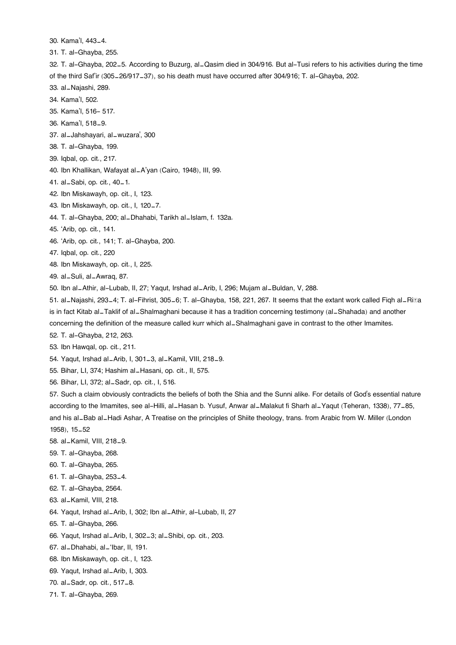- [30.](#page--1-0) Kama'l, 443‑4.
- [31.](#page--1-0) T. al-Ghayba, 255.

[32.](#page--1-0) T. al-Ghayba, 202‑5. According to Buzurg, al‑Qasim died in 304/916. But al-Tusi refers to his activities during the time of the third Saf'ir (305‑26/917‑37), so his death must have occurred after 304/916; T. al-Ghayba, 202.

- [33.](#page--1-0) al‑Najashi, 289.
- [34.](#page--1-0) Kama'l, 502.
- [35.](#page--1-0) Kama'l, 516- 517.
- [36.](#page--1-0) Kama'l, 518‑9.
- [37.](#page--1-0) al‑Jahshayari, al‑wuzara', 300
- [38.](#page--1-0) T. al-Ghayba, 199.
- [39.](#page--1-0) Iqbal, op. cit., 217.
- [40.](#page--1-0) Ibn Khallikan, Wafayat al‑A'yan (Cairo, 1948), III, 99.
- [41.](#page--1-0) al \_ Sabi, op. cit., 40 \_ 1.
- [42.](#page--1-0) Ibn Miskawayh, op. cit., I, 123.
- [43.](#page--1-0) Ibn Miskawayh, op. cit., I, 120<sub>-7</sub>.
- [44.](#page--1-0) T. al-Ghayba, 200; al\_Dhahabi, Tarikh al\_Islam, f. 132a.
- [45.](#page--1-0) 'Arib, op. cit., 141.
- [46.](#page--1-0) 'Arib, op. cit., 141; T. al-Ghayba, 200.
- [47.](#page--1-0) Iqbal, op. cit., 220
- [48.](#page--1-0) Ibn Miskawayh, op. cit., I, 225.
- [49.](#page--1-0) al‑Suli, al‑Awraq, 87.
- [50.](#page--1-0) Ibn al<sub>-</sub>Athir, al-Lubab, II, 27; Yaqut, Irshad al-Arib, I, 296; Mujam al-Buldan, V, 288.

[51.](#page--1-0) al‑Najashi, 293‑4; T. al-Fihrist, 305‑6; T. al-Ghayba, 158, 221, 267. It seems that the extant work called Fiqh al‑Riďa is in fact Kitab al<sub>-</sub>Taklif of al<sub>-</sub>Shalmaghani because it has a tradition concerning testimony (al<sub>-Shahada)</sub> and another concerning the definition of the measure called kurr which al-Shalmaghani gave in contrast to the other Imamites.

- [52.](#page--1-0) T. al-Ghayba, 212, 263.
- [53.](#page--1-0) Ibn Hawqal, op. cit., 211.
- [54.](#page--1-0) Yaqut, Irshad al‑Arib, I, 301‑3, al‑Kamil, VIII, 218‑9.
- [55.](#page--1-0) Bihar, LI, 374; Hashim al‑Hasani, op. cit., II, 575.
- [56.](#page--1-0) Bihar, LI, 372; al‑Sadr, op. cit., I, 516.

[57.](#page--1-0) Such a claim obviously contradicts the beliefs of both the Shia and the Sunni alike. For details of God's essential nature according to the Imamites, see al-Hilli, al-Hasan b. Yusuf, Anwar al-Malakut fi Sharh al-Yaqut (Teheran, 1338), 77-85, and his al\_Bab al\_Hadi Ashar, A Treatise on the principles of Shiite theology, trans. from Arabic from W. Miller (London 1958), 15‑52

- [58.](#page--1-0) al‑Kamil, VIII, 218‑9.
- [59.](#page--1-0) T. al-Ghayba, 268.
- [60.](#page--1-0) T. al-Ghayba, 265.
- [61.](#page--1-0) T. al-Ghayba, 253‑4.
- [62.](#page--1-0) T. al-Ghayba, 2564.
- [63.](#page--1-0) al‑Kamil, VIII, 218.
- [64.](#page--1-0) Yaqut, Irshad al‑Arib, I, 302; Ibn al‑Athir, al-Lubab, II, 27
- [65.](#page--1-0) T. al-Ghayba, 266.
- [66.](#page--1-0) Yaqut, Irshad al‑Arib, I, 302‑3; al‑Shibi, op. cit., 203.
- [67.](#page--1-0) al‑Dhahabi, al‑'Ibar, II, 191.
- [68.](#page--1-0) Ibn Miskawayh, op. cit., I, 123.
- [69.](#page--1-0) Yaqut, Irshad al‑Arib, I, 303.
- [70.](#page--1-0) al \_ Sadr, op. cit., 517 \_ 8.
- [71.](#page--1-0) T. al-Ghayba, 269.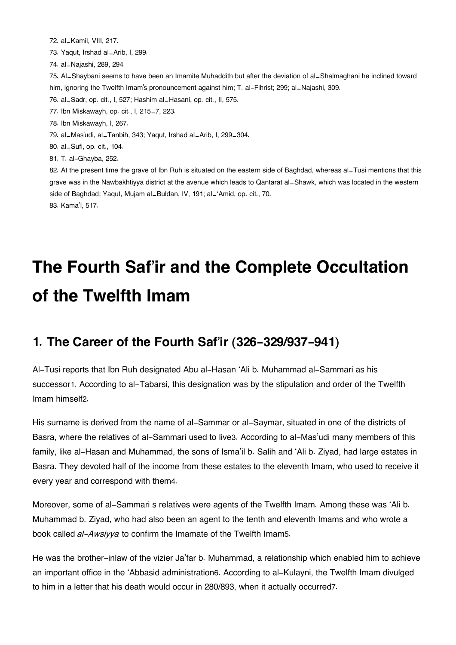[72.](#page--1-0) al‑Kamil, VIII, 217. [73.](#page--1-0) Yaqut, Irshad al\_Arib, I, 299. [74.](#page--1-0) al‑Najashi, 289, 294. [75.](#page--1-0) Al‑Shaybani seems to have been an Imamite Muhaddith but after the deviation of al‑Shalmaghani he inclined toward him, ignoring the Twelfth Imam's pronouncement against him; T. al-Fihrist; 299; al-Najashi, 309. [76.](#page--1-0) al‑Sadr, op. cit., I, 527; Hashim al‑Hasani, op. cit., II, 575. [77.](#page--1-0) Ibn Miskawayh, op. cit., I, 215‑7, 223. [78.](#page--1-0) Ibn Miskawayh, I, 267. [79.](#page--1-0) al<sub>-</sub>Mas'udi, al-Tanbih, 343; Yaqut, Irshad al-Arib, I, 299-304. [80.](#page--1-0) al‑Sufi, op. cit., 104.

[81.](#page--1-0) T. al-Ghayba, 252.

[82.](#page--1-0) At the present time the grave of Ibn Ruh is situated on the eastern side of Baghdad, whereas al\_Tusi mentions that this grave was in the Nawbakhtiyya district at the avenue which leads to Qantarat al‑Shawk, which was located in the western side of Baghdad; Yaqut, Mujam al\_Buldan, IV, 191; al\_'Amid, op. cit., 70. [83.](#page--1-0) Kama'l, 517.

# **The Fourth Saf'ir and the Complete Occultation of the Twelfth Imam**

#### **[1. The Career of the Fourth Saf'ir \(326-329/937-941\)](#page--1-0)**

Al-Tusi reports that Ibn Ruh designated Abu al-Hasan 'Ali b. Muhammad al-Sammari as his successor[1](#page--1-0). According to al-Tabarsi, this designation was by the stipulation and order of the Twelfth Imam himself[2](#page--1-0).

His surname is derived from the name of al-Sammar or al-Saymar, situated in one of the districts of Basra, where the relatives of al-Sammari used to live[3](#page--1-0). According to al-Mas'udi many members of this family, like al-Hasan and Muhammad, the sons of Isma'il b. Salih and 'Ali b. Ziyad, had large estates in Basra. They devoted half of the income from these estates to the eleventh Imam, who used to receive it every year and correspond with them[4](#page--1-0).

Moreover, some of al-Sammari s relatives were agents of the Twelfth Imam. Among these was 'Ali b. Muhammad b. Ziyad, who had also been an agent to the tenth and eleventh Imams and who wrote a book called *al*-*Awsiyya* to confirm the Imamate of the Twelfth Imam[5](#page--1-0).

He was the brother-inlaw of the vizier Ja'far b. Muhammad, a relationship which enabled him to achieve an important office in the 'Abbasid administration[6](#page--1-0). According to al-Kulayni, the Twelfth Imam divulged to him in a letter that his death would occur in 280/893, when it actually occurred[7](#page--1-0).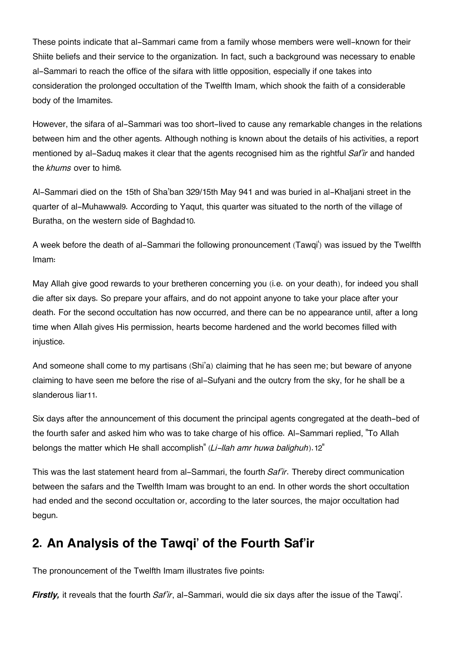These points indicate that al-Sammari came from a family whose members were well-known for their Shiite beliefs and their service to the organization. In fact, such a background was necessary to enable al-Sammari to reach the office of the sifara with little opposition, especially if one takes into consideration the prolonged occultation of the Twelfth Imam, which shook the faith of a considerable body of the Imamites.

However, the sifara of al-Sammari was too short-lived to cause any remarkable changes in the relations between him and the other agents. Although nothing is known about the details of his activities, a report mentioned by al-Saduq makes it clear that the agents recognised him as the rightful *Saf'ir* and handed the *khums* over to him[8](#page--1-0).

Al-Sammari died on the 15th of Sha'ban 329/15th May 941 and was buried in al-Khaljani street in the quarter of al-Muhawwal[9](#page--1-0). According to Yaqut, this quarter was situated to the north of the village of Buratha, on the western side of Baghdad[10](#page--1-0).

A week before the death of al-Sammari the following pronouncement (Tawqi') was issued by the Twelfth Imam:

May Allah give good rewards to your bretheren concerning you (i.e. on your death), for indeed you shall die after six days. So prepare your affairs, and do not appoint anyone to take your place after your death. For the second occultation has now occurred, and there can be no appearance until, after a long time when Allah gives His permission, hearts become hardened and the world becomes filled with injustice.

And someone shall come to my partisans (Shi'a) claiming that he has seen me; but beware of anyone claiming to have seen me before the rise of al-Sufyani and the outcry from the sky, for he shall be a slanderous liar[11](#page--1-0).

Six days after the announcement of this document the principal agents congregated at the death-bed of the fourth safer and asked him who was to take charge of his office. Al-Sammari replied, "To Allah belongs the matter which He shall accomplish" (*Li*-*llah amr huwa balighuh*).[12](#page--1-0)"

This was the last statement heard from al-Sammari, the fourth *Saf'ir*. Thereby direct communication between the safars and the Twelfth Imam was brought to an end. In other words the short occultation had ended and the second occultation or, according to the later sources, the major occultation had begun.

#### **[2. An Analysis of the Tawqi' of the Fourth Saf'ir](#page--1-0)**

The pronouncement of the Twelfth Imam illustrates five points:

*Firstly,* it reveals that the fourth *Saf'ir*, al-Sammari, would die six days after the issue of the Tawqi'.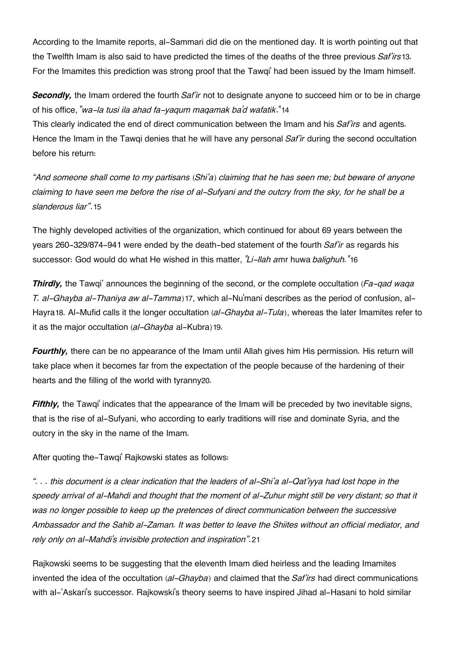According to the Imamite reports, al-Sammari did die on the mentioned day. It is worth pointing out that the Twelfth Imam is also said to have predicted the times of the deaths of the three previous *Saf'irs*[13](#page--1-0). For the Imamites this prediction was strong proof that the Tawqi' had been issued by the Imam himself.

**Secondly**, the Imam ordered the fourth *Saf'ir* not to designate anyone to succeed him or to be in charge of his office, "*wa*-*la tusi ila ahad fa*-*yaqum maqamak ba'd wafatik*."[14](#page--1-0)

This clearly indicated the end of direct communication between the Imam and his *Saf'irs* and agents. Hence the Imam in the Tawqi denies that he will have any personal *Saf'ir* during the second occultation before his return:

*"And someone shall come to my partisans (Shi'a) claiming that he has seen me; but beware of anyone claiming to have seen me before the rise of al-Sufyani and the outcry from the sky, for he shall be a slanderous liar"*.[15](#page--1-0)

The highly developed activities of the organization, which continued for about 69 years between the years 260-329/874-941 were ended by the death-bed statement of the fourth *Saf'ir* as regards his successor: God would do what He wished in this matter, *"Li*-*llah a*mr huwa *balighuh."*[16](#page--1-0)

*Thirdly,* the Tawqi' announces the beginning of the second, or the complete occultation (*Fa*-*qad waqa T. al*-*Ghayba al*-*Thaniya aw al*-*Tamma*)[17](#page--1-0), which al-Nu'mani describes as the period of confusion, al-Hayra[18](#page--1-0). Al-Mufid calls it the longer occultation (*al*-*Ghayba al*-*Tula)*, whereas the later Imamites refer to it as the major occultation *(al-Ghayba* al-Kubra)[19](#page--1-0).

*Fourthly*, there can be no appearance of the Imam until Allah gives him His permission. His return will take place when it becomes far from the expectation of the people because of the hardening of their hearts and the filling of the world with tyranny[20](#page--1-0).

*Fifthly*, the Tawqi' indicates that the appearance of the Imam will be preceded by two inevitable signs, that is the rise of al-Sufyani, who according to early traditions will rise and dominate Syria, and the outcry in the sky in the name of the Imam.

After quoting the–Tawqi<sup>'</sup> Rajkowski states as follows:

*". . . this document is a clear indication that the leaders of al-Shi'a al-Qat'iyya had lost hope in the speedy arrival of al-Mahdi and thought that the moment of al-Zuhur might still be very distant; so that it was no longer possible to keep up the pretences of direct communication between the successive Ambassador and the Sahib al-Zaman. It was better to leave the Shiites without an official mediator, and rely only on al-Mahdi's invisible protection and inspiration".*[21](#page--1-0)

Rajkowski seems to be suggesting that the eleventh Imam died heirless and the leading Imamites invented the idea of the occultation *(al*-*Ghayba)* and claimed that the *Saf'irs* had direct communications with al-'Askari's successor. Rajkowski's theory seems to have inspired Jihad al-Hasani to hold similar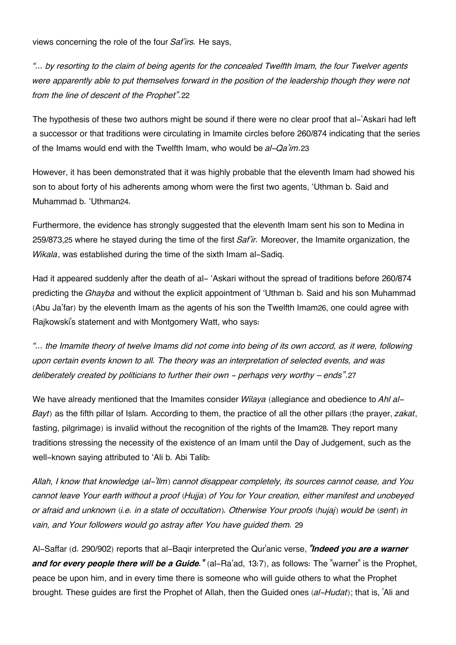views concerning the role of the four *Saf'irs.* He says,

*"... by resorting to the claim of being agents for the concealed Twelfth Imam, the four Twelver agents were apparently able to put themselves forward in the position of the leadership though they were not from the line of descent of the Prophet".*[22](#page--1-0)

The hypothesis of these two authors might be sound if there were no clear proof that al-'Askari had left a successor or that traditions were circulating in Imamite circles before 260/874 indicating that the series of the Imams would end with the Twelfth Imam, who would be *al-Qa'im*.[23](#page--1-0)

However, it has been demonstrated that it was highly probable that the eleventh Imam had showed his son to about forty of his adherents among whom were the first two agents, 'Uthman b. Said and Muhammad b. 'Uthman[24](#page--1-0).

Furthermore, the evidence has strongly suggested that the eleventh Imam sent his son to Medina in 259/873,[25](#page--1-0) where he stayed during the time of the first *Saf'ir.* Moreover, the Imamite organization, the *Wikala*, was established during the time of the sixth Imam al-Sadiq.

Had it appeared suddenly after the death of al- 'Askari without the spread of traditions before 260/874 predicting the *Ghayba* and without the explicit appointment of 'Uthman b. Said and his son Muhammad (Abu Ja'far) by the eleventh Imam as the agents of his son the Twelfth Imam[26](#page--1-0), one could agree with Rajkowski's statement and with Montgomery Watt, who says:

*"... the Imamite theory of twelve Imams did not come into being of its own accord, as it were, following upon certain events known to all. The theory was an interpretation of selected events, and was deliberately created by politicians to further their own - perhaps very worthy – ends"*.[27](#page--1-0)

We have already mentioned that the Imamites consider *Wilaya* (allegiance and obedience to *Ahl al*-*Bayt)* as the fifth pillar of Islam. According to them, the practice of all the other pillars (the prayer, *zakat*, fasting, pilgrimage) is invalid without the recognition of the rights of the Imam[28](#page--1-0). They report many traditions stressing the necessity of the existence of an Imam until the Day of Judgement, such as the well-known saying attributed to 'Ali b. Abi Talib:

*Allah, I know that knowledge (al-'Ilm) cannot disappear completely, its sources cannot cease, and You cannot leave Your earth without a proof (Hujja) of You for Your creation, either manifest and unobeyed or afraid and unknown (i.e. in a state of occultation). Otherwise Your proofs (hujaj) would be (sent) in vain, and Your followers would go astray after You have guided them.* [29](#page--1-0)

Al-Saffar (d. 290/902) reports that al-Baqir interpreted the Qur'anic verse, *"Indeed you are a warner* and for every people there will be a Guide." (al-Ra'ad, 13:7), as follows: The "warner" is the Prophet, peace be upon him, and in every time there is someone who will guide others to what the Prophet brought. These guides are first the Prophet of Allah, then the Guided ones *(al*-*Hudat)*; that is, 'Ali and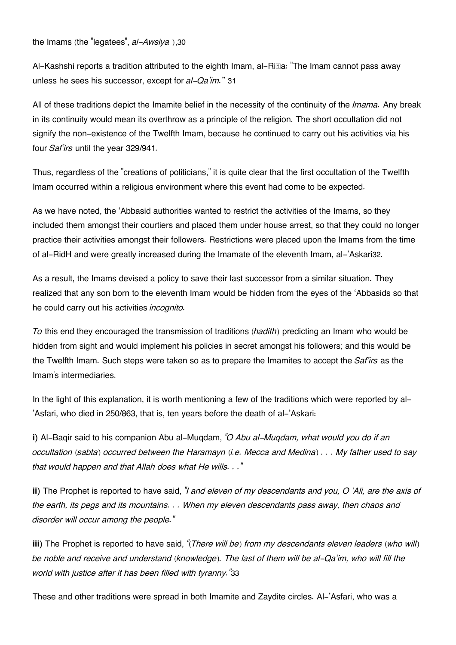the Imams (the "legatees", *al*-*Awsiya* ),[30](#page--1-0)

Al-Kashshi reports a tradition attributed to the eighth Imam, al-Ri $\mathbb{E}$ a: "The Imam cannot pass away unless he sees his successor, except for *al-Qa'im.*" [31](#page--1-0)

All of these traditions depict the Imamite belief in the necessity of the continuity of the *Imama.* Any break in its continuity would mean its overthrow as a principle of the religion. The short occultation did not signify the non-existence of the Twelfth Imam, because he continued to carry out his activities via his four *Saf'irs* until the year 329/941.

Thus, regardless of the "creations of politicians," it is quite clear that the first occultation of the Twelfth Imam occurred within a religious environment where this event had come to be expected.

As we have noted, the 'Abbasid authorities wanted to restrict the activities of the Imams, so they included them amongst their courtiers and placed them under house arrest, so that they could no longer practice their activities amongst their followers. Restrictions were placed upon the Imams from the time of al-RidH and were greatly increased during the Imamate of the eleventh Imam, al-'Askari[32](#page--1-0).

As a result, the Imams devised a policy to save their last successor from a similar situation. They realized that any son born to the eleventh Imam would be hidden from the eyes of the 'Abbasids so that he could carry out his activities *incognito.*

*To* this end they encouraged the transmission of traditions *(hadith)* predicting an Imam who would be hidden from sight and would implement his policies in secret amongst his followers; and this would be the Twelfth Imam. Such steps were taken so as to prepare the Imamites to accept the *Saf'irs* as the Imam's intermediaries.

In the light of this explanation, it is worth mentioning a few of the traditions which were reported by al- 'Asfari, who died in 250/863, that is, ten years before the death of al-'Askari:

**i)** Al-Baqir said to his companion Abu al-Muqdam, *"O Abu al-Muqdam, what would you do if an occultation (sabta) occurred between the Haramayn (i.e. Mecca and Medina) . . . My father used to say that would happen and that Allah does what He wills. . ."*

**ii)** The Prophet is reported to have said, *"I and eleven of my descendants and you, O 'Ali, are the axis of the earth, its pegs and its mountains. . . When my eleven descendants pass away, then chaos and disorder will occur among the people."*

**iii)** The Prophet is reported to have said, *"(There will be) from my descendants eleven leaders (who will) be noble and receive and understand (knowledge). The last of them will be al-Qa'im, who will fill the world with justice after it has been filled with tyranny."*[33](#page--1-0)

These and other traditions were spread in both Imamite and Zaydite circles. Al-'Asfari, who was a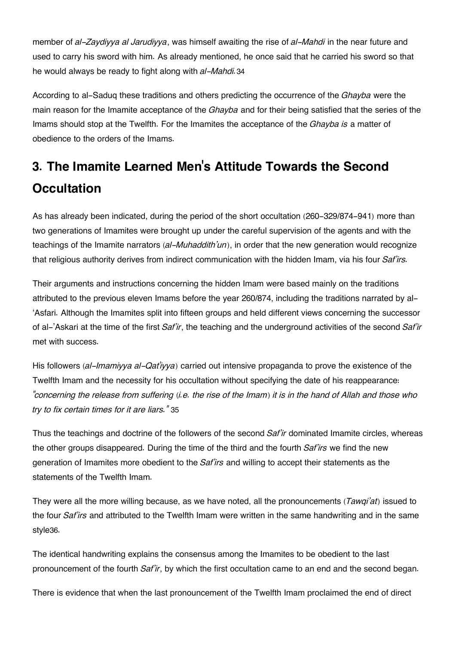member of *al*-*Zaydiyya al Jarudiyya*, was himself awaiting the rise of *al*-*Mahdi* in the near future and used to carry his sword with him. As already mentioned, he once said that he carried his sword so that he would always be ready to fight along with *al*-*Mahdi.*[34](#page--1-0)

According to al-Saduq these traditions and others predicting the occurrence of the *Ghayba* were the main reason for the Imamite acceptance of the *Ghayba* and for their being satisfied that the series of the Imams should stop at the Twelfth. For the Imamites the acceptance of the *Ghayba is* a matter of obedience to the orders of the Imams.

## **3. The Imamite Learned Men['s Attitude Towards the Second](#page--1-0) [Occultation](#page--1-0)**

As has already been indicated, during the period of the short occultation (260-329/874-941) more than two generations of Imamites were brought up under the careful supervision of the agents and with the teachings of the Imamite narrators *(al*-*Muhaddith'un)*, in order that the new generation would recognize that religious authority derives from indirect communication with the hidden Imam, via his four *Saf'irs.*

Their arguments and instructions concerning the hidden Imam were based mainly on the traditions attributed to the previous eleven Imams before the year 260/874, including the traditions narrated by al- 'Asfari. Although the Imamites split into fifteen groups and held different views concerning the successor of al-'Askari at the time of the first *Saf'ir*, the teaching and the underground activities of the second *Saf'ir* met with success.

His followers *(al*-*Imamiyya al*-*Qat'iyya)* carried out intensive propaganda to prove the existence of the Twelfth Imam and the necessity for his occultation without specifying the date of his reappearance: *"concerning the release from suffering (i.e. the rise of the Imam) it is in the hand of Allah and those who try to fix certain times for it are liars."* [35](#page--1-0)

Thus the teachings and doctrine of the followers of the second *Saf'ir* dominated Imamite circles, whereas the other groups disappeared. During the time of the third and the fourth *Saf'irs* we find the new generation of Imamites more obedient to the *Saf'irs* and willing to accept their statements as the statements of the Twelfth Imam.

They were all the more willing because, as we have noted, all the pronouncements *(Tawqi'at)* issued to the four *Saf'irs* and attributed to the Twelfth Imam were written in the same handwriting and in the same style[36](#page--1-0).

The identical handwriting explains the consensus among the Imamites to be obedient to the last pronouncement of the fourth *Saf'ir*, by which the first occultation came to an end and the second began.

There is evidence that when the last pronouncement of the Twelfth Imam proclaimed the end of direct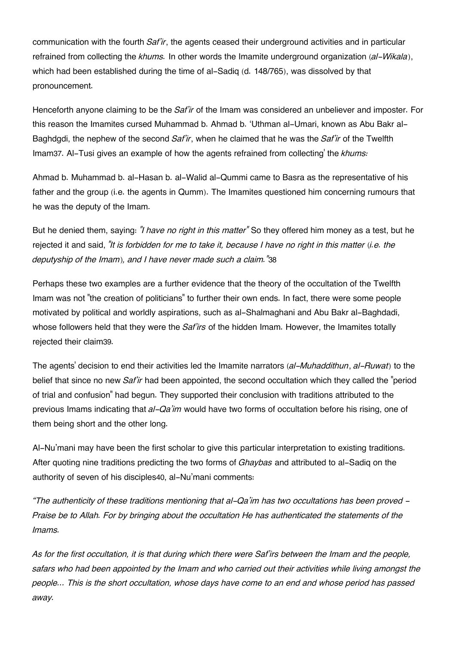communication with the fourth *Saf'ir*, the agents ceased their underground activities and in particular refrained from collecting the *khums.* In other words the Imamite underground organization *(al*-*Wikala)*, which had been established during the time of al-Sadiq (d. 148/765), was dissolved by that pronouncement.

Henceforth anyone claiming to be the *Saf'ir* of the Imam was considered an unbeliever and imposter. For this reason the Imamites cursed Muhammad b. Ahmad b. 'Uthman al-Umari, known as Abu Bakr al-Baghdgdi, the nephew of the second *Saf'ir*, when he claimed that he was the *Saf'ir* of the Twelfth Imam[37](#page--1-0). Al-Tusi gives an example of how the agents refrained from collecting' the *khums:*

Ahmad b. Muhammad b. al-Hasan b. al-Walid al-Qummi came to Basra as the representative of his father and the group (i.e. the agents in Qumm). The Imamites guestioned him concerning rumours that he was the deputy of the Imam.

But he denied them, saying: *"I have no right in this matter"* So they offered him money as a test, but he rejected it and said, *"It is forbidden for me to take it, because I have no right in this matter (i.e. the deputyship of the Imam), and I have never made such a claim."*[38](#page--1-0)

Perhaps these two examples are a further evidence that the theory of the occultation of the Twelfth Imam was not "the creation of politicians" to further their own ends. In fact, there were some people motivated by political and worldly aspirations, such as al-Shalmaghani and Abu Bakr al-Baghdadi, whose followers held that they were the *Saf'irs* of the hidden Imam. However, the Imamites totally rejected their claim[39](#page--1-0).

The agents' decision to end their activities led the Imamite narrators *(al*-*Muhaddithun*, *al*-*Ruwat)* to the belief that since no new *Saf'ir* had been appointed, the second occultation which they called the "period of trial and confusion" had begun. They supported their conclusion with traditions attributed to the previous Imams indicating that *al-Qa'im* would have two forms of occultation before his rising, one of them being short and the other long.

Al-Nu'mani may have been the first scholar to give this particular interpretation to existing traditions. After quoting nine traditions predicting the two forms of *Ghaybas* and attributed to al-Sadiq on the authority of seven of his disciples[40](#page--1-0), al-Nu'mani comments:

*"The authenticity of these traditions mentioning that al-Qa'im has two occultations has been proved - Praise be to Allah. For by bringing about the occultation He has authenticated the statements of the Imams.*

*As for the first occultation, it is that during which there were Saf'irs between the Imam and the people, safars who had been appointed by the Imam and who carried out their activities while living amongst the people... This is the short occultation, whose days have come to an end and whose period has passed away.*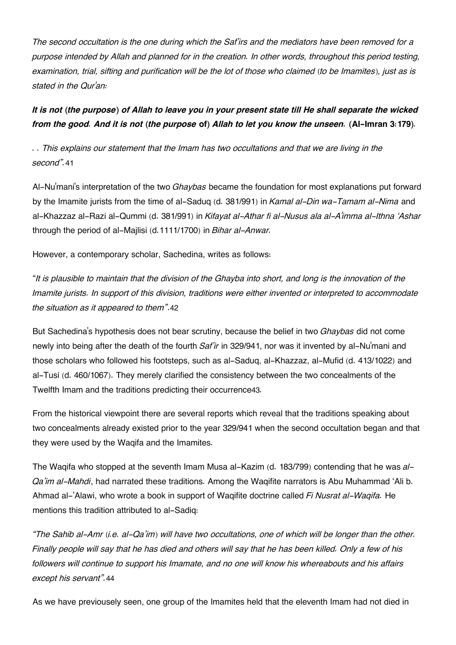*The second occultation is the one during which the Saf'irs and the mediators have been removed for a purpose intended by Allah and planned for in the creation. In other words, throughout this period testing, examination, trial, sifting and purification will be the lot of those who claimed (to be Imamites), just as is stated in the Qur'an:*

#### *It is not (the purpose) of Allah to leave you in your present state till He shall separate the wicked from the good. And it is not (the purpose* **of)** *Allah to let you know the unseen.* **(Al-Imran 3:179)***.*

*. . This explains our statement that the Imam has two occultations and that we are living in the second".*[41](#page--1-0)

Al-Nu'mani's interpretation of the two *Ghaybas* became the foundation for most explanations put forward by the Imamite jurists from the time of al-Saduq (d. 381/991) in *Kamal al*-*Din wa*-*Tamam al*-*Nima* and al-Khazzaz al-Razi al-Qummi (d. 381/991) in *Kifayat al*-*Athar fi al*-*Nusus ala al*-*A'imma al*-*Ithna 'Ashar* through the period of al-Majlisi (d.1111/1700) in *Bihar al*-*Anwar.*

However, a contemporary scholar, Sachedina, writes as follows:

"*It is plausible to maintain that the division of the Ghayba into short, and long is the innovation of the Imamite jurists. In support of this division, traditions were either invented or interpreted to accommodate the situation as it appeared to them"*.[42](#page--1-0)

But Sachedina's hypothesis does not bear scrutiny, because the belief in two *Ghaybas* did not come newly into being after the death of the fourth *Saf'ir* in 329/941, nor was it invented by al-Nu'mani and those scholars who followed his footsteps, such as al-Saduq, al-Khazzaz, al-Mufid (d. 413/1022) and al-Tusi (d. 460/1067). They merely clarified the consistency between the two concealments of the Twelfth Imam and the traditions predicting their occurrence[43](#page--1-0).

From the historical viewpoint there are several reports which reveal that the traditions speaking about two concealments already existed prior to the year 329/941 when the second occultation began and that they were used by the Waqifa and the Imamites.

The Waqifa who stopped at the seventh Imam Musa al-Kazim (d. 183/799) contending that he was *al-Qa'im al*-*Mahdi*, had narrated these traditions. Among the Waqifite narrators is Abu Muhammad 'Ali b. Ahmad al-'Alawi, who wrote a book in support of Waqifite doctrine called *Fi Nusrat al*-*Waqifa.* He mentions this tradition attributed to al-Sadiq:

*"The Sahib al-Amr (i.e. al-Qa'im) will have two occultations, one of which will be longer than the other. Finally people will say that he has died and others will say that he has been killed. Only a few of his followers will continue to support his Imamate, and no one will know his whereabouts and his affairs except his servant".*[44](#page--1-0)

As we have previousely seen, one group of the Imamites held that the eleventh Imam had not died in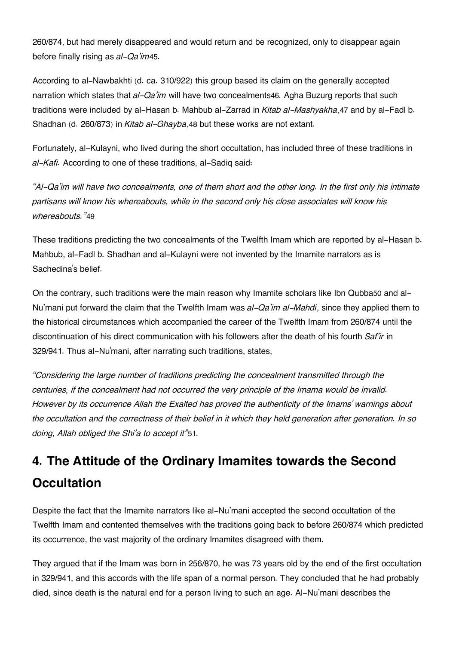260/874, but had merely disappeared and would return and be recognized, only to disappear again before finally rising as *al-Qa'im*[45](#page--1-0).

According to al-Nawbakhti (d. ca. 310/922) this group based its claim on the generally accepted narration which states that *al-Qa'im* will have two concealments[46](#page--1-0). Agha Buzurg reports that such traditions were included by al-Hasan b. Mahbub al-Zarrad in *Kitab al*-*Mashyakha*,[47](#page--1-0) and by al-Fadl b. Shadhan (d. 260/873) in *Kitab al*-*Ghayba*,[48](#page--1-0) but these works are not extant.

Fortunately, al-Kulayni, who lived during the short occultation, has included three of these traditions in *al*-*Kafi.* According to one of these traditions, al-Sadiq said:

*"Al-Qa'im will have two concealments, one of them short and the other long. In the first only his intimate partisans will know his whereabouts, while in the second only his close associates will know his whereabouts."*[49](#page--1-0)

These traditions predicting the two concealments of the Twelfth Imam which are reported by al-Hasan b. Mahbub, al-Fadl b. Shadhan and al-Kulayni were not invented by the Imamite narrators as is Sachedina's belief.

On the contrary, such traditions were the main reason why Imamite scholars like Ibn Qubba[50](#page--1-0) and al-Nu'mani put forward the claim that the Twelfth Imam was *al-Qa'im al*-*Mahdi*, since they applied them to the historical circumstances which accompanied the career of the Twelfth Imam from 260/874 until the discontinuation of his direct communication with his followers after the death of his fourth *Saf'ir* in 329/941. Thus al-Nu'mani, after narrating such traditions, states,

*"Considering the large number of traditions predicting the concealment transmitted through the centuries, if the concealment had not occurred the very principle of the Imama would be invalid. However by its occurrence Allah the Exalted has proved the authenticity of the Imams' warnings about the occultation and the correctness of their belief in it which they held generation after generation. In so doing, Allah obliged the Shi'a to accept it"*[51](#page--1-0).

## **[4. The Attitude of the Ordinary Imamites towards the Second](#page--1-0) [Occultation](#page--1-0)**

Despite the fact that the Imamite narrators like al-Nu'mani accepted the second occultation of the Twelfth Imam and contented themselves with the traditions going back to before 260/874 which predicted its occurrence, the vast majority of the ordinary Imamites disagreed with them.

They argued that if the Imam was born in 256/870, he was 73 years old by the end of the first occultation in 329/941, and this accords with the life span of a normal person. They concluded that he had probably died, since death is the natural end for a person living to such an age. Al-Nu'mani describes the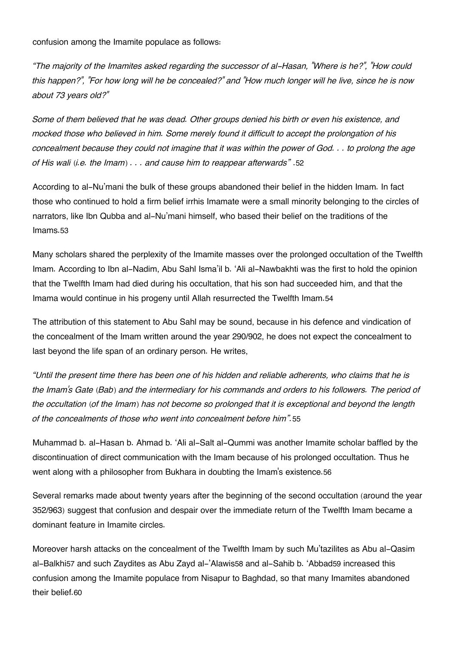confusion among the Imamite populace as follows:

*"The majority of the Imamites asked regarding the successor of al-Hasan, "Where is he?", "How could this happen?", "For how long will he be concealed?" and "How much longer will he live, since he is now about 73 years old?"*

*Some of them believed that he was dead. Other groups denied his birth or even his existence, and mocked those who believed in him. Some merely found it difficult to accept the prolongation of his concealment because they could not imagine that it was within the power of God. . . to prolong the age of His wali (i.e. the Imam) . . . and cause him to reappear afterwards"* .[52](#page--1-0)

According to al-Nu'mani the bulk of these groups abandoned their belief in the hidden Imam. In fact those who continued to hold a firm belief irrhis Imamate were a small minority belonging to the circles of narrators, like Ibn Qubba and al-Nu'mani himself, who based their belief on the traditions of the Imams.[53](#page--1-0)

Many scholars shared the perplexity of the Imamite masses over the prolonged occultation of the Twelfth Imam. According to Ibn al-Nadim, Abu Sahl Isma'il b. 'Ali al-Nawbakhti was the first to hold the opinion that the Twelfth Imam had died during his occultation, that his son had succeeded him, and that the Imama would continue in his progeny until Allah resurrected the Twelfth Imam.[54](#page--1-0)

The attribution of this statement to Abu Sahl may be sound, because in his defence and vindication of the concealment of the Imam written around the year 290/902, he does not expect the concealment to last beyond the life span of an ordinary person. He writes,

*"Until the present time there has been one of his hidden and reliable adherents, who claims that he is the Imam's Gate (Bab) and the intermediary for his commands and orders to his followers. The period of the occultation (of the Imam) has not become so prolonged that it is exceptional and beyond the length of the concealments of those who went into concealment before him".*[55](#page--1-0)

Muhammad b. al-Hasan b. Ahmad b. 'Ali al-Salt al-Qummi was another Imamite scholar baffled by the discontinuation of direct communication with the Imam because of his prolonged occultation. Thus he went along with a philosopher from Bukhara in doubting the Imam's existence.[56](#page--1-0)

Several remarks made about twenty years after the beginning of the second occultation (around the year 352/963) suggest that confusion and despair over the immediate return of the Twelfth Imam became a dominant feature in Imamite circles.

Moreover harsh attacks on the concealment of the Twelfth Imam by such Mu'tazilites as Abu al-Qasim al-Balkhi[57](#page--1-0) and such Zaydites as Abu Zayd al-'Alawis[58](#page--1-0) and al-Sahib b. 'Abbad[59](#page--1-0) increased this confusion among the Imamite populace from Nisapur to Baghdad, so that many Imamites abandoned their belief.[60](#page--1-0)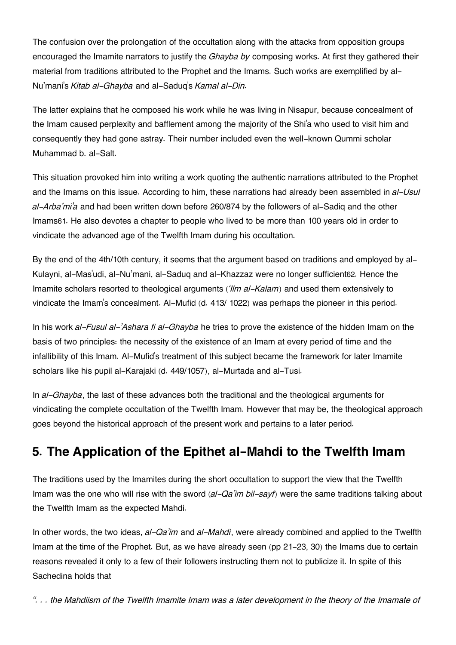The confusion over the prolongation of the occultation along with the attacks from opposition groups encouraged the Imamite narrators to justify the *Ghayba by* composing works. At first they gathered their material from traditions attributed to the Prophet and the Imams. Such works are exemplified by al-Nu'mani's *Kitab al*-*Ghayba* and al-Saduq's *Kamal al*-*Din.*

The latter explains that he composed his work while he was living in Nisapur, because concealment of the Imam caused perplexity and bafflement among the majority of the Shi'a who used to visit him and consequently they had gone astray. Their number included even the well-known Qummi scholar Muhammad b. al-Salt.

This situation provoked him into writing a work quoting the authentic narrations attributed to the Prophet and the Imams on this issue. According to him, these narrations had already been assembled in *al*-*Usul al*-*Arba'mi'a* and had been written down before 260/874 by the followers of al-Sadiq and the other Imams[61](#page--1-0). He also devotes a chapter to people who lived to be more than 100 years old in order to vindicate the advanced age of the Twelfth Imam during his occultation.

By the end of the 4th/10th century, it seems that the argument based on traditions and employed by al-Kulayni, al-Mas'udi, al-Nu'mani, al-Saduq and al-Khazzaz were no longer sufficient[62](#page--1-0). Hence the Imamite scholars resorted to theological arguments *('Ilm al*-*Kalam)* and used them extensively to vindicate the Imam's concealment. Al-Mufid (d. 413/ 1022) was perhaps the pioneer in this period.

In his work *al*-*Fusul al*-*'Ashara fi al*-*Ghayba* he tries to prove the existence of the hidden Imam on the basis of two principles: the necessity of the existence of an Imam at every period of time and the infallibility of this Imam. Al-Mufid's treatment of this subject became the framework for later Imamite scholars like his pupil al-Karajaki (d. 449/1057), al-Murtada and al-Tusi.

In *al*-*Ghayba*, the last of these advances both the traditional and the theological arguments for vindicating the complete occultation of the Twelfth Imam. However that may be, the theological approach goes beyond the historical approach of the present work and pertains to a later period.

#### **[5. The Application of the Epithet al-Mahdi to the Twelfth Imam](#page--1-0)**

The traditions used by the Imamites during the short occultation to support the view that the Twelfth Imam was the one who will rise with the sword *(al-Qa'im bil*-*sayf)* were the same traditions talking about the Twelfth Imam as the expected Mahdi.

In other words, the two ideas, *al-Qa'im* and *al*-*Mahdi*, were already combined and applied to the Twelfth Imam at the time of the Prophet. But, as we have already seen (pp 21-23, 30) the Imams due to certain reasons revealed it only to a few of their followers instructing them not to publicize it. In spite of this Sachedina holds that

*". . . the Mahdiism of the Twelfth Imamite Imam was a later development in the theory of the Imamate of*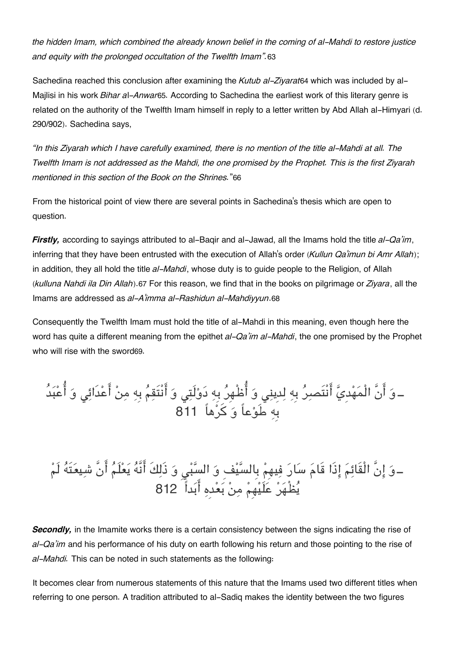*the hidden Imam, which combined the already known belief in the coming of al-Mahdi to restore justice and equity with the prolonged occultation of the Twelfth Imam".*[63](#page--1-0)

Sachedina reached this conclusion after examining the *Kutub al*-*Ziyarat*[64](#page--1-0) which was included by al-Majlisi in his work *Bihar a*l-*Anwar*[65](#page--1-0). According to Sachedina the earliest work of this literary genre is related on the authority of the Twelfth Imam himself in reply to a letter written by Abd Allah al-Himyari (d. 290/902). Sachedina says,

*"In this Ziyarah which I have carefully examined, there is no mention of the title al-Mahdi at all. The Twelfth Imam is not addressed as the Mahdi, the one promised by the Prophet. This is the first Ziyarah mentioned in this section of the Book on the Shrines.*"[66](#page--1-0)

From the historical point of view there are several points in Sachedina's thesis which are open to question.

*Firstly,* according to sayings attributed to al-Baqir and al-Jawad, all the Imams hold the title *al-Qa'im*, inferring that they have been entrusted with the execution of Allah's order *(Kullun Qa'imun bi Amr Allah)*; in addition, they all hold the title *al*-*Mahdi*, whose duty is to guide people to the Religion, of Allah *(kulluna Nahdi ila Din Allah)*.[67](#page--1-0) For this reason, we find that in the books on pilgrimage or *Ziyara*, all the Imams are addressed as *al*-*A'imma al*-*Rashidun al*-*Mahdiyyun*.[68](#page--1-0)

Consequently the Twelfth Imam must hold the title of al-Mahdi in this meaning, even though here the word has quite a different meaning from the epithet *al-Qa'im al*-*Mahdi*, the one promised by the Prophet who will rise with the sword[69](#page--1-0).

 ‐و انَّ الْمهدِي انْتَصر بِه لدِين و اظْهِر بِه دولَت و انْتَقم بِه من اعدَائ و اعبدُ بِه طَوعاً و كرهاً 811

–وَ إِنَّ الْقَائِمَ إِذَا قَامَ سَارَ فِيهِمْ بِالسَّيْفِ وَ السَّبْيِ وَ ذَلِكَ أَنَّهُ يَعْلَمُ أَنْ شِيعَتَهُ لَم يظْهر علَيهِم من بعدِه ابداً 812

**Secondly**, in the Imamite works there is a certain consistency between the signs indicating the rise of *al-Qa'im* and his performance of his duty on earth following his return and those pointing to the rise of *al*-*Mahdi.* This can be noted in such statements as the following:

It becomes clear from numerous statements of this nature that the Imams used two different titles when referring to one person. A tradition attributed to al-Sadiq makes the identity between the two figures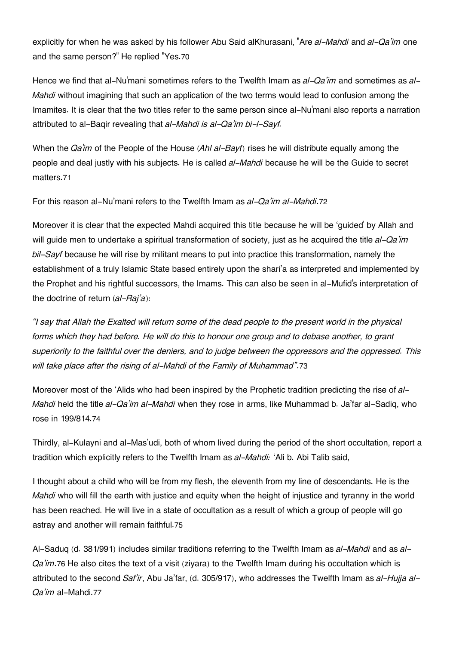explicitly for when he was asked by his follower Abu Said alKhurasani, "Are *al*-*Mahdi* and *al-Qa'im* one and the same person?" He replied "Yes.[70](#page--1-0)

Hence we find that al-Nu'mani sometimes refers to the Twelfth Imam as *al-Qa'im* and sometimes as *al*-*Mahdi* without imagining that such an application of the two terms would lead to confusion among the Imamites. It is clear that the two titles refer to the same person since al-Nu'mani also reports a narration attributed to al-Baqir revealing that *al*-*Mahdi is al-Qa'im bi*-*l*-*Sayf.*

When the *Qa'im* of the People of the House *(Ahl al*-*Bayt)* rises he will distribute equally among the people and deal justly with his subjects. He is called *al*-*Mahdi* because he will be the Guide to secret matters.[71](#page--1-0)

For this reason al-Nu'mani refers to the Twelfth Imam as *al-Qa'im al*-*Mahdi*.[72](#page--1-0)

Moreover it is clear that the expected Mahdi acquired this title because he will be 'guided' by Allah and will guide men to undertake a spiritual transformation of society, just as he acquired the title *al-Qa'im bil-Sayf* because he will rise by militant means to put into practice this transformation, namely the establishment of a truly Islamic State based entirely upon the shari'a as interpreted and implemented by the Prophet and his rightful successors, the Imams. This can also be seen in al-Mufid's interpretation of the doctrine of return (*al-Raj'a*):

*"I say that Allah the Exalted will return some of the dead people to the present world in the physical forms which they had before. He will do this to honour one group and to debase another, to grant superiority to the faithful over the deniers, and to judge between the oppressors and the oppressed. This will take place after the rising of al-Mahdi of the Family of Muhammad"*.[73](#page--1-0)

Moreover most of the 'Alids who had been inspired by the Prophetic tradition predicting the rise of *al*-*Mahdi* held the title *al-Qa'im al*-*Mahdi* when they rose in arms, like Muhammad b. Ja'far al-Sadiq, who rose in 199/814.[74](#page--1-0)

Thirdly, al-Kulayni and al-Mas'udi, both of whom lived during the period of the short occultation, report a tradition which explicitly refers to the Twelfth Imam as *al*-*Mahdi:* 'Ali b. Abi Talib said,

I thought about a child who will be from my flesh, the eleventh from my line of descendants. He is the *Mahdi* who will fill the earth with justice and equity when the height of injustice and tyranny in the world has been reached. He will live in a state of occultation as a result of which a group of people will go astray and another will remain faithful.[75](#page--1-0)

Al-Saduq (d. 381/991) includes similar traditions referring to the Twelfth Imam as *al*-*Mahdi* and as *al-Qa'im*.[76](#page--1-0) He also cites the text of a visit (ziyara) to the Twelfth Imam during his occultation which is attributed to the second *Saf'ir*, Abu Ja'far, (d. 305/917), who addresses the Twelfth Imam as *al*-*Hujja al-Qa'im* al-Mahdi.[77](#page--1-0)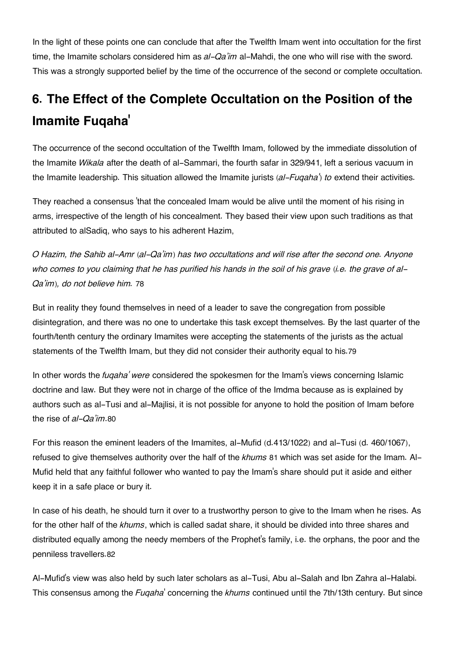In the light of these points one can conclude that after the Twelfth Imam went into occultation for the first time, the Imamite scholars considered him as *al-Qa'im* al-Mahdi, the one who will rise with the sword. This was a strongly supported belief by the time of the occurrence of the second or complete occultation.

### **[6. The Effect of the Complete Occultation on the Position of the](#page--1-0) [Imamite Fuqaha](#page--1-0)'**

The occurrence of the second occultation of the Twelfth Imam, followed by the immediate dissolution of the Imamite *Wikala* after the death of al-Sammari, the fourth safar in 329/941, left a serious vacuum in the Imamite leadership. This situation allowed the Imamite jurists *(al*-*Fuqaha') to* extend their activities.

They reached a consensus 'that the concealed Imam would be alive until the moment of his rising in arms, irrespective of the length of his concealment. They based their view upon such traditions as that attributed to alSadiq, who says to his adherent Hazim,

*O Hazim, the Sahib al-Amr (al-Qa'im) has two occultations and will rise after the second one. Anyone who comes to you claiming that he has purified his hands in the soil of his grave (i.e. the grave of al-Qa'im), do not believe him.* [78](#page--1-0)

But in reality they found themselves in need of a leader to save the congregation from possible disintegration, and there was no one to undertake this task except themselves. By the last quarter of the fourth/tenth century the ordinary Imamites were accepting the statements of the jurists as the actual statements of the Twelfth Imam, but they did not consider their authority equal to his.[79](#page--1-0)

In other words the *fuqaha' were* considered the spokesmen for the Imam's views concerning Islamic doctrine and law. But they were not in charge of the office of the Imdma because as is explained by authors such as al-Tusi and al-Majlisi, it is not possible for anyone to hold the position of Imam before the rise of *al-Qa'im*.[80](#page--1-0)

For this reason the eminent leaders of the Imamites, al-Mufid (d.413/1022) and al-Tusi (d. 460/1067), refused to give themselves authority over the half of the *khums* [81](#page--1-0) which was set aside for the Imam. Al-Mufid held that any faithful follower who wanted to pay the Imam's share should put it aside and either keep it in a safe place or bury it.

In case of his death, he should turn it over to a trustworthy person to give to the Imam when he rises. As for the other half of the *khums*, which is called sadat share, it should be divided into three shares and distributed equally among the needy members of the Prophet's family, i.e. the orphans, the poor and the penniless travellers.[82](#page--1-0)

Al-Mufid's view was also held by such later scholars as al-Tusi, Abu al-Salah and Ibn Zahra al-Halabi. This consensus among the *Fuqaha*' concerning the *khums* continued until the 7th/13th century. But since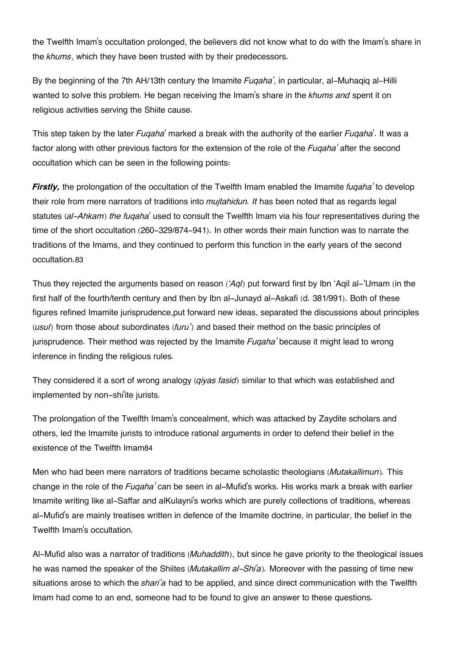the Twelfth Imam's occultation prolonged, the believers did not know what to do with the Imam's share in the *khums*, which they have been trusted with by their predecessors.

By the beginning of the 7th AH/13th century the Imamite *Fuqaha'*, in particular, al-Muhaqiq al-Hilli wanted to solve this problem. He began receiving the Imam's share in the *khums and* spent it on religious activities serving the Shiite cause.

This step taken by the later *Fuqaha*' marked a break with the authority of the earlier *Fuqaha*'. It was a factor along with other previous factors for the extension of the role of the *Fuqaha'* after the second occultation which can be seen in the following points:

*Firstly,* the prolongation of the occultation of the Twelfth Imam enabled the Imamite *fuqaha'* to develop their role from mere narrators of traditions into *mujtahidun. It* has been noted that as regards legal statutes *(al*-*Ahkam) the fuqaha*' used to consult the Twelfth Imam via his four representatives during the time of the short occultation (260-329/874-941). In other words their main function was to narrate the traditions of the Imams, and they continued to perform this function in the early years of the second occultation.[83](#page--1-0)

Thus they rejected the arguments based on reason *('Aql)* put forward first by Ibn 'Aqil al-'Umam (in the first half of the fourth/tenth century and then by Ibn al-Junayd al-Askafi (d. 381/991). Both of these figures refined Imamite jurisprudence,put forward new ideas, separated the discussions about principles (*usul*) from those about subordinates (*furu'*) and based their method on the basic principles of jurisprudence. Their method was rejected by the Imamite *Fuqaha'* because it might lead to wrong inference in finding the religious rules.

They considered it a sort of wrong analogy *(qiyas fasid)* similar to that which was established and implemented by non-shi'ite jurists.

The prolongation of the Twelfth Imam's concealment, which was attacked by Zaydite scholars and others, led the Imamite jurists to introduce rational arguments in order to defend their belief in the existence of the Twelfth Imam[84](#page--1-0)

Men who had been mere narrators of traditions became scholastic theologians *(Mutakallimun).* This change in the role of the *Fuqaha'* can be seen in al-Mufid's works. His works mark a break with earlier Imamite writing like al-Saffar and alKulayni's works which are purely collections of traditions, whereas al-Mufid's are mainly treatises written in defence of the Imamite doctrine, in particular, the belief in the Twelfth Imam's occultation.

Al-Mufid also was a narrator of traditions *(Muhaddith)*, but since he gave priority to the theological issues he was named the speaker of the Shiites *(Mutakallim al*-*Shi'a).* Moreover with the passing of time new situations arose to which the *shari'a* had to be applied, and since direct communication with the Twelfth Imam had come to an end, someone had to be found to give an answer to these questions.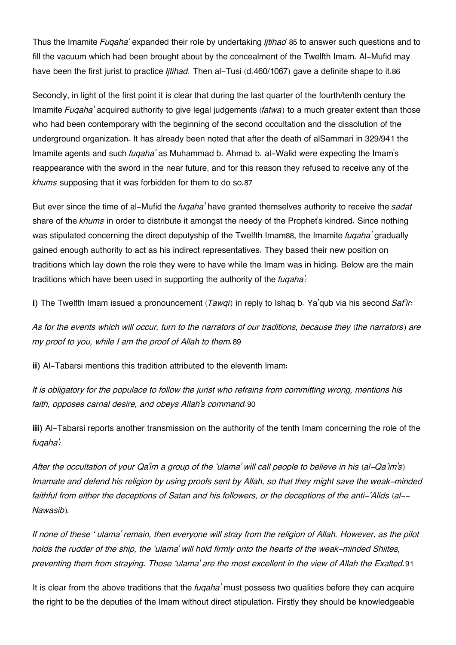Thus the Imamite *Fuqaha'* expanded their role by undertaking *Ijtihad* [85](#page--1-0) to answer such questions and to fill the vacuum which had been brought about by the concealment of the Twelfth Imam. Al-Mufid may have been the first jurist to practice *Ijtihad.* Then al-Tusi (d.460/1067) gave a definite shape to it.[86](#page--1-0)

Secondly, in light of the first point it is clear that during the last quarter of the fourth/tenth century the Imamite *Fuqaha'* acquired authority to give legal judgements *(fatwa)* to a much greater extent than those who had been contemporary with the beginning of the second occultation and the dissolution of the underground organization. It has already been noted that after the death of alSammari in 329/941 the Imamite agents and such *fuqaha'* as Muhammad b. Ahmad b. al-Walid were expecting the Imam's reappearance with the sword in the near future, and for this reason they refused to receive any of the *khums* supposing that it was forbidden for them to do so.[87](#page--1-0)

But ever since the time of al-Mufid the *fuqaha'* have granted themselves authority to receive the *sadat* share of the *khums* in order to distribute it amongst the needy of the Prophet's kindred. Since nothing was stipulated concerning the direct deputyship of the Twelfth Imam[88](#page--1-0), the Imamite *fuqaha'* gradually gained enough authority to act as his indirect representatives. They based their new position on traditions which lay down the role they were to have while the Imam was in hiding. Below are the main traditions which have been used in supporting the authority of the *fuqaha':*

**i)** The Twelfth Imam issued a pronouncement *(Tawqi)* in reply to Ishaq b. Ya'qub via his second *Saf'ir:*

*As for the events which will occur, turn to the narrators of our traditions, because they (the narrators) are my proof to you, while I am the proof of Allah to them.*[89](#page--1-0)

**ii)** Al-Tabarsi mentions this tradition attributed to the eleventh Imam:

*It is obligatory for the populace to follow the jurist who refrains from committing wrong, mentions his faith, opposes carnal desire, and obeys Allah's command.*[90](#page--1-0)

**iii)** Al-Tabarsi reports another transmission on the authority of the tenth Imam concerning the role of the *fuqaha':*

*After the occultation of your Qa'im a group of the 'ulama' will call people to believe in his (al-Qa'im's) Imamate and defend his religion by using proofs sent by Allah, so that they might save the weak-minded faithful from either the deceptions of Satan and his followers, or the deceptions of the anti-'Alids (al-- Nawasib).*

*If none of these ' ulama' remain, then everyone will stray from the religion of Allah. However, as the pilot holds the rudder of the ship, the 'ulama' will hold firmly onto the hearts of the weak-minded Shiites, preventing them from straying. Those 'ulama' are the most excellent in the view of Allah the Exalted.*[91](#page--1-0)

It is clear from the above traditions that the *fuqaha'* must possess two qualities before they can acquire the right to be the deputies of the Imam without direct stipulation. Firstly they should be knowledgeable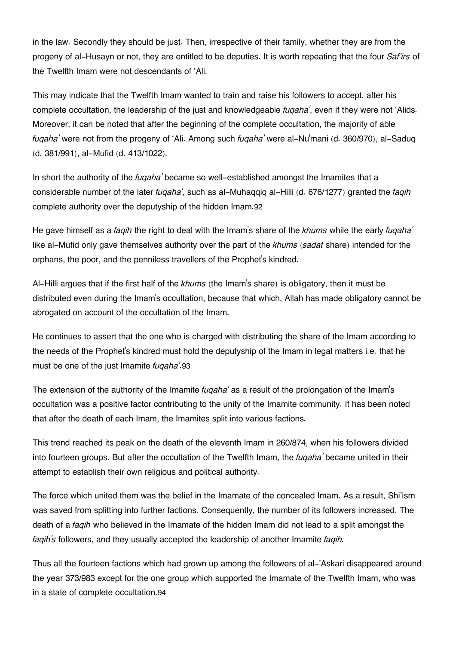in the law. Secondly they should be just. Then, irrespective of their family, whether they are from the progeny of al-Husayn or not, they are entitled to be deputies. It is worth repeating that the four *Saf'irs* of the Twelfth Imam were not descendants of 'Ali.

This may indicate that the Twelfth Imam wanted to train and raise his followers to accept, after his complete occultation, the leadership of the just and knowledgeable *fuqaha'*, even if they were not 'Alids. Moreover, it can be noted that after the beginning of the complete occultation, the majority of able *fuqaha'* were not from the progeny of 'Ali. Among such *fuqaha'* were al-Nu'mani (d. 360/970), al-Saduq (d. 381/991), al-Mufid (d. 413/1022).

In short the authority of the *fuqaha'* became so well-established amongst the Imamites that a considerable number of the later *fuqaha'*, such as al-Muhaqqiq al-Hilli (d. 676/1277) granted the *faqih* complete authority over the deputyship of the hidden Imam.[92](#page--1-0)

He gave himself as a *faqih* the right to deal with the Imam's share of the *khums* while the early *fuqaha'* like al-Mufid only gave themselves authority over the part of the *khums (sadat* share) intended for the orphans, the poor, and the penniless travellers of the Prophet's kindred.

Al-Hilli argues that if the first half of the *khums* (the Imam's share) is obligatory, then it must be distributed even during the Imam's occultation, because that which, Allah has made obligatory cannot be abrogated on account of the occultation of the Imam.

He continues to assert that the one who is charged with distributing the share of the Imam according to the needs of the Prophet's kindred must hold the deputyship of the Imam in legal matters i.e. that he must be one of the just Imamite *fuqaha'*.[93](#page--1-0)

The extension of the authority of the Imamite *fuqaha'* as a result of the prolongation of the Imam's occultation was a positive factor contributing to the unity of the Imamite community. It has been noted that after the death of each Imam, the Imamites split into various factions.

This trend reached its peak on the death of the eleventh Imam in 260/874, when his followers divided into fourteen groups. But after the occultation of the Twelfth Imam, the *fuqaha'* became united in their attempt to establish their own religious and political authority.

The force which united them was the belief in the Imamate of the concealed Imam. As a result, Shi'ism was saved from splitting into further factions. Consequently, the number of its followers increased. The death of a *faqih* who believed in the Imamate of the hidden Imam did not lead to a split amongst the *faqih's* followers, and they usually accepted the leadership of another Imamite *faqih.*

Thus all the fourteen factions which had grown up among the followers of al-'Askari disappeared around the year 373/983 except for the one group which supported the Imamate of the Twelfth Imam, who was in a state of complete occultation.[94](#page--1-0)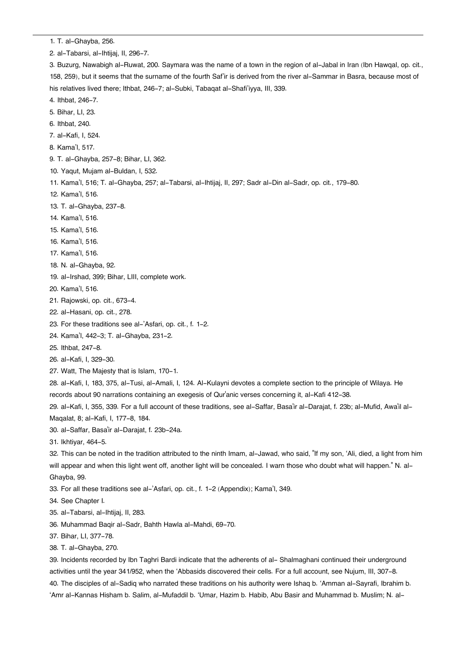[1.](#page--1-0) T. al-Ghayba, 256.

[2.](#page--1-0) al-Tabarsi, al-Ihtijaj, II, 296-7.

[3.](#page--1-0) Buzurg, Nawabigh al-Ruwat, 200. Saymara was the name of a town in the region of al-Jabal in Iran (Ibn Hawqal, op. cit., 158, 259), but it seems that the surname of the fourth Saf'ir is derived from the river al-Sammar in Basra, because most of his relatives lived there; Ithbat, 246-7; al-Subki, Tabaqat al-Shafi'iyya, III, 339.

- [4.](#page--1-0) Ithbat, 246-7.
- [5.](#page--1-0) Bihar, LI, 23.
- [6.](#page--1-0) Ithbat, 240.
- [7.](#page--1-0) al-Kafi, I, 524.
- [8.](#page--1-0) Kama'l, 517.
- [9.](#page--1-0) T. al-Ghayba, 257-8; Bihar, LI, 362.
- [10.](#page--1-0) Yaqut, Mujam al-Buldan, I, 532.
- [11.](#page--1-0) Kama'l, 516; T. al-Ghayba, 257; al-Tabarsi, al-Ihtijaj, II, 297; Sadr al-Din al-Sadr, op. cit., 179-80.
- [12.](#page--1-0) Kama'l, 516.
- [13.](#page--1-0) T. al-Ghayba, 237-8.
- [14.](#page--1-0) Kama'l, 516.
- [15.](#page--1-0) Kama'l, 516.
- [16.](#page--1-0) Kama'l, 516.
- [17.](#page--1-0) Kama'l, 516.
- [18.](#page--1-0) N. al-Ghayba, 92.
- [19.](#page--1-0) al-Irshad, 399; Bihar, LIII, complete work.
- [20.](#page--1-0) Kama'l, 516.
- [21.](#page--1-0) Rajowski, op. cit., 673-4.
- [22.](#page--1-0) al-Hasani, op. cit., 278.
- [23.](#page--1-0) For these traditions see al-'Asfari, op. cit., f. 1-2.
- [24.](#page--1-0) Kama'l, 442-3; T. al-Ghayba, 231-2.
- [25.](#page--1-0) Ithbat, 247-8.
- [26.](#page--1-0) al-Kafi, I, 329-30.
- [27.](#page--1-0) Watt, The Majesty that is Islam, 170-1.

[28.](#page--1-0) al-Kafi, I, 183, 375, al-Tusi, al-Amali, I, 124. Al-Kulayni devotes a complete section to the principle of Wilaya. He records about 90 narrations containing an exegesis of Qur'anic verses concerning it, al-Kafi 412-38.

[29.](#page--1-0) al-Kafi, I, 355, 339. For a full account of these traditions, see al-Saffar, Basa'ir al-Darajat, f. 23b; al-Mufid, Awa'il al-Maqalat, 8; al-Kafi, I, 177-8, 184.

[30.](#page--1-0) al-Saffar, Basa'ir al-Darajat, f. 23b-24a.

[31.](#page--1-0) Ikhtiyar, 464-5.

[32.](#page--1-0) This can be noted in the tradition attributed to the ninth Imam, al-Jawad, who said, "If my son, 'Ali, died, a light from him will appear and when this light went off, another light will be concealed. I warn those who doubt what will happen." N. al-Ghayba, 99.

[33.](#page--1-0) For all these traditions see al-'Asfari, op. cit., f. 1-2 (Appendix); Kama'l, 349.

[34.](#page--1-0) See Chapter I.

- [35.](#page--1-0) al-Tabarsi, al-Ihtijaj, II, 283.
- [36.](#page--1-0) Muhammad Baqir al-Sadr, Bahth Hawla al-Mahdi, 69-70.
- [37.](#page--1-0) Bihar, LI, 377-78.
- [38.](#page--1-0) T. al-Ghayba, 270.

[39.](#page--1-0) Incidents recorded by Ibn Taghri Bardi indicate that the adherents of al- Shalmaghani continued their underground activities until the year 341/952, when the 'Abbasids discovered their cells. For a full account, see Nujum, III, 307-8. [40.](#page--1-0) The disciples of al-Sadiq who narrated these traditions on his authority were Ishaq b. 'Amman al-Sayrafi, Ibrahim b.

'Amr al-Kannas Hisham b. Salim, al-Mufaddil b. 'Umar, Hazim b. Habib, Abu Basir and Muhammad b. Muslim; N. al-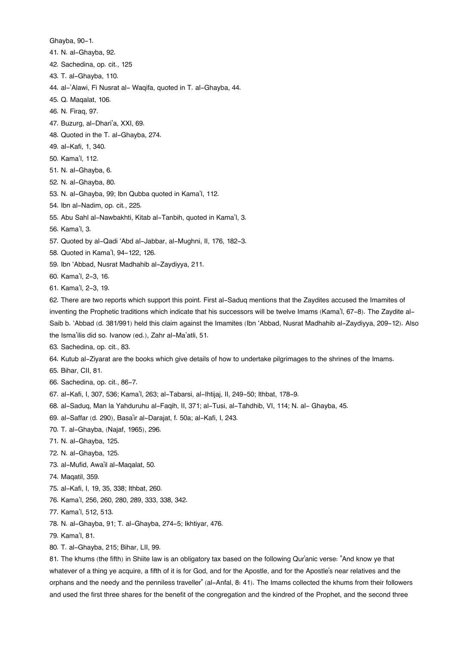Ghayba, 90-1.

- [41.](#page--1-0) N. al-Ghayba, 92.
- [42.](#page--1-0) Sachedina, op. cit., 125
- [43.](#page--1-0) T. al-Ghayba, 110.
- [44.](#page--1-0) al-'Alawi, Fi Nusrat al- Waqifa, quoted in T. al-Ghayba, 44.
- [45.](#page--1-0) Q. Maqalat, 106.
- [46.](#page--1-0) N. Firaq, 97.
- [47.](#page--1-0) Buzurg, al-Dhari'a, XXI, 69.
- [48.](#page--1-0) Quoted in the T. al-Ghayba, 274.
- [49.](#page--1-0) al-Kafi, 1, 340.
- [50.](#page--1-0) Kama'l, 112.
- [51.](#page--1-0) N. al-Ghayba, 6.
- [52.](#page--1-0) N. al-Ghayba, 80.
- [53.](#page--1-0) N. al-Ghayba, 99; Ibn Qubba quoted in Kama'l, 112.
- [54.](#page--1-0) Ibn al-Nadim, op. cit., 225.
- [55.](#page--1-0) Abu Sahl al-Nawbakhti, Kitab al-Tanbih, quoted in Kama'l, 3.
- [56.](#page--1-0) Kama'l, 3.
- [57.](#page--1-0) Quoted by al-Qadi 'Abd al-Jabbar, al-Mughni, II, 176, 182-3.
- [58.](#page--1-0) Quoted in Kama'l, 94-122, 126.
- [59.](#page--1-0) Ibn 'Abbad, Nusrat Madhahib al-Zaydiyya, 211.
- [60.](#page--1-0) Kama'l, 2-3, 16.
- [61.](#page--1-0) Kama'l, 2-3, 19.

[62.](#page--1-0) There are two reports which support this point. First al-Saduq mentions that the Zaydites accused the Imamites of inventing the Prophetic traditions which indicate that his successors will be twelve Imams (Kama'l, 67-8). The Zaydite al-Saib b. 'Abbad (d. 381/991) held this claim against the Imamites (Ibn 'Abbad, Nusrat Madhahib al-Zaydiyya, 209-12). Also the Isma'ilis did so. Ivanow (ed.), Zahr al-Ma'atli, 51.

- [63.](#page--1-0) Sachedina, op. cit., 83.
- [64.](#page--1-0) Kutub al-Ziyarat are the books which give details of how to undertake pilgrimages to the shrines of the Imams.
- [65.](#page--1-0) Bihar, CII, 81.
- [66.](#page--1-0) Sachedina, op. cit., 86-7.
- [67.](#page--1-0) al-Kafi, I, 307, 536; Kama'l, 263; al-Tabarsi, al-Ihtijaj, II, 249-50; Ithbat, 178-9.
- [68.](#page--1-0) al-Saduq, Man la Yahduruhu al-Faqih, II, 371; al-Tusi, al-Tahdhib, VI, 114; N. al- Ghayba, 45.
- [69.](#page--1-0) al-Saffar (d. 290), Basa'ir al-Darajat, f. 50a; al-Kafi, I, 243.
- [70.](#page--1-0) T. al-Ghayba, (Najaf, 1965), 296.
- [71.](#page--1-0) N. al-Ghayba, 125.
- [72.](#page--1-0) N. al-Ghayba, 125.
- [73.](#page--1-0) al-Mufid, Awa'il al-Maqalat, 50.
- [74.](#page--1-0) Maqatil, 359.
- [75.](#page--1-0) al-Kafi, I, 19, 35, 338; Ithbat, 260.
- [76.](#page--1-0) Kama'l, 256, 260, 280, 289, 333, 338, 342.
- [77.](#page--1-0) Kama'l, 512, 513.
- [78.](#page--1-0) N. al-Ghayba, 91; T. al-Ghayba, 274-5; Ikhtiyar, 476.
- [79.](#page--1-0) Kama'l, 81.
- [80.](#page--1-0) T. al-Ghayba, 215; Bihar, LII, 99.

[81.](#page--1-0) The khums (the fifth) in Shiite law is an obligatory tax based on the following Qur'anic verse: "And know ye that whatever of a thing ye acquire, a fifth of it is for God, and for the Apostle, and for the Apostle's near relatives and the orphans and the needy and the penniless traveller" (al-Anfal, 8: 41). The Imams collected the khums from their followers and used the first three shares for the benefit of the congregation and the kindred of the Prophet, and the second three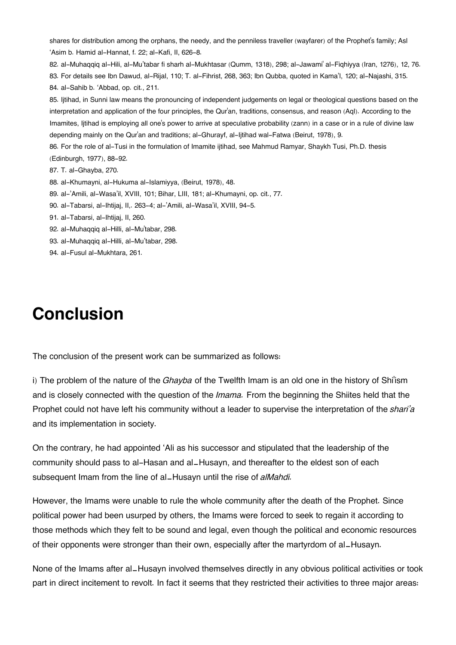shares for distribution among the orphans, the needy, and the penniless traveller (wayfarer) of the Prophet's family; Asl 'Asim b. Hamid al-Hannat, f. 22; al-Kafi, II, 626-8.

[82.](#page--1-0) al-Muhaqqiq al-Hili, al-Mu'tabar fi sharh al-Mukhtasar (Qumm, 1318), 298; al-Jawami' al-Fiqhiyya (Iran, 1276), 12, 76. [83.](#page--1-0) For details see Ibn Dawud, al-Rijal, 110; T. al-Fihrist, 268, 363; Ibn Qubba, quoted in Kama'l, 120; al-Najashi, 315. [84.](#page--1-0) al-Sahib b. 'Abbad, op. cit., 211.

[85.](#page--1-0) Ijtihad, in Sunni law means the pronouncing of independent judgements on legal or theological questions based on the interpretation and application of the four principles, the Qur'an, traditions, consensus, and reason (Aql). According to the Imamites, Ijtihad is employing all one's power to arrive at speculative probability (zann) in a case or in a rule of divine law depending mainly on the Qur'an and traditions; al-Ghurayf, al-Ijtihad wal-Fatwa (Beirut, 1978), 9.

[86.](#page--1-0) For the role of al-Tusi in the formulation of Imamite ijtihad, see Mahmud Ramyar, Shaykh Tusi, Ph.D. thesis (Edinburgh, 1977), 88-92.

[87.](#page--1-0) T. al-Ghayba, 270.

[88.](#page--1-0) al-Khumayni, al-Hukuma al-Islamiyya, (Beirut, 1978), 48.

[89.](#page--1-0) al-'Amili, al-Wasa'il, XVIII, 101; Bihar, LIII, 181; al-Khumayni, op. cit., 77.

[90.](#page--1-0) al-Tabarsi, al-Ihtijaj, II,. 263-4; al-'Amili, al-Wasa'il, XVIII, 94-5.

[91.](#page--1-0) al-Tabarsi, al-Ihtijaj, II, 260.

[92.](#page--1-0) al-Muhaqqiq al-Hilli, al-Mu'tabar, 298.

[93.](#page--1-0) al-Muhaqqiq al-Hilli, al-Mu'tabar, 298.

[94.](#page--1-0) al-Fusul al-Mukhtara, 261.

### **Conclusion**

The conclusion of the present work can be summarized as follows:

i) The problem of the nature of the *Ghayba* of the Twelfth Imam is an old one in the history of Shi'ism and is closely connected with the question of the *Imama.* From the beginning the Shiites held that the Prophet could not have left his community without a leader to supervise the interpretation of the *shari'a* and its implementation in society.

On the contrary, he had appointed 'Ali as his successor and stipulated that the leadership of the community should pass to al-Hasan and al‑Husayn, and thereafter to the eldest son of each subsequent Imam from the line of al‑Husayn until the rise of *alMahdi.*

However, the Imams were unable to rule the whole community after the death of the Prophet. Since political power had been usurped by others, the Imams were forced to seek to regain it according to those methods which they felt to be sound and legal, even though the political and economic resources of their opponents were stronger than their own, especially after the martyrdom of al\_Husayn.

None of the Imams after al–Husayn involved themselves directly in any obvious political activities or took part in direct incitement to revolt. In fact it seems that they restricted their activities to three major areas: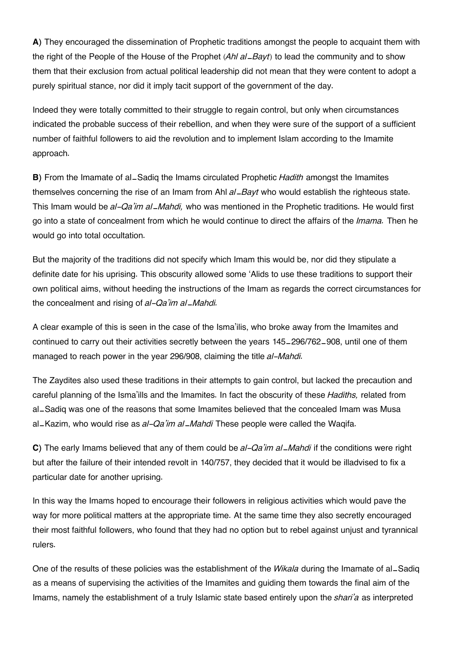**A)** They encouraged the dissemination of Prophetic traditions amongst the people to acquaint them with the right of the People of the House of the Prophet *(Ahl al‑Bayt)* to lead the community and to show them that their exclusion from actual political leadership did not mean that they were content to adopt a purely spiritual stance, nor did it imply tacit support of the government of the day.

Indeed they were totally committed to their struggle to regain control, but only when circumstances indicated the probable success of their rebellion, and when they were sure of the support of a sufficient number of faithful followers to aid the revolution and to implement Islam according to the Imamite approach.

**B)** From the Imamate of al‑Sadiq the Imams circulated Prophetic *Hadith* amongst the Imamites themselves concerning the rise of an Imam from Ahl *al‑Bayt* who would establish the righteous state. This Imam would be *al-Qa'im al‑Mahdi,* who was mentioned in the Prophetic traditions. He would first go into a state of concealment from which he would continue to direct the affairs of the *Imama.* Then he would go into total occultation.

But the majority of the traditions did not specify which Imam this would be, nor did they stipulate a definite date for his uprising. This obscurity allowed some 'Alids to use these traditions to support their own political aims, without heeding the instructions of the Imam as regards the correct circumstances for the concealment and rising of *al-Qa'im al‑Mahdi.*

A clear example of this is seen in the case of the Isma'ilis, who broke away from the Imamites and continued to carry out their activities secretly between the years  $145-296/762-908$ , until one of them managed to reach power in the year 296/908, claiming the title *al-Mahdi.*

The Zaydites also used these traditions in their attempts to gain control, but lacked the precaution and careful planning of the Isma'ills and the Imamites. In fact the obscurity of these *Hadiths,* related from al–Sadig was one of the reasons that some Imamites believed that the concealed Imam was Musa al‑Kazim, who would rise as *al-Qa'im al‑Mahdi* These people were called the Waqifa.

**C)** The early Imams believed that any of them could be *al-Qa'im al‑Mahdi* if the conditions were right but after the failure of their intended revolt in 140/757, they decided that it would be illadvised to fix a particular date for another uprising.

In this way the Imams hoped to encourage their followers in religious activities which would pave the way for more political matters at the appropriate time. At the same time they also secretly encouraged their most faithful followers, who found that they had no option but to rebel against unjust and tyrannical rulers.

One of the results of these policies was the establishment of the *Wikala* during the Imamate of al‑Sadiq as a means of supervising the activities of the Imamites and guiding them towards the final aim of the Imams, namely the establishment of a truly Islamic state based entirely upon the *shari'a* as interpreted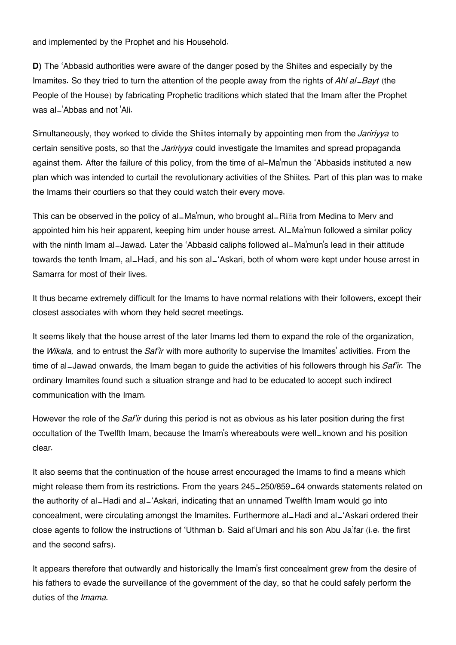and implemented by the Prophet and his Household.

**D)** The 'Abbasid authorities were aware of the danger posed by the Shiites and especially by the Imamites. So they tried to turn the attention of the people away from the rights of *Ahl al‑Bayt* (the People of the House) by fabricating Prophetic traditions which stated that the Imam after the Prophet was al-'Abbas and not 'Ali.

Simultaneously, they worked to divide the Shiites internally by appointing men from the *Jaririyya* to certain sensitive posts, so that the *Jaririyya* could investigate the Imamites and spread propaganda against them. After the failure of this policy, from the time of al-Ma'mun the 'Abbasids instituted a new plan which was intended to curtail the revolutionary activities of the Shiites. Part of this plan was to make the Imams their courtiers so that they could watch their every move.

This can be observed in the policy of al\_Ma'mun, who brought al\_Ri $\Omega$ a from Medina to Merv and appointed him his heir apparent, keeping him under house arrest. Al\_Ma'mun followed a similar policy with the ninth Imam al-Jawad. Later the 'Abbasid caliphs followed al-Ma'mun's lead in their attitude towards the tenth Imam, al–Hadi, and his son al–'Askari, both of whom were kept under house arrest in Samarra for most of their lives.

It thus became extremely difficult for the Imams to have normal relations with their followers, except their closest associates with whom they held secret meetings.

It seems likely that the house arrest of the later Imams led them to expand the role of the organization, the *Wikala,* and to entrust the *Saf'ir* with more authority to supervise the Imamites' activities. From the time of al‑Jawad onwards, the Imam began to guide the activities of his followers through his *Saf'ir.* The ordinary Imamites found such a situation strange and had to be educated to accept such indirect communication with the Imam.

However the role of the *Saf'ir* during this period is not as obvious as his later position during the first occultation of the Twelfth Imam, because the Imam's whereabouts were well‑known and his position clear.

It also seems that the continuation of the house arrest encouraged the Imams to find a means which might release them from its restrictions. From the years 245-250/859-64 onwards statements related on the authority of al‑Hadi and al‑'Askari, indicating that an unnamed Twelfth Imam would go into concealment, were circulating amongst the Imamites. Furthermore al‑Hadi and al‑'Askari ordered their close agents to follow the instructions of 'Uthman b. Said al'Umari and his son Abu Ja'far (i.e. the first and the second safrs).

It appears therefore that outwardly and historically the Imam's first concealment grew from the desire of his fathers to evade the surveillance of the government of the day, so that he could safely perform the duties of the *Imama.*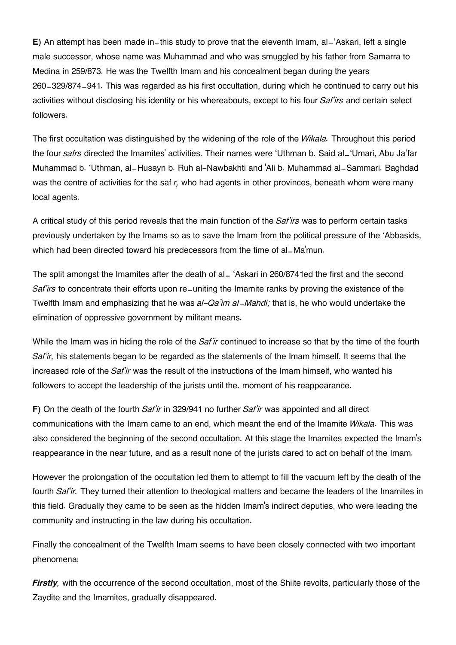**E**) An attempt has been made in–this study to prove that the eleventh Imam, al–'Askari, left a single male successor, whose name was Muhammad and who was smuggled by his father from Samarra to Medina in 259/873. He was the Twelfth Imam and his concealment began during the years 260‑329/874‑941. This was regarded as his first occultation, during which he continued to carry out his activities without disclosing his identity or his whereabouts, except to his four *Saf'irs* and certain select followers.

The first occultation was distinguished by the widening of the role of the *Wikala.* Throughout this period the four *safrs* directed the Imamites' activities. Their names were 'Uthman b. Said al‑'Umari, Abu Ja'far Muhammad b. 'Uthman, al–Husayn b. Ruh al–Nawbakhti and 'Ali b. Muhammad al–Sammari. Baghdad was the centre of activities for the saf *r,* who had agents in other provinces, beneath whom were many local agents.

A critical study of this period reveals that the main function of the *Saf'irs* was to perform certain tasks previously undertaken by the Imams so as to save the Imam from the political pressure of the 'Abbasids, which had been directed toward his predecessors from the time of al\_Ma'mun.

The split amongst the Imamites after the death of al‑ 'Askari in 260/8741ed the first and the second *Saf'irs* to concentrate their efforts upon re-uniting the Imamite ranks by proving the existence of the Twelfth Imam and emphasizing that he was *al-Qa'im al‑Mahdi;* that is, he who would undertake the elimination of oppressive government by militant means.

While the Imam was in hiding the role of the *Saf'ir* continued to increase so that by the time of the fourth *Saf'ir*, his statements began to be regarded as the statements of the Imam himself. It seems that the increased role of the *Saf'ir* was the result of the instructions of the Imam himself, who wanted his followers to accept the leadership of the jurists until the. moment of his reappearance.

**F)** On the death of the fourth *Saf'ir* in 329/941 no further *Saf'ir* was appointed and all direct communications with the Imam came to an end, which meant the end of the Imamite *Wikala.* This was also considered the beginning of the second occultation. At this stage the Imamites expected the Imam's reappearance in the near future, and as a result none of the jurists dared to act on behalf of the Imam.

However the prolongation of the occultation led them to attempt to fill the vacuum left by the death of the fourth *Saf'ir.* They turned their attention to theological matters and became the leaders of the Imamites in this field. Gradually they came to be seen as the hidden Imam's indirect deputies, who were leading the community and instructing in the law during his occultation.

Finally the concealment of the Twelfth Imam seems to have been closely connected with two important phenomena:

*Firstly,* with the occurrence of the second occultation, most of the Shiite revolts, particularly those of the Zaydite and the Imamites, gradually disappeared.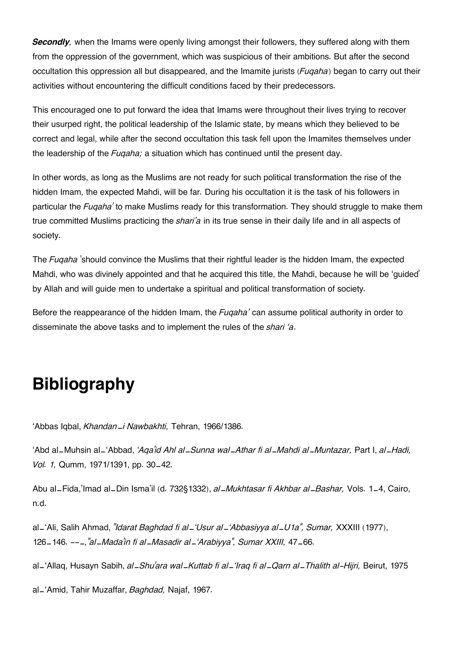*Secondly*, when the Imams were openly living amongst their followers, they suffered along with them from the oppression of the government, which was suspicious of their ambitions. But after the second occultation this oppression all but disappeared, and the Imamite jurists *(Fuqaha)* began to carry out their activities without encountering the difficult conditions faced by their predecessors.

This encouraged one to put forward the idea that Imams were throughout their lives trying to recover their usurped right, the political leadership of the Islamic state, by means which they believed to be correct and legal, while after the second occultation this task fell upon the Imamites themselves under the leadership of the *Fuqaha;* a situation which has continued until the present day.

In other words, as long as the Muslims are not ready for such political transformation the rise of the hidden Imam, the expected Mahdi, will be far. During his occultation it is the task of his followers in particular the *Fuqaha'* to make Muslims ready for this transformation. They should struggle to make them true committed Muslims practicing the *shari'a* in its true sense in their daily life and in all aspects of society.

The *Fuqaha* 'should convince the Muslims that their rightful leader is the hidden Imam, the expected Mahdi, who was divinely appointed and that he acquired this title, the Mahdi, because he will be 'guided' by Allah and will guide men to undertake a spiritual and political transformation of society.

Before the reappearance of the hidden Imam, the *Fuqaha'* can assume political authority in order to disseminate the above tasks and to implement the rules of the *shari 'a*.

## **Bibliography**

'Abbas Iqbal, *Khandan‑i Nawbakhti,* Tehran, 1966/1386.

'Abd al‑Muhsin al‑'Abbad, *'Aqa'id Ahl al‑Sunna wal‑Athar fi al‑Mahdi al‑Muntazar,* Part I, *al‑Hadi, Vol. 1, Qumm, 1971/1391, pp. 30-42.* 

Abu al‑Fida,'Imad al‑Din Isma'il (d. 732§1332), *al‑Mukhtasar fi Akhbar al‑Bashar,* Vols. 1‑4, Cairo, n.d.

al‑'Ali, Salih Ahmad, *"Idarat Baghdad fi al‑'Usur al‑'Abbasiyya al‑U1a", Sumar,* XXXIII (1977), 126‑146. *--‑,"al‑Mada'in fi al‑Masadir al‑'Arabiyya", Sumar XXIII,* 47‑66.

al‑'Allaq, Husayn Sabih, *al‑Shu'ara wal‑Kuttab fi al‑'Iraq fi al‑Qarn al‑Thalith al-Hijri,* Beirut, 1975

al‑'Amid, Tahir Muzaffar, *Baghdad,* Najaf, 1967.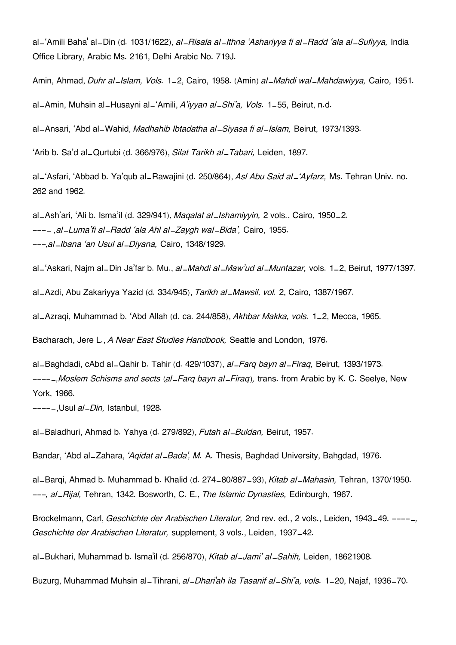al‑'Amili Baha' al‑Din (d. 1031/1622), *al‑Risala al‑Ithna 'Ashariyya fi al‑Radd 'ala al‑Sufiyya,* India Office Library, Arabic Ms. 2161, Delhi Arabic No. 719J.

Amin, Ahmad, *Duhr al‑Islam, Vols.* 1‑2, Cairo, 1958. (Amin) *al‑Mahdi wal‑Mahdawiyya,* Cairo, 1951.

al‑Amin, Muhsin al‑Husayni al‑'Amili, *A'iyyan al‑Shi'a, Vols.* 1‑55, Beirut, n.d.

al‑Ansari, 'Abd al‑Wahid, *Madhahib Ibtadatha al‑Siyasa fi al‑Islam,* Beirut, 1973/1393.

'Arib b. Sa'd al‑Qurtubi (d. 366/976), *Silat Tarikh al‑Tabari,* Leiden, 1897.

al‑'Asfari, 'Abbad b. Ya'qub al‑Rawajini (d. 250/864), *Asl Abu Said al‑'Ayfarz,* Ms. Tehran Univ. no. 262 and 1962.

al‑Ash'ari, 'Ali b. Isma'il (d. 329/941), *Maqalat al‑Ishamiyyin,* 2 vols., Cairo, 1950‑2. *---‑ ,al‑Luma'fi al‑Radd 'ala Ahl al‑Zaygh wal‑Bida',* Cairo, 1955. *---,al‑Ibana 'an Usul al‑Diyana,* Cairo, 1348/1929.

al‑'Askari, Najm al‑Din Ja'far b. Mu., *al‑Mahdi al‑Maw'ud al‑Muntazar,* vols. 1‑2, Beirut, 1977/1397.

al‑Azdi, Abu Zakariyya Yazid (d. 334/945), *Tarikh al‑Mawsil, vol.* 2, Cairo, 1387/1967.

al‑Azraqi, Muhammad b. 'Abd Allah (d. ca. 244/858), *Akhbar Makka, vols.* 1‑2, Mecca, 1965.

Bacharach, Jere L., *A Near East Studies Handbook,* Seattle and London, 1976.

al‑Baghdadi, cAbd al‑Qahir b. Tahir (d. 429/1037), *al‑Farq bayn al‑Firaq,* Beirut, 1393/1973. *----‑,Moslem Schisms and sects (al‑Farq bayn al‑Firaq),* trans. from Arabic by K. C. Seelye, New York, 1966.

----‑,Usul *al‑Din,* Istanbul, 1928.

al‑Baladhuri, Ahmad b. Yahya (d. 279/892), *Futah al‑Buldan,* Beirut, 1957.

Bandar, 'Abd al‑Zahara, *'Aqidat al‑Bada', M.* A. Thesis, Baghdad University, Bahgdad, 1976.

al‑Barqi, Ahmad b. Muhammad b. Khalid (d. 274‑80/887‑93), *Kitab al‑Mahasin,* Tehran, 1370/1950. *---, al‑Rijal,* Tehran, 1342. Bosworth, C. E., *The Islamic Dynasties,* Edinburgh, 1967.

Brockelmann, Carl, *Geschichte der Arabischen Literatur*, 2nd rev. ed., 2 vols., Leiden, 1943<sub>–</sub>49. ----<sub>-</sub>, *Geschichte der Arabischen Literatur,* supplement, 3 vols., Leiden, 1937‑42.

al‑Bukhari, Muhammad b. Isma'il (d. 256/870), *Kitab al‑Jami' al‑Sahih,* Leiden, 18621908.

Buzurg, Muhammad Muhsin al‑Tihrani, *al‑Dhari'ah ila Tasanif al‑Shi'a, vols.* 1‑20, Najaf, 1936‑70.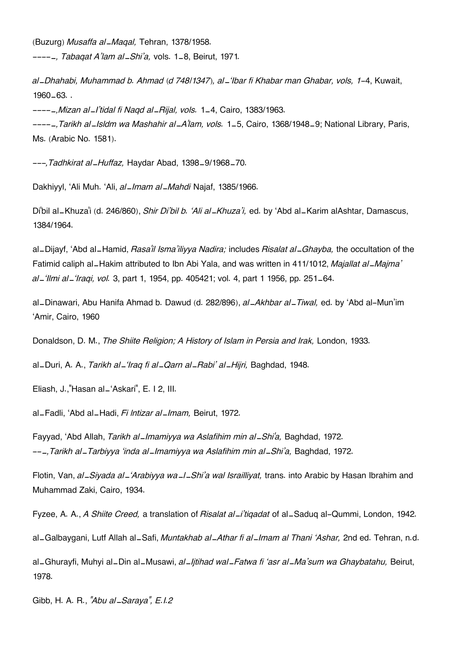(Buzurg) *Musaffa al‑Maqal,* Tehran, 1378/1958.

*----‑, Tabaqat A'lam al‑Shi'a,* vols. 1‑8, Beirut, 1971*.*

*al‑Dhahabi, Muhammad b. Ahmad (d 748/1347), al‑'Ibar fi Khabar man Ghabar, vols, 1-*4, Kuwait, 1960‑63. .

*----‑,Mizan al‑I'tidal fi Naqd al‑Rijal, vols.* 1‑4, Cairo, 1383/1963.

*----‑,Tarikh al‑Isldm wa Mashahir al‑A'lam, vols.* 1‑5, Cairo, 1368/1948‑9; National Library, Paris, Ms. (Arabic No. 1581).

*---,Tadhkirat al‑Huffaz,* Haydar Abad, 1398‑9/1968‑70.

Dakhiyyl, 'Ali Muh. 'Ali, *al‑Imam al‑Mahdi* Najaf, 1385/1966.

Di'bil al‑Khuza'i (d. 246/860), *Shir Di'bil b. 'Ali al‑Khuza'i,* ed. by 'Abd al‑Karim alAshtar, Damascus, 1384/1964.

al‑Dijayf, 'Abd al‑Hamid, *Rasa'il Isma'iliyya Nadira;* includes *Risalat al‑Ghayba,* the occultation of the Fatimid caliph al‑Hakim attributed to Ibn Abi Yala, and was written in 411/1012, *Majallat al‑Majma' al*–'*Ilmi al*–'*Iraqi, vol.* 3, part 1, 1954, pp. 405421; vol. 4, part 1 1956, pp. 251–64.

al‑Dinawari, Abu Hanifa Ahmad b. Dawud (d. 282/896), *al‑Akhbar al‑Tiwal,* ed. by 'Abd al-Mun'im 'Amir, Cairo, 1960

Donaldson, D. M., *The Shiite Religion; A History of Islam in Persia and Irak, London, 1933.* 

al‑Duri, A. A., *Tarikh al‑'Iraq fi al‑Qarn al‑Rabi' al‑Hijri,* Baghdad, 1948.

Eliash, J.,"Hasan al‑'Askari", E. I 2, III.

al‑Fadli, 'Abd al‑Hadi, *Fi lntizar al‑Imam,* Beirut, 1972.

Fayyad, 'Abd Allah, *Tarikh al‑Imamiyya wa Aslafihim min al‑Shi'a,* Baghdad, 1972. *--‑,Tarikh al‑Tarbiyya 'inda al‑Imamiyya wa Aslafihim min al‑Shi'a,* Baghdad, 1972.

Flotin, Van, al–Siyada al–'Arabiyya wa–I–Shi'a wal Israilliyat, trans. into Arabic by Hasan Ibrahim and Muhammad Zaki, Cairo, 1934.

Fyzee, A. A., *A Shiite Creed,* a translation of *Risalat al‑i'tiqadat* of al‑Saduq al-Qummi, London, 1942.

al‑Galbaygani, Lutf Allah al‑Safi, *Muntakhab al‑Athar fi al‑Imam al Thani 'Ashar,* 2nd ed. Tehran, n.d.

al‑Ghurayfi, Muhyi al‑Din al‑Musawi, *al‑Ijtihad wal‑Fatwa fi 'asr al‑Ma'sum wa Ghaybatahu,* Beirut, 1978.

Gibb, H. A. R., *"Abu al‑Saraya", E.I.2*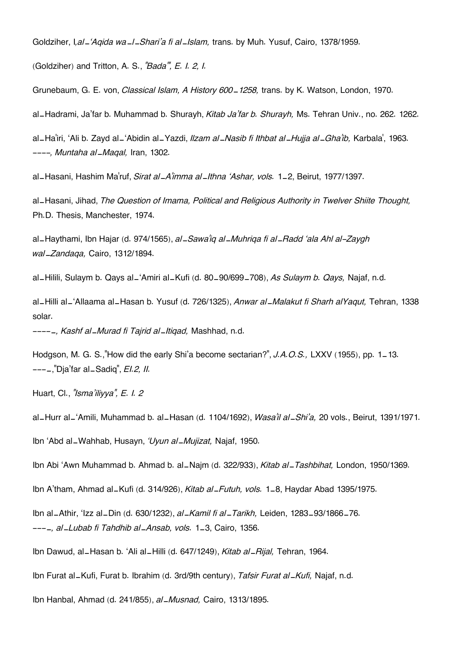Goldziher, I*,al‑'Aqida wa‑l‑Shari'a fi al‑Islam,* trans. by Muh. Yusuf, Cairo, 1378/1959.

(Goldziher) and Tritton, A. S., *"Bada"', E. I. 2, I.*

Grunebaum, G. E. von, *Classical Islam, A History 600‑1258,* trans. by K. Watson, London, 1970.

al‑Hadrami, Ja'far b. Muhammad b. Shurayh, *Kitab Ja'far b. Shurayh,* Ms. Tehran Univ., no. 262. 1262.

al‑Ha'iri, 'Ali b. Zayd al‑'Abidin al‑Yazdi, *Ilzam al‑Nasib fi Ithbat al‑Hujja al‑Gha'ib,* Karbala', 1963. *----, Muntaha al‑Maqal,* Iran, 1302.

al‑Hasani, Hashim Ma'ruf, *Sirat al‑A'imma al‑Ithna 'Ashar, vols.* 1‑2, Beirut, 1977/1397.

al‑Hasani, Jihad, *The Question of Imama, Political and Religious Authority in Twelver Shiite Thought,* Ph.D. Thesis, Manchester, 1974.

al‑Haythami, Ibn Hajar (d. 974/1565), *al‑Sawa'iq al‑Muhriqa fi al‑Radd 'ala Ahl al-Zaygh wal‑Zandaqa,* Cairo, 1312/1894.

al‑Hilili, Sulaym b. Qays al‑'Amiri al‑Kufi (d. 80‑90/699‑708), *As Sulaym b. Qays,* Najaf, n.d.

al‑Hilli al‑'Allaama al‑Hasan b. Yusuf (d. 726/1325), *Anwar al‑Malakut fi Sharh alYaqut,* Tehran, 1338 solar.

*----‑, Kashf al‑Murad fi Tajrid al‑Itiqad,* Mashhad, n.d.

Hodgson, M. G. S.,"How did the early Shi'a become sectarian?", *J.A.O.S.,* LXXV (1955), pp. 1‑13. ---‑,"Dja'far al‑Sadiq", *EI.2, II.*

Huart, Cl., *"Isma'iliyya", E. I. 2*

al‑Hurr al‑'Amili, Muhammad b. al‑Hasan (d. 1104/1692), *Wasa'il al‑Shi'a,* 20 vols., Beirut, 1391/1971.

Ibn 'Abd al‑Wahhab, Husayn, *'Uyun al‑Mujizat,* Najaf, 1950.

Ibn Abi 'Awn Muhammad b. Ahmad b. al‑Najm (d. 322/933), *Kitab al‑Tashbihat,* London, 1950/1369.

Ibn A'tham, Ahmad al‑Kufi (d. 314/926), *Kitab al‑Futuh, vols.* 1‑8, Haydar Abad 1395/1975.

Ibn al‑Athir, 'Izz al‑Din (d. 630/1232), *al‑Kamil fi al‑Tarikh,* Leiden, 1283‑93/1866‑76. *---‑, al‑Lubab fi Tahdhib al‑Ansab, vols.* 1‑3, Cairo, 1356.

Ibn Dawud, al‑Hasan b. 'Ali al‑Hilli (d. 647/1249), *Kitab al‑Rijal,* Tehran, 1964.

Ibn Furat al‑Kufi, Furat b. Ibrahim (d. 3rd/9th century), *Tafsir Furat al‑Kufi,* Najaf, n.d.

Ibn Hanbal, Ahmad (d. 241/855), *al‑Musnad,* Cairo, 1313/1895.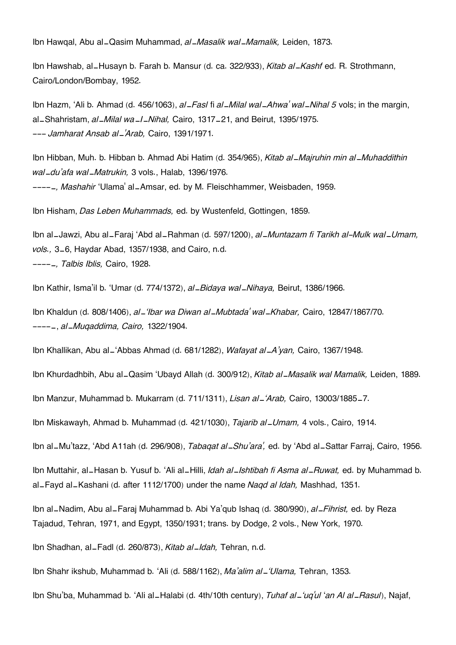Ibn Hawqal, Abu al‑Qasim Muhammad, *al‑Masalik wal‑Mamalik,* Leiden, 1873.

Ibn Hawshab, al‑Husayn b. Farah b. Mansur (d. ca. 322/933), *Kitab al‑Kashf* ed. R. Strothmann, Cairo/London/Bombay, 1952.

Ibn Hazm, 'Ali b. Ahmad (d. 456/1063), *al‑Fasl* fi *al‑Milal wal‑Ahwa' wal‑Nihal 5* vols; in the margin, al‑Shahristam, *al‑Milal wa‑I‑Nihal,* Cairo, 1317‑21, and Beirut, 1395/1975. --- *Jamharat Ansab al‑'Arab,* Cairo, 1391/1971.

Ibn Hibban, Muh. b. Hibban b. Ahmad Abi Hatim (d. 354/965), *Kitab al‑Majruhin min al‑Muhaddithin wal‑du'afa wal‑Matrukin,* 3 vols., Halab, 1396/1976. *----‑, Mashahir* 'Ulama' al‑Amsar, ed. by M. Fleischhammer, Weisbaden, 1959.

Ibn Hisham, *Das Leben Muhammads,* ed. by Wustenfeld, Gottingen, 1859.

Ibn al‑Jawzi, Abu al‑Faraj 'Abd al‑Rahman (d. 597/1200), *al‑Muntazam fi Tarikh al-Mulk wal‑Umam, vols.,* 3‑6, Haydar Abad, 1357/1938, and Cairo, n.d. *----‑, Talbis Iblis,* Cairo, 1928.

Ibn Kathir, Isma'il b. 'Umar (d. 774/1372), *al‑Bidaya wal‑Nihaya,* Beirut, 1386/1966.

Ibn Khaldun (d. 808/1406), *al‑'Ibar wa Diwan al‑Mubtada' wal‑Khabar,* Cairo, 12847/1867/70. ----‑, *al‑Muqaddima, Cairo,* 1322/1904.

Ibn Khallikan, Abu al‑'Abbas Ahmad (d. 681/1282), *Wafayat al‑A'yan,* Cairo, 1367/1948.

Ibn Khurdadhbih, Abu al‑Qasim 'Ubayd Allah (d. 300/912), *Kitab al‑Masalik wal Mamalik,* Leiden, 1889.

Ibn Manzur, Muhammad b. Mukarram (d. 711/1311), *Lisan al‑'Arab,* Cairo, 13003/1885‑7.

Ibn Miskawayh, Ahmad b. Muhammad (d. 421/1030), *Tajarib al‑Umam,* 4 vols., Cairo, 1914.

Ibn al‑Mu'tazz, 'Abd A11ah (d. 296/908), *Tabaqat al‑Shu'ara',* ed. by 'Abd al‑Sattar Farraj, Cairo, 1956.

Ibn Muttahir, al‑Hasan b. Yusuf b. 'Ali al‑Hilli, *Idah al‑Ishtibah fi Asma al‑Ruwat,* ed. by Muhammad b. al‑Fayd al‑Kashani (d. after 1112/1700) under the name *Naqd al Idah,* Mashhad, 1351.

Ibn al‑Nadim, Abu al‑Faraj Muhammad b. Abi Ya'qub Ishaq (d. 380/990), *al‑Fihrist,* ed. by Reza Tajadud, Tehran, 1971, and Egypt, 1350/1931; trans. by Dodge, 2 vols., New York, 1970.

Ibn Shadhan, al‑Fadl (d. 260/873), *Kitab al‑Idah,* Tehran, n.d.

Ibn Shahr ikshub, Muhammad b. 'Ali (d. 588/1162), *Ma'alim al‑'Ulama,* Tehran, 1353.

Ibn Shu'ba, Muhammad b. 'Ali al‑Halabi (d. 4th/10th century), *Tuhaf al‑'uq'ul* '*an Al al‑Rasul*), Najaf,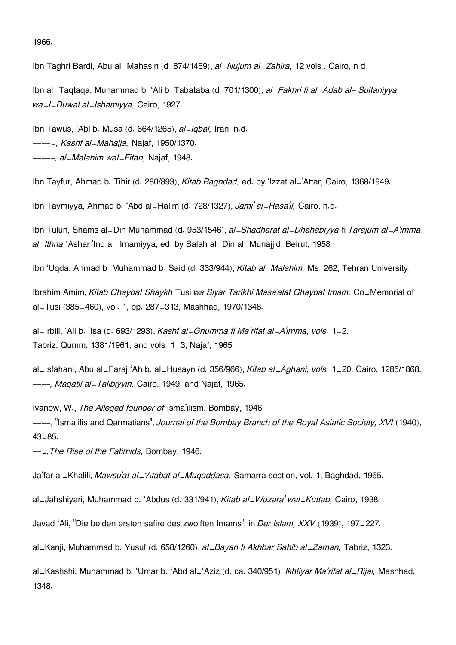1966.

Ibn Taghri Bardi, Abu al‑Mahasin (d. 874/1469), *al‑Nujum al‑Zahira,* 12 vols., Cairo, n.d.

Ibn al‑Taqtaqa, Muhammad b. 'Ali b. Tabataba (d. 701/1300), *al‑Fakhri fi al‑Adab al- Sultaniyya wa‑l‑Duwal al‑Ishamiyya,* Cairo, 1927.

Ibn Tawus, 'Abl b. Musa (d. 664/1265), *al‑Iqbal,* Iran, n.d.

*----‑, Kashf al‑Mahajja,* Najaf, 1950/1370.

*-----, al‑Malahim wal‑Fitan,* Najaf, 1948.

Ibn Tayfur, Ahmad b. Tihir (d. 280/893), *Kitab Baghdad,* ed. by 'Izzat al‑'Attar, Cairo, 1368/1949.

Ibn Taymiyya, Ahmad b. 'Abd al‑Halim (d. 728/1327), *Jami' al‑Rasa'il,* Cairo, n.d.

Ibn Tulun, Shams al‑Din Muhammad (d. 953/1546), *al‑Shadharat al‑Dhahabiyya* fi *Tarajum al‑A'imma al‑Ithna* 'Ashar 'Ind al‑Imamiyya, ed. by Salah al‑Din al‑Munajjid, Beirut, 1958.

Ibn 'Uqda, Ahmad b. Muhammad b. Said (d. 333/944), *Kitab al‑Malahim,* Ms. 262, Tehran University.

Ibrahim Amim, *Kitab Ghaybat Shaykh* Tusi *wa Siyar Tarikhi Masa'alat Ghaybat Imam,* Co‑Memorial of al‑Tusi (385‑460), vol. 1, pp. 287‑313, Mashhad, 1970/1348.

al‑Irbili, 'Ali b. 'Isa (d. 693/1293), *Kashf al‑Ghumma fi Ma'rifat al‑A'imma, vols.* 1‑2, Tabriz, Qumm, 1381/1961, and vols. 1‑3, Najaf, 1965.

al‑Isfahani, Abu al‑Faraj 'Ah b. al‑Husayn (d. 356/966), *Kitab al‑Aghani, vols.* 1‑20, Cairo, 1285/1868. *----, Maqatil al‑Talibiyyin,* Cairo, 1949, and Najaf, 1965.

Ivanow, W., *The Alleged founder of* Isma'ilism, Bombay, 1946.

----, "Isma'ilis and Qarmatians", *Journal of the Bombay Branch of the Royal Asiatic Society, XVI* (1940), 43‑85.

*--‑,The Rise of the Fatimids,* Bombay, 1946.

Ja'far al‑Khalili, *Mawsu'at al‑'Atabat al‑Muqaddasa,* Samarra section, vol. 1, Baghdad, 1965.

al‑Jahshiyari, Muhammad b. 'Abdus (d. 331/941), *Kitab al‑Wuzara' wal‑Kuttab,* Cairo, 1938.

Javad 'Ali, "Die beiden ersten safire des zwolften Imams", in *Der Islam, XXV* (1939), 197‑227.

al‑Kanji, Muhammad b. Yusuf (d. 658/1260), *al‑Bayan fi Akhbar Sahib al‑Zaman,* Tabriz, 1323.

al‑Kashshi, Muhammad b. 'Umar b. 'Abd al‑'Aziz (d. ca. 340/951), *Ikhtiyar Ma'rifat al‑Rijal,* Mashhad, 1348.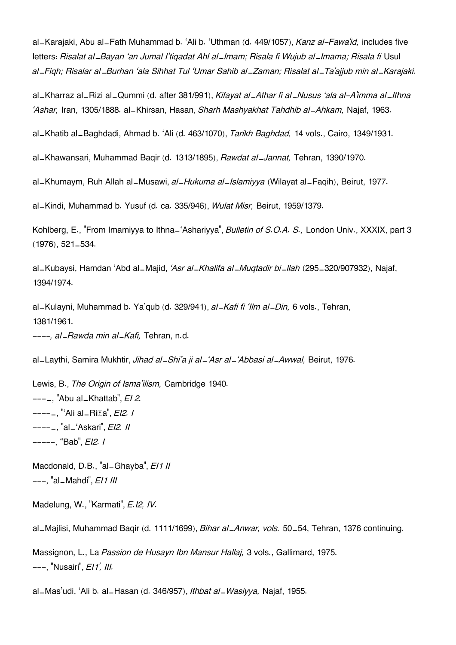al‑Karajaki, Abu al‑Fath Muhammad b. 'Ali b. 'Uthman (d. 449/1057), *Kanz al-Fawa'id,* includes five letters: *Risalat al‑Bayan 'an Jumal I'tiqadat Ahl al‑Imam; Risala fi Wujub al‑Imama; Risala fi* Usul *al‑Fiqh; Risalar al‑Burhan 'ala Sihhat Tul 'Umar Sahib al‑Zaman; Risalat al‑Ta'ajjub min al‑Karajaki.*

al‑Kharraz al‑Rizi al‑Qummi (d. after 381/991), *Kifayat al‑Athar fi al‑Nusus 'ala al-A'imma al‑Ithna 'Ashar,* Iran, 1305/1888. al‑Khirsan, Hasan, *Sharh Mashyakhat Tahdhib al‑Ahkam,* Najaf, 1963.

al‑Khatib al‑Baghdadi, Ahmad b. 'Ali (d. 463/1070), *Tarikh Baghdad,* 14 vols., Cairo, 1349/1931.

al‑Khawansari, Muhammad Baqir (d. 1313/1895), *Rawdat al‑Jannat,* Tehran, 1390/1970.

al‑Khumaym, Ruh Allah al‑Musawi, *al‑Hukuma al‑Islamiyya* (Wilayat al‑Faqih), Beirut, 1977.

al‑Kindi, Muhammad b. Yusuf (d. ca. 335/946), *Wulat Misr,* Beirut, 1959/1379.

Kohlberg, E., "From Imamiyya to Ithna - 'Ashariyya", *Bulletin of S.O.A. S.*, London Univ., XXXIX, part 3 (1976), 521‑534.

al‑Kubaysi, Hamdan 'Abd al‑Majid, *'Asr al‑Khalifa al‑Muqtadir bi‑llah* (295‑320/907932), Najaf, 1394/1974.

al‑Kulayni, Muhammad b. Ya'qub (d. 329/941), *al‑Kafi fi 'Ilm al‑Din,* 6 vols., Tehran, 1381/1961.

*----, al‑Rawda min al‑Kafi,* Tehran, n.d.

al‑Laythi, Samira Mukhtir, *Jihad al‑Shi'a ji al‑'Asr al‑'Abbasi al‑Awwal,* Beirut, 1976.

Lewis, B., *The Origin of Isma'ilism,* Cambridge 1940.

---‑, "Abu al‑Khattab", *EI 2.*

----‑, "'Ali al‑Riďa", *EI2. I*

----‑, "al‑'Askari", *EI2. II*

-----, "Bab", *EI2. I*

Macdonald, D.B., "al‑Ghayba", *EI1 II* ---, "al‑Mahdi", *EI1 III*

Madelung, W., "Karmati", *E.I2, IV.*

al‑Majlisi, Muhammad Baqir (d. 1111/1699), *Bihar al‑Anwar, vols.* 50‑54, Tehran, 1376 continuing.

Massignon, L., La *Passion de Husayn Ibn Mansur Hallaj,* 3 vols., Gallimard, 1975. ---, "Nusairi", *EI1', III.*

al‑Mas'udi, 'Ali b. al‑Hasan (d. 346/957), *Ithbat al‑Wasiyya,* Najaf, 1955.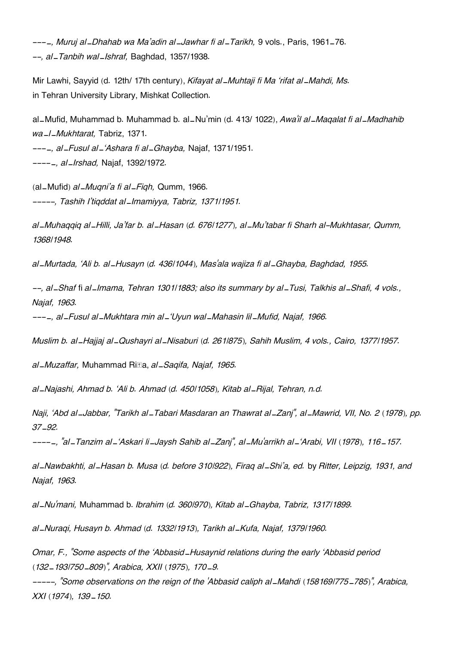*---‑, Muruj al‑Dhahab wa Ma'adin al‑Jawhar fi al‑Tarikh,* 9 vols., Paris, 1961‑76. *--, al‑Tanbih wal‑Ishraf,* Baghdad, 1357/1938.

Mir Lawhi, Sayyid (d. 12th/ 17th century), *Kifayat al‑Muhtaji fi Ma 'rifat al‑Mahdi, Ms.* in Tehran University Library, Mishkat Collection.

al‑Mufid, Muhammad b. Muhammad b. al‑Nu'min (d. 413/ 1022), *Awa'il al‑Maqalat fi al‑Madhahib wa‑l‑Mukhtarat,* Tabriz, 1371.

*---‑, al‑Fusul al‑'Ashara fi al‑Ghayba,* Najaf, 1371/1951.

*----‑, al‑Irshad,* Najaf, 1392/1972.

(al‑Mufid) *al‑Muqni'a fi al‑Fiqh,* Qumm, 1966. *-----, Tashih I'tiqddat al‑Imamiyya, Tabriz, 1371/1951.*

*al‑Muhaqqiq al‑Hilli, Ja'far b. al‑Hasan (d. 676/1277), al‑Mu'tabar fi Sharh al-Mukhtasar, Qumm, 1368/1948.*

*al‑Murtada, 'Ali b. al‑Husayn (d. 436/1044), Mas'ala wajiza fi al‑Ghayba, Baghdad, 1955.*

*--, al‑Shaf* fi *al‑Imama, Tehran 1301/1883; also its summary by al‑Tusi, Talkhis al‑Shafi, 4 vols., Najaf, 1963.*

*---‑, al‑Fusul al‑Mukhtara min al‑'Uyun wal‑Mahasin lil‑Mufid, Najaf, 1966.*

*Muslim b. al‑Hajjaj al‑Qushayri al‑Nisaburi (d. 261/875), Sahih Muslim, 4 vols., Cairo, 1377/1957.*

*al‑Muzaffar,* Muhammad Riďa, *al‑Saqifa, Najaf, 1965.*

*al‑Najashi, Ahmad b. 'Ali b. Ahmad (d. 450/1058), Kitab al‑Rijal, Tehran, n.d.*

*Naji, 'Abd al‑Jabbar, "Tarikh al‑Tabari Masdaran an Thawrat al‑Zanj", al‑Mawrid, VII, No. 2 (1978), pp. 37‑92.*

*----‑, "al‑Tanzim al‑'Askari li‑Jaysh Sahib al‑Zanj", al‑Mu'arrikh al‑'Arabi, VII (1978), 116‑157.*

*al‑Nawbakhti, al‑Hasan b. Musa (d. before 310/922), Firaq al‑Shi'a, ed.* by *Ritter, Leipzig, 1931, and Najaf, 1963.*

*al‑Nu'mani,* Muhammad b. *Ibrahim (d. 360/970), Kitab al‑Ghayba, Tabriz, 1317/1899.*

*al‑Nuraqi, Husayn b. Ahmad (d. 1332/1913), Tarikh al‑Kufa, Najaf, 1379/1960.*

*Omar, F., "Some aspects of the 'Abbasid‑Husaynid relations during the early 'Abbasid period (132‑193/750‑809)", Arabica, XXII (1975), 170‑9.*

*-----, "Some observations on the reign of the 'Abbasid caliph al‑Mahdi (158169/775‑785)", Arabica, XXI (1974), 139‑150.*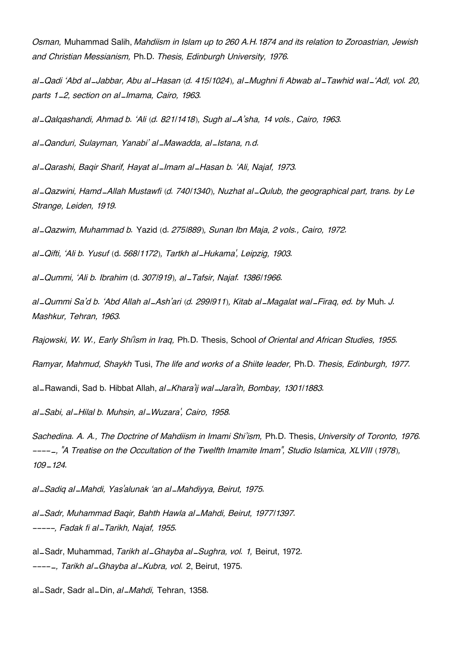*Osman,* Muhammad Salih, *Mahdiism in Islam up to 260 A.H.1874 and its relation to Zoroastrian, Jewish and Christian Messianism,* Ph.D. *Thesis, Edinburgh University, 1976.*

*al‑Qadi 'Abd al‑Jabbar, Abu al‑Hasan (d. 415/1024), al‑Mughni fi Abwab al‑Tawhid wal‑'Adl, vol. 20, parts 1‑2, section on al‑Imama, Cairo, 1963.*

*al‑Qalqashandi, Ahmad b. 'Ali (d. 821/1418), Sugh al‑A'sha, 14 vols., Cairo, 1963.*

*al‑Qanduri, Sulayman, Yanabi' al‑Mawadda, al‑Istana, n.d.*

*al‑Qarashi, Baqir Sharif, Hayat al‑Imam al‑Hasan b. 'Ali, Najaf, 1973.*

*al‑Qazwini, Hamd‑Allah Mustawfi (d. 740/1340), Nuzhat al‑Qulub, the geographical part, trans. by Le Strange, Leiden, 1919.*

*al‑Qazwim, Muhammad b.* Yazid (d. *275/889), Sunan Ibn Maja, 2 vols., Cairo, 1972.*

*al‑Qifti, 'Ali b. Yusuf* (d. *568/1172), Tartkh al‑Hukama', Leipzig, 1903.*

*al‑Qummi, 'Ali b. Ibrahim* (d. *307/919), al‑Tafsir, Najaf. 1386/1966.*

*al‑Qummi Sa'd b. 'Abd Allah al‑Ash'ari (d. 299/911), Kitab al‑Magalat wal‑Firaq, ed. by* Muh. *J. Mashkur, Tehran, 1963.*

*Rajowski, W. W., Early Shi'ism in Iraq,* Ph.D. Thesis, School *of Oriental and African Studies, 1955.*

*Ramyar, Mahmud, Shaykh* Tusi, *The life and works of a Shiite leader,* Ph.D. *Thesis, Edinburgh, 1977.*

al‑Rawandi, Sad b. Hibbat Allah, *al‑Khara'ij wal‑Jara'ih, Bombay, 1301/1883.*

*al‑Sabi, al‑Hilal b. Muhsin, al‑Wuzara', Cairo, 1958.*

*Sachedina. A. A., The Doctrine of Mahdiism in Imami Shi'ism,* Ph.D. Thesis, *University of Toronto, 1976. ----‑, "A Treatise on the Occultation of the Twelfth Imamite Imam", Studio Islamica, XLVIII (1978), 109‑124.*

*al‑Sadiq al‑Mahdi, Yas'alunak 'an al‑Mahdiyya, Beirut, 1975.*

*al‑Sadr, Muhammad Baqir, Bahth Hawla al‑Mahdi, Beirut, 1977/1397. -----, Fadak fi al‑Tarikh, Najaf, 1955.*

al‑Sadr, Muhammad, *Tarikh al‑Ghayba al‑Sughra, vol. 1,* Beirut, 1972. *----‑, Tarikh al‑Ghayba al‑Kubra, vol.* 2, Beirut, 1975.

al‑Sadr, Sadr al‑Din, *al‑Mahdi,* Tehran, 1358.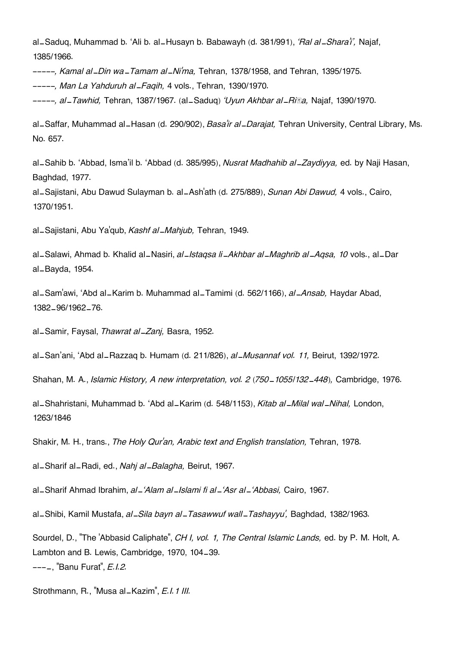al‑Saduq, Muhammad b. 'Ali b. al‑Husayn b. Babawayh (d. 381/991), *'Ral al‑Shara'i',* Najaf, 1385/1966.

*-----, Kamal al‑Din wa‑Tamam al‑Ni'ma,* Tehran, 1378/1958, and Tehran, 1395/1975.

*-----, Man La Yahduruh al‑Faqih,* 4 vols., Tehran, 1390/1970.

*-----, al‑Tawhid,* Tehran, 1387/1967. (al‑Saduq) *'Uyun Akhbar al‑Riďa,* Najaf, 1390/1970.

al‑Saffar, Muhammad al‑Hasan (d. 290/902), *Basa'ir al‑Darajat,* Tehran University, Central Library, Ms. No. 657.

al‑Sahib b. 'Abbad, Isma'il b. 'Abbad (d. 385/995), *Nusrat Madhahib al‑Zaydiyya,* ed. by Naji Hasan, Baghdad, 1977.

al‑Sajistani, Abu Dawud Sulayman b. al‑Ash'ath (d. 275/889), *Sunan Abi Dawud,* 4 vols., Cairo, 1370/1951.

al‑Sajistani, Abu Ya'qub, *Kashf al‑Mahjub,* Tehran, 1949.

al‑Salawi, Ahmad b. Khalid al‑Nasiri, *al‑Istaqsa li‑Akhbar al‑Maghrib al‑Aqsa, 10* vols., al‑Dar al‑Bayda, 1954.

al‑Sam'awi, 'Abd al‑Karim b. Muhammad al‑Tamimi (d. 562/1166), *al‑Ansab,* Haydar Abad, 1382‑96/1962‑76.

al‑Samir, Faysal, *Thawrat al‑Zanj,* Basra, 1952.

al‑San'ani, 'Abd al‑Razzaq b. Humam (d. 211/826), *al‑Musannaf vol. 11,* Beirut, 1392/1972.

Shahan, M. A., *Islamic History, A new interpretation, vol. 2 (750 - 1055/132 - 448)*, Cambridge, 1976.

al‑Shahristani, Muhammad b. 'Abd al‑Karim (d. 548/1153), *Kitab al‑Milal wal‑Nihal,* London, 1263/1846

Shakir, M. H., trans., *The Holy Qur'an, Arabic text and English translation,* Tehran, 1978.

al‑Sharif al‑Radi, ed., *Nahj al‑Balagha,* Beirut, 1967.

al‑Sharif Ahmad Ibrahim, *al‑'Alam al‑Islami fi al‑'Asr al‑'Abbasi,* Cairo, 1967.

al‑Shibi, Kamil Mustafa, *al‑Sila bayn al‑Tasawwuf wall‑Tashayyu',* Baghdad, 1382/1963.

Sourdel, D., "The 'Abbasid Caliphate", *CH I, vol. 1, The Central Islamic Lands,* ed. by P. M. Holt, A. Lambton and B. Lewis, Cambridge, 1970, 104-39. ---‑, "Banu Furat", *E.I.2.*

Strothmann, R., "Musa al‑Kazim", *E.I.1 III.*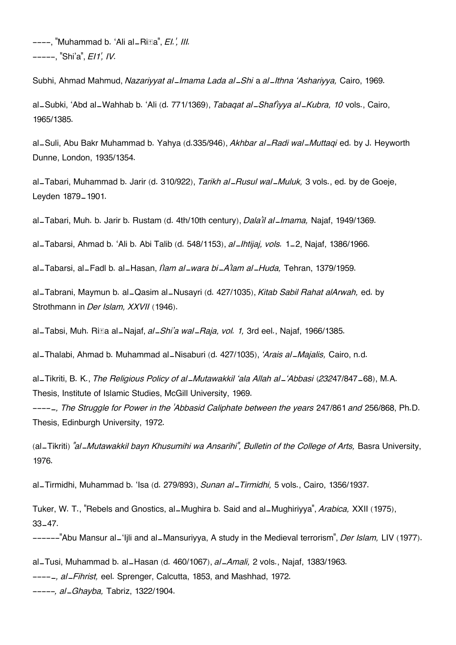----, "Muhammad b. 'Ali al‑Riďa", *EI.', III.*

-----, "Shi'a", *EI1', IV.*

Subhi, Ahmad Mahmud, *Nazariyyat al‑Imama Lada al‑Shi* a *al‑Ithna 'Ashariyya,* Cairo, 1969.

al‑Subki, 'Abd al‑Wahhab b. 'Ali (d. 771/1369), *Tabaqat al‑Shaf'iyya al‑Kubra, 10* vols., Cairo, 1965/1385.

al‑Suli, Abu Bakr Muhammad b. Yahya (d.335/946), *Akhbar al‑Radi wal‑Muttaqi* ed. by J. Heyworth Dunne, London, 1935/1354.

al‑Tabari, Muhammad b. Jarir (d. 310/922), *Tarikh al‑Rusul wal‑Muluk,* 3 vols., ed. by de Goeje, Leyden 1879<sub>-1901</sub>.

al‑Tabari, Muh. b. Jarir b. Rustam (d. 4th/10th century), *Dala'il al‑Imama,* Najaf, 1949/1369.

al‑Tabarsi, Ahmad b. 'Ali b. Abi Talib (d. 548/1153), *al‑Ihtijaj, vols.* 1‑2, Najaf, 1386/1966.

al‑Tabarsi, al‑Fadl b. al‑Hasan, *I'lam al‑wara bi‑A'lam al‑Huda,* Tehran, 1379/1959.

al‑Tabrani, Maymun b. al‑Qasim al‑Nusayri (d. 427/1035), *Kitab Sabil Rahat alArwah,* ed. by Strothmann in *Der Islam, XXVII* (1946).

al‑Tabsi, Muh. Riďa al‑Najaf, *al‑Shi'a wal‑Raja, vol. 1,* 3rd eel., Najaf, 1966/1385.

al‑Thalabi, Ahmad b. Muhammad al‑Nisaburi (d. 427/1035), *'Arais al‑Majalis,* Cairo, n.d.

al‑Tikriti, B. K., *The Religious Policy of al‑Mutawakkil 'ala Allah al‑'Abbasi (232*47/847‑68), M.A. Thesis, Institute of Islamic Studies, McGill University, 1969.

*----‑, The Struggle for Power in the 'Abbasid Caliphate between the years* 247/861 *and* 256/868, Ph.D. Thesis, Edinburgh University, 1972.

(al<sub>-Tikriti)</sub> "al<sub>-</sub>Mutawakkil bayn Khusumihi wa Ansarihi", Bulletin of the College of Arts, Basra University, 1976.

al‑Tirmidhi, Muhammad b. 'Isa (d. 279/893), *Sunan al‑Tirmidhi,* 5 vols., Cairo, 1356/1937.

Tuker, W. T., "Rebels and Gnostics, al‑Mughira b. Said and al‑Mughiriyya", *Arabica,* XXII (1975),  $33 - 47.$ 

------"Abu Mansur al‑'Ijli and al‑Mansuriyya, A study in the Medieval terrorism", *Der Islam,* LIV (1977).

al‑Tusi, Muhammad b. al‑Hasan (d. 460/1067), *al‑Amali,* 2 vols., Najaf, 1383/1963.

*----‑, al‑Fihrist,* eel. Sprenger, Calcutta, 1853, and Mashhad, 1972.

*-----, al‑Ghayba,* Tabriz, 1322/1904.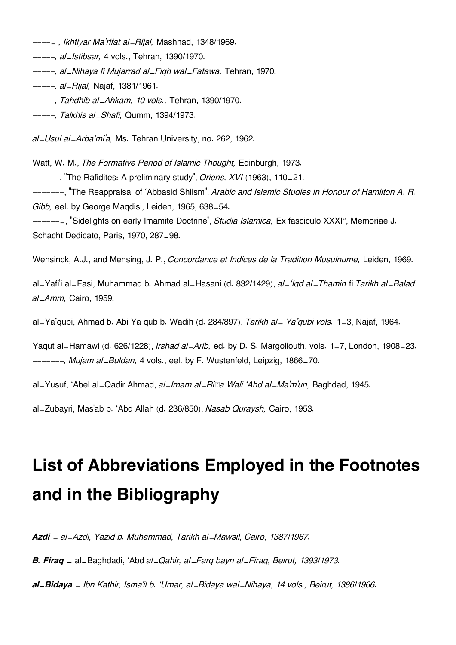- ----*‑ , Ikhtiyar Ma'rifat al‑Rijal,* Mashhad, 1348/1969.
- -----*, al‑Istibsar,* 4 vols., Tehran, 1390/1970.
- ---*--, al‑Nihaya fi Mujarrad al‑Fiqh wal‑Fatawa,* Tehran, 1970.
- ----*-, al‑Rijal,* Najaf, 1381/1961.
- *-----, Tahdhib al‑Ahkam, 10 vols.,* Tehran, 1390/1970.
- *-----, Talkhis al‑Shafi,* Qumm, 1394/1973.

*al‑Usul al‑Arba'mi'a,* Ms. Tehran University, no. 262, 1962.

Watt, W. M., *The Formative Period of Islamic Thought,* Edinburgh, 1973.

-----, <sup>"</sup>The Rafidites: A preliminary study", *Oriens, XVI* (1963), 110-21.

-------, "The Reappraisal of 'Abbasid Shiism", *Arabic and Islamic Studies in Honour of Hamilton A. R.* Gibb, eel. by George Magdisi, Leiden, 1965, 638<sub>-54</sub>.

------‑, "Sidelights on early Imamite Doctrine", *Studia Islamica,* Ex fasciculo XXXI°, Memoriae J. Schacht Dedicato, Paris, 1970, 287-98.

Wensinck, A.J., and Mensing, J. P., *Concordance et Indices de la Tradition Musulnume,* Leiden, 1969.

al‑Yafi'i al‑Fasi, Muhammad b. Ahmad al‑Hasani (d. 832/1429), *al‑'Iqd al‑Thamin* fi *Tarikh al‑Balad al‑Amm,* Cairo, 1959.

al‑Ya'qubi, Ahmad b. Abi Ya qub b. Wadih (d. 284/897), *Tarikh al‑ Ya'qubi vols.* 1‑3, Najaf, 1964.

Yaqut al<sub>-</sub>Hamawi (d. 626/1228), *Irshad al-Arib*, ed. by D. S. Margoliouth, vols. 1<sub>-7</sub>, London, 1908-23. *-------, Mujam al‑Buldan,* 4 vols., eel. by F. Wustenfeld, Leipzig, 1866‑70.

al‑Yusuf, 'Abel al‑Qadir Ahmad, *al‑Imam al‑Riďa Wali 'Ahd al‑Ma'm'un,* Baghdad, 1945.

al‑Zubayri, Mas'ab b. 'Abd Allah (d. 236/850), *Nasab Quraysh,* Cairo, 1953.

# **List of Abbreviations Employed in the Footnotes and in the Bibliography**

*Azdi ‑ al‑Azdi, Yazid b. Muhammad, Tarikh al‑Mawsil, Cairo, 1387/1967.*

*B. Firaq* ‑ al‑Baghdadi, 'Abd *al‑Qahir, al‑Farq bayn al‑Firaq, Beirut, 1393/1973.*

*al‑Bidaya ‑ Ibn Kathir, Isma'il b. 'Umar, al‑Bidaya wal‑Nihaya, 14 vols., Beirut, 1386/1966.*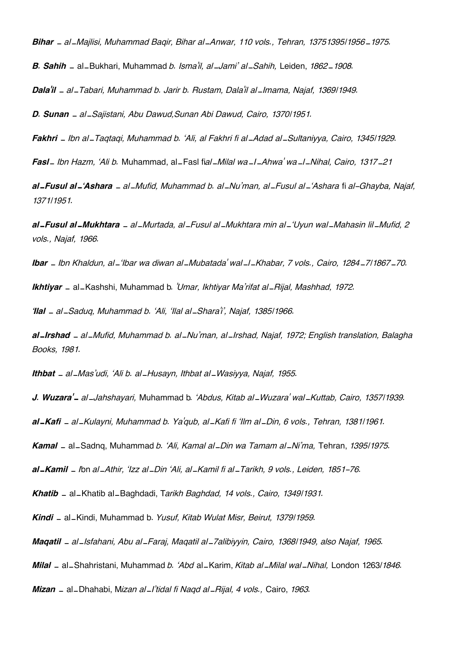*Bihar ‑ al‑Majlisi, Muhammad Baqir, Bihar al‑Anwar, 110 vols., Tehran, 13751395/1956‑1975.*

*B. Sahih* ‑ al‑Bukhari, Muhammad *b. Isma'il, al‑Jami' al‑Sahih,* Leiden, *1862‑1908.*

*Dala'il ‑ al‑Tabari, Muhammad b. Jarir b. Rustam, Dala'il al‑Imama, Najaf, 1369/1949.*

*D. Sunan ‑ al‑Sajistani, Abu Dawud,Sunan Abi Dawud, Cairo, 1370/1951.*

*Fakhri ‑ Ibn al‑Taqtaqi, Muhammad b. 'Ali, al Fakhri fi al‑Adad al‑Sultaniyya, Cairo, 1345/1929.*

*Fasl‑ Ibn Hazm, 'Ali b.* Muhammad, al‑Fasl fi*al‑Milal wa‑I‑Ahwa' wa‑l‑Nihal, Cairo, 1317‑21*

*al‑Fusul al‑'Ashara ‑ al‑Mufid, Muhammad b. al‑Nu'man, al‑Fusul al‑'Ashara* fi *al-Ghayba, Najaf, 1371/1951.*

*al‑Fusul al‑Mukhtara ‑ al‑Murtada, al‑Fusul al‑Mukhtara min al‑'Uyun wal‑Mahasin lil‑Mufid, 2 vols., Najaf, 1966.*

*Ibar ‑ Ibn Khaldun, al‑'Ibar wa diwan al‑Mubatada' wal‑l‑Khabar, 7 vols., Cairo, 1284‑7/1867‑70.*

*Ikhtiyar* ‑ al‑Kashshi, Muhammad b*. 'Umar, Ikhtiyar Ma'rifat al‑Rijal, Mashhad, 1972.*

*'Ilal ‑ al‑Saduq, Muhammad b. 'Ali, 'Ilal al‑Shara'i', Najaf, 1385/1966.*

*al‑Irshad ‑ al‑Mufid, Muhammad b. al‑Nu'man, al‑Irshad, Najaf, 1972; English translation, Balagha Books, 1981.*

*Ithbat ‑ al‑Mas'udi, 'Ali b. al‑Husayn, Ithbat al‑Wasiyya, Najaf, 1955.*

*J. Wuzara'‑ al‑Jahshayari,* Muhammad b*. 'Abdus, Kitab al‑Wuzara' wal‑Kuttab, Cairo, 1357/1939.*

*al‑Kafi ‑ al‑Kulayni, Muhammad b. Ya'qub, al‑Kafi fi 'Ilm al‑Din, 6 vols., Tehran, 1381/1961.*

*Kamal* ‑ al‑Sadnq, Muhammad *b. 'Ali, Kamal al‑Din wa Tamam al‑Ni'ma,* Tehran, *1395/1975.*

*al‑Kamil ‑ I*bn *al‑Athir, 'Izz al‑Din 'Ali, al‑Kamil fi al‑Tarikh, 9 vols., Leiden, 1851-76.*

*Khatib* ‑ al‑Khatib al‑Baghdadi, T*arikh Baghdad, 14 vols., Cairo, 1349/1931.*

*Kindi* ‑ al‑Kindi, Muhammad b. *Yusuf, Kitab Wulat Misr, Beirut, 1379/1959.*

*Maqatil ‑ al‑Isfahani, Abu al‑Faraj, Maqatil al‑7alibiyyin, Cairo, 1368/1949, also Najaf, 1965.*

*Milal* ‑ al‑Shahristani, Muhammad *b. 'Abd* al‑Karim, *Kitab al‑Milal wal‑Nihal,* London 1263*/1846.*

*Mizan* ‑ al‑Dhahabi, M*izan al‑I'tidal fi Naqd al‑Rijal, 4 vols.,* Cairo, *1963.*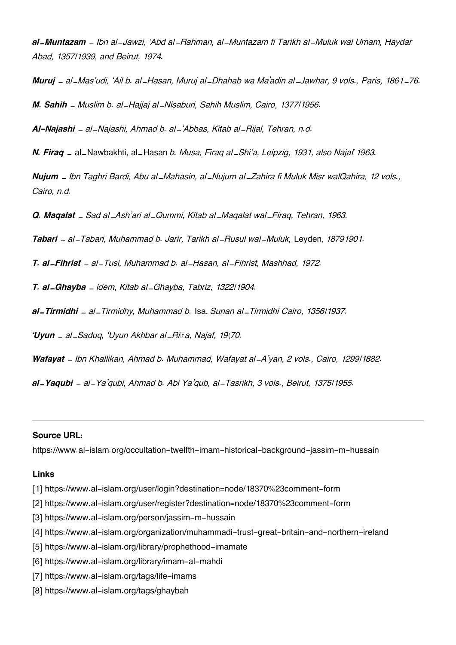*al‑Muntazam ‑ Ibn al‑Jawzi, 'Abd al‑Rahman, al‑Muntazam fi Tarikh al‑Muluk wal Umam, Haydar Abad, 1357/1939, and Beirut, 1974.*

*Muruj ‑ al‑Mas'udi, 'Ail b. al‑Hasan, Muruj al‑Dhahab wa Ma'adin al‑Jawhar, 9 vols., Paris, 1861‑76. M. Sahih ‑ Muslim b. al‑Hajjaj al‑Nisaburi, Sahih Muslim, Cairo, 1377/1956.*

*Al-Najashi ‑ al‑Najashi, Ahmad b. al‑'Abbas, Kitab al‑Rijal, Tehran, n.d.*

*N. Firaq* ‑ al‑Nawbakhti, al‑Hasan *b. Musa, Firaq al‑Shi'a, Leipzig, 1931, also Najaf 1963.*

*Nujum ‑ Ibn Taghri Bardi, Abu al‑Mahasin, al‑Nujum al‑Zahira fi Muluk Misr walQahira, 12 vols., Cairo, n.d.*

*Q. Maqalat ‑ Sad al‑Ash'ari al‑Qummi, Kitab al‑Maqalat wal‑Firaq, Tehran, 1963.*

*Tabari ‑ al‑Tabari, Muhammad b. Jarir, Tarikh al‑Rusul wal‑Muluk,* Leyden, *18791901.*

*T. al‑Fihrist ‑ al‑Tusi, Muhammad b. al‑Hasan, al‑Fihrist, Mashhad, 1972.*

*T. al‑Ghayba ‑ idem, Kitab al‑Ghayba, Tabriz, 1322/1904.*

*al‑Tirmidhi ‑ al‑Tirmidhy, Muhammad b.* Isa, *Sunan al‑Tirmidhi Cairo, 1356/1937.*

*'Uyun ‑ al‑Saduq, 'Uyun Akhbar al‑Riďa, Najaf, 19(70.*

*Wafayat ‑ Ibn Khallikan, Ahmad b. Muhammad, Wafayat al‑A'yan, 2 vols., Cairo, 1299/1882.*

*al‑Yaqubi ‑ al‑Ya'qubi, Ahmad b. Abi Ya'qub, al‑Tasrikh, 3 vols., Beirut, 1375/1955.*

#### **Source URL:**

https://www.al-islam.org/occultation-twelfth-imam-historical-background-jassim-m-hussain

#### **Links**

- [1] https://www.al-islam.org/user/login?destination=node/18370%23comment-form
- [2] https://www.al-islam.org/user/register?destination=node/18370%23comment-form
- [3] https://www.al-islam.org/person/jassim-m-hussain
- [4] https://www.al-islam.org/organization/muhammadi-trust-great-britain-and-northern-ireland
- [5] https://www.al-islam.org/library/prophethood-imamate
- [6] https://www.al-islam.org/library/imam-al-mahdi
- [7] https://www.al-islam.org/tags/life-imams
- [8] https://www.al-islam.org/tags/ghaybah